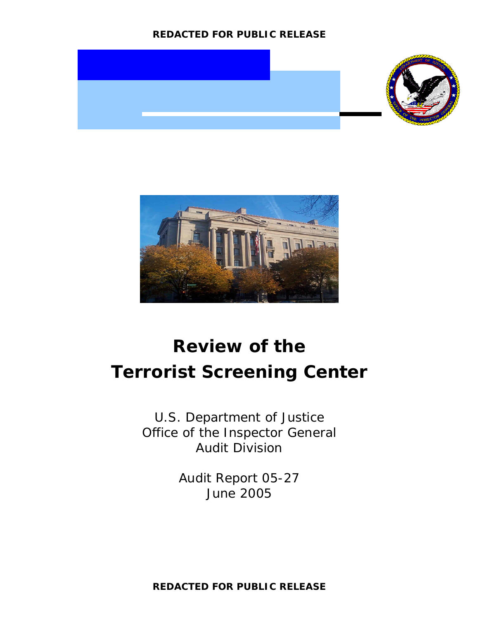# **REDACTED FOR PUBLIC RELEASE**





# **Review of the Terrorist Screening Center**

U.S. Department of Justice Office of the Inspector General Audit Division

> Audit Report 05-27 June 2005

**REDACTED FOR PUBLIC RELEASE**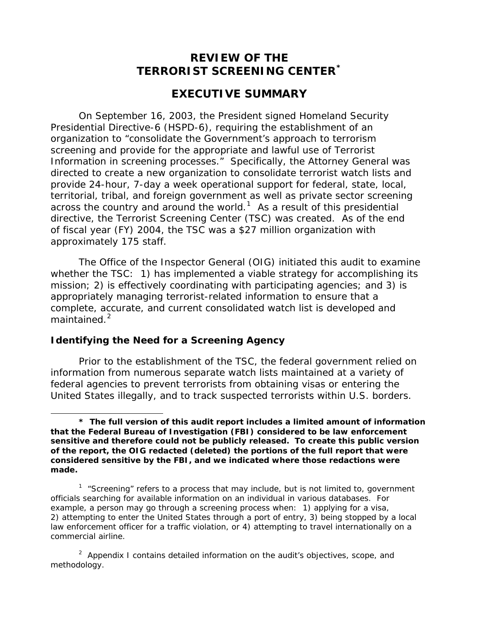# **REVIEW OF THE TERRORIST SCREENING CENTER[\\*](#page-1-0)**

# **EXECUTIVE SUMMARY**

On September 16, 2003, the President signed Homeland Security Presidential Directive-6 (HSPD-6), requiring the establishment of an organization to "consolidate the Government's approach to terrorism screening and provide for the appropriate and lawful use of Terrorist Information in screening processes." Specifically, the Attorney General was directed to create a new organization to consolidate terrorist watch lists and provide 24-hour, 7-day a week operational support for federal, state, local, territorial, tribal, and foreign government as well as private sector screening across the country and around the world.<sup>[1](#page-1-1)</sup> As a result of this presidential directive, the Terrorist Screening Center (TSC) was created. As of the end of fiscal year (FY) 2004, the TSC was a \$27 million organization with approximately 175 staff.

The Office of the Inspector General (OIG) initiated this audit to examine whether the TSC: 1) has implemented a viable strategy for accomplishing its mission; 2) is effectively coordinating with participating agencies; and 3) is appropriately managing terrorist-related information to ensure that a complete, accurate, and current consolidated watch list is developed and maintained.<sup>[2](#page-1-2)</sup>

#### **Identifying the Need for a Screening Agency**

 $\overline{a}$ 

Prior to the establishment of the TSC, the federal government relied on information from numerous separate watch lists maintained at a variety of federal agencies to prevent terrorists from obtaining visas or entering the United States illegally, and to track suspected terrorists within U.S. borders.

<span id="page-1-0"></span>**<sup>\*</sup> The full version of this audit report includes a limited amount of information that the Federal Bureau of Investigation (FBI) considered to be law enforcement sensitive and therefore could not be publicly released. To create this public version of the report, the OIG redacted (deleted) the portions of the full report that were considered sensitive by the FBI, and we indicated where those redactions were made.** 

<span id="page-1-1"></span><sup>&</sup>lt;sup>1</sup> "Screening" refers to a process that may include, but is not limited to, government officials searching for available information on an individual in various databases. For example, a person may go through a screening process when: 1) applying for a visa, 2) attempting to enter the United States through a port of entry, 3) being stopped by a local law enforcement officer for a traffic violation, or 4) attempting to travel internationally on a commercial airline.

<span id="page-1-2"></span><sup>&</sup>lt;sup>2</sup> Appendix I contains detailed information on the audit's objectives, scope, and methodology.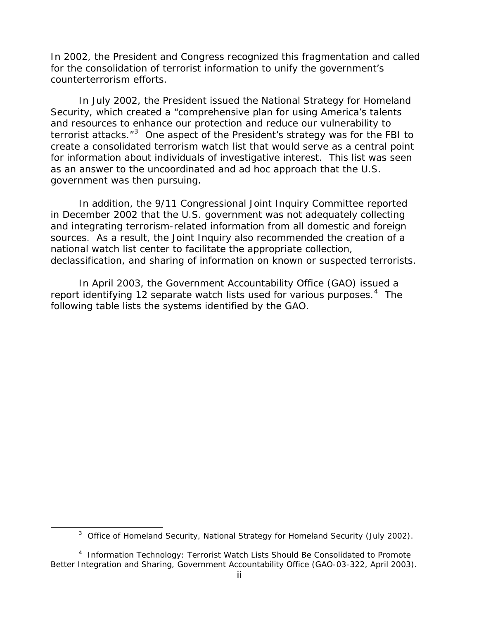In 2002, the President and Congress recognized this fragmentation and called for the consolidation of terrorist information to unify the government's counterterrorism efforts.

In July 2002, the President issued the National Strategy for Homeland Security, which created a "comprehensive plan for using America's talents and resources to enhance our protection and reduce our vulnerability to terrorist attacks."<sup>[3](#page-2-0)</sup> One aspect of the President's strategy was for the FBI to create a consolidated terrorism watch list that would serve as a central point for information about individuals of investigative interest. This list was seen as an answer to the uncoordinated and ad hoc approach that the U.S. government was then pursuing.

In addition, the 9/11 Congressional Joint Inquiry Committee reported in December 2002 that the U.S. government was not adequately collecting and integrating terrorism-related information from all domestic and foreign sources. As a result, the Joint Inquiry also recommended the creation of a national watch list center to facilitate the appropriate collection, declassification, and sharing of information on known or suspected terrorists.

In April 2003, the Government Accountability Office (GAO) issued a report identifying 12 separate watch lists used for various purposes.<sup>[4](#page-2-1)</sup> The following table lists the systems identified by the GAO.

<span id="page-2-0"></span> $\overline{a}$ 

<sup>&</sup>lt;sup>3</sup> Office of Homeland Security, National Strategy for Homeland Security (July 2002).

<span id="page-2-1"></span><sup>4</sup> *Information Technology: Terrorist Watch Lists Should Be Consolidated to Promote Better Integration and Sharing*, Government Accountability Office (GAO-03-322, April 2003).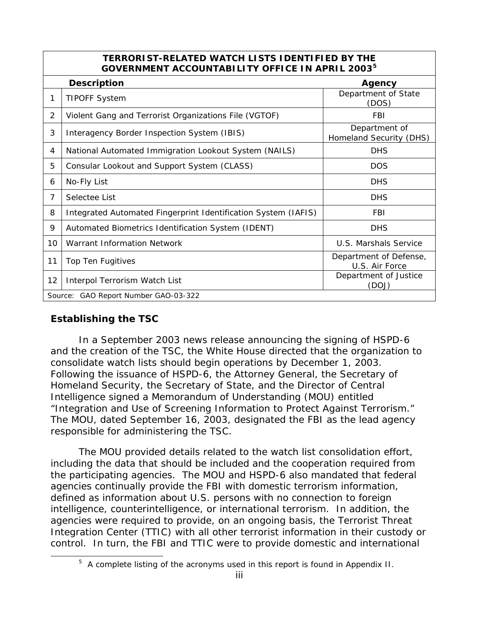| <b>TERRORIST-RELATED WATCH LISTS IDENTIFIED BY THE</b><br>GOVERNMENT ACCOUNTABILITY OFFICE IN APRIL 2003 <sup>5</sup> |                                                                |                                          |  |  |  |  |  |
|-----------------------------------------------------------------------------------------------------------------------|----------------------------------------------------------------|------------------------------------------|--|--|--|--|--|
|                                                                                                                       | <b>Description</b><br>Agency                                   |                                          |  |  |  |  |  |
| 1                                                                                                                     | <b>TIPOFF System</b>                                           | Department of State<br>(DOS)             |  |  |  |  |  |
| 2                                                                                                                     | Violent Gang and Terrorist Organizations File (VGTOF)          | FBI                                      |  |  |  |  |  |
| 3                                                                                                                     | Interagency Border Inspection System (IBIS)                    | Department of<br>Homeland Security (DHS) |  |  |  |  |  |
| 4                                                                                                                     | National Automated Immigration Lookout System (NAILS)          | <b>DHS</b>                               |  |  |  |  |  |
| 5                                                                                                                     | Consular Lookout and Support System (CLASS)                    | <b>DOS</b>                               |  |  |  |  |  |
| 6                                                                                                                     | No-Fly List                                                    | <b>DHS</b>                               |  |  |  |  |  |
| $\overline{7}$                                                                                                        | Selectee List                                                  | <b>DHS</b>                               |  |  |  |  |  |
| 8                                                                                                                     | Integrated Automated Fingerprint Identification System (IAFIS) | <b>FBI</b>                               |  |  |  |  |  |
| 9                                                                                                                     | Automated Biometrics Identification System (IDENT)             | <b>DHS</b>                               |  |  |  |  |  |
| 10                                                                                                                    | Warrant Information Network                                    | U.S. Marshals Service                    |  |  |  |  |  |
| 11                                                                                                                    | Top Ten Fugitives                                              | Department of Defense,<br>U.S. Air Force |  |  |  |  |  |
| 12                                                                                                                    | Interpol Terrorism Watch List                                  | Department of Justice<br>(DOJ)           |  |  |  |  |  |
|                                                                                                                       | Source: GAO Report Number GAO-03-322                           |                                          |  |  |  |  |  |

# **Establishing the TSC**

<span id="page-3-0"></span> $\overline{a}$ 

In a September 2003 news release announcing the signing of HSPD-6 and the creation of the TSC, the White House directed that the organization to consolidate watch lists should begin operations by December 1, 2003. Following the issuance of HSPD-6, the Attorney General, the Secretary of Homeland Security, the Secretary of State, and the Director of Central Intelligence signed a Memorandum of Understanding (MOU) entitled "Integration and Use of Screening Information to Protect Against Terrorism." The MOU, dated September 16, 2003, designated the FBI as the lead agency responsible for administering the TSC.

The MOU provided details related to the watch list consolidation effort, including the data that should be included and the cooperation required from the participating agencies. The MOU and HSPD-6 also mandated that federal agencies continually provide the FBI with domestic terrorism information, defined as information about U.S. persons with no connection to foreign intelligence, counterintelligence, or international terrorism. In addition, the agencies were required to provide, on an ongoing basis, the Terrorist Threat Integration Center (TTIC) with all other terrorist information in their custody or control. In turn, the FBI and TTIC were to provide domestic and international

<sup>&</sup>lt;sup>5</sup> A complete listing of the acronyms used in this report is found in Appendix II.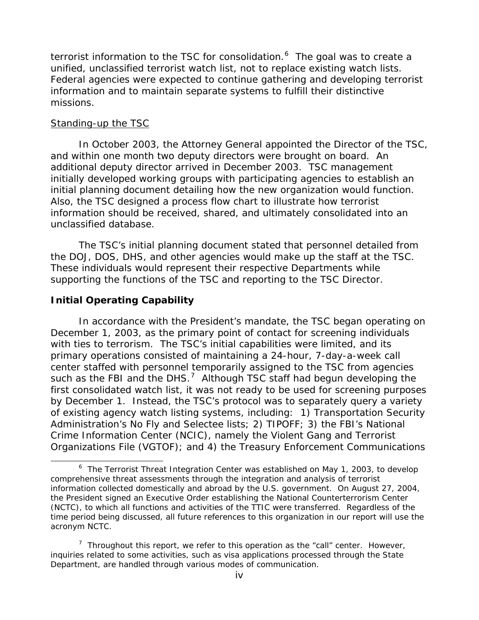terrorist information to the TSC for consolidation. $6$  The goal was to create a unified, *unclassified* terrorist watch list, not to replace existing watch lists. Federal agencies were expected to continue gathering and developing terrorist information and to maintain separate systems to fulfill their distinctive missions.

#### Standing-up the TSC

In October 2003, the Attorney General appointed the Director of the TSC, and within one month two deputy directors were brought on board. An additional deputy director arrived in December 2003. TSC management initially developed working groups with participating agencies to establish an initial planning document detailing how the new organization would function. Also, the TSC designed a process flow chart to illustrate how terrorist information should be received, shared, and ultimately consolidated into an unclassified database.

The TSC's initial planning document stated that personnel detailed from the DOJ, DOS, DHS, and other agencies would make up the staff at the TSC. These individuals would represent their respective Departments while supporting the functions of the TSC and reporting to the TSC Director.

## **Initial Operating Capability**

 $\overline{a}$ 

 In accordance with the President's mandate, the TSC began operating on December 1, 2003, as the primary point of contact for screening individuals with ties to terrorism. The TSC's initial capabilities were limited, and its primary operations consisted of maintaining a 24-hour, 7-day-a-week call center staffed with personnel temporarily assigned to the TSC from agencies such as the FBI and the DHS.<sup>[7](#page-4-1)</sup> Although TSC staff had begun developing the first consolidated watch list, it was not ready to be used for screening purposes by December 1. Instead, the TSC's protocol was to separately query a variety of existing agency watch listing systems, including: 1) Transportation Security Administration's No Fly and Selectee lists; 2) TIPOFF; 3) the FBI's National Crime Information Center (NCIC), namely the Violent Gang and Terrorist Organizations File (VGTOF); and 4) the Treasury Enforcement Communications

<sup>&</sup>lt;sup>6</sup> The Terrorist Threat Integration Center was established on May 1, 2003, to develop comprehensive threat assessments through the integration and analysis of terrorist information collected domestically and abroad by the U.S. government. On August 27, 2004, the President signed an Executive Order establishing the National Counterterrorism Center (NCTC), to which all functions and activities of the TTIC were transferred. Regardless of the time period being discussed, all future references to this organization in our report will use the acronym NCTC.

<span id="page-4-1"></span><span id="page-4-0"></span><sup>&</sup>lt;sup>7</sup> Throughout this report, we refer to this operation as the "call" center. However, inquiries related to some activities, such as visa applications processed through the State Department, are handled through various modes of communication.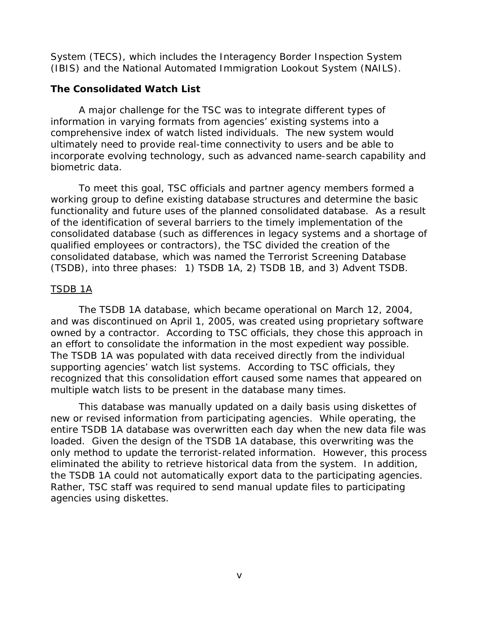System (TECS), which includes the Interagency Border Inspection System (IBIS) and the National Automated Immigration Lookout System (NAILS).

## **The Consolidated Watch List**

A major challenge for the TSC was to integrate different types of information in varying formats from agencies' existing systems into a comprehensive index of watch listed individuals. The new system would ultimately need to provide real-time connectivity to users and be able to incorporate evolving technology, such as advanced name-search capability and biometric data.

To meet this goal, TSC officials and partner agency members formed a working group to define existing database structures and determine the basic functionality and future uses of the planned consolidated database. As a result of the identification of several barriers to the timely implementation of the consolidated database (such as differences in legacy systems and a shortage of qualified employees or contractors), the TSC divided the creation of the consolidated database, which was named the Terrorist Screening Database (TSDB), into three phases: 1) TSDB 1A, 2) TSDB 1B, and 3) Advent TSDB.

## TSDB 1A

The TSDB 1A database, which became operational on March 12, 2004, and was discontinued on April 1, 2005, was created using proprietary software owned by a contractor. According to TSC officials, they chose this approach in an effort to consolidate the information in the most expedient way possible. The TSDB 1A was populated with data received directly from the individual supporting agencies' watch list systems. According to TSC officials, they recognized that this consolidation effort caused some names that appeared on multiple watch lists to be present in the database many times.

This database was manually updated on a daily basis using diskettes of new or revised information from participating agencies. While operating, the entire TSDB 1A database was overwritten each day when the new data file was loaded. Given the design of the TSDB 1A database, this overwriting was the only method to update the terrorist-related information. However, this process eliminated the ability to retrieve historical data from the system. In addition, the TSDB 1A could not automatically export data to the participating agencies. Rather, TSC staff was required to send manual update files to participating agencies using diskettes.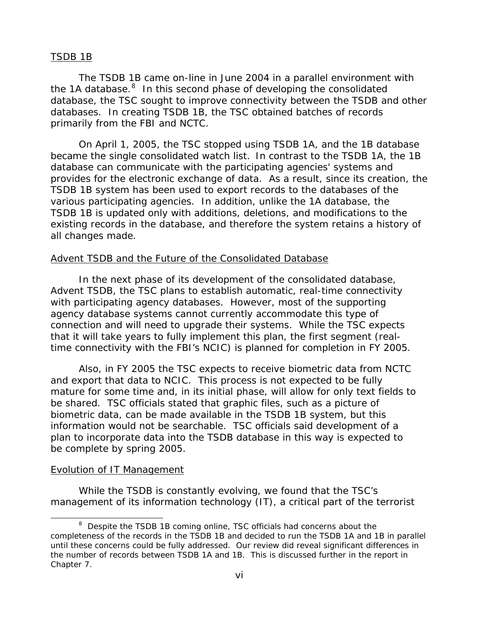#### TSDB 1B

The TSDB 1B came on-line in June 2004 in a parallel environment with the 1A database. $8$  In this second phase of developing the consolidated database, the TSC sought to improve connectivity between the TSDB and other databases. In creating TSDB 1B, the TSC obtained batches of records primarily from the FBI and NCTC.

On April 1, 2005, the TSC stopped using TSDB 1A, and the 1B database became the single consolidated watch list. In contrast to the TSDB 1A, the 1B database can communicate with the participating agencies' systems and provides for the electronic exchange of data. As a result, since its creation, the TSDB 1B system has been used to export records to the databases of the various participating agencies. In addition, unlike the 1A database, the TSDB 1B is updated only with additions, deletions, and modifications to the existing records in the database, and therefore the system retains a history of all changes made.

#### Advent TSDB and the Future of the Consolidated Database

 In the next phase of its development of the consolidated database, Advent TSDB, the TSC plans to establish automatic, real-time connectivity with participating agency databases. However, most of the supporting agency database systems cannot currently accommodate this type of connection and will need to upgrade their systems. While the TSC expects that it will take years to fully implement this plan, the first segment (realtime connectivity with the FBI's NCIC) is planned for completion in FY 2005.

 Also, in FY 2005 the TSC expects to receive biometric data from NCTC and export that data to NCIC. This process is not expected to be fully mature for some time and, in its initial phase, will allow for only text fields to be shared. TSC officials stated that graphic files, such as a picture of biometric data, can be made available in the TSDB 1B system, but this information would not be searchable. TSC officials said development of a plan to incorporate data into the TSDB database in this way is expected to be complete by spring 2005.

#### Evolution of IT Management

 $\overline{a}$ 

While the TSDB is constantly evolving, we found that the TSC's management of its information technology (IT), a critical part of the terrorist

<span id="page-6-0"></span><sup>&</sup>lt;sup>8</sup> Despite the TSDB 1B coming online, TSC officials had concerns about the completeness of the records in the TSDB 1B and decided to run the TSDB 1A and 1B in parallel until these concerns could be fully addressed. Our review did reveal significant differences in the number of records between TSDB 1A and 1B. This is discussed further in the report in Chapter 7.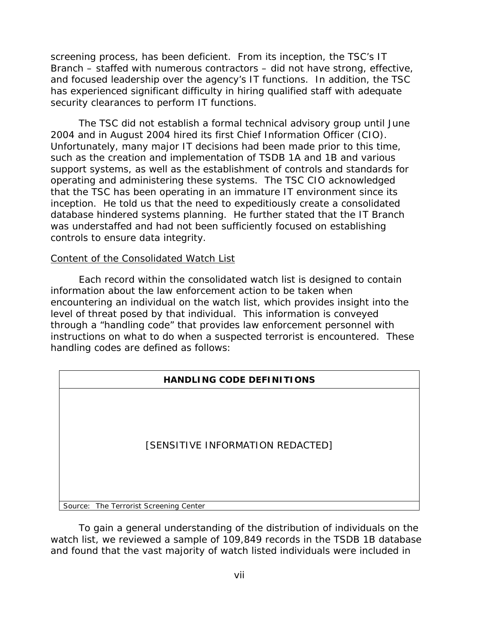screening process, has been deficient. From its inception, the TSC's IT Branch – staffed with numerous contractors – did not have strong, effective, and focused leadership over the agency's IT functions. In addition, the TSC has experienced significant difficulty in hiring qualified staff with adequate security clearances to perform IT functions.

The TSC did not establish a formal technical advisory group until June 2004 and in August 2004 hired its first Chief Information Officer (CIO). Unfortunately, many major IT decisions had been made prior to this time, such as the creation and implementation of TSDB 1A and 1B and various support systems, as well as the establishment of controls and standards for operating and administering these systems. The TSC CIO acknowledged that the TSC has been operating in an immature IT environment since its inception. He told us that the need to expeditiously create a consolidated database hindered systems planning. He further stated that the IT Branch was understaffed and had not been sufficiently focused on establishing controls to ensure data integrity.

#### Content of the Consolidated Watch List

Each record within the consolidated watch list is designed to contain information about the law enforcement action to be taken when encountering an individual on the watch list, which provides insight into the level of threat posed by that individual. This information is conveyed through a "handling code" that provides law enforcement personnel with instructions on what to do when a suspected terrorist is encountered. These handling codes are defined as follows:

| <b>HANDLING CODE DEFINITIONS</b>       |  |  |  |  |  |
|----------------------------------------|--|--|--|--|--|
| [SENSITIVE INFORMATION REDACTED]       |  |  |  |  |  |
| Source: The Terrorist Screening Center |  |  |  |  |  |

To gain a general understanding of the distribution of individuals on the watch list, we reviewed a sample of 109,849 records in the TSDB 1B database and found that the vast majority of watch listed individuals were included in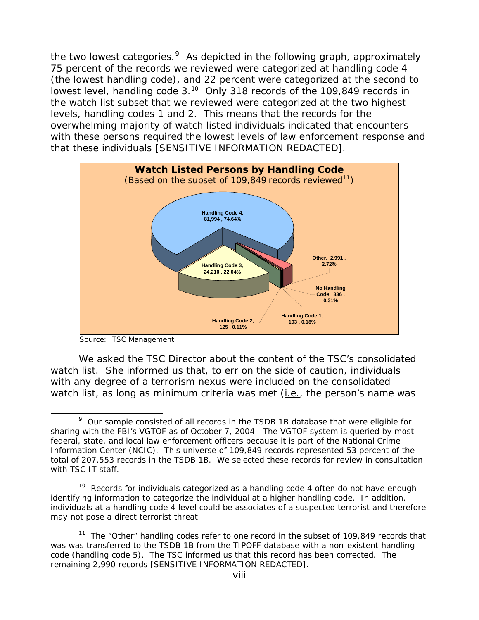the two lowest categories. $9$  As depicted in the following graph, approximately 75 percent of the records we reviewed were categorized at handling code 4 (the lowest handling code), and 22 percent were categorized at the second to lowest level, handling code 3.<sup>[10](#page-8-1)</sup> Only 318 records of the 109,849 records in the watch list subset that we reviewed were categorized at the two highest levels, handling codes 1 and 2. This means that the records for the overwhelming majority of watch listed individuals indicated that encounters with these persons required the lowest levels of law enforcement response and that these individuals [SENSITIVE INFORMATION REDACTED].



Source: TSC Management

We asked the TSC Director about the content of the TSC's consolidated watch list. She informed us that, to err on the side of caution, individuals with any degree of a terrorism nexus were included on the consolidated watch list, as long as minimum criteria was met (i.e., the person's name was

<span id="page-8-0"></span> $\overline{a}$  $9$  Our sample consisted of all records in the TSDB 1B database that were eligible for sharing with the FBI's VGTOF as of October 7, 2004. The VGTOF system is queried by most federal, state, and local law enforcement officers because it is part of the National Crime Information Center (NCIC). This universe of 109,849 records represented 53 percent of the total of 207,553 records in the TSDB 1B. We selected these records for review in consultation with TSC IT staff.

<span id="page-8-1"></span><sup>&</sup>lt;sup>10</sup> Records for individuals categorized as a handling code 4 often do not have enough identifying information to categorize the individual at a higher handling code. In addition, individuals at a handling code 4 level could be associates of a suspected terrorist and therefore may not pose a direct terrorist threat.

<span id="page-8-2"></span><sup>&</sup>lt;sup>11</sup> The "Other" handling codes refer to one record in the subset of 109,849 records that was was transferred to the TSDB 1B from the TIPOFF database with a non-existent handling code (handling code 5). The TSC informed us that this record has been corrected. The remaining 2,990 records [SENSITIVE INFORMATION REDACTED].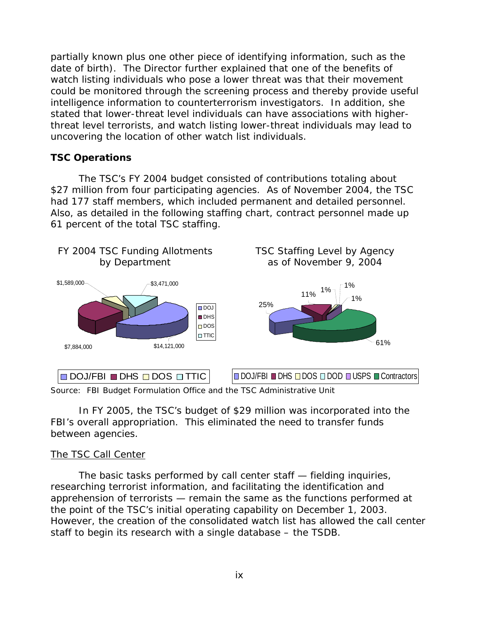partially known plus one other piece of identifying information, such as the date of birth). The Director further explained that one of the benefits of watch listing individuals who pose a lower threat was that their movement could be monitored through the screening process and thereby provide useful intelligence information to counterterrorism investigators. In addition, she stated that lower-threat level individuals can have associations with higherthreat level terrorists, and watch listing lower-threat individuals may lead to uncovering the location of other watch list individuals.

#### **TSC Operations**

The TSC's FY 2004 budget consisted of contributions totaling about \$27 million from four participating agencies. As of November 2004, the TSC had 177 staff members, which included permanent and detailed personnel. Also, as detailed in the following staffing chart, contract personnel made up 61 percent of the total TSC staffing.



Source: FBI Budget Formulation Office and the TSC Administrative Unit

In FY 2005, the TSC's budget of \$29 million was incorporated into the FBI's overall appropriation. This eliminated the need to transfer funds between agencies.

#### The TSC Call Center

The basic tasks performed by call center staff — fielding inquiries, researching terrorist information, and facilitating the identification and apprehension of terrorists — remain the same as the functions performed at the point of the TSC's initial operating capability on December 1, 2003. However, the creation of the consolidated watch list has allowed the call center staff to begin its research with a single database – the TSDB.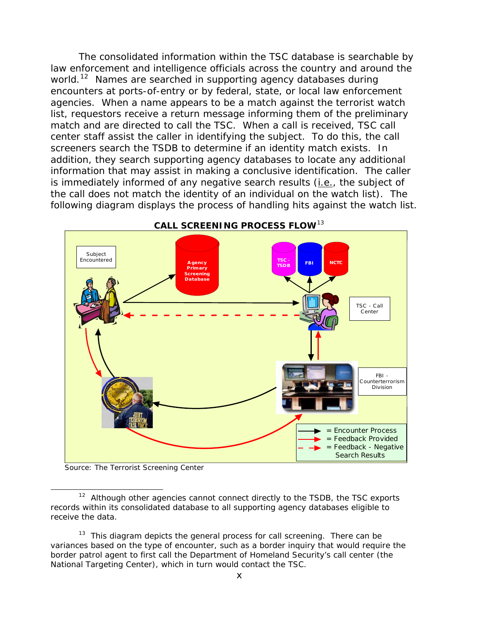The consolidated information within the TSC database is searchable by law enforcement and intelligence officials across the country and around the world.<sup>[12](#page-10-0)</sup> Names are searched in supporting agency databases during encounters at ports-of-entry or by federal, state, or local law enforcement agencies. When a name appears to be a match against the terrorist watch list, requestors receive a return message informing them of the preliminary match and are directed to call the TSC. When a call is received, TSC call center staff assist the caller in identifying the subject. To do this, the call screeners search the TSDB to determine if an identity match exists. In addition, they search supporting agency databases to locate any additional information that may assist in making a conclusive identification. The caller is immediately informed of any negative search results (i.e., the subject of the call does not match the identity of an individual on the watch list). The following diagram displays the process of handling hits against the watch list.



Source: The Terrorist Screening Center

 $\overline{a}$ 

<span id="page-10-0"></span> $12$  Although other agencies cannot connect directly to the TSDB, the TSC exports records within its consolidated database to all supporting agency databases eligible to receive the data.

<span id="page-10-1"></span> $13$  This diagram depicts the general process for call screening. There can be variances based on the type of encounter, such as a border inquiry that would require the border patrol agent to first call the Department of Homeland Security's call center (the National Targeting Center), which in turn would contact the TSC.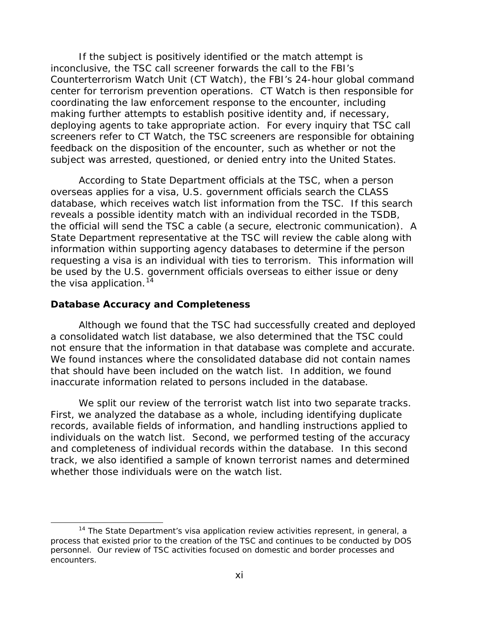If the subject is positively identified or the match attempt is inconclusive, the TSC call screener forwards the call to the FBI's Counterterrorism Watch Unit (CT Watch), the FBI's 24-hour global command center for terrorism prevention operations. CT Watch is then responsible for coordinating the law enforcement response to the encounter, including making further attempts to establish positive identity and, if necessary, deploying agents to take appropriate action. For every inquiry that TSC call screeners refer to CT Watch, the TSC screeners are responsible for obtaining feedback on the disposition of the encounter, such as whether or not the subject was arrested, questioned, or denied entry into the United States.

 According to State Department officials at the TSC, when a person overseas applies for a visa, U.S. government officials search the CLASS database, which receives watch list information from the TSC. If this search reveals a possible identity match with an individual recorded in the TSDB, the official will send the TSC a cable (a secure, electronic communication). A State Department representative at the TSC will review the cable along with information within supporting agency databases to determine if the person requesting a visa is an individual with ties to terrorism. This information will be used by the U.S. government officials overseas to either issue or deny the visa application.  $14$ 

#### **Database Accuracy and Completeness**

 $\overline{a}$ 

Although we found that the TSC had successfully created and deployed a consolidated watch list database, we also determined that the TSC could not ensure that the information in that database was complete and accurate. We found instances where the consolidated database did not contain names that should have been included on the watch list. In addition, we found inaccurate information related to persons included in the database.

 We split our review of the terrorist watch list into two separate tracks. First, we analyzed the database as a whole, including identifying duplicate records, available fields of information, and handling instructions applied to individuals on the watch list. Second, we performed testing of the accuracy and completeness of individual records within the database. In this second track, we also identified a sample of known terrorist names and determined whether those individuals were on the watch list.

<span id="page-11-0"></span> $14$  The State Department's visa application review activities represent, in general, a process that existed prior to the creation of the TSC and continues to be conducted by DOS personnel. Our review of TSC activities focused on domestic and border processes and encounters.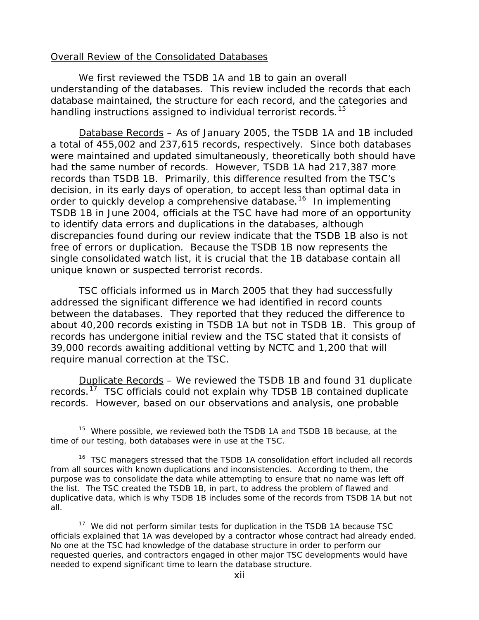#### Overall Review of the Consolidated Databases

We first reviewed the TSDB 1A and 1B to gain an overall understanding of the databases. This review included the records that each database maintained, the structure for each record, and the categories and handling instructions assigned to individual terrorist records.<sup>[15](#page-12-0)</sup>

*Database Records* – As of January 2005, the TSDB 1A and 1B included a total of 455,002 and 237,615 records, respectively. Since both databases were maintained and updated simultaneously, theoretically both should have had the same number of records. However, TSDB 1A had 217,387 more records than TSDB 1B. Primarily, this difference resulted from the TSC's decision, in its early days of operation, to accept less than optimal data in order to quickly develop a comprehensive database.<sup>[16](#page-12-1)</sup> In implementing TSDB 1B in June 2004, officials at the TSC have had more of an opportunity to identify data errors and duplications in the databases, although discrepancies found during our review indicate that the TSDB 1B also is not free of errors or duplication. Because the TSDB 1B now represents the single consolidated watch list, it is crucial that the 1B database contain all unique known or suspected terrorist records.

TSC officials informed us in March 2005 that they had successfully addressed the significant difference we had identified in record counts between the databases. They reported that they reduced the difference to about 40,200 records existing in TSDB 1A but not in TSDB 1B. This group of records has undergone initial review and the TSC stated that it consists of 39,000 records awaiting additional vetting by NCTC and 1,200 that will require manual correction at the TSC.

*Duplicate Records* – We reviewed the TSDB 1B and found 31 duplicate records.<sup>[17](#page-12-2)</sup> TSC officials could not explain why TDSB 1B contained duplicate records. However, based on our observations and analysis, one probable

<span id="page-12-0"></span>l <sup>15</sup> Where possible, we reviewed both the TSDB 1A and TSDB 1B because, at the time of our testing, both databases were in use at the TSC.

<span id="page-12-1"></span><sup>&</sup>lt;sup>16</sup> TSC managers stressed that the TSDB 1A consolidation effort included all records from all sources with known duplications and inconsistencies. According to them, the purpose was to consolidate the data while attempting to ensure that no name was left off the list. The TSC created the TSDB 1B, in part, to address the problem of flawed and duplicative data, which is why TSDB 1B includes some of the records from TSDB 1A but not all.

<span id="page-12-2"></span><sup>&</sup>lt;sup>17</sup> We did not perform similar tests for duplication in the TSDB 1A because TSC officials explained that 1A was developed by a contractor whose contract had already ended. No one at the TSC had knowledge of the database structure in order to perform our requested queries, and contractors engaged in other major TSC developments would have needed to expend significant time to learn the database structure.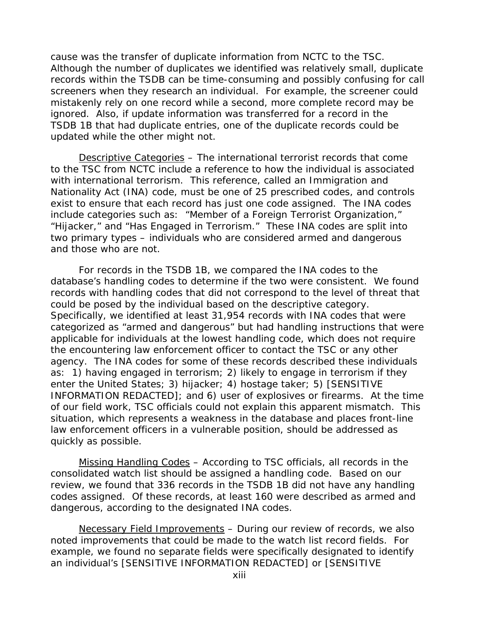cause was the transfer of duplicate information from NCTC to the TSC. Although the number of duplicates we identified was relatively small, duplicate records within the TSDB can be time-consuming and possibly confusing for call screeners when they research an individual. For example, the screener could mistakenly rely on one record while a second, more complete record may be ignored. Also, if update information was transferred for a record in the TSDB 1B that had duplicate entries, one of the duplicate records could be updated while the other might not.

*Descriptive Categories* – The international terrorist records that come to the TSC from NCTC include a reference to how the individual is associated with international terrorism. This reference, called an Immigration and Nationality Act (INA) code, must be one of 25 prescribed codes, and controls exist to ensure that each record has just one code assigned. The INA codes include categories such as: "Member of a Foreign Terrorist Organization," "Hijacker," and "Has Engaged in Terrorism." These INA codes are split into two primary types – individuals who are considered armed and dangerous and those who are not.

For records in the TSDB 1B, we compared the INA codes to the database's handling codes to determine if the two were consistent. We found records with handling codes that did not correspond to the level of threat that could be posed by the individual based on the descriptive category. Specifically, we identified at least 31,954 records with INA codes that were categorized as "armed and dangerous" but had handling instructions that were applicable for individuals at the lowest handling code, which does not require the encountering law enforcement officer to contact the TSC or any other agency. The INA codes for some of these records described these individuals as: 1) having engaged in terrorism; 2) likely to engage in terrorism if they enter the United States; 3) hijacker; 4) hostage taker; 5) [SENSITIVE INFORMATION REDACTED]; and 6) user of explosives or firearms. At the time of our field work, TSC officials could not explain this apparent mismatch. This situation, which represents a weakness in the database and places front-line law enforcement officers in a vulnerable position, should be addressed as quickly as possible.

*Missing Handling Codes* – According to TSC officials, all records in the consolidated watch list should be assigned a handling code. Based on our review, we found that 336 records in the TSDB 1B did not have any handling codes assigned. Of these records, at least 160 were described as armed and dangerous, according to the designated INA codes.

*Necessary Field Improvements* – During our review of records, we also noted improvements that could be made to the watch list record fields. For example, we found no separate fields were specifically designated to identify an individual's [SENSITIVE INFORMATION REDACTED] or [SENSITIVE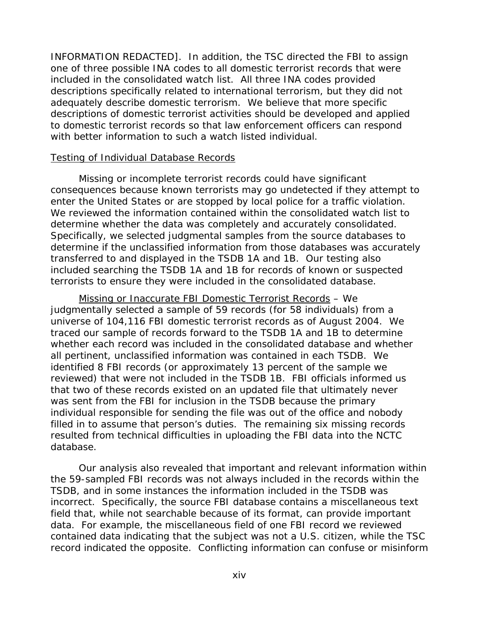INFORMATION REDACTED]. In addition, the TSC directed the FBI to assign one of three possible INA codes to all domestic terrorist records that were included in the consolidated watch list. All three INA codes provided descriptions specifically related to international terrorism, but they did not adequately describe domestic terrorism. We believe that more specific descriptions of domestic terrorist activities should be developed and applied to domestic terrorist records so that law enforcement officers can respond with better information to such a watch listed individual.

#### Testing of Individual Database Records

Missing or incomplete terrorist records could have significant consequences because known terrorists may go undetected if they attempt to enter the United States or are stopped by local police for a traffic violation. We reviewed the information contained within the consolidated watch list to determine whether the data was completely and accurately consolidated. Specifically, we selected judgmental samples from the source databases to determine if the unclassified information from those databases was accurately transferred to and displayed in the TSDB 1A and 1B. Our testing also included searching the TSDB 1A and 1B for records of known or suspected terrorists to ensure they were included in the consolidated database.

*Missing or Inaccurate FBI Domestic Terrorist Records* – We judgmentally selected a sample of 59 records (for 58 individuals) from a universe of 104,116 FBI domestic terrorist records as of August 2004. We traced our sample of records forward to the TSDB 1A and 1B to determine whether each record was included in the consolidated database and whether all pertinent, unclassified information was contained in each TSDB. We identified 8 FBI records (or approximately 13 percent of the sample we reviewed) that were not included in the TSDB 1B. FBI officials informed us that two of these records existed on an updated file that ultimately never was sent from the FBI for inclusion in the TSDB because the primary individual responsible for sending the file was out of the office and nobody filled in to assume that person's duties. The remaining six missing records resulted from technical difficulties in uploading the FBI data into the NCTC database.

Our analysis also revealed that important and relevant information within the 59-sampled FBI records was not always included in the records within the TSDB, and in some instances the information included in the TSDB was incorrect. Specifically, the source FBI database contains a miscellaneous text field that, while not searchable because of its format, can provide important data. For example, the miscellaneous field of one FBI record we reviewed contained data indicating that the subject was not a U.S. citizen, while the TSC record indicated the opposite. Conflicting information can confuse or misinform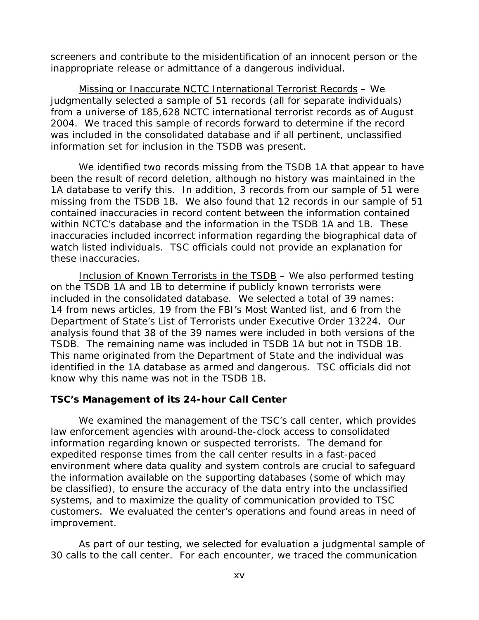screeners and contribute to the misidentification of an innocent person or the inappropriate release or admittance of a dangerous individual.

*Missing or Inaccurate NCTC International Terrorist Records* – We judgmentally selected a sample of 51 records (all for separate individuals) from a universe of 185,628 NCTC international terrorist records as of August 2004. We traced this sample of records forward to determine if the record was included in the consolidated database and if all pertinent, unclassified information set for inclusion in the TSDB was present.

We identified two records missing from the TSDB 1A that appear to have been the result of record deletion, although no history was maintained in the 1A database to verify this. In addition, 3 records from our sample of 51 were missing from the TSDB 1B. We also found that 12 records in our sample of 51 contained inaccuracies in record content between the information contained within NCTC's database and the information in the TSDB 1A and 1B. These inaccuracies included incorrect information regarding the biographical data of watch listed individuals. TSC officials could not provide an explanation for these inaccuracies.

*Inclusion of Known Terrorists in the TSDB* – We also performed testing on the TSDB 1A and 1B to determine if publicly known terrorists were included in the consolidated database. We selected a total of 39 names: 14 from news articles, 19 from the FBI's Most Wanted list, and 6 from the Department of State's List of Terrorists under Executive Order 13224. Our analysis found that 38 of the 39 names were included in both versions of the TSDB. The remaining name was included in TSDB 1A but not in TSDB 1B. This name originated from the Department of State and the individual was identified in the 1A database as armed and dangerous. TSC officials did not know why this name was not in the TSDB 1B.

## **TSC's Management of its 24-hour Call Center**

We examined the management of the TSC's call center, which provides law enforcement agencies with around-the-clock access to consolidated information regarding known or suspected terrorists. The demand for expedited response times from the call center results in a fast-paced environment where data quality and system controls are crucial to safeguard the information available on the supporting databases (some of which may be classified), to ensure the accuracy of the data entry into the unclassified systems, and to maximize the quality of communication provided to TSC customers. We evaluated the center's operations and found areas in need of improvement.

As part of our testing, we selected for evaluation a judgmental sample of 30 calls to the call center. For each encounter, we traced the communication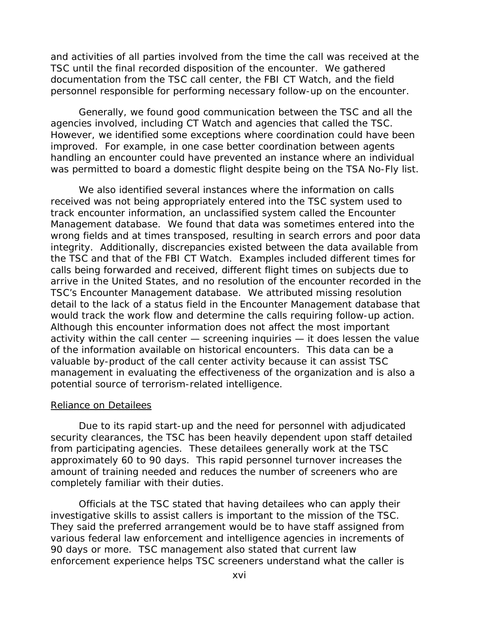and activities of all parties involved from the time the call was received at the TSC until the final recorded disposition of the encounter. We gathered documentation from the TSC call center, the FBI CT Watch, and the field personnel responsible for performing necessary follow-up on the encounter.

Generally, we found good communication between the TSC and all the agencies involved, including CT Watch and agencies that called the TSC. However, we identified some exceptions where coordination could have been improved. For example, in one case better coordination between agents handling an encounter could have prevented an instance where an individual was permitted to board a domestic flight despite being on the TSA No-Fly list.

We also identified several instances where the information on calls received was not being appropriately entered into the TSC system used to track encounter information, an unclassified system called the Encounter Management database. We found that data was sometimes entered into the wrong fields and at times transposed, resulting in search errors and poor data integrity. Additionally, discrepancies existed between the data available from the TSC and that of the FBI CT Watch. Examples included different times for calls being forwarded and received, different flight times on subjects due to arrive in the United States, and no resolution of the encounter recorded in the TSC's Encounter Management database. We attributed missing resolution detail to the lack of a status field in the Encounter Management database that would track the work flow and determine the calls requiring follow-up action. Although this encounter information does not affect the most important activity within the call center — screening inquiries — it does lessen the value of the information available on historical encounters. This data can be a valuable by-product of the call center activity because it can assist TSC management in evaluating the effectiveness of the organization and is also a potential source of terrorism-related intelligence.

#### Reliance on Detailees

Due to its rapid start-up and the need for personnel with adjudicated security clearances, the TSC has been heavily dependent upon staff detailed from participating agencies. These detailees generally work at the TSC approximately 60 to 90 days. This rapid personnel turnover increases the amount of training needed and reduces the number of screeners who are completely familiar with their duties.

 Officials at the TSC stated that having detailees who can apply their investigative skills to assist callers is important to the mission of the TSC. They said the preferred arrangement would be to have staff assigned from various federal law enforcement and intelligence agencies in increments of 90 days or more. TSC management also stated that current law enforcement experience helps TSC screeners understand what the caller is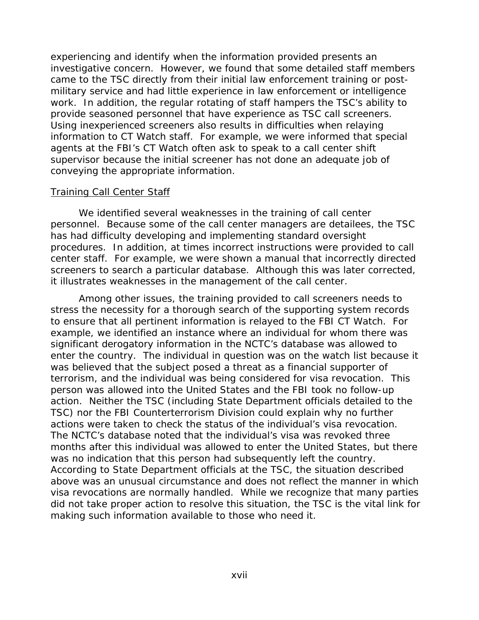experiencing and identify when the information provided presents an investigative concern. However, we found that some detailed staff members came to the TSC directly from their initial law enforcement training or postmilitary service and had little experience in law enforcement or intelligence work. In addition, the regular rotating of staff hampers the TSC's ability to provide seasoned personnel that have experience as TSC call screeners. Using inexperienced screeners also results in difficulties when relaying information to CT Watch staff. For example, we were informed that special agents at the FBI's CT Watch often ask to speak to a call center shift supervisor because the initial screener has not done an adequate job of conveying the appropriate information.

#### **Training Call Center Staff**

 We identified several weaknesses in the training of call center personnel. Because some of the call center managers are detailees, the TSC has had difficulty developing and implementing standard oversight procedures. In addition, at times incorrect instructions were provided to call center staff. For example, we were shown a manual that incorrectly directed screeners to search a particular database. Although this was later corrected, it illustrates weaknesses in the management of the call center.

 Among other issues, the training provided to call screeners needs to stress the necessity for a thorough search of the supporting system records to ensure that all pertinent information is relayed to the FBI CT Watch. For example, we identified an instance where an individual for whom there was significant derogatory information in the NCTC's database was allowed to enter the country. The individual in question was on the watch list because it was believed that the subject posed a threat as a financial supporter of terrorism, and the individual was being considered for visa revocation. This person was allowed into the United States and the FBI took no follow-up action. Neither the TSC (including State Department officials detailed to the TSC) nor the FBI Counterterrorism Division could explain why no further actions were taken to check the status of the individual's visa revocation. The NCTC's database noted that the individual's visa was revoked three months after this individual was allowed to enter the United States, but there was no indication that this person had subsequently left the country. According to State Department officials at the TSC, the situation described above was an unusual circumstance and does not reflect the manner in which visa revocations are normally handled. While we recognize that many parties did not take proper action to resolve this situation, the TSC is the vital link for making such information available to those who need it.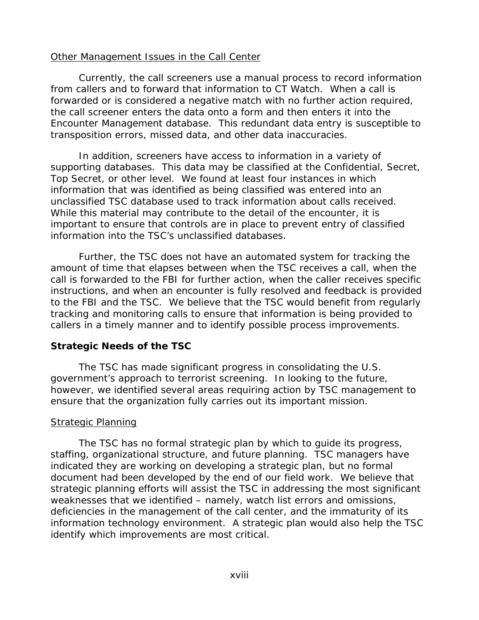#### Other Management Issues in the Call Center

 Currently, the call screeners use a manual process to record information from callers and to forward that information to CT Watch. When a call is forwarded or is considered a negative match with no further action required, the call screener enters the data onto a form and then enters it into the Encounter Management database. This redundant data entry is susceptible to transposition errors, missed data, and other data inaccuracies.

In addition, screeners have access to information in a variety of supporting databases. This data may be classified at the Confidential, Secret, Top Secret, or other level. We found at least four instances in which information that was identified as being classified was entered into an unclassified TSC database used to track information about calls received. While this material may contribute to the detail of the encounter, it is important to ensure that controls are in place to prevent entry of classified information into the TSC's unclassified databases.

Further, the TSC does not have an automated system for tracking the amount of time that elapses between when the TSC receives a call, when the call is forwarded to the FBI for further action, when the caller receives specific instructions, and when an encounter is fully resolved and feedback is provided to the FBI and the TSC. We believe that the TSC would benefit from regularly tracking and monitoring calls to ensure that information is being provided to callers in a timely manner and to identify possible process improvements.

## **Strategic Needs of the TSC**

The TSC has made significant progress in consolidating the U.S. government's approach to terrorist screening. In looking to the future, however, we identified several areas requiring action by TSC management to ensure that the organization fully carries out its important mission.

## Strategic Planning

The TSC has no formal strategic plan by which to guide its progress, staffing, organizational structure, and future planning. TSC managers have indicated they are working on developing a strategic plan, but no formal document had been developed by the end of our field work. We believe that strategic planning efforts will assist the TSC in addressing the most significant weaknesses that we identified – namely, watch list errors and omissions, deficiencies in the management of the call center, and the immaturity of its information technology environment. A strategic plan would also help the TSC identify which improvements are most critical.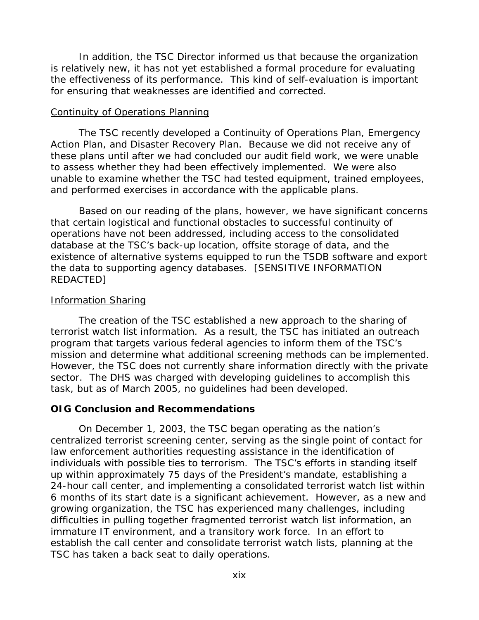In addition, the TSC Director informed us that because the organization is relatively new, it has not yet established a formal procedure for evaluating the effectiveness of its performance. This kind of self-evaluation is important for ensuring that weaknesses are identified and corrected.

#### Continuity of Operations Planning

The TSC recently developed a Continuity of Operations Plan, Emergency Action Plan, and Disaster Recovery Plan. Because we did not receive any of these plans until after we had concluded our audit field work, we were unable to assess whether they had been effectively implemented. We were also unable to examine whether the TSC had tested equipment, trained employees, and performed exercises in accordance with the applicable plans.

Based on our reading of the plans, however, we have significant concerns that certain logistical and functional obstacles to successful continuity of operations have not been addressed, including access to the consolidated database at the TSC's back-up location, offsite storage of data, and the existence of alternative systems equipped to run the TSDB software and export the data to supporting agency databases. [SENSITIVE INFORMATION REDACTED]

#### Information Sharing

The creation of the TSC established a new approach to the sharing of terrorist watch list information. As a result, the TSC has initiated an outreach program that targets various federal agencies to inform them of the TSC's mission and determine what additional screening methods can be implemented. However, the TSC does not currently share information directly with the private sector. The DHS was charged with developing guidelines to accomplish this task, but as of March 2005, no guidelines had been developed.

## **OIG Conclusion and Recommendations**

 On December 1, 2003, the TSC began operating as the nation's centralized terrorist screening center, serving as the single point of contact for law enforcement authorities requesting assistance in the identification of individuals with possible ties to terrorism. The TSC's efforts in standing itself up within approximately 75 days of the President's mandate, establishing a 24-hour call center, and implementing a consolidated terrorist watch list within 6 months of its start date is a significant achievement. However, as a new and growing organization, the TSC has experienced many challenges, including difficulties in pulling together fragmented terrorist watch list information, an immature IT environment, and a transitory work force. In an effort to establish the call center and consolidate terrorist watch lists, planning at the TSC has taken a back seat to daily operations.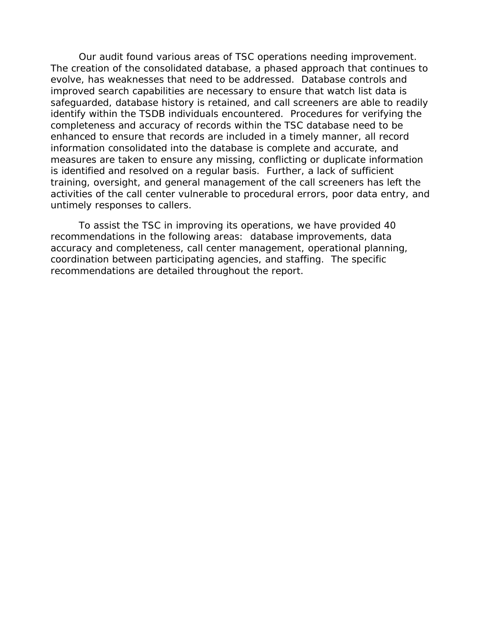Our audit found various areas of TSC operations needing improvement. The creation of the consolidated database, a phased approach that continues to evolve, has weaknesses that need to be addressed. Database controls and improved search capabilities are necessary to ensure that watch list data is safeguarded, database history is retained, and call screeners are able to readily identify within the TSDB individuals encountered. Procedures for verifying the completeness and accuracy of records within the TSC database need to be enhanced to ensure that records are included in a timely manner, all record information consolidated into the database is complete and accurate, and measures are taken to ensure any missing, conflicting or duplicate information is identified and resolved on a regular basis. Further, a lack of sufficient training, oversight, and general management of the call screeners has left the activities of the call center vulnerable to procedural errors, poor data entry, and untimely responses to callers.

 To assist the TSC in improving its operations, we have provided 40 recommendations in the following areas: database improvements, data accuracy and completeness, call center management, operational planning, coordination between participating agencies, and staffing. The specific recommendations are detailed throughout the report.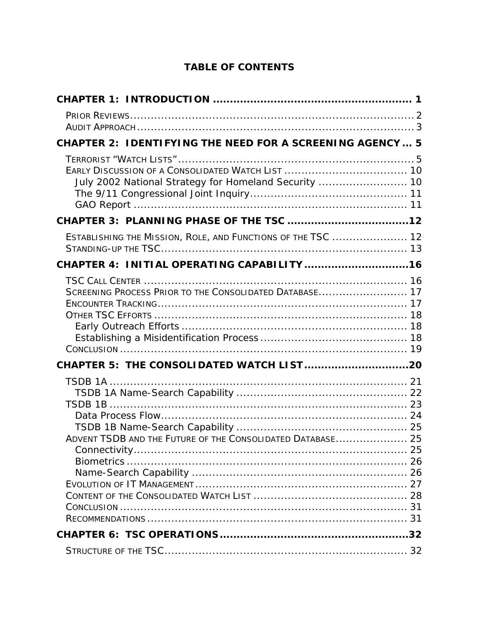# **TABLE OF CONTENTS**

| <b>CHAPTER 2: IDENTIFYING THE NEED FOR A SCREENING AGENCY 5</b> |  |
|-----------------------------------------------------------------|--|
| July 2002 National Strategy for Homeland Security  10           |  |
|                                                                 |  |
| ESTABLISHING THE MISSION, ROLE, AND FUNCTIONS OF THE TSC  12    |  |
|                                                                 |  |
| SCREENING PROCESS PRIOR TO THE CONSOLIDATED DATABASE 17         |  |
|                                                                 |  |
| ADVENT TSDB AND THE FUTURE OF THE CONSOLIDATED DATABASE 25      |  |
|                                                                 |  |
|                                                                 |  |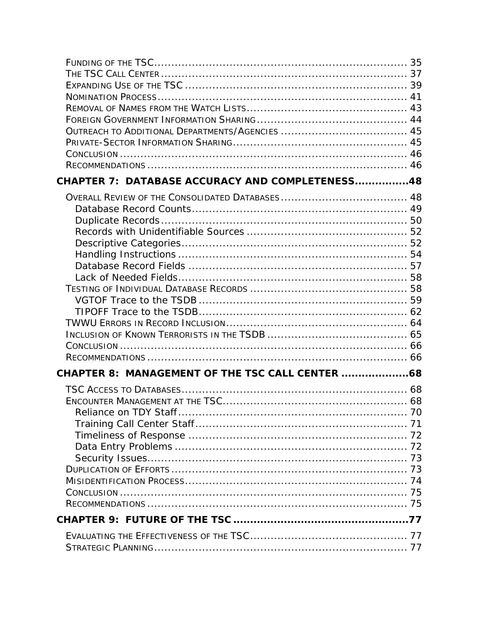| CHAPTER 7: DATABASE ACCURACY AND COMPLETENESS48  |  |
|--------------------------------------------------|--|
|                                                  |  |
|                                                  |  |
|                                                  |  |
|                                                  |  |
|                                                  |  |
|                                                  |  |
|                                                  |  |
|                                                  |  |
|                                                  |  |
|                                                  |  |
|                                                  |  |
|                                                  |  |
|                                                  |  |
|                                                  |  |
| CHAPTER 8: MANAGEMENT OF THE TSC CALL CENTER  68 |  |
|                                                  |  |
|                                                  |  |
|                                                  |  |
|                                                  |  |
|                                                  |  |
|                                                  |  |
|                                                  |  |
|                                                  |  |
|                                                  |  |
|                                                  |  |
|                                                  |  |
|                                                  |  |
|                                                  |  |
|                                                  |  |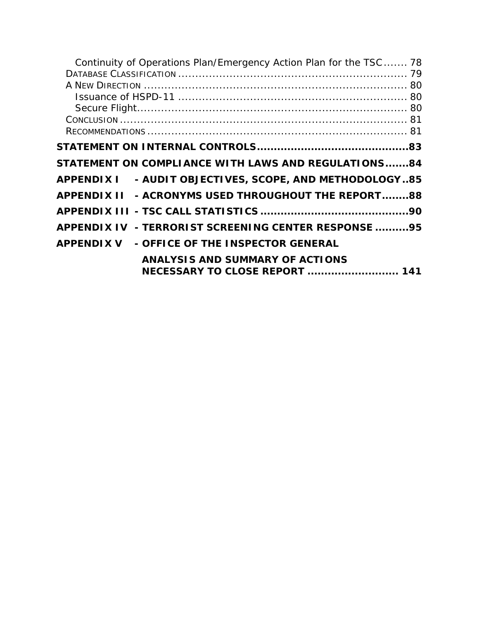| Continuity of Operations Plan/Emergency Action Plan for the TSC 78 |  |
|--------------------------------------------------------------------|--|
|                                                                    |  |
|                                                                    |  |
|                                                                    |  |
|                                                                    |  |
|                                                                    |  |
|                                                                    |  |
|                                                                    |  |
| STATEMENT ON COMPLIANCE WITH LAWS AND REGULATIONS84                |  |
| APPENDIX I - AUDIT OBJECTIVES, SCOPE, AND METHODOLOGY85            |  |
| APPENDIX II - ACRONYMS USED THROUGHOUT THE REPORT88                |  |
|                                                                    |  |
| APPENDIX IV - TERRORIST SCREENING CENTER RESPONSE 95               |  |
| APPENDIX V - OFFICE OF THE INSPECTOR GENERAL                       |  |
| <b>ANALYSIS AND SUMMARY OF ACTIONS</b>                             |  |
| <b>NECESSARY TO CLOSE REPORT  141</b>                              |  |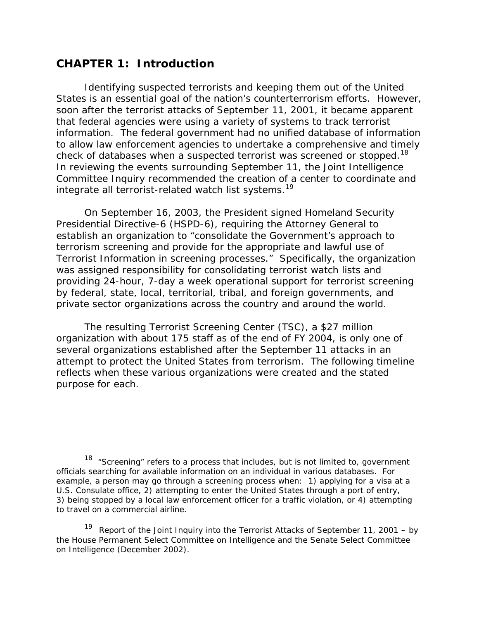# <span id="page-24-0"></span>**CHAPTER 1: Introduction**

 $\overline{a}$ 

Identifying suspected terrorists and keeping them out of the United States is an essential goal of the nation's counterterrorism efforts. However, soon after the terrorist attacks of September 11, 2001, it became apparent that federal agencies were using a variety of systems to track terrorist information. The federal government had no unified database of information to allow law enforcement agencies to undertake a comprehensive and timely check of databases when a suspected terrorist was screened or stopped.<sup>[18](#page-24-0)</sup> In reviewing the events surrounding September 11, the Joint Intelligence Committee Inquiry recommended the creation of a center to coordinate and integrate all terrorist-related watch list systems.<sup>[19](#page-24-0)</sup>

On September 16, 2003, the President signed Homeland Security Presidential Directive-6 (HSPD-6), requiring the Attorney General to establish an organization to "consolidate the Government's approach to terrorism screening and provide for the appropriate and lawful use of Terrorist Information in screening processes." Specifically, the organization was assigned responsibility for consolidating terrorist watch lists and providing 24-hour, 7-day a week operational support for terrorist screening by federal, state, local, territorial, tribal, and foreign governments, and private sector organizations across the country and around the world.

The resulting Terrorist Screening Center (TSC), a \$27 million organization with about 175 staff as of the end of FY 2004, is only one of several organizations established after the September 11 attacks in an attempt to protect the United States from terrorism. The following timeline reflects when these various organizations were created and the stated purpose for each.

19 *Report of the Joint Inquiry into the Terrorist Attacks of September 11, 2001 – by the House Permanent Select Committee on Intelligence and the Senate Select Committee on Intelligence* (December 2002).

 $18$  "Screening" refers to a process that includes, but is not limited to, government officials searching for available information on an individual in various databases. For example, a person may go through a screening process when: 1) applying for a visa at a U.S. Consulate office, 2) attempting to enter the United States through a port of entry, 3) being stopped by a local law enforcement officer for a traffic violation, or 4) attempting to travel on a commercial airline.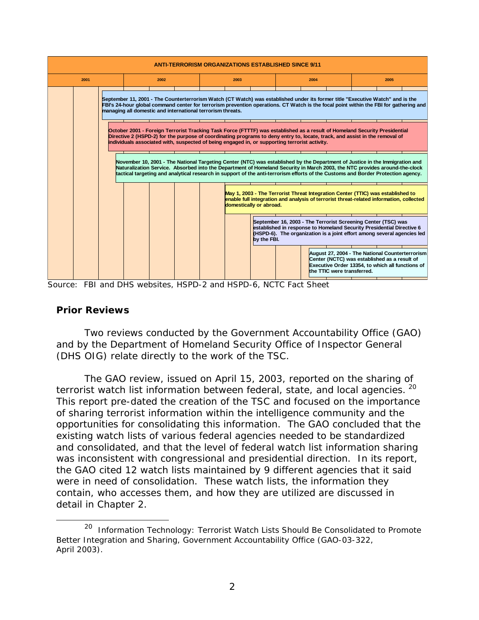<span id="page-25-0"></span>

| <b>ANTI-TERRORISM ORGANIZATIONS ESTABLISHED SINCE 9/11</b> |  |                                                                                               |      |  |      |                         |      |                            |                                                                                                                                                                                                                                                                                                                                                                                               |  |
|------------------------------------------------------------|--|-----------------------------------------------------------------------------------------------|------|--|------|-------------------------|------|----------------------------|-----------------------------------------------------------------------------------------------------------------------------------------------------------------------------------------------------------------------------------------------------------------------------------------------------------------------------------------------------------------------------------------------|--|
| 2001                                                       |  |                                                                                               | 2002 |  | 2003 |                         | 2004 |                            | 2005                                                                                                                                                                                                                                                                                                                                                                                          |  |
|                                                            |  | managing all domestic and international terrorism threats.                                    |      |  |      |                         |      |                            | September 11, 2001 - The Counterterrorism Watch (CT Watch) was established under its former title "Executive Watch" and is the<br>FBI's 24-hour global command center for terrorism prevention operations. CT Watch is the focal point within the FBI for gathering and                                                                                                                       |  |
|                                                            |  | individuals associated with, suspected of being engaged in, or supporting terrorist activity. |      |  |      |                         |      |                            | October 2001 - Foreign Terrorist Tracking Task Force (FTTTF) was established as a result of Homeland Security Presidential<br>Directive 2 (HSPD-2) for the purpose of coordinating programs to deny entry to, locate, track, and assist in the removal of                                                                                                                                     |  |
|                                                            |  |                                                                                               |      |  |      |                         |      |                            | November 10, 2001 - The National Targeting Center (NTC) was established by the Department of Justice in the Immigration and<br>Naturalization Service. Absorbed into the Department of Homeland Security in March 2003, the NTC provides around-the-clock<br>tactical targeting and analytical research in support of the anti-terrorism efforts of the Customs and Border Protection agency. |  |
|                                                            |  |                                                                                               |      |  |      | domestically or abroad. |      |                            | May 1, 2003 - The Terrorist Threat Integration Center (TTIC) was established to<br>enable full integration and analysis of terrorist threat-related information, collected                                                                                                                                                                                                                    |  |
|                                                            |  |                                                                                               |      |  |      | by the FBI.             |      |                            | September 16, 2003 - The Terrorist Screening Center (TSC) was<br>established in response to Homeland Security Presidential Directive 6<br>(HSPD-6). The organization is a joint effort among several agencies led                                                                                                                                                                             |  |
|                                                            |  |                                                                                               |      |  |      |                         |      | the TTIC were transferred. | August 27, 2004 - The National Counterterrorism<br>Center (NCTC) was established as a result of<br>Executive Order 13354, to which all functions of                                                                                                                                                                                                                                           |  |

Source: FBI and DHS websites, HSPD-2 and HSPD-6, NCTC Fact Sheet

#### **Prior Reviews**

 $\overline{a}$ 

 Two reviews conducted by the Government Accountability Office (GAO) and by the Department of Homeland Security Office of Inspector General (DHS OIG) relate directly to the work of the TSC.

The GAO review, issued on April 15, 2003, reported on the sharing of terrorist watch list information between federal, state, and local agencies. <sup>[20](#page-25-0)</sup> This report pre-dated the creation of the TSC and focused on the importance of sharing terrorist information within the intelligence community and the opportunities for consolidating this information. The GAO concluded that the existing watch lists of various federal agencies needed to be standardized and consolidated, and that the level of federal watch list information sharing was inconsistent with congressional and presidential direction. In its report, the GAO cited 12 watch lists maintained by 9 different agencies that it said were in need of consolidation. These watch lists, the information they contain, who accesses them, and how they are utilized are discussed in detail in Chapter 2.

<sup>20</sup> *Information Technology: Terrorist Watch Lists Should Be Consolidated to Promote Better Integration and Sharing*, Government Accountability Office (GAO-03-322, April 2003).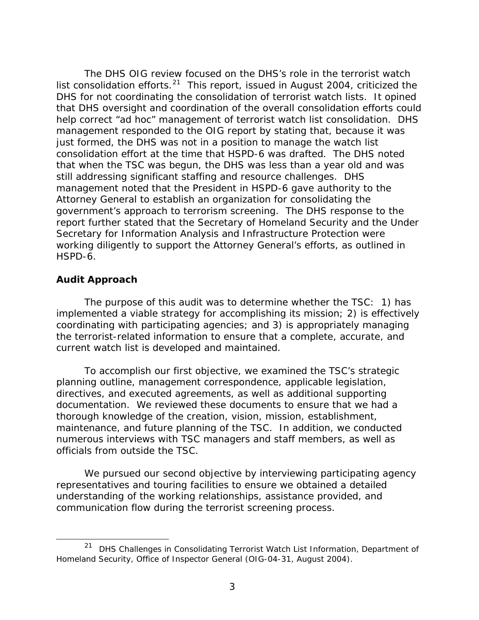<span id="page-26-0"></span>The DHS OIG review focused on the DHS's role in the terrorist watch list consolidation efforts. $21$  This report, issued in August 2004, criticized the DHS for not coordinating the consolidation of terrorist watch lists. It opined that DHS oversight and coordination of the overall consolidation efforts could help correct "ad hoc" management of terrorist watch list consolidation. DHS management responded to the OIG report by stating that, because it was just formed, the DHS was not in a position to manage the watch list consolidation effort at the time that HSPD-6 was drafted. The DHS noted that when the TSC was begun, the DHS was less than a year old and was still addressing significant staffing and resource challenges. DHS management noted that the President in HSPD-6 gave authority to the Attorney General to establish an organization for consolidating the government's approach to terrorism screening. The DHS response to the report further stated that the Secretary of Homeland Security and the Under Secretary for Information Analysis and Infrastructure Protection were working diligently to support the Attorney General's efforts, as outlined in HSPD-6.

#### **Audit Approach**

 $\overline{a}$ 

The purpose of this audit was to determine whether the TSC: 1) has implemented a viable strategy for accomplishing its mission; 2) is effectively coordinating with participating agencies; and 3) is appropriately managing the terrorist-related information to ensure that a complete, accurate, and current watch list is developed and maintained.

To accomplish our first objective, we examined the TSC's strategic planning outline, management correspondence, applicable legislation, directives, and executed agreements, as well as additional supporting documentation. We reviewed these documents to ensure that we had a thorough knowledge of the creation, vision, mission, establishment, maintenance, and future planning of the TSC. In addition, we conducted numerous interviews with TSC managers and staff members, as well as officials from outside the TSC.

We pursued our second objective by interviewing participating agency representatives and touring facilities to ensure we obtained a detailed understanding of the working relationships, assistance provided, and communication flow during the terrorist screening process.

<sup>21</sup> *DHS Challenges in Consolidating Terrorist Watch List Information,* Department of Homeland Security, Office of Inspector General (OIG-04-31, August 2004).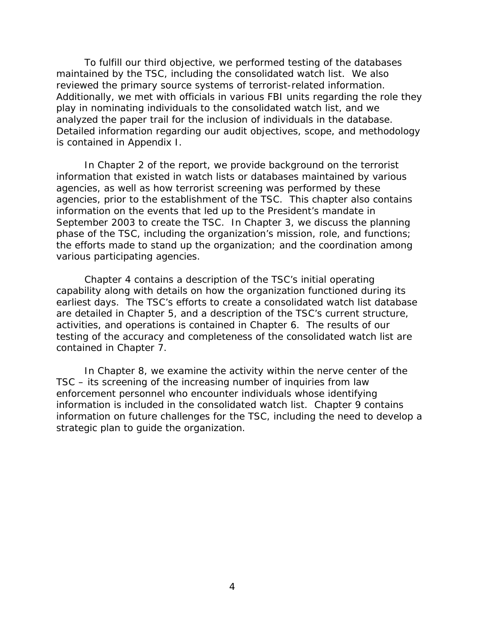To fulfill our third objective, we performed testing of the databases maintained by the TSC, including the consolidated watch list. We also reviewed the primary source systems of terrorist-related information. Additionally, we met with officials in various FBI units regarding the role they play in nominating individuals to the consolidated watch list, and we analyzed the paper trail for the inclusion of individuals in the database. Detailed information regarding our audit objectives, scope, and methodology is contained in Appendix I.

 In Chapter 2 of the report, we provide background on the terrorist information that existed in watch lists or databases maintained by various agencies, as well as how terrorist screening was performed by these agencies, prior to the establishment of the TSC. This chapter also contains information on the events that led up to the President's mandate in September 2003 to create the TSC. In Chapter 3, we discuss the planning phase of the TSC, including the organization's mission, role, and functions; the efforts made to stand up the organization; and the coordination among various participating agencies.

 Chapter 4 contains a description of the TSC's initial operating capability along with details on how the organization functioned during its earliest days. The TSC's efforts to create a consolidated watch list database are detailed in Chapter 5, and a description of the TSC's current structure, activities, and operations is contained in Chapter 6. The results of our testing of the accuracy and completeness of the consolidated watch list are contained in Chapter 7.

In Chapter 8, we examine the activity within the nerve center of the TSC – its screening of the increasing number of inquiries from law enforcement personnel who encounter individuals whose identifying information is included in the consolidated watch list. Chapter 9 contains information on future challenges for the TSC, including the need to develop a strategic plan to guide the organization.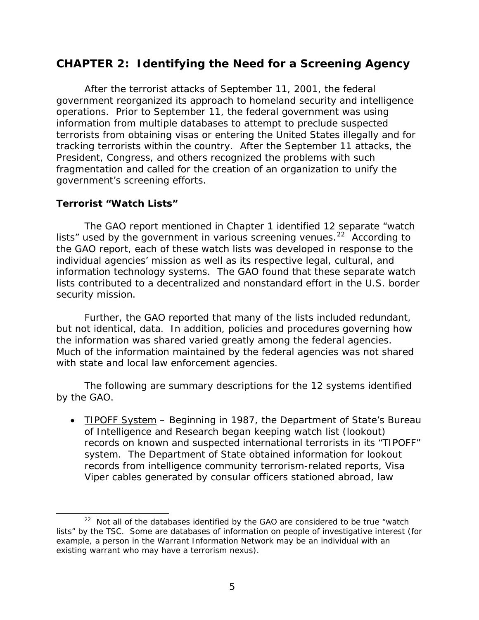# <span id="page-28-0"></span>**CHAPTER 2: Identifying the Need for a Screening Agency**

 After the terrorist attacks of September 11, 2001, the federal government reorganized its approach to homeland security and intelligence operations. Prior to September 11, the federal government was using information from multiple databases to attempt to preclude suspected terrorists from obtaining visas or entering the United States illegally and for tracking terrorists within the country. After the September 11 attacks, the President, Congress, and others recognized the problems with such fragmentation and called for the creation of an organization to unify the government's screening efforts.

## **Terrorist "Watch Lists"**

 $\overline{a}$ 

The GAO report mentioned in Chapter 1 identified 12 separate "watch lists" used by the government in various screening venues.<sup>[22](#page-28-0)</sup> According to the GAO report, each of these watch lists was developed in response to the individual agencies' mission as well as its respective legal, cultural, and information technology systems. The GAO found that these separate watch lists contributed to a decentralized and nonstandard effort in the U.S. border security mission.

Further, the GAO reported that many of the lists included redundant, but not identical, data. In addition, policies and procedures governing how the information was shared varied greatly among the federal agencies. Much of the information maintained by the federal agencies was not shared with state and local law enforcement agencies.

The following are summary descriptions for the 12 systems identified by the GAO.

• TIPOFF System – Beginning in 1987, the Department of State's Bureau of Intelligence and Research began keeping watch list (lookout) records on known and suspected international terrorists in its "TIPOFF" system. The Department of State obtained information for lookout records from intelligence community terrorism-related reports, Visa Viper cables generated by consular officers stationed abroad, law

 $22$  Not all of the databases identified by the GAO are considered to be true "watch lists" by the TSC. Some are databases of information on people of investigative interest (for example, a person in the Warrant Information Network may be an individual with an existing warrant who may have a terrorism nexus).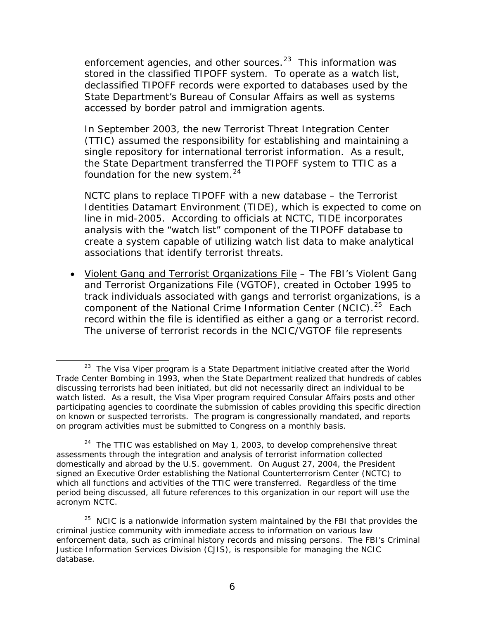<span id="page-29-0"></span>enforcement agencies, and other sources. $23$  This information was stored in the classified TIPOFF system. To operate as a watch list, declassified TIPOFF records were exported to databases used by the State Department's Bureau of Consular Affairs as well as systems accessed by border patrol and immigration agents.

In September 2003, the new Terrorist Threat Integration Center (TTIC) assumed the responsibility for establishing and maintaining a single repository for international terrorist information. As a result, the State Department transferred the TIPOFF system to TTIC as a foundation for the new system. $24$ 

NCTC plans to replace TIPOFF with a new database – the Terrorist Identities Datamart Environment (TIDE), which is expected to come on line in mid-2005. According to officials at NCTC, TIDE incorporates analysis with the "watch list" component of the TIPOFF database to create a system capable of utilizing watch list data to make analytical associations that identify terrorist threats.

• Violent Gang and Terrorist Organizations File – The FBI's Violent Gang and Terrorist Organizations File (VGTOF), created in October 1995 to track individuals associated with gangs and terrorist organizations, is a component of the National Crime Information Center (NCIC).<sup>[25](#page-29-0)</sup> Each record within the file is identified as either a gang or a terrorist record. The universe of terrorist records in the NCIC/VGTOF file represents

 $\overline{a}$ 

 $23$  The Visa Viper program is a State Department initiative created after the World Trade Center Bombing in 1993, when the State Department realized that hundreds of cables discussing terrorists had been initiated, but did not necessarily direct an individual to be watch listed. As a result, the Visa Viper program required Consular Affairs posts and other participating agencies to coordinate the submission of cables providing this specific direction on known or suspected terrorists. The program is congressionally mandated, and reports on program activities must be submitted to Congress on a monthly basis.

 $24$  The TTIC was established on May 1, 2003, to develop comprehensive threat assessments through the integration and analysis of terrorist information collected domestically and abroad by the U.S. government. On August 27, 2004, the President signed an Executive Order establishing the National Counterterrorism Center (NCTC) to which all functions and activities of the TTIC were transferred. Regardless of the time period being discussed, all future references to this organization in our report will use the acronym NCTC.

 $25$  NCIC is a nationwide information system maintained by the FBI that provides the criminal justice community with immediate access to information on various law enforcement data, such as criminal history records and missing persons. The FBI's Criminal Justice Information Services Division (CJIS), is responsible for managing the NCIC database.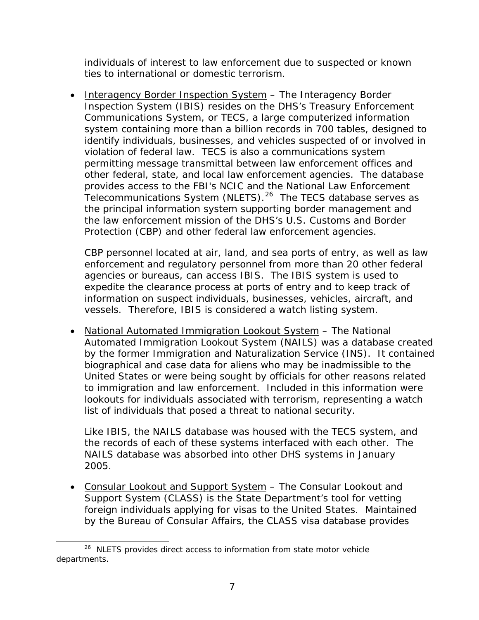<span id="page-30-0"></span>individuals of interest to law enforcement due to suspected or known ties to international or domestic terrorism.

• Interagency Border Inspection System – The Interagency Border Inspection System (IBIS) resides on the DHS's Treasury Enforcement Communications System, or TECS, a large computerized information system containing more than a billion records in 700 tables, designed to identify individuals, businesses, and vehicles suspected of or involved in violation of federal law. TECS is also a communications system permitting message transmittal between law enforcement offices and other federal, state, and local law enforcement agencies. The database provides access to the FBI's NCIC and the National Law Enforcement Telecommunications System (NLETS).<sup>[26](#page-30-0)</sup> The TECS database serves as the principal information system supporting border management and the law enforcement mission of the DHS's U.S. Customs and Border Protection (CBP) and other federal law enforcement agencies.

CBP personnel located at air, land, and sea ports of entry, as well as law enforcement and regulatory personnel from more than 20 other federal agencies or bureaus, can access IBIS. The IBIS system is used to expedite the clearance process at ports of entry and to keep track of information on suspect individuals, businesses, vehicles, aircraft, and vessels. Therefore, IBIS is considered a watch listing system.

• National Automated Immigration Lookout System - The National Automated Immigration Lookout System (NAILS) was a database created by the former Immigration and Naturalization Service (INS). It contained biographical and case data for aliens who may be inadmissible to the United States or were being sought by officials for other reasons related to immigration and law enforcement. Included in this information were lookouts for individuals associated with terrorism, representing a watch list of individuals that posed a threat to national security.

Like IBIS, the NAILS database was housed with the TECS system, and the records of each of these systems interfaced with each other. The NAILS database was absorbed into other DHS systems in January 2005.

• Consular Lookout and Support System – The Consular Lookout and Support System (CLASS) is the State Department's tool for vetting foreign individuals applying for visas to the United States. Maintained by the Bureau of Consular Affairs, the CLASS visa database provides

l <sup>26</sup> NLETS provides direct access to information from state motor vehicle departments.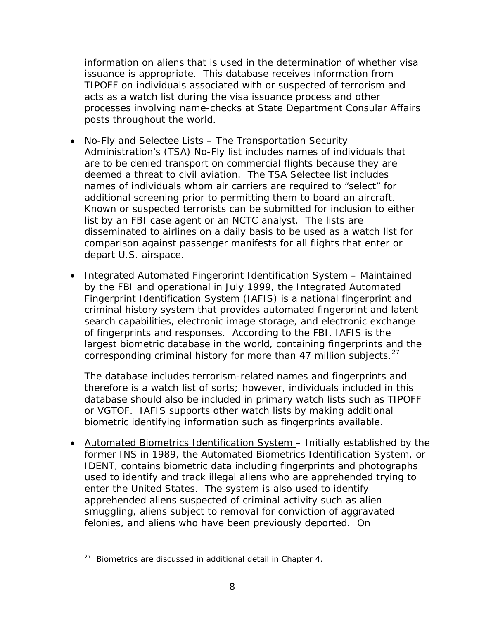<span id="page-31-0"></span>information on aliens that is used in the determination of whether visa issuance is appropriate. This database receives information from TIPOFF on individuals associated with or suspected of terrorism and acts as a watch list during the visa issuance process and other processes involving name-checks at State Department Consular Affairs posts throughout the world.

- No-Fly and Selectee Lists The Transportation Security Administration's (TSA) No-Fly list includes names of individuals that are to be denied transport on commercial flights because they are deemed a threat to civil aviation. The TSA Selectee list includes names of individuals whom air carriers are required to "select" for additional screening prior to permitting them to board an aircraft. Known or suspected terrorists can be submitted for inclusion to either list by an FBI case agent or an NCTC analyst. The lists are disseminated to airlines on a daily basis to be used as a watch list for comparison against passenger manifests for all flights that enter or depart U.S. airspace.
- Integrated Automated Fingerprint Identification System Maintained by the FBI and operational in July 1999, the Integrated Automated Fingerprint Identification System (IAFIS) is a national fingerprint and criminal history system that provides automated fingerprint and latent search capabilities, electronic image storage, and electronic exchange of fingerprints and responses. According to the FBI, IAFIS is the largest biometric database in the world, containing fingerprints and the corresponding criminal history for more than 47 million subjects.<sup>[27](#page-31-0)</sup>

The database includes terrorism-related names and fingerprints and therefore is a watch list of sorts; however, individuals included in this database should also be included in primary watch lists such as TIPOFF or VGTOF. IAFIS supports other watch lists by making additional biometric identifying information such as fingerprints available.

• Automated Biometrics Identification System – Initially established by the former INS in 1989, the Automated Biometrics Identification System, or IDENT, contains biometric data including fingerprints and photographs used to identify and track illegal aliens who are apprehended trying to enter the United States. The system is also used to identify apprehended aliens suspected of criminal activity such as alien smuggling, aliens subject to removal for conviction of aggravated felonies, and aliens who have been previously deported. On

 $\overline{a}$ 

 $27$  Biometrics are discussed in additional detail in Chapter 4.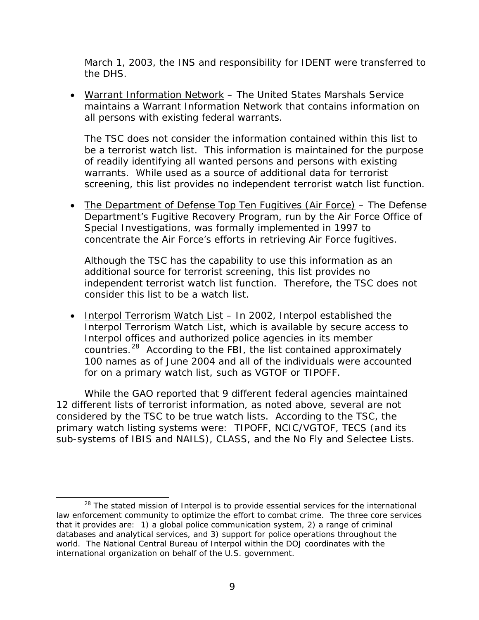<span id="page-32-0"></span>March 1, 2003, the INS and responsibility for IDENT were transferred to the DHS.

• Warrant Information Network – The United States Marshals Service maintains a Warrant Information Network that contains information on all persons with existing federal warrants.

The TSC does not consider the information contained within this list to be a terrorist watch list. This information is maintained for the purpose of readily identifying all wanted persons and persons with existing warrants. While used as a source of additional data for terrorist screening, this list provides no independent terrorist watch list function.

• The Department of Defense Top Ten Fugitives (Air Force) – The Defense Department's Fugitive Recovery Program, run by the Air Force Office of Special Investigations, was formally implemented in 1997 to concentrate the Air Force's efforts in retrieving Air Force fugitives.

Although the TSC has the capability to use this information as an additional source for terrorist screening, this list provides no independent terrorist watch list function. Therefore, the TSC does not consider this list to be a watch list.

• Interpol Terrorism Watch List - In 2002, Interpol established the Interpol Terrorism Watch List, which is available by secure access to Interpol offices and authorized police agencies in its member countries.[28](#page-32-0) According to the FBI, the list contained approximately 100 names as of June 2004 and all of the individuals were accounted for on a primary watch list, such as VGTOF or TIPOFF.

While the GAO reported that 9 different federal agencies maintained 12 different lists of terrorist information, as noted above, several are not considered by the TSC to be true watch lists. According to the TSC, the primary watch listing systems were: TIPOFF, NCIC/VGTOF, TECS (and its sub-systems of IBIS and NAILS), CLASS, and the No Fly and Selectee Lists.

 $\overline{a}$  $28$  The stated mission of Interpol is to provide essential services for the international law enforcement community to optimize the effort to combat crime. The three core services that it provides are: 1) a global police communication system, 2) a range of criminal databases and analytical services, and 3) support for police operations throughout the world. The National Central Bureau of Interpol within the DOJ coordinates with the international organization on behalf of the U.S. government.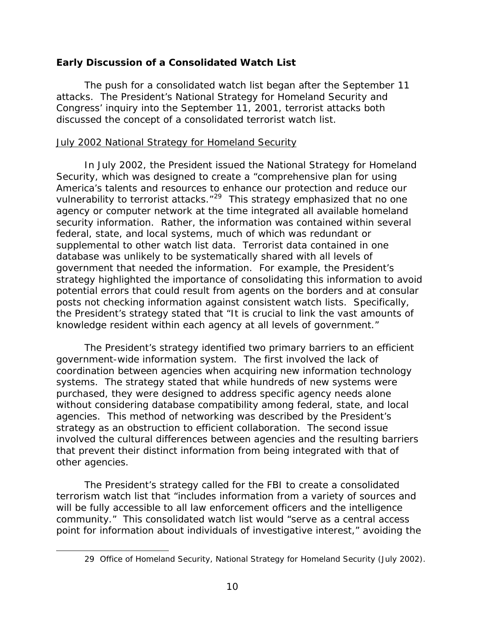## <span id="page-33-0"></span>**Early Discussion of a Consolidated Watch List**

The push for a consolidated watch list began after the September 11 attacks. The President's National Strategy for Homeland Security and Congress' inquiry into the September 11, 2001, terrorist attacks both discussed the concept of a consolidated terrorist watch list.

#### July 2002 National Strategy for Homeland Security

In July 2002, the President issued the National Strategy for Homeland Security, which was designed to create a "comprehensive plan for using America's talents and resources to enhance our protection and reduce our vulnerability to terrorist attacks."<sup>[29](#page-33-0)</sup> This strategy emphasized that no one agency or computer network at the time integrated all available homeland security information. Rather, the information was contained within several federal, state, and local systems, much of which was redundant or supplemental to other watch list data. Terrorist data contained in one database was unlikely to be systematically shared with all levels of government that needed the information. For example, the President's strategy highlighted the importance of consolidating this information to avoid potential errors that could result from agents on the borders and at consular posts not checking information against consistent watch lists. Specifically, the President's strategy stated that "It is crucial to link the vast amounts of knowledge resident within each agency at all levels of government."

 The President's strategy identified two primary barriers to an efficient government-wide information system. The first involved the lack of coordination between agencies when acquiring new information technology systems. The strategy stated that while hundreds of new systems were purchased, they were designed to address specific agency needs alone without considering database compatibility among federal, state, and local agencies. This method of networking was described by the President's strategy as an obstruction to efficient collaboration. The second issue involved the cultural differences between agencies and the resulting barriers that prevent their distinct information from being integrated with that of other agencies.

 The President's strategy called for the FBI to create a consolidated terrorism watch list that "includes information from a variety of sources and will be fully accessible to all law enforcement officers and the intelligence community." This consolidated watch list would "serve as a central access point for information about individuals of investigative interest," avoiding the

 $\overline{a}$ 

<sup>29</sup> Office of Homeland Security, National Strategy for Homeland Security (July 2002).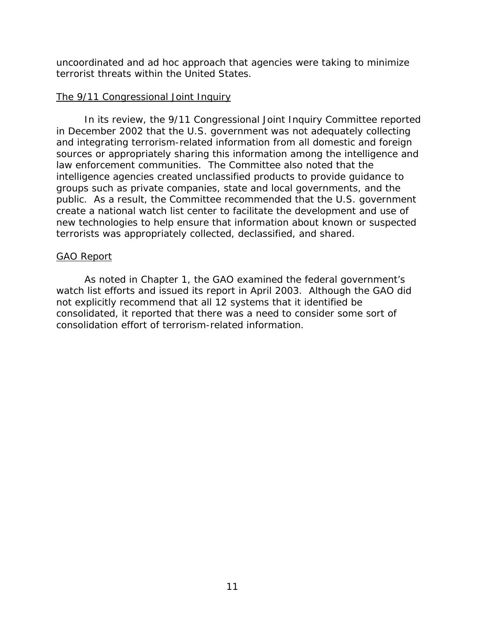<span id="page-34-0"></span>uncoordinated and ad hoc approach that agencies were taking to minimize terrorist threats within the United States.

#### The 9/11 Congressional Joint Inquiry

In its review, the 9/11 Congressional Joint Inquiry Committee reported in December 2002 that the U.S. government was not adequately collecting and integrating terrorism-related information from all domestic and foreign sources or appropriately sharing this information among the intelligence and law enforcement communities. The Committee also noted that the intelligence agencies created unclassified products to provide guidance to groups such as private companies, state and local governments, and the public. As a result, the Committee recommended that the U.S. government create a national watch list center to facilitate the development and use of new technologies to help ensure that information about known or suspected terrorists was appropriately collected, declassified, and shared.

#### GAO Report

As noted in Chapter 1, the GAO examined the federal government's watch list efforts and issued its report in April 2003. Although the GAO did not explicitly recommend that all 12 systems that it identified be consolidated, it reported that there was a need to consider some sort of consolidation effort of terrorism-related information.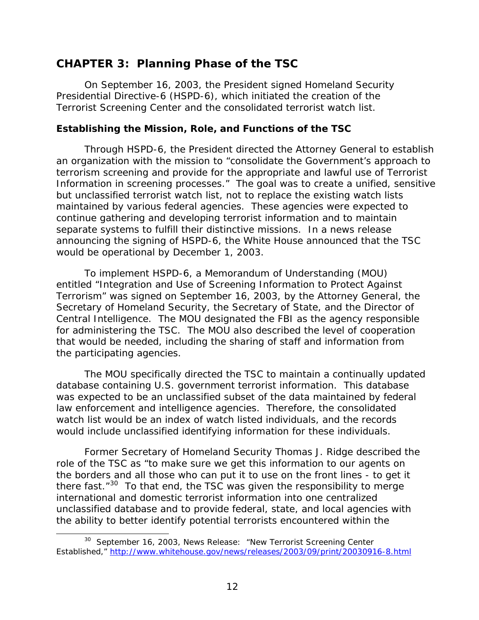# <span id="page-35-0"></span>**CHAPTER 3: Planning Phase of the TSC**

On September 16, 2003, the President signed Homeland Security Presidential Directive-6 (HSPD-6), which initiated the creation of the Terrorist Screening Center and the consolidated terrorist watch list.

#### **Establishing the Mission, Role, and Functions of the TSC**

Through HSPD-6, the President directed the Attorney General to establish an organization with the mission to "consolidate the Government's approach to terrorism screening and provide for the appropriate and lawful use of Terrorist Information in screening processes." The goal was to create a unified, sensitive but *unclassified* terrorist watch list, not to replace the existing watch lists maintained by various federal agencies. These agencies were expected to continue gathering and developing terrorist information and to maintain separate systems to fulfill their distinctive missions. In a news release announcing the signing of HSPD-6, the White House announced that the TSC would be operational by December 1, 2003.

To implement HSPD-6, a Memorandum of Understanding (MOU) entitled "Integration and Use of Screening Information to Protect Against Terrorism" was signed on September 16, 2003, by the Attorney General, the Secretary of Homeland Security, the Secretary of State, and the Director of Central Intelligence. The MOU designated the FBI as the agency responsible for administering the TSC. The MOU also described the level of cooperation that would be needed, including the sharing of staff and information from the participating agencies.

The MOU specifically directed the TSC to maintain a continually updated database containing U.S. government terrorist information. This database was expected to be an unclassified subset of the data maintained by federal law enforcement and intelligence agencies. Therefore, the consolidated watch list would be an index of watch listed individuals, and the records would include unclassified identifying information for these individuals.

Former Secretary of Homeland Security Thomas J. Ridge described the role of the TSC as "to make sure we get this information to our agents on the borders and all those who can put it to use on the front lines - to get it there fast. $"^{30}$  $"^{30}$  $"^{30}$  To that end, the TSC was given the responsibility to merge international and domestic terrorist information into one centralized unclassified database and to provide federal, state, and local agencies with the ability to better identify potential terrorists encountered within the

 $\overline{a}$ 

<sup>&</sup>lt;sup>30</sup> September 16, 2003, News Release: "New Terrorist Screening Center Established," <http://www.whitehouse.gov/news/releases/2003/09/print/20030916-8.html>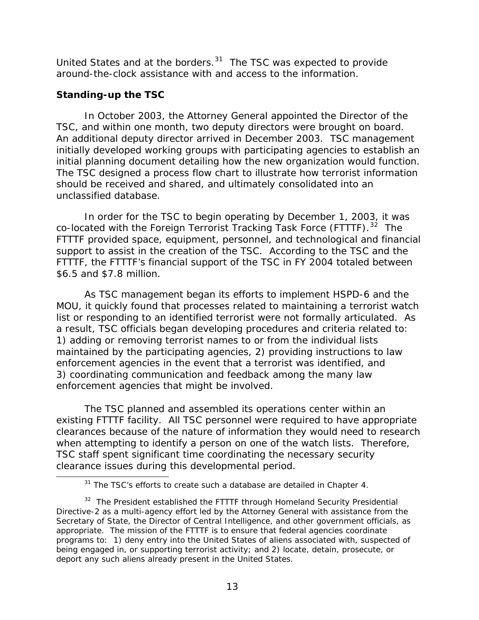<span id="page-36-0"></span>United States and at the borders. $31$  The TSC was expected to provide around-the-clock assistance with and access to the information.

# **Standing-up the TSC**

 $\overline{a}$ 

In October 2003, the Attorney General appointed the Director of the TSC, and within one month, two deputy directors were brought on board. An additional deputy director arrived in December 2003. TSC management initially developed working groups with participating agencies to establish an initial planning document detailing how the new organization would function. The TSC designed a process flow chart to illustrate how terrorist information should be received and shared, and ultimately consolidated into an unclassified database.

 In order for the TSC to begin operating by December 1, 2003, it was co-located with the Foreign Terrorist Tracking Task Force (FTTTF).<sup>[32](#page-36-0)</sup> The FTTTF provided space, equipment, personnel, and technological and financial support to assist in the creation of the TSC. According to the TSC and the FTTTF, the FTTTF's financial support of the TSC in FY 2004 totaled between \$6.5 and \$7.8 million.

 As TSC management began its efforts to implement HSPD-6 and the MOU, it quickly found that processes related to maintaining a terrorist watch list or responding to an identified terrorist were not formally articulated. As a result, TSC officials began developing procedures and criteria related to: 1) adding or removing terrorist names to or from the individual lists maintained by the participating agencies, 2) providing instructions to law enforcement agencies in the event that a terrorist was identified, and 3) coordinating communication and feedback among the many law enforcement agencies that might be involved.

 The TSC planned and assembled its operations center within an existing FTTTF facility. All TSC personnel were required to have appropriate clearances because of the nature of information they would need to research when attempting to identify a person on one of the watch lists. Therefore, TSC staff spent significant time coordinating the necessary security clearance issues during this developmental period.

 $31$  The TSC's efforts to create such a database are detailed in Chapter 4.

 $32$  The President established the FTTTF through Homeland Security Presidential Directive-2 as a multi-agency effort led by the Attorney General with assistance from the Secretary of State, the Director of Central Intelligence, and other government officials, as appropriate. The mission of the FTTTF is to ensure that federal agencies coordinate programs to: 1) deny entry into the United States of aliens associated with, suspected of being engaged in, or supporting terrorist activity; and 2) locate, detain, prosecute, or deport any such aliens already present in the United States.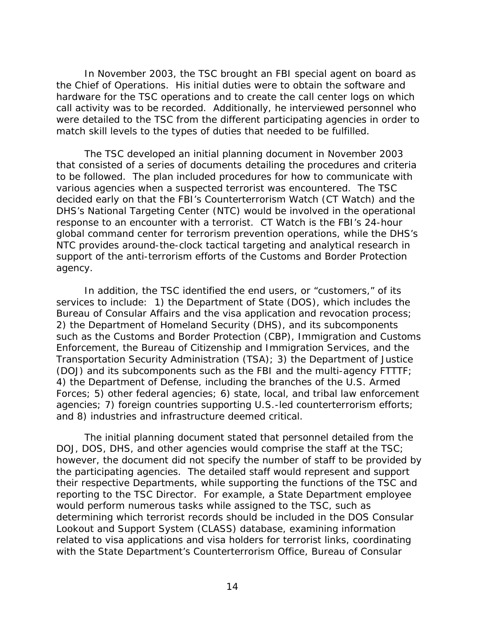In November 2003, the TSC brought an FBI special agent on board as the Chief of Operations. His initial duties were to obtain the software and hardware for the TSC operations and to create the call center logs on which call activity was to be recorded. Additionally, he interviewed personnel who were detailed to the TSC from the different participating agencies in order to match skill levels to the types of duties that needed to be fulfilled.

The TSC developed an initial planning document in November 2003 that consisted of a series of documents detailing the procedures and criteria to be followed. The plan included procedures for how to communicate with various agencies when a suspected terrorist was encountered. The TSC decided early on that the FBI's Counterterrorism Watch (CT Watch) and the DHS's National Targeting Center (NTC) would be involved in the operational response to an encounter with a terrorist. CT Watch is the FBI's 24-hour global command center for terrorism prevention operations, while the DHS's NTC provides around-the-clock tactical targeting and analytical research in support of the anti-terrorism efforts of the Customs and Border Protection agency.

In addition, the TSC identified the end users, or "customers," of its services to include: 1) the Department of State (DOS), which includes the Bureau of Consular Affairs and the visa application and revocation process; 2) the Department of Homeland Security (DHS), and its subcomponents such as the Customs and Border Protection (CBP), Immigration and Customs Enforcement, the Bureau of Citizenship and Immigration Services, and the Transportation Security Administration (TSA); 3) the Department of Justice (DOJ) and its subcomponents such as the FBI and the multi-agency FTTTF; 4) the Department of Defense, including the branches of the U.S. Armed Forces; 5) other federal agencies; 6) state, local, and tribal law enforcement agencies; 7) foreign countries supporting U.S.-led counterterrorism efforts; and 8) industries and infrastructure deemed critical.

The initial planning document stated that personnel detailed from the DOJ, DOS, DHS, and other agencies would comprise the staff at the TSC; however, the document did not specify the number of staff to be provided by the participating agencies. The detailed staff would represent and support their respective Departments, while supporting the functions of the TSC and reporting to the TSC Director. For example, a State Department employee would perform numerous tasks while assigned to the TSC, such as determining which terrorist records should be included in the DOS Consular Lookout and Support System (CLASS) database, examining information related to visa applications and visa holders for terrorist links, coordinating with the State Department's Counterterrorism Office, Bureau of Consular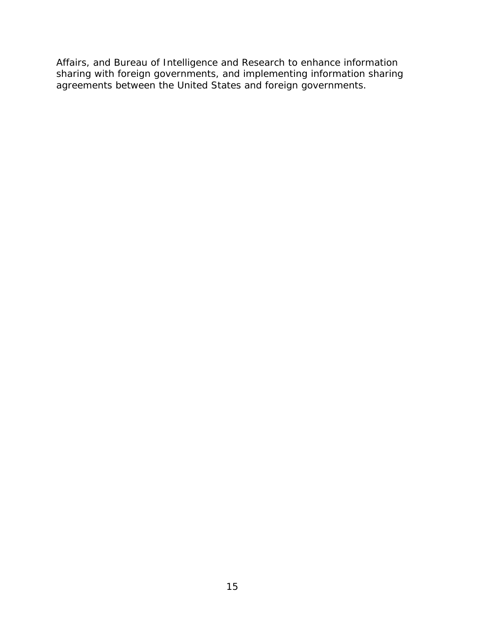Affairs, and Bureau of Intelligence and Research to enhance information sharing with foreign governments, and implementing information sharing agreements between the United States and foreign governments.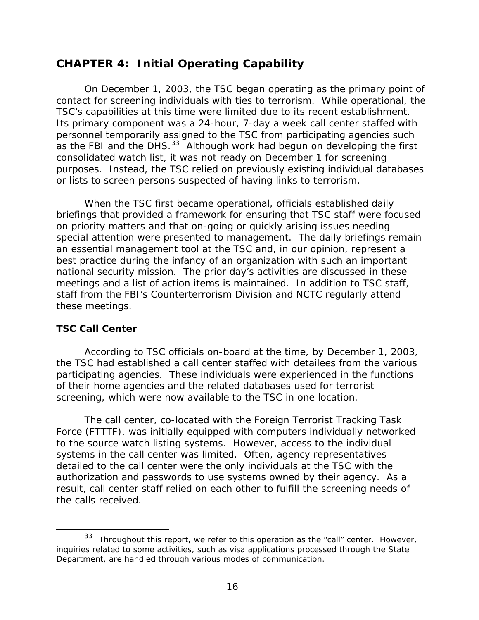# <span id="page-39-0"></span>**CHAPTER 4: Initial Operating Capability**

 On December 1, 2003, the TSC began operating as the primary point of contact for screening individuals with ties to terrorism. While operational, the TSC's capabilities at this time were limited due to its recent establishment. Its primary component was a 24-hour, 7-day a week call center staffed with personnel temporarily assigned to the TSC from participating agencies such as the FBI and the DHS. $^{33}$  $^{33}$  $^{33}$  Although work had begun on developing the first consolidated watch list, it was not ready on December 1 for screening purposes. Instead, the TSC relied on previously existing individual databases or lists to screen persons suspected of having links to terrorism.

When the TSC first became operational, officials established daily briefings that provided a framework for ensuring that TSC staff were focused on priority matters and that on-going or quickly arising issues needing special attention were presented to management. The daily briefings remain an essential management tool at the TSC and, in our opinion, represent a best practice during the infancy of an organization with such an important national security mission. The prior day's activities are discussed in these meetings and a list of action items is maintained. In addition to TSC staff, staff from the FBI's Counterterrorism Division and NCTC regularly attend these meetings.

# **TSC Call Center**

 $\overline{a}$ 

 According to TSC officials on-board at the time, by December 1, 2003, the TSC had established a call center staffed with detailees from the various participating agencies. These individuals were experienced in the functions of their home agencies and the related databases used for terrorist screening, which were now available to the TSC in one location.

 The call center, co-located with the Foreign Terrorist Tracking Task Force (FTTTF), was initially equipped with computers individually networked to the source watch listing systems. However, access to the individual systems in the call center was limited. Often, agency representatives detailed to the call center were the only individuals at the TSC with the authorization and passwords to use systems owned by their agency. As a result, call center staff relied on each other to fulfill the screening needs of the calls received.

 $33$  Throughout this report, we refer to this operation as the "call" center. However, inquiries related to some activities, such as visa applications processed through the State Department, are handled through various modes of communication.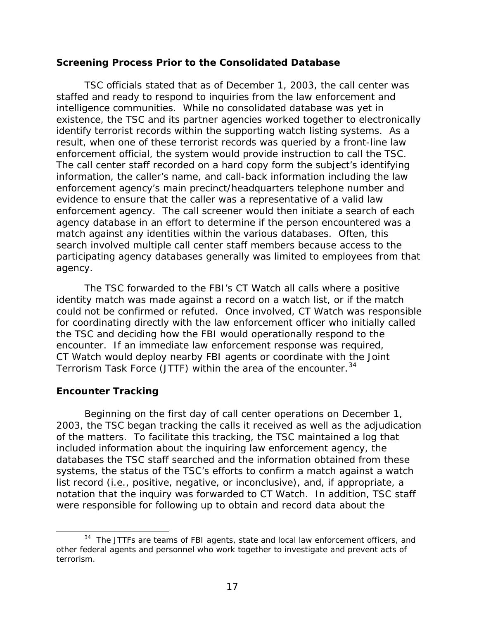#### <span id="page-40-0"></span>**Screening Process Prior to the Consolidated Database**

 TSC officials stated that as of December 1, 2003, the call center was staffed and ready to respond to inquiries from the law enforcement and intelligence communities. While no consolidated database was yet in existence, the TSC and its partner agencies worked together to electronically identify terrorist records within the supporting watch listing systems. As a result, when one of these terrorist records was queried by a front-line law enforcement official, the system would provide instruction to call the TSC. The call center staff recorded on a hard copy form the subject's identifying information, the caller's name, and call-back information including the law enforcement agency's main precinct/headquarters telephone number and evidence to ensure that the caller was a representative of a valid law enforcement agency. The call screener would then initiate a search of each agency database in an effort to determine if the person encountered was a match against any identities within the various databases. Often, this search involved multiple call center staff members because access to the participating agency databases generally was limited to employees from that agency.

The TSC forwarded to the FBI's CT Watch all calls where a positive identity match was made against a record on a watch list, or if the match could not be confirmed or refuted. Once involved, CT Watch was responsible for coordinating directly with the law enforcement officer who initially called the TSC and deciding how the FBI would operationally respond to the encounter. If an immediate law enforcement response was required, CT Watch would deploy nearby FBI agents or coordinate with the Joint Terrorism Task Force (JTTF) within the area of the encounter.<sup>[34](#page-40-0)</sup>

# **Encounter Tracking**

 $\overline{a}$ 

 Beginning on the first day of call center operations on December 1, 2003, the TSC began tracking the calls it received as well as the adjudication of the matters. To facilitate this tracking, the TSC maintained a log that included information about the inquiring law enforcement agency, the databases the TSC staff searched and the information obtained from these systems, the status of the TSC's efforts to confirm a match against a watch list record (i.e., positive, negative, or inconclusive), and, if appropriate, a notation that the inquiry was forwarded to CT Watch. In addition, TSC staff were responsible for following up to obtain and record data about the

<sup>&</sup>lt;sup>34</sup> The JTTFs are teams of FBI agents, state and local law enforcement officers, and other federal agents and personnel who work together to investigate and prevent acts of terrorism.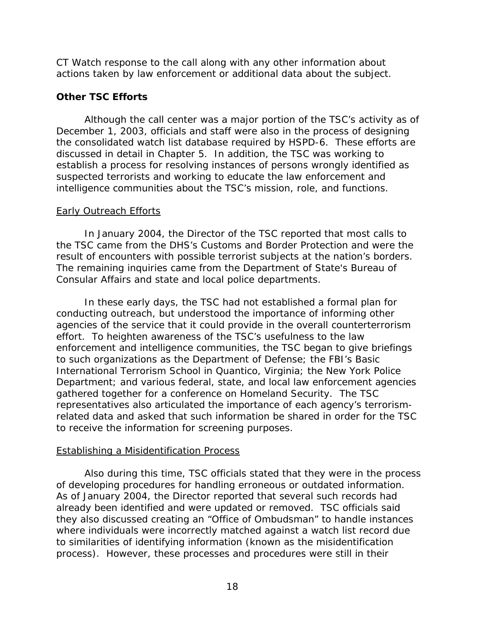CT Watch response to the call along with any other information about actions taken by law enforcement or additional data about the subject.

# **Other TSC Efforts**

 Although the call center was a major portion of the TSC's activity as of December 1, 2003, officials and staff were also in the process of designing the consolidated watch list database required by HSPD-6. These efforts are discussed in detail in Chapter 5. In addition, the TSC was working to establish a process for resolving instances of persons wrongly identified as suspected terrorists and working to educate the law enforcement and intelligence communities about the TSC's mission, role, and functions.

# Early Outreach Efforts

In January 2004, the Director of the TSC reported that most calls to the TSC came from the DHS's Customs and Border Protection and were the result of encounters with possible terrorist subjects at the nation's borders. The remaining inquiries came from the Department of State's Bureau of Consular Affairs and state and local police departments.

In these early days, the TSC had not established a formal plan for conducting outreach, but understood the importance of informing other agencies of the service that it could provide in the overall counterterrorism effort. To heighten awareness of the TSC's usefulness to the law enforcement and intelligence communities, the TSC began to give briefings to such organizations as the Department of Defense; the FBI's Basic International Terrorism School in Quantico, Virginia; the New York Police Department; and various federal, state, and local law enforcement agencies gathered together for a conference on Homeland Security. The TSC representatives also articulated the importance of each agency's terrorismrelated data and asked that such information be shared in order for the TSC to receive the information for screening purposes.

# Establishing a Misidentification Process

 Also during this time, TSC officials stated that they were in the process of developing procedures for handling erroneous or outdated information. As of January 2004, the Director reported that several such records had already been identified and were updated or removed. TSC officials said they also discussed creating an "Office of Ombudsman" to handle instances where individuals were incorrectly matched against a watch list record due to similarities of identifying information (known as the misidentification process). However, these processes and procedures were still in their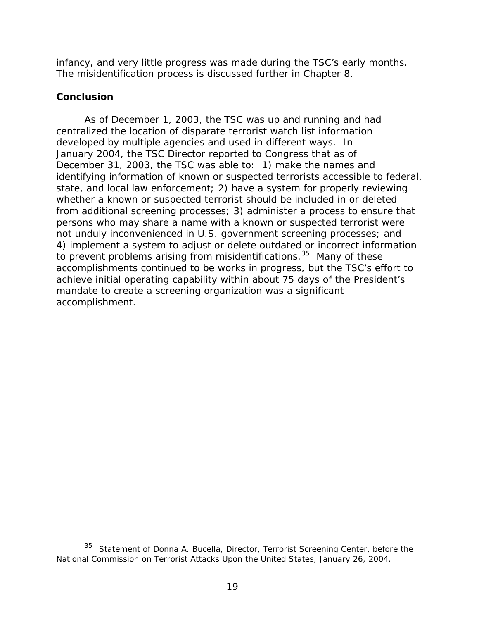<span id="page-42-0"></span>infancy, and very little progress was made during the TSC's early months. The misidentification process is discussed further in Chapter 8.

#### **Conclusion**

 $\overline{a}$ 

 As of December 1, 2003, the TSC was up and running and had centralized the location of disparate terrorist watch list information developed by multiple agencies and used in different ways. In January 2004, the TSC Director reported to Congress that as of December 31, 2003, the TSC was able to: 1) make the names and identifying information of known or suspected terrorists accessible to federal, state, and local law enforcement; 2) have a system for properly reviewing whether a known or suspected terrorist should be included in or deleted from additional screening processes; 3) administer a process to ensure that persons who may share a name with a known or suspected terrorist were not unduly inconvenienced in U.S. government screening processes; and 4) implement a system to adjust or delete outdated or incorrect information to prevent problems arising from misidentifications.<sup>[35](#page-42-0)</sup> Many of these accomplishments continued to be works in progress, but the TSC's effort to achieve initial operating capability within about 75 days of the President's mandate to create a screening organization was a significant accomplishment.

<sup>&</sup>lt;sup>35</sup> Statement of Donna A. Bucella, Director, Terrorist Screening Center, before the National Commission on Terrorist Attacks Upon the United States, January 26, 2004.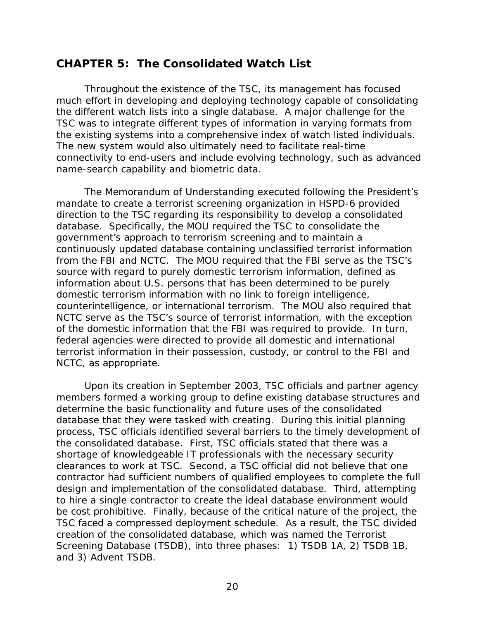# **CHAPTER 5: The Consolidated Watch List**

Throughout the existence of the TSC, its management has focused much effort in developing and deploying technology capable of consolidating the different watch lists into a single database. A major challenge for the TSC was to integrate different types of information in varying formats from the existing systems into a comprehensive index of watch listed individuals. The new system would also ultimately need to facilitate real-time connectivity to end-users and include evolving technology, such as advanced name-search capability and biometric data.

The Memorandum of Understanding executed following the President's mandate to create a terrorist screening organization in HSPD-6 provided direction to the TSC regarding its responsibility to develop a consolidated database. Specifically, the MOU required the TSC to consolidate the government's approach to terrorism screening and to maintain a continuously updated database containing unclassified terrorist information from the FBI and NCTC. The MOU required that the FBI serve as the TSC's source with regard to purely domestic terrorism information, defined as information about U.S. persons that has been determined to be purely domestic terrorism information with no link to foreign intelligence, counterintelligence, or international terrorism. The MOU also required that NCTC serve as the TSC's source of terrorist information, with the exception of the domestic information that the FBI was required to provide. In turn, federal agencies were directed to provide all domestic and international terrorist information in their possession, custody, or control to the FBI and NCTC, as appropriate.

Upon its creation in September 2003, TSC officials and partner agency members formed a working group to define existing database structures and determine the basic functionality and future uses of the consolidated database that they were tasked with creating. During this initial planning process, TSC officials identified several barriers to the timely development of the consolidated database. First, TSC officials stated that there was a shortage of knowledgeable IT professionals with the necessary security clearances to work at TSC. Second, a TSC official did not believe that one contractor had sufficient numbers of qualified employees to complete the full design and implementation of the consolidated database. Third, attempting to hire a single contractor to create the ideal database environment would be cost prohibitive. Finally, because of the critical nature of the project, the TSC faced a compressed deployment schedule. As a result, the TSC divided creation of the consolidated database, which was named the Terrorist Screening Database (TSDB), into three phases: 1) TSDB 1A, 2) TSDB 1B, and 3) Advent TSDB.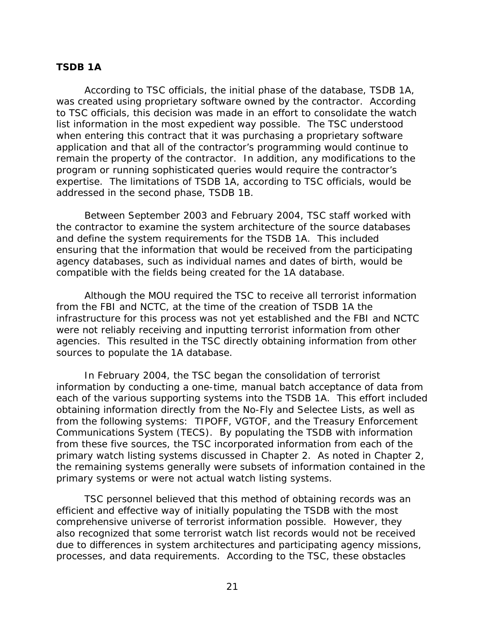#### **TSDB 1A**

According to TSC officials, the initial phase of the database, TSDB 1A, was created using proprietary software owned by the contractor. According to TSC officials, this decision was made in an effort to consolidate the watch list information in the most expedient way possible. The TSC understood when entering this contract that it was purchasing a proprietary software application and that all of the contractor's programming would continue to remain the property of the contractor. In addition, any modifications to the program or running sophisticated queries would require the contractor's expertise. The limitations of TSDB 1A, according to TSC officials, would be addressed in the second phase, TSDB 1B.

Between September 2003 and February 2004, TSC staff worked with the contractor to examine the system architecture of the source databases and define the system requirements for the TSDB 1A. This included ensuring that the information that would be received from the participating agency databases, such as individual names and dates of birth, would be compatible with the fields being created for the 1A database.

Although the MOU required the TSC to receive all terrorist information from the FBI and NCTC, at the time of the creation of TSDB 1A the infrastructure for this process was not yet established and the FBI and NCTC were not reliably receiving and inputting terrorist information from other agencies. This resulted in the TSC directly obtaining information from other sources to populate the 1A database.

In February 2004, the TSC began the consolidation of terrorist information by conducting a one-time, manual batch acceptance of data from each of the various supporting systems into the TSDB 1A. This effort included obtaining information directly from the No-Fly and Selectee Lists, as well as from the following systems: TIPOFF, VGTOF, and the Treasury Enforcement Communications System (TECS). By populating the TSDB with information from these five sources, the TSC incorporated information from each of the primary watch listing systems discussed in Chapter 2. As noted in Chapter 2, the remaining systems generally were subsets of information contained in the primary systems or were not actual watch listing systems.

TSC personnel believed that this method of obtaining records was an efficient and effective way of initially populating the TSDB with the most comprehensive universe of terrorist information possible. However, they also recognized that some terrorist watch list records would not be received due to differences in system architectures and participating agency missions, processes, and data requirements. According to the TSC, these obstacles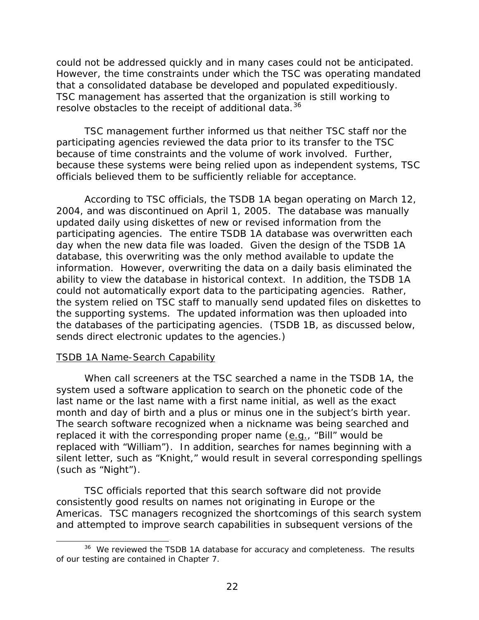<span id="page-45-0"></span>could not be addressed quickly and in many cases could not be anticipated. However, the time constraints under which the TSC was operating mandated that a consolidated database be developed and populated expeditiously. TSC management has asserted that the organization is still working to resolve obstacles to the receipt of additional data.<sup>[36](#page-45-0)</sup>

 TSC management further informed us that neither TSC staff nor the participating agencies reviewed the data prior to its transfer to the TSC because of time constraints and the volume of work involved. Further, because these systems were being relied upon as independent systems, TSC officials believed them to be sufficiently reliable for acceptance.

According to TSC officials, the TSDB 1A began operating on March 12, 2004, and was discontinued on April 1, 2005. The database was manually updated daily using diskettes of new or revised information from the participating agencies. The entire TSDB 1A database was overwritten each day when the new data file was loaded. Given the design of the TSDB 1A database, this overwriting was the only method available to update the information. However, overwriting the data on a daily basis eliminated the ability to view the database in historical context. In addition, the TSDB 1A could not automatically export data to the participating agencies. Rather, the system relied on TSC staff to manually send updated files on diskettes to the supporting systems. The updated information was then uploaded into the databases of the participating agencies. (TSDB 1B, as discussed below, sends direct electronic updates to the agencies.)

#### TSDB 1A Name-Search Capability

l

When call screeners at the TSC searched a name in the TSDB 1A, the system used a software application to search on the phonetic code of the last name or the last name with a first name initial, as well as the exact month and day of birth and a plus or minus one in the subject's birth year. The search software recognized when a nickname was being searched and replaced it with the corresponding proper name (e.g., "Bill" would be replaced with "William"). In addition, searches for names beginning with a silent letter, such as "Knight," would result in several corresponding spellings (such as "Night").

TSC officials reported that this search software did not provide consistently good results on names not originating in Europe or the Americas. TSC managers recognized the shortcomings of this search system and attempted to improve search capabilities in subsequent versions of the

<sup>&</sup>lt;sup>36</sup> We reviewed the TSDB 1A database for accuracy and completeness. The results of our testing are contained in Chapter 7.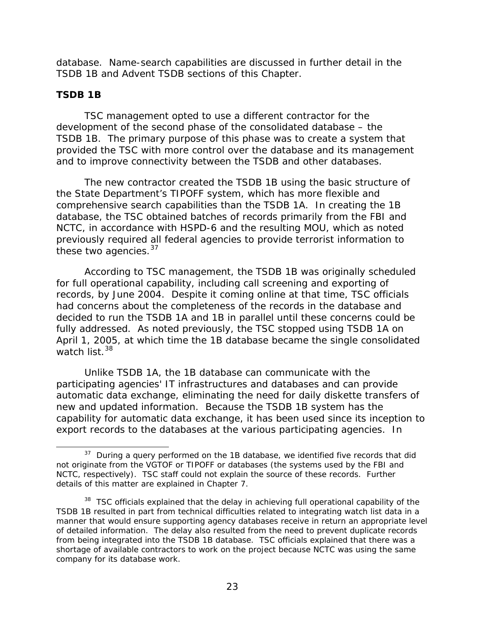<span id="page-46-0"></span>database. Name-search capabilities are discussed in further detail in the TSDB 1B and Advent TSDB sections of this Chapter.

# **TSDB 1B**

 $\overline{a}$ 

 TSC management opted to use a different contractor for the development of the second phase of the consolidated database – the TSDB 1B. The primary purpose of this phase was to create a system that provided the TSC with more control over the database and its management and to improve connectivity between the TSDB and other databases.

The new contractor created the TSDB 1B using the basic structure of the State Department's TIPOFF system, which has more flexible and comprehensive search capabilities than the TSDB 1A. In creating the 1B database, the TSC obtained batches of records primarily from the FBI and NCTC, in accordance with HSPD-6 and the resulting MOU, which as noted previously required all federal agencies to provide terrorist information to these two agencies.<sup>[37](#page-46-0)</sup>

 According to TSC management, the TSDB 1B was originally scheduled for full operational capability, including call screening and exporting of records, by June 2004. Despite it coming online at that time, TSC officials had concerns about the completeness of the records in the database and decided to run the TSDB 1A and 1B in parallel until these concerns could be fully addressed. As noted previously, the TSC stopped using TSDB 1A on April 1, 2005, at which time the 1B database became the single consolidated watch list  $38$ 

 Unlike TSDB 1A, the 1B database can communicate with the participating agencies' IT infrastructures and databases and can provide automatic data exchange, eliminating the need for daily diskette transfers of new and updated information. Because the TSDB 1B system has the capability for automatic data exchange, it has been used since its inception to export records to the databases at the various participating agencies. In

 $37$  During a query performed on the 1B database, we identified five records that did not originate from the VGTOF or TIPOFF or databases (the systems used by the FBI and NCTC, respectively). TSC staff could not explain the source of these records. Further details of this matter are explained in Chapter 7.

<sup>&</sup>lt;sup>38</sup> TSC officials explained that the delay in achieving full operational capability of the TSDB 1B resulted in part from technical difficulties related to integrating watch list data in a manner that would ensure supporting agency databases receive in return an appropriate level of detailed information. The delay also resulted from the need to prevent duplicate records from being integrated into the TSDB 1B database. TSC officials explained that there was a shortage of available contractors to work on the project because NCTC was using the same company for its database work.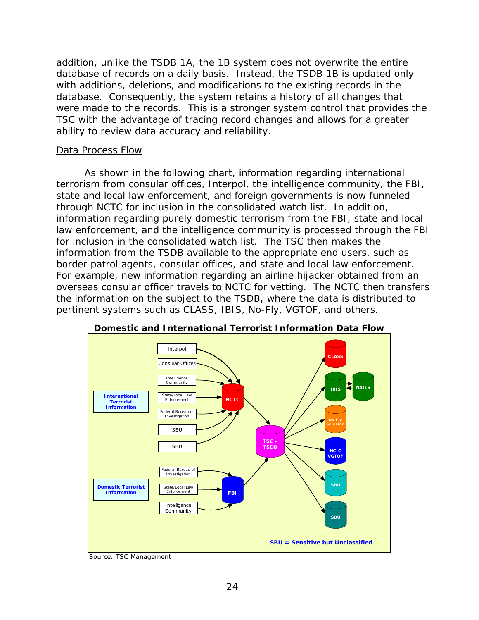addition, unlike the TSDB 1A, the 1B system does not overwrite the entire database of records on a daily basis. Instead, the TSDB 1B is updated only with additions, deletions, and modifications to the existing records in the database. Consequently, the system retains a history of all changes that were made to the records. This is a stronger system control that provides the TSC with the advantage of tracing record changes and allows for a greater ability to review data accuracy and reliability.

#### Data Process Flow

 As shown in the following chart, information regarding international terrorism from consular offices, Interpol, the intelligence community, the FBI, state and local law enforcement, and foreign governments is now funneled through NCTC for inclusion in the consolidated watch list. In addition, information regarding purely domestic terrorism from the FBI, state and local law enforcement, and the intelligence community is processed through the FBI for inclusion in the consolidated watch list. The TSC then makes the information from the TSDB available to the appropriate end users, such as border patrol agents, consular offices, and state and local law enforcement. For example, new information regarding an airline hijacker obtained from an overseas consular officer travels to NCTC for vetting. The NCTC then transfers the information on the subject to the TSDB, where the data is distributed to pertinent systems such as CLASS, IBIS, No-Fly, VGTOF, and others.





Source: TSC Management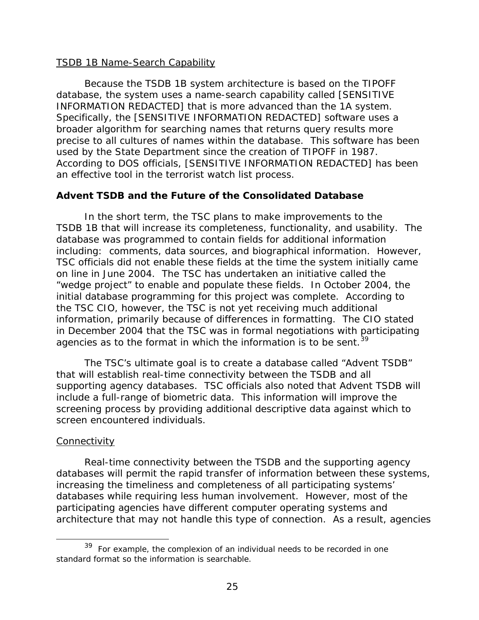#### <span id="page-48-0"></span>TSDB 1B Name-Search Capability

 Because the TSDB 1B system architecture is based on the TIPOFF database, the system uses a name-search capability called [SENSITIVE INFORMATION REDACTED] that is more advanced than the 1A system. Specifically, the [SENSITIVE INFORMATION REDACTED] software uses a broader algorithm for searching names that returns query results more precise to all cultures of names within the database. This software has been used by the State Department since the creation of TIPOFF in 1987. According to DOS officials, [SENSITIVE INFORMATION REDACTED] has been an effective tool in the terrorist watch list process.

# **Advent TSDB and the Future of the Consolidated Database**

In the short term, the TSC plans to make improvements to the TSDB 1B that will increase its completeness, functionality, and usability. The database was programmed to contain fields for additional information including: comments, data sources, and biographical information. However, TSC officials did not enable these fields at the time the system initially came on line in June 2004. The TSC has undertaken an initiative called the "wedge project" to enable and populate these fields. In October 2004, the initial database programming for this project was complete. According to the TSC CIO, however, the TSC is not yet receiving much additional information, primarily because of differences in formatting. The CIO stated in December 2004 that the TSC was in formal negotiations with participating agencies as to the format in which the information is to be sent.<sup>[39](#page-48-0)</sup>

 The TSC's ultimate goal is to create a database called "Advent TSDB" that will establish real-time connectivity between the TSDB and all supporting agency databases. TSC officials also noted that Advent TSDB will include a full-range of biometric data. This information will improve the screening process by providing additional descriptive data against which to screen encountered individuals.

#### **Connectivity**

 $\overline{a}$ 

 Real-time connectivity between the TSDB and the supporting agency databases will permit the rapid transfer of information between these systems, increasing the timeliness and completeness of all participating systems' databases while requiring less human involvement. However, most of the participating agencies have different computer operating systems and architecture that may not handle this type of connection. As a result, agencies

 $39$  For example, the complexion of an individual needs to be recorded in one standard format so the information is searchable.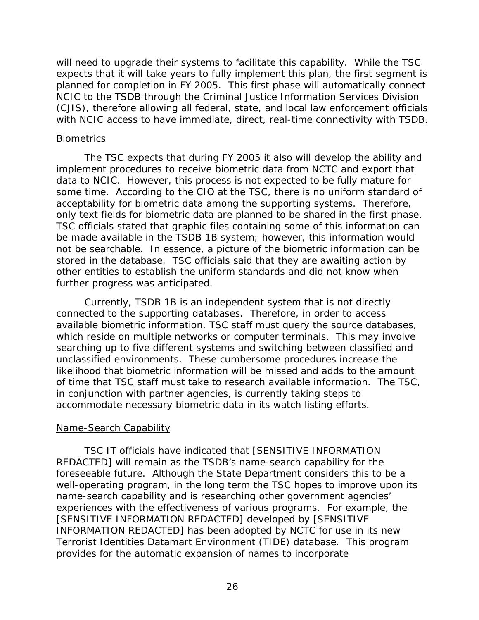will need to upgrade their systems to facilitate this capability. While the TSC expects that it will take years to fully implement this plan, the first segment is planned for completion in FY 2005. This first phase will automatically connect NCIC to the TSDB through the Criminal Justice Information Services Division (CJIS), therefore allowing all federal, state, and local law enforcement officials with NCIC access to have immediate, direct, real-time connectivity with TSDB.

#### **Biometrics**

 The TSC expects that during FY 2005 it also will develop the ability and implement procedures to receive biometric data from NCTC and export that data to NCIC. However, this process is not expected to be fully mature for some time. According to the CIO at the TSC, there is no uniform standard of acceptability for biometric data among the supporting systems. Therefore, only text fields for biometric data are planned to be shared in the first phase. TSC officials stated that graphic files containing some of this information can be made available in the TSDB 1B system; however, this information would not be searchable. In essence, a picture of the biometric information can be stored in the database. TSC officials said that they are awaiting action by other entities to establish the uniform standards and did not know when further progress was anticipated.

Currently, TSDB 1B is an independent system that is not directly connected to the supporting databases. Therefore, in order to access available biometric information, TSC staff must query the source databases, which reside on multiple networks or computer terminals. This may involve searching up to five different systems and switching between classified and unclassified environments. These cumbersome procedures increase the likelihood that biometric information will be missed and adds to the amount of time that TSC staff must take to research available information. The TSC, in conjunction with partner agencies, is currently taking steps to accommodate necessary biometric data in its watch listing efforts.

# Name-Search Capability

 TSC IT officials have indicated that [SENSITIVE INFORMATION REDACTED] will remain as the TSDB's name-search capability for the foreseeable future. Although the State Department considers this to be a well-operating program, in the long term the TSC hopes to improve upon its name-search capability and is researching other government agencies' experiences with the effectiveness of various programs. For example, the [SENSITIVE INFORMATION REDACTED] developed by [SENSITIVE INFORMATION REDACTED] has been adopted by NCTC for use in its new Terrorist Identities Datamart Environment (TIDE) database. This program provides for the automatic expansion of names to incorporate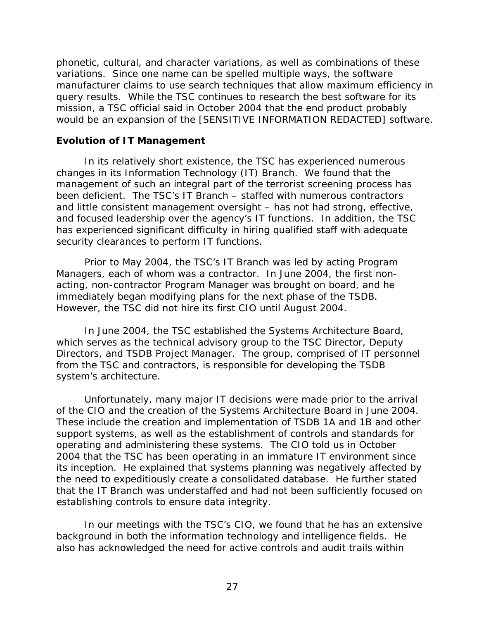phonetic, cultural, and character variations, as well as combinations of these variations. Since one name can be spelled multiple ways, the software manufacturer claims to use search techniques that allow maximum efficiency in query results. While the TSC continues to research the best software for its mission, a TSC official said in October 2004 that the end product probably would be an expansion of the [SENSITIVE INFORMATION REDACTED] software.

#### **Evolution of IT Management**

 In its relatively short existence, the TSC has experienced numerous changes in its Information Technology (IT) Branch. We found that the management of such an integral part of the terrorist screening process has been deficient. The TSC's IT Branch – staffed with numerous contractors and little consistent management oversight – has not had strong, effective, and focused leadership over the agency's IT functions. In addition, the TSC has experienced significant difficulty in hiring qualified staff with adequate security clearances to perform IT functions.

Prior to May 2004, the TSC's IT Branch was led by acting Program Managers, each of whom was a contractor. In June 2004, the first nonacting, non-contractor Program Manager was brought on board, and he immediately began modifying plans for the next phase of the TSDB. However, the TSC did not hire its first CIO until August 2004.

In June 2004, the TSC established the Systems Architecture Board, which serves as the technical advisory group to the TSC Director, Deputy Directors, and TSDB Project Manager. The group, comprised of IT personnel from the TSC and contractors, is responsible for developing the TSDB system's architecture.

 Unfortunately, many major IT decisions were made prior to the arrival of the CIO and the creation of the Systems Architecture Board in June 2004. These include the creation and implementation of TSDB 1A and 1B and other support systems, as well as the establishment of controls and standards for operating and administering these systems. The CIO told us in October 2004 that the TSC has been operating in an immature IT environment since its inception. He explained that systems planning was negatively affected by the need to expeditiously create a consolidated database. He further stated that the IT Branch was understaffed and had not been sufficiently focused on establishing controls to ensure data integrity.

In our meetings with the TSC's CIO, we found that he has an extensive background in both the information technology and intelligence fields. He also has acknowledged the need for active controls and audit trails within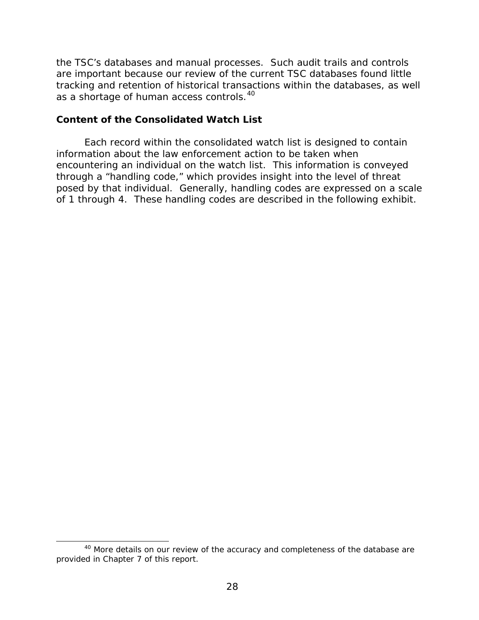<span id="page-51-0"></span>the TSC's databases and manual processes. Such audit trails and controls are important because our review of the current TSC databases found little tracking and retention of historical transactions within the databases, as well as a shortage of human access controls.<sup>[40](#page-51-0)</sup>

#### **Content of the Consolidated Watch List**

Each record within the consolidated watch list is designed to contain information about the law enforcement action to be taken when encountering an individual on the watch list. This information is conveyed through a "handling code," which provides insight into the level of threat posed by that individual. Generally, handling codes are expressed on a scale of 1 through 4. These handling codes are described in the following exhibit.

l

<sup>&</sup>lt;sup>40</sup> More details on our review of the accuracy and completeness of the database are provided in Chapter 7 of this report.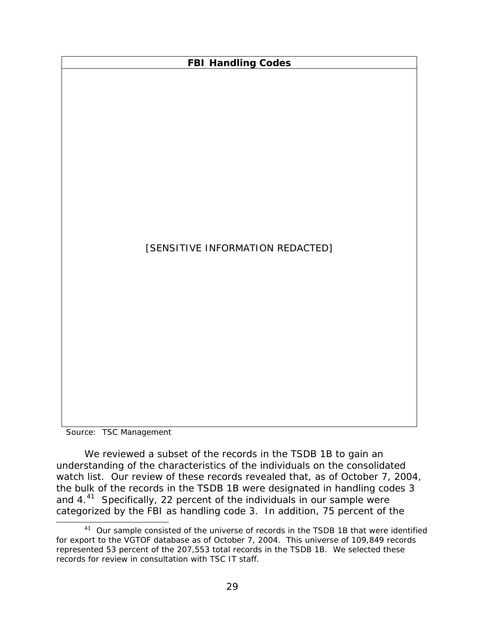<span id="page-52-0"></span>

Source: TSC Management

We reviewed a subset of the records in the TSDB 1B to gain an understanding of the characteristics of the individuals on the consolidated watch list. Our review of these records revealed that, as of October 7, 2004, the bulk of the records in the TSDB 1B were designated in handling codes 3 and  $4.^{41}$  $4.^{41}$  $4.^{41}$  Specifically, 22 percent of the individuals in our sample were categorized by the FBI as handling code 3. In addition, 75 percent of the<br><sup>41</sup> Our sample consisted of the universe of records in the TSDB 1B that were identified

for export to the VGTOF database as of October 7, 2004. This universe of 109,849 records represented 53 percent of the 207,553 total records in the TSDB 1B. We selected these records for review in consultation with TSC IT staff.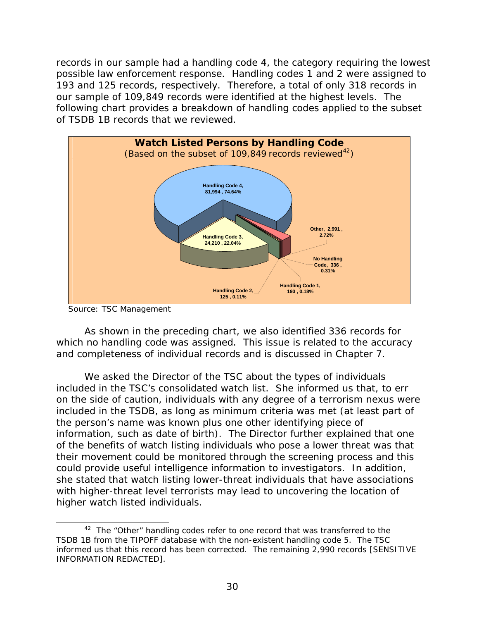<span id="page-53-0"></span>records in our sample had a handling code 4, the category requiring the lowest possible law enforcement response. Handling codes 1 and 2 were assigned to 193 and 125 records, respectively. Therefore, a total of only 318 records in our sample of 109,849 records were identified at the highest levels. The following chart provides a breakdown of handling codes applied to the subset of TSDB 1B records that we reviewed.



Source: TSC Management

 $\overline{a}$ 

 As shown in the preceding chart, we also identified 336 records for which no handling code was assigned. This issue is related to the accuracy and completeness of individual records and is discussed in Chapter 7.

We asked the Director of the TSC about the types of individuals included in the TSC's consolidated watch list. She informed us that, to err on the side of caution, individuals with any degree of a terrorism nexus were included in the TSDB, as long as minimum criteria was met (at least part of the person's name was known plus one other identifying piece of information, such as date of birth). The Director further explained that one of the benefits of watch listing individuals who pose a lower threat was that their movement could be monitored through the screening process and this could provide useful intelligence information to investigators. In addition, she stated that watch listing lower-threat individuals that have associations with higher-threat level terrorists may lead to uncovering the location of higher watch listed individuals.

 $42$  The "Other" handling codes refer to one record that was transferred to the TSDB 1B from the TIPOFF database with the non-existent handling code 5. The TSC informed us that this record has been corrected. The remaining 2,990 records [SENSITIVE INFORMATION REDACTED].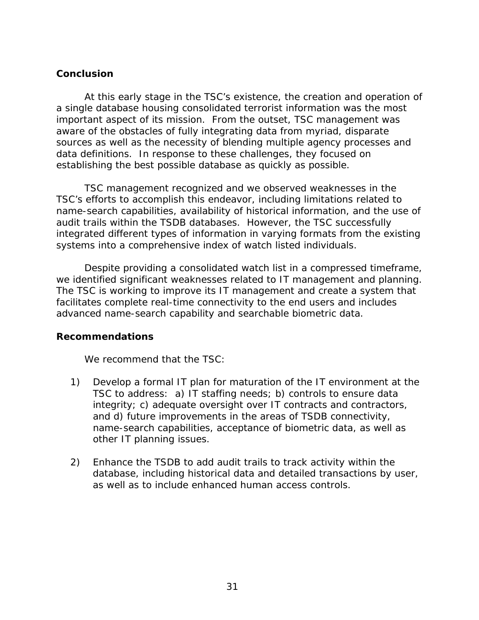#### **Conclusion**

At this early stage in the TSC's existence, the creation and operation of a single database housing consolidated terrorist information was the most important aspect of its mission. From the outset, TSC management was aware of the obstacles of fully integrating data from myriad, disparate sources as well as the necessity of blending multiple agency processes and data definitions. In response to these challenges, they focused on establishing the best possible database as quickly as possible.

TSC management recognized and we observed weaknesses in the TSC's efforts to accomplish this endeavor, including limitations related to name-search capabilities, availability of historical information, and the use of audit trails within the TSDB databases. However, the TSC successfully integrated different types of information in varying formats from the existing systems into a comprehensive index of watch listed individuals.

Despite providing a consolidated watch list in a compressed timeframe, we identified significant weaknesses related to IT management and planning. The TSC is working to improve its IT management and create a system that facilitates complete real-time connectivity to the end users and includes advanced name-search capability and searchable biometric data.

#### **Recommendations**

We recommend that the TSC:

- 1) Develop a formal IT plan for maturation of the IT environment at the TSC to address: a) IT staffing needs; b) controls to ensure data integrity; c) adequate oversight over IT contracts and contractors, and d) future improvements in the areas of TSDB connectivity, name-search capabilities, acceptance of biometric data, as well as other IT planning issues.
- 2) Enhance the TSDB to add audit trails to track activity within the database, including historical data and detailed transactions by user, as well as to include enhanced human access controls.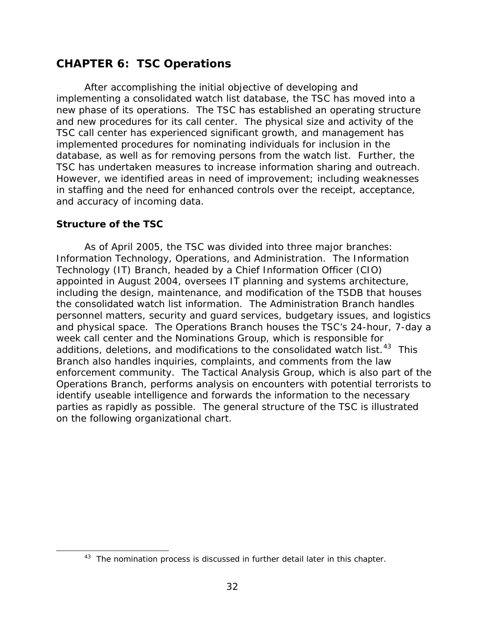# <span id="page-55-0"></span>**CHAPTER 6: TSC Operations**

After accomplishing the initial objective of developing and implementing a consolidated watch list database, the TSC has moved into a new phase of its operations. The TSC has established an operating structure and new procedures for its call center. The physical size and activity of the TSC call center has experienced significant growth, and management has implemented procedures for nominating individuals for inclusion in the database, as well as for removing persons from the watch list. Further, the TSC has undertaken measures to increase information sharing and outreach. However, we identified areas in need of improvement; including weaknesses in staffing and the need for enhanced controls over the receipt, acceptance, and accuracy of incoming data.

#### **Structure of the TSC**

 $\overline{a}$ 

As of April 2005, the TSC was divided into three major branches: Information Technology, Operations, and Administration. The Information Technology (IT) Branch, headed by a Chief Information Officer (CIO) appointed in August 2004, oversees IT planning and systems architecture, including the design, maintenance, and modification of the TSDB that houses the consolidated watch list information. The Administration Branch handles personnel matters, security and guard services, budgetary issues, and logistics and physical space. The Operations Branch houses the TSC's 24-hour, 7-day a week call center and the Nominations Group, which is responsible for additions, deletions, and modifications to the consolidated watch list.<sup>[43](#page-55-0)</sup> This Branch also handles inquiries, complaints, and comments from the law enforcement community. The Tactical Analysis Group, which is also part of the Operations Branch, performs analysis on encounters with potential terrorists to identify useable intelligence and forwards the information to the necessary parties as rapidly as possible. The general structure of the TSC is illustrated on the following organizational chart.

<sup>&</sup>lt;sup>43</sup> The nomination process is discussed in further detail later in this chapter.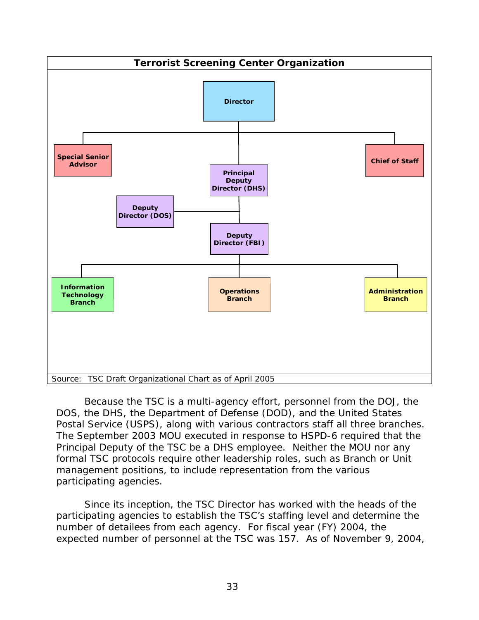

Because the TSC is a multi-agency effort, personnel from the DOJ, the DOS, the DHS, the Department of Defense (DOD), and the United States Postal Service (USPS), along with various contractors staff all three branches. The September 2003 MOU executed in response to HSPD-6 required that the Principal Deputy of the TSC be a DHS employee. Neither the MOU nor any formal TSC protocols require other leadership roles, such as Branch or Unit management positions, to include representation from the various participating agencies.

Since its inception, the TSC Director has worked with the heads of the participating agencies to establish the TSC's staffing level and determine the number of detailees from each agency. For fiscal year (FY) 2004, the expected number of personnel at the TSC was 157. As of November 9, 2004,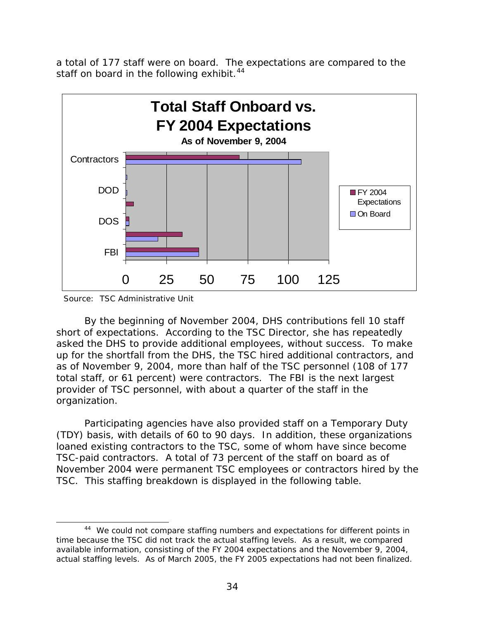<span id="page-57-0"></span>a total of 177 staff were on board. The expectations are compared to the staff on board in the following exhibit.<sup>[44](#page-57-0)</sup>



Source: TSC Administrative Unit

 $\overline{a}$ 

By the beginning of November 2004, DHS contributions fell 10 staff short of expectations. According to the TSC Director, she has repeatedly asked the DHS to provide additional employees, without success. To make up for the shortfall from the DHS, the TSC hired additional contractors, and as of November 9, 2004, more than half of the TSC personnel (108 of 177 total staff, or 61 percent) were contractors. The FBI is the next largest provider of TSC personnel, with about a quarter of the staff in the organization.

Participating agencies have also provided staff on a Temporary Duty (TDY) basis, with details of 60 to 90 days. In addition, these organizations loaned existing contractors to the TSC, some of whom have since become TSC-paid contractors. A total of 73 percent of the staff on board as of November 2004 were permanent TSC employees or contractors hired by the TSC. This staffing breakdown is displayed in the following table.

<sup>&</sup>lt;sup>44</sup> We could not compare staffing numbers and expectations for different points in time because the TSC did not track the actual staffing levels. As a result, we compared available information, consisting of the FY 2004 expectations and the November 9, 2004, actual staffing levels. As of March 2005, the FY 2005 expectations had not been finalized.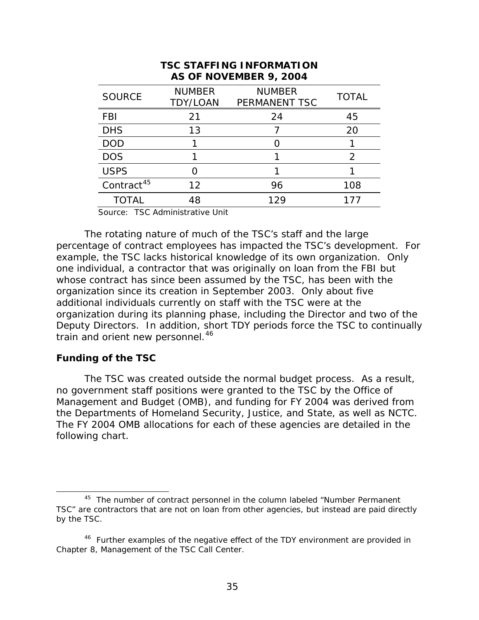<span id="page-58-0"></span>

| AS OF NOVEMBER 9, 2004 |                                  |                                |               |  |  |  |
|------------------------|----------------------------------|--------------------------------|---------------|--|--|--|
| <b>SOURCE</b>          | <b>NUMBER</b><br><b>TDY/LOAN</b> | <b>NUMBER</b><br>PERMANENT TSC | <b>TOTAL</b>  |  |  |  |
| <b>FBI</b>             | 21                               | 24                             | 45            |  |  |  |
| <b>DHS</b>             | 13                               |                                | 20            |  |  |  |
| <b>DOD</b>             |                                  |                                |               |  |  |  |
| <b>DOS</b>             |                                  |                                | $\mathcal{P}$ |  |  |  |
| <b>USPS</b>            |                                  |                                |               |  |  |  |
| Contract <sup>45</sup> | 12                               | 96                             | 108           |  |  |  |
| <b>TOTAL</b>           | 48                               | 129                            | 177           |  |  |  |

# **TSC STAFFING INFORMATION**

Source: TSC Administrative Unit

The rotating nature of much of the TSC's staff and the large percentage of contract employees has impacted the TSC's development. For example, the TSC lacks historical knowledge of its own organization. Only one individual, a contractor that was originally on loan from the FBI but whose contract has since been assumed by the TSC, has been with the organization since its creation in September 2003. Only about five additional individuals currently on staff with the TSC were at the organization during its planning phase, including the Director and two of the Deputy Directors. In addition, short TDY periods force the TSC to continually train and orient new personnel.<sup>[46](#page-58-0)</sup>

#### **Funding of the TSC**

 $\overline{a}$ 

The TSC was created outside the normal budget process. As a result, no government staff positions were granted to the TSC by the Office of Management and Budget (OMB), and funding for FY 2004 was derived from the Departments of Homeland Security, Justice, and State, as well as NCTC. The FY 2004 OMB allocations for each of these agencies are detailed in the following chart.

<sup>&</sup>lt;sup>45</sup> The number of contract personnel in the column labeled "Number Permanent TSC" are contractors that are not on loan from other agencies, but instead are paid directly by the TSC.

<sup>&</sup>lt;sup>46</sup> Further examples of the negative effect of the TDY environment are provided in Chapter 8, Management of the TSC Call Center.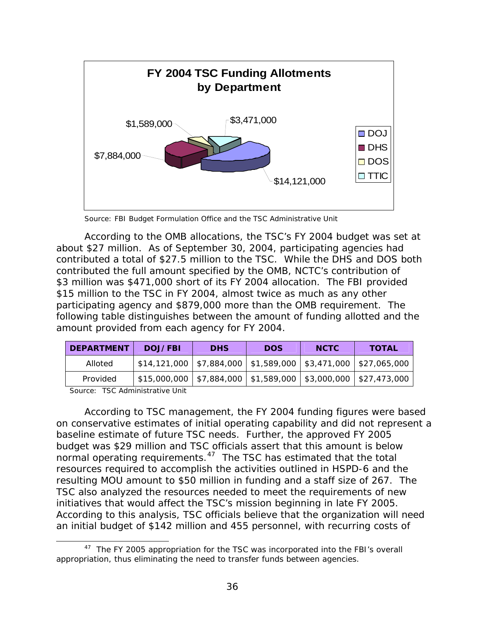<span id="page-59-0"></span>

Source: FBI Budget Formulation Office and the TSC Administrative Unit

According to the OMB allocations, the TSC's FY 2004 budget was set at about \$27 million. As of September 30, 2004, participating agencies had contributed a total of \$27.5 million to the TSC. While the DHS and DOS both contributed the full amount specified by the OMB, NCTC's contribution of \$3 million was \$471,000 short of its FY 2004 allocation. The FBI provided \$15 million to the TSC in FY 2004, almost twice as much as any other participating agency and \$879,000 more than the OMB requirement. The following table distinguishes between the amount of funding allotted and the amount provided from each agency for FY 2004.

| <b>DEPARTMENT</b> | DOJ/FBI                                                                | <b>DHS</b> | <b>DOS</b> | <b>NCTC</b> | <b>TOTAL</b> |
|-------------------|------------------------------------------------------------------------|------------|------------|-------------|--------------|
| Alloted           | $$14,121,000$   \$7,884,000   \$1,589,000   \$3,471,000   \$27,065,000 |            |            |             |              |
| Provided          | $$15,000,000$   \$7,884,000   \$1,589,000   \$3,000,000   \$27,473,000 |            |            |             |              |

Source: TSC Administrative Unit

l

According to TSC management, the FY 2004 funding figures were based on conservative estimates of initial operating capability and did not represent a baseline estimate of future TSC needs. Further, the approved FY 2005 budget was \$29 million and TSC officials assert that this amount is below normal operating requirements.<sup>[47](#page-59-0)</sup> The TSC has estimated that the total resources required to accomplish the activities outlined in HSPD-6 and the resulting MOU amount to \$50 million in funding and a staff size of 267. The TSC also analyzed the resources needed to meet the requirements of new initiatives that would affect the TSC's mission beginning in late FY 2005. According to this analysis, TSC officials believe that the organization will need an initial budget of \$142 million and 455 personnel, with recurring costs of

<sup>&</sup>lt;sup>47</sup> The FY 2005 appropriation for the TSC was incorporated into the FBI's overall appropriation, thus eliminating the need to transfer funds between agencies.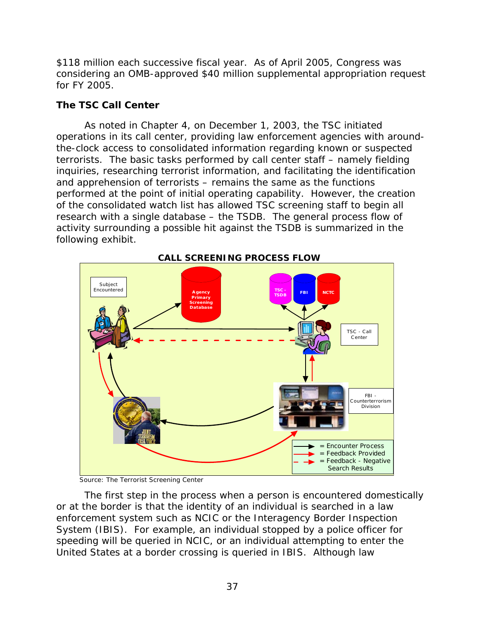\$118 million each successive fiscal year. As of April 2005, Congress was considering an OMB-approved \$40 million supplemental appropriation request for FY 2005.

# **The TSC Call Center**

As noted in Chapter 4, on December 1, 2003, the TSC initiated operations in its call center, providing law enforcement agencies with aroundthe-clock access to consolidated information regarding known or suspected terrorists. The basic tasks performed by call center staff – namely fielding inquiries, researching terrorist information, and facilitating the identification and apprehension of terrorists – remains the same as the functions performed at the point of initial operating capability. However, the creation of the consolidated watch list has allowed TSC screening staff to begin all research with a single database – the TSDB. The general process flow of activity surrounding a possible hit against the TSDB is summarized in the following exhibit.



Source: The Terrorist Screening Center

The first step in the process when a person is encountered domestically or at the border is that the identity of an individual is searched in a law enforcement system such as NCIC or the Interagency Border Inspection System (IBIS). For example, an individual stopped by a police officer for speeding will be queried in NCIC, or an individual attempting to enter the United States at a border crossing is queried in IBIS. Although law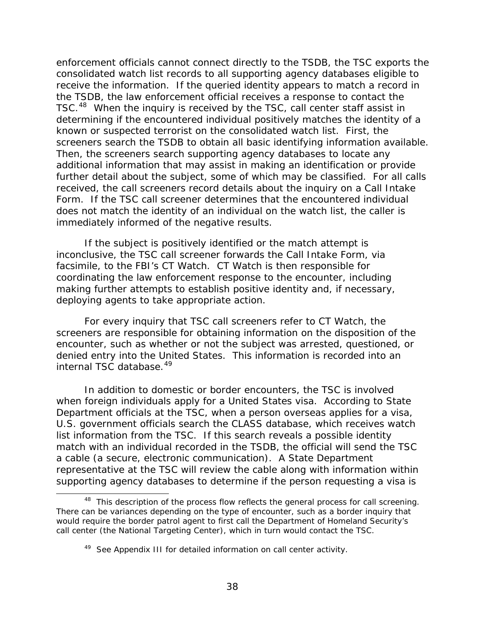<span id="page-61-0"></span>enforcement officials cannot connect directly to the TSDB, the TSC exports the consolidated watch list records to all supporting agency databases eligible to receive the information. If the queried identity appears to match a record in the TSDB, the law enforcement official receives a response to contact the TSC.<sup>[48](#page-61-0)</sup> When the inquiry is received by the TSC, call center staff assist in determining if the encountered individual positively matches the identity of a known or suspected terrorist on the consolidated watch list. First, the screeners search the TSDB to obtain all basic identifying information available. Then, the screeners search supporting agency databases to locate any additional information that may assist in making an identification or provide further detail about the subject, some of which may be classified. For all calls received, the call screeners record details about the inquiry on a Call Intake Form. If the TSC call screener determines that the encountered individual does not match the identity of an individual on the watch list, the caller is immediately informed of the negative results.

If the subject is positively identified or the match attempt is inconclusive, the TSC call screener forwards the Call Intake Form, via facsimile, to the FBI's CT Watch. CT Watch is then responsible for coordinating the law enforcement response to the encounter, including making further attempts to establish positive identity and, if necessary, deploying agents to take appropriate action.

For every inquiry that TSC call screeners refer to CT Watch, the screeners are responsible for obtaining information on the disposition of the encounter, such as whether or not the subject was arrested, questioned, or denied entry into the United States. This information is recorded into an internal TSC database.[49](#page-61-0)

In addition to domestic or border encounters, the TSC is involved when foreign individuals apply for a United States visa. According to State Department officials at the TSC, when a person overseas applies for a visa, U.S. government officials search the CLASS database, which receives watch list information from the TSC. If this search reveals a possible identity match with an individual recorded in the TSDB, the official will send the TSC a cable (a secure, electronic communication). A State Department representative at the TSC will review the cable along with information within supporting agency databases to determine if the person requesting a visa is

 $\overline{a}$ 

<sup>&</sup>lt;sup>48</sup> This description of the process flow reflects the general process for call screening. There can be variances depending on the type of encounter, such as a border inquiry that would require the border patrol agent to first call the Department of Homeland Security's call center (the National Targeting Center), which in turn would contact the TSC.

<sup>&</sup>lt;sup>49</sup> See Appendix III for detailed information on call center activity.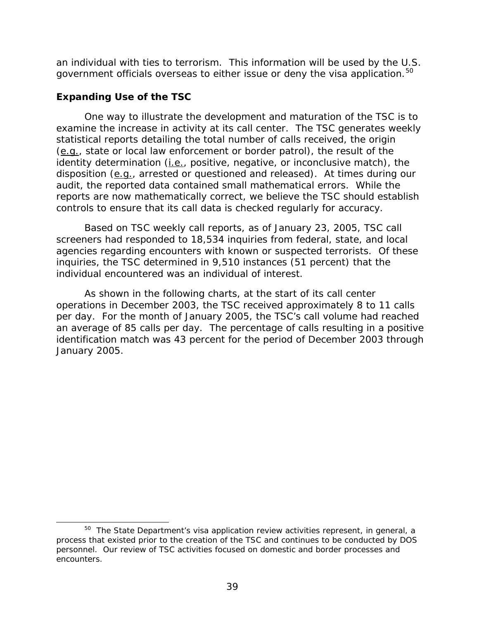<span id="page-62-0"></span>an individual with ties to terrorism. This information will be used by the U.S. government officials overseas to either issue or deny the visa application.<sup>[50](#page-62-0)</sup>

# **Expanding Use of the TSC**

 $\overline{a}$ 

One way to illustrate the development and maturation of the TSC is to examine the increase in activity at its call center. The TSC generates weekly statistical reports detailing the total number of calls received, the origin (e.g., state or local law enforcement or border patrol), the result of the identity determination (*i.e.*, positive, negative, or inconclusive match), the disposition (e.g., arrested or questioned and released). At times during our audit, the reported data contained small mathematical errors. While the reports are now mathematically correct, we believe the TSC should establish controls to ensure that its call data is checked regularly for accuracy.

 Based on TSC weekly call reports, as of January 23, 2005, TSC call screeners had responded to 18,534 inquiries from federal, state, and local agencies regarding encounters with known or suspected terrorists. Of these inquiries, the TSC determined in 9,510 instances (51 percent) that the individual encountered was an individual of interest.

As shown in the following charts, at the start of its call center operations in December 2003, the TSC received approximately 8 to 11 calls per day. For the month of January 2005, the TSC's call volume had reached an average of 85 calls per day. The percentage of calls resulting in a positive identification match was 43 percent for the period of December 2003 through January 2005.

<sup>&</sup>lt;sup>50</sup> The State Department's visa application review activities represent, in general, a process that existed prior to the creation of the TSC and continues to be conducted by DOS personnel. Our review of TSC activities focused on domestic and border processes and encounters.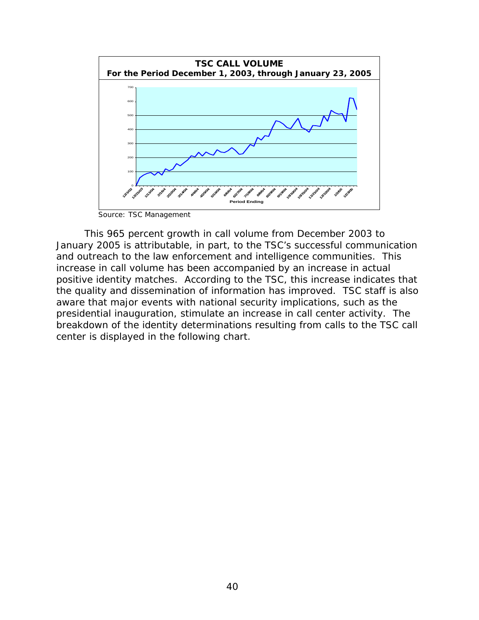

Source: TSC Management

This 965 percent growth in call volume from December 2003 to January 2005 is attributable, in part, to the TSC's successful communication and outreach to the law enforcement and intelligence communities. This increase in call volume has been accompanied by an increase in actual positive identity matches. According to the TSC, this increase indicates that the quality and dissemination of information has improved. TSC staff is also aware that major events with national security implications, such as the presidential inauguration, stimulate an increase in call center activity. The breakdown of the identity determinations resulting from calls to the TSC call center is displayed in the following chart.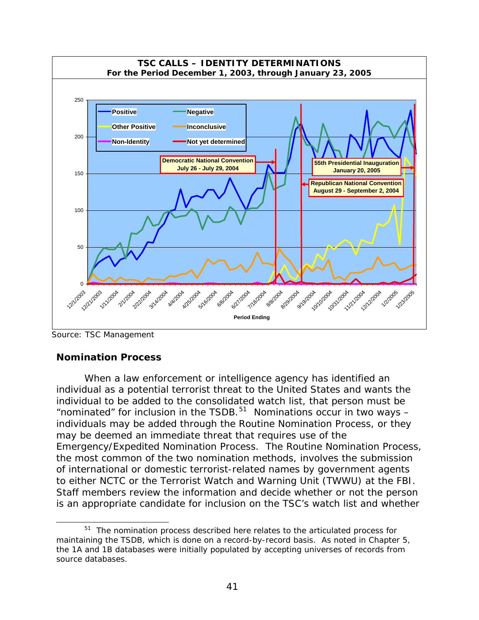<span id="page-64-0"></span>

Source: TSC Management

 $\overline{a}$ 

# **Nomination Process**

When a law enforcement or intelligence agency has identified an individual as a potential terrorist threat to the United States and wants the individual to be added to the consolidated watch list, that person must be "nominated" for inclusion in the TSDB.<sup>[51](#page-64-0)</sup> Nominations occur in two ways  $$ individuals may be added through the Routine Nomination Process, or they may be deemed an immediate threat that requires use of the Emergency/Expedited Nomination Process. The Routine Nomination Process, the most common of the two nomination methods, involves the submission of international or domestic terrorist-related names by government agents to either NCTC or the Terrorist Watch and Warning Unit (TWWU) at the FBI. Staff members review the information and decide whether or not the person is an appropriate candidate for inclusion on the TSC's watch list and whether

<sup>51</sup> The nomination process described here relates to the articulated process for maintaining the TSDB, which is done on a record-by-record basis. As noted in Chapter 5, the 1A and 1B databases were initially populated by accepting universes of records from source databases.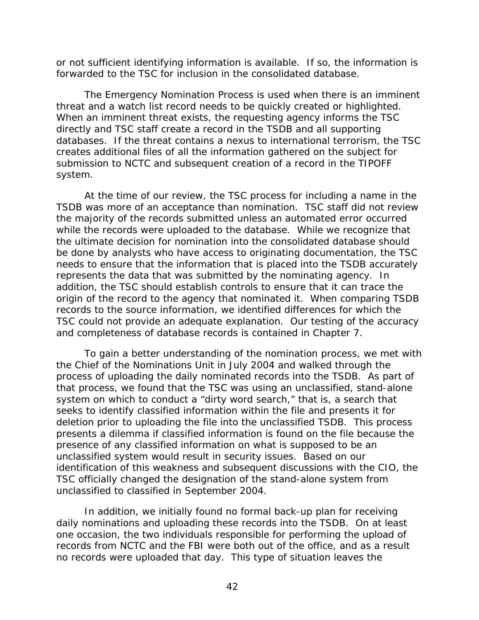or not sufficient identifying information is available. If so, the information is forwarded to the TSC for inclusion in the consolidated database.

 The Emergency Nomination Process is used when there is an imminent threat and a watch list record needs to be quickly created or highlighted. When an imminent threat exists, the requesting agency informs the TSC directly and TSC staff create a record in the TSDB and all supporting databases. If the threat contains a nexus to international terrorism, the TSC creates additional files of all the information gathered on the subject for submission to NCTC and subsequent creation of a record in the TIPOFF system.

 At the time of our review, the TSC process for including a name in the TSDB was more of an acceptance than nomination. TSC staff did not review the majority of the records submitted unless an automated error occurred while the records were uploaded to the database. While we recognize that the ultimate decision for nomination into the consolidated database should be done by analysts who have access to originating documentation, the TSC needs to ensure that the information that is placed into the TSDB accurately represents the data that was submitted by the nominating agency. In addition, the TSC should establish controls to ensure that it can trace the origin of the record to the agency that nominated it. When comparing TSDB records to the source information, we identified differences for which the TSC could not provide an adequate explanation. Our testing of the accuracy and completeness of database records is contained in Chapter 7.

 To gain a better understanding of the nomination process, we met with the Chief of the Nominations Unit in July 2004 and walked through the process of uploading the daily nominated records into the TSDB. As part of that process, we found that the TSC was using an unclassified, stand-alone system on which to conduct a "dirty word search," that is, a search that seeks to identify classified information within the file and presents it for deletion prior to uploading the file into the unclassified TSDB. This process presents a dilemma if classified information is found on the file because the presence of any classified information on what is supposed to be an unclassified system would result in security issues. Based on our identification of this weakness and subsequent discussions with the CIO, the TSC officially changed the designation of the stand-alone system from unclassified to classified in September 2004.

 In addition, we initially found no formal back-up plan for receiving daily nominations and uploading these records into the TSDB. On at least one occasion, the two individuals responsible for performing the upload of records from NCTC and the FBI were both out of the office, and as a result no records were uploaded that day. This type of situation leaves the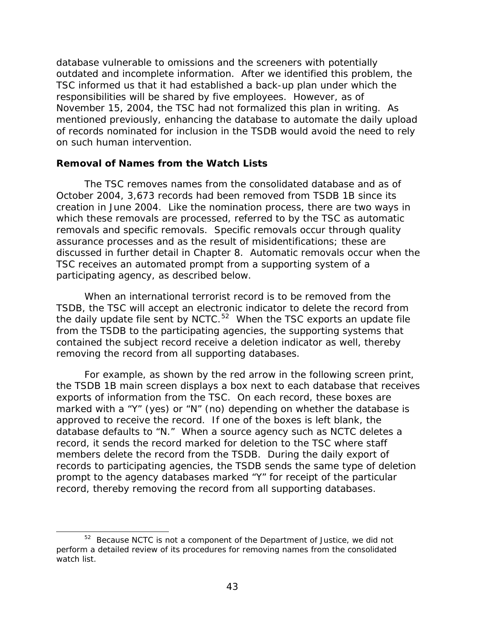<span id="page-66-0"></span>database vulnerable to omissions and the screeners with potentially outdated and incomplete information. After we identified this problem, the TSC informed us that it had established a back-up plan under which the responsibilities will be shared by five employees. However, as of November 15, 2004, the TSC had not formalized this plan in writing. As mentioned previously, enhancing the database to automate the daily upload of records nominated for inclusion in the TSDB would avoid the need to rely on such human intervention.

#### **Removal of Names from the Watch Lists**

The TSC removes names from the consolidated database and as of October 2004, 3,673 records had been removed from TSDB 1B since its creation in June 2004. Like the nomination process, there are two ways in which these removals are processed, referred to by the TSC as automatic removals and specific removals. Specific removals occur through quality assurance processes and as the result of misidentifications; these are discussed in further detail in Chapter 8. Automatic removals occur when the TSC receives an automated prompt from a supporting system of a participating agency, as described below.

When an international terrorist record is to be removed from the TSDB, the TSC will accept an electronic indicator to delete the record from the daily update file sent by NCTC.<sup>[52](#page-66-0)</sup> When the TSC exports an update file from the TSDB to the participating agencies, the supporting systems that contained the subject record receive a deletion indicator as well, thereby removing the record from all supporting databases.

For example, as shown by the red arrow in the following screen print, the TSDB 1B main screen displays a box next to each database that receives exports of information from the TSC. On each record, these boxes are marked with a "Y" (yes) or "N" (no) depending on whether the database is approved to receive the record. If one of the boxes is left blank, the database defaults to "N." When a source agency such as NCTC deletes a record, it sends the record marked for deletion to the TSC where staff members delete the record from the TSDB. During the daily export of records to participating agencies, the TSDB sends the same type of deletion prompt to the agency databases marked "Y" for receipt of the particular record, thereby removing the record from all supporting databases.

 $\overline{a}$ 

<sup>&</sup>lt;sup>52</sup> Because NCTC is not a component of the Department of Justice, we did not perform a detailed review of its procedures for removing names from the consolidated watch list.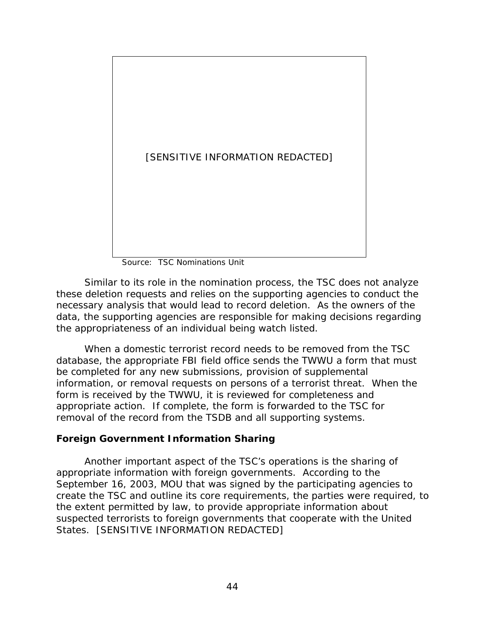

Source: TSC Nominations Unit

 Similar to its role in the nomination process, the TSC does not analyze these deletion requests and relies on the supporting agencies to conduct the necessary analysis that would lead to record deletion. As the owners of the data, the supporting agencies are responsible for making decisions regarding the appropriateness of an individual being watch listed.

When a domestic terrorist record needs to be removed from the TSC database, the appropriate FBI field office sends the TWWU a form that must be completed for any new submissions, provision of supplemental information, or removal requests on persons of a terrorist threat. When the form is received by the TWWU, it is reviewed for completeness and appropriate action. If complete, the form is forwarded to the TSC for removal of the record from the TSDB and all supporting systems.

# **Foreign Government Information Sharing**

 Another important aspect of the TSC's operations is the sharing of appropriate information with foreign governments. According to the September 16, 2003, MOU that was signed by the participating agencies to create the TSC and outline its core requirements, the parties were required, to the extent permitted by law, to provide appropriate information about suspected terrorists to foreign governments that cooperate with the United States. [SENSITIVE INFORMATION REDACTED]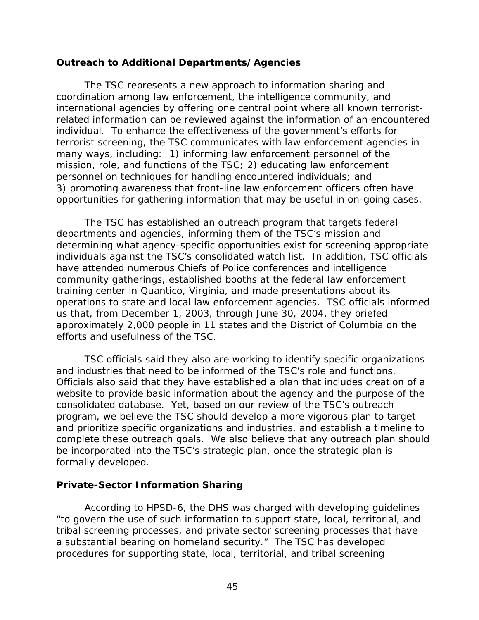#### **Outreach to Additional Departments/Agencies**

 The TSC represents a new approach to information sharing and coordination among law enforcement, the intelligence community, and international agencies by offering one central point where all known terroristrelated information can be reviewed against the information of an encountered individual. To enhance the effectiveness of the government's efforts for terrorist screening, the TSC communicates with law enforcement agencies in many ways, including: 1) informing law enforcement personnel of the mission, role, and functions of the TSC; 2) educating law enforcement personnel on techniques for handling encountered individuals; and 3) promoting awareness that front-line law enforcement officers often have opportunities for gathering information that may be useful in on-going cases.

The TSC has established an outreach program that targets federal departments and agencies, informing them of the TSC's mission and determining what agency-specific opportunities exist for screening appropriate individuals against the TSC's consolidated watch list. In addition, TSC officials have attended numerous Chiefs of Police conferences and intelligence community gatherings, established booths at the federal law enforcement training center in Quantico, Virginia, and made presentations about its operations to state and local law enforcement agencies. TSC officials informed us that, from December 1, 2003, through June 30, 2004, they briefed approximately 2,000 people in 11 states and the District of Columbia on the efforts and usefulness of the TSC.

 TSC officials said they also are working to identify specific organizations and industries that need to be informed of the TSC's role and functions. Officials also said that they have established a plan that includes creation of a website to provide basic information about the agency and the purpose of the consolidated database. Yet, based on our review of the TSC's outreach program, we believe the TSC should develop a more vigorous plan to target and prioritize specific organizations and industries, and establish a timeline to complete these outreach goals. We also believe that any outreach plan should be incorporated into the TSC's strategic plan, once the strategic plan is formally developed.

#### **Private-Sector Information Sharing**

According to HPSD-6, the DHS was charged with developing guidelines "to govern the use of such information to support state, local, territorial, and tribal screening processes, and private sector screening processes that have a substantial bearing on homeland security." The TSC has developed procedures for supporting state, local, territorial, and tribal screening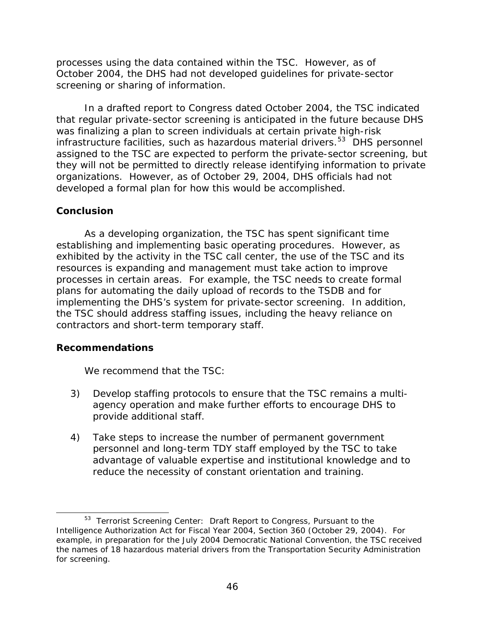<span id="page-69-0"></span>processes using the data contained within the TSC. However, as of October 2004, the DHS had not developed guidelines for private-sector screening or sharing of information.

 In a drafted report to Congress dated October 2004, the TSC indicated that regular private-sector screening is anticipated in the future because DHS was finalizing a plan to screen individuals at certain private high-risk infrastructure facilities, such as hazardous material drivers.<sup>[53](#page-69-0)</sup> DHS personnel assigned to the TSC are expected to perform the private-sector screening, but they will not be permitted to directly release identifying information to private organizations. However, as of October 29, 2004, DHS officials had not developed a formal plan for how this would be accomplished.

#### **Conclusion**

 As a developing organization, the TSC has spent significant time establishing and implementing basic operating procedures. However, as exhibited by the activity in the TSC call center, the use of the TSC and its resources is expanding and management must take action to improve processes in certain areas. For example, the TSC needs to create formal plans for automating the daily upload of records to the TSDB and for implementing the DHS's system for private-sector screening. In addition, the TSC should address staffing issues, including the heavy reliance on contractors and short-term temporary staff.

# **Recommendations**

 $\overline{a}$ 

We recommend that the TSC:

- 3) Develop staffing protocols to ensure that the TSC remains a multiagency operation and make further efforts to encourage DHS to provide additional staff.
- 4) Take steps to increase the number of permanent government personnel and long-term TDY staff employed by the TSC to take advantage of valuable expertise and institutional knowledge and to reduce the necessity of constant orientation and training.

<sup>53</sup> *Terrorist Screening Center: Draft Report to Congress, Pursuant to the Intelligence Authorization Act for Fiscal Year 2004, Section 360* (October 29, 2004). For example, in preparation for the July 2004 Democratic National Convention, the TSC received the names of 18 hazardous material drivers from the Transportation Security Administration for screening.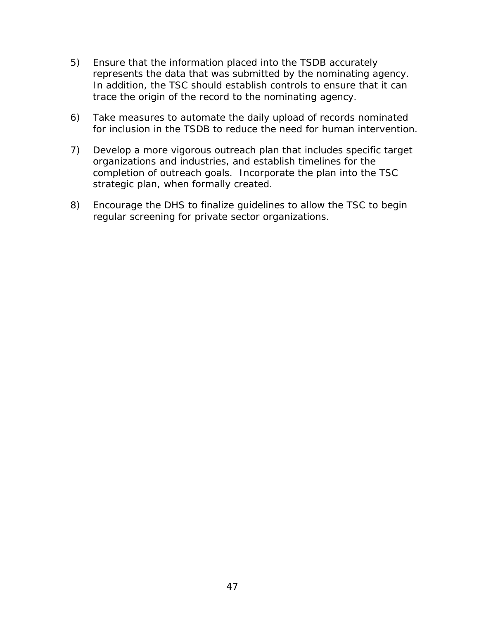- 5) Ensure that the information placed into the TSDB accurately represents the data that was submitted by the nominating agency. In addition, the TSC should establish controls to ensure that it can trace the origin of the record to the nominating agency.
- 6) Take measures to automate the daily upload of records nominated for inclusion in the TSDB to reduce the need for human intervention.
- 7) Develop a more vigorous outreach plan that includes specific target organizations and industries, and establish timelines for the completion of outreach goals. Incorporate the plan into the TSC strategic plan, when formally created.
- 8) Encourage the DHS to finalize guidelines to allow the TSC to begin regular screening for private sector organizations.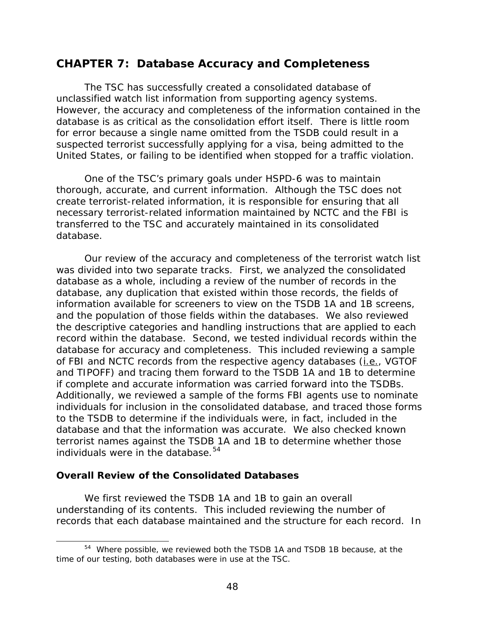# <span id="page-71-0"></span>**CHAPTER 7: Database Accuracy and Completeness**

The TSC has successfully created a consolidated database of unclassified watch list information from supporting agency systems. However, the accuracy and completeness of the information contained in the database is as critical as the consolidation effort itself. There is little room for error because a single name omitted from the TSDB could result in a suspected terrorist successfully applying for a visa, being admitted to the United States, or failing to be identified when stopped for a traffic violation.

One of the TSC's primary goals under HSPD-6 was to maintain thorough, accurate, and current information. Although the TSC does not create terrorist-related information, it is responsible for ensuring that all necessary terrorist-related information maintained by NCTC and the FBI is transferred to the TSC and accurately maintained in its consolidated database.

 Our review of the accuracy and completeness of the terrorist watch list was divided into two separate tracks. First, we analyzed the consolidated database as a whole, including a review of the number of records in the database, any duplication that existed within those records, the fields of information available for screeners to view on the TSDB 1A and 1B screens, and the population of those fields within the databases. We also reviewed the descriptive categories and handling instructions that are applied to each record within the database. Second, we tested individual records within the database for accuracy and completeness. This included reviewing a sample of FBI and NCTC records from the respective agency databases (*i.e.*, VGTOF and TIPOFF) and tracing them forward to the TSDB 1A and 1B to determine if complete and accurate information was carried forward into the TSDBs. Additionally, we reviewed a sample of the forms FBI agents use to nominate individuals for inclusion in the consolidated database, and traced those forms to the TSDB to determine if the individuals were, in fact, included in the database and that the information was accurate. We also checked known terrorist names against the TSDB 1A and 1B to determine whether those individuals were in the database. $54$ 

#### **Overall Review of the Consolidated Databases**

l

We first reviewed the TSDB 1A and 1B to gain an overall understanding of its contents. This included reviewing the number of records that each database maintained and the structure for each record. In

<sup>54</sup> Where possible, we reviewed both the TSDB 1A and TSDB 1B because, at the time of our testing, both databases were in use at the TSC.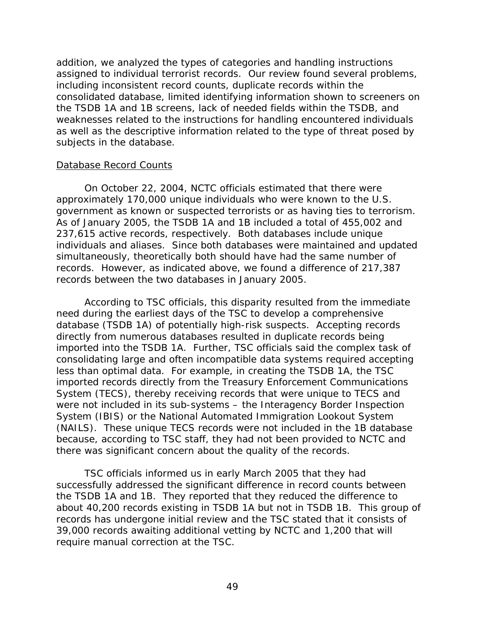addition, we analyzed the types of categories and handling instructions assigned to individual terrorist records. Our review found several problems, including inconsistent record counts, duplicate records within the consolidated database, limited identifying information shown to screeners on the TSDB 1A and 1B screens, lack of needed fields within the TSDB, and weaknesses related to the instructions for handling encountered individuals as well as the descriptive information related to the type of threat posed by subjects in the database.

### Database Record Counts

On October 22, 2004, NCTC officials estimated that there were approximately 170,000 unique individuals who were known to the U.S. government as known or suspected terrorists or as having ties to terrorism. As of January 2005, the TSDB 1A and 1B included a total of 455,002 and 237,615 active records, respectively. Both databases include unique individuals and aliases. Since both databases were maintained and updated simultaneously, theoretically both should have had the same number of records. However, as indicated above, we found a difference of 217,387 records between the two databases in January 2005.

According to TSC officials, this disparity resulted from the immediate need during the earliest days of the TSC to develop a comprehensive database (TSDB 1A) of potentially high-risk suspects. Accepting records directly from numerous databases resulted in duplicate records being imported into the TSDB 1A. Further, TSC officials said the complex task of consolidating large and often incompatible data systems required accepting less than optimal data. For example, in creating the TSDB 1A, the TSC imported records directly from the Treasury Enforcement Communications System (TECS), thereby receiving records that were unique to TECS and were not included in its sub-systems – the Interagency Border Inspection System (IBIS) or the National Automated Immigration Lookout System (NAILS). These unique TECS records were not included in the 1B database because, according to TSC staff, they had not been provided to NCTC and there was significant concern about the quality of the records.

TSC officials informed us in early March 2005 that they had successfully addressed the significant difference in record counts between the TSDB 1A and 1B. They reported that they reduced the difference to about 40,200 records existing in TSDB 1A but not in TSDB 1B. This group of records has undergone initial review and the TSC stated that it consists of 39,000 records awaiting additional vetting by NCTC and 1,200 that will require manual correction at the TSC.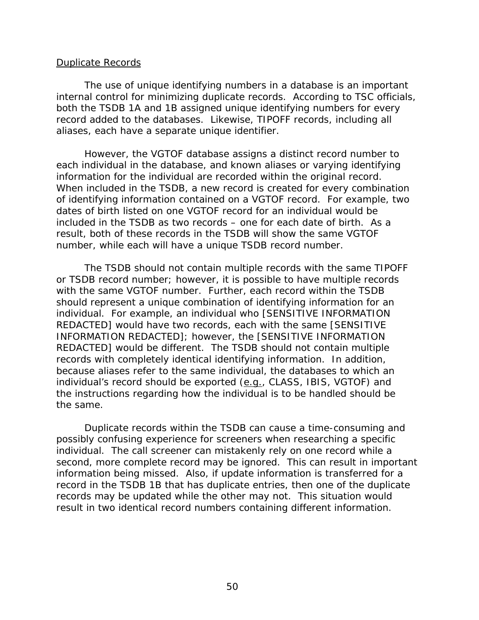#### Duplicate Records

The use of unique identifying numbers in a database is an important internal control for minimizing duplicate records. According to TSC officials, both the TSDB 1A and 1B assigned unique identifying numbers for every record added to the databases. Likewise, TIPOFF records, including all aliases, each have a separate unique identifier.

However, the VGTOF database assigns a distinct record number to each *individual* in the database, and known aliases or varying identifying information for the individual are recorded within the original record. When included in the TSDB, a new record is created for every combination of identifying information contained on a VGTOF record. For example, two dates of birth listed on one VGTOF record for an individual would be included in the TSDB as two records – one for each date of birth. As a result, both of these records in the TSDB will show the same VGTOF number, while each will have a unique TSDB record number.

The TSDB should not contain multiple records with the same TIPOFF or TSDB record number; however, it is possible to have multiple records with the same VGTOF number. Further, each record within the TSDB should represent a *unique combination* of identifying information for an individual. For example, an individual who [SENSITIVE INFORMATION REDACTED] would have two records, each with the same [SENSITIVE INFORMATION REDACTED]; however, the [SENSITIVE INFORMATION REDACTED] would be different. The TSDB should not contain multiple records with completely identical identifying information. In addition, because aliases refer to the same individual, the databases to which an individual's record should be exported  $(e.q., CLASS, IBIS, VGTOF)$  and the instructions regarding how the individual is to be handled should be the same.

Duplicate records within the TSDB can cause a time-consuming and possibly confusing experience for screeners when researching a specific individual. The call screener can mistakenly rely on one record while a second, more complete record may be ignored. This can result in important information being missed. Also, if update information is transferred for a record in the TSDB 1B that has duplicate entries, then one of the duplicate records may be updated while the other may not. This situation would result in two identical record numbers containing different information.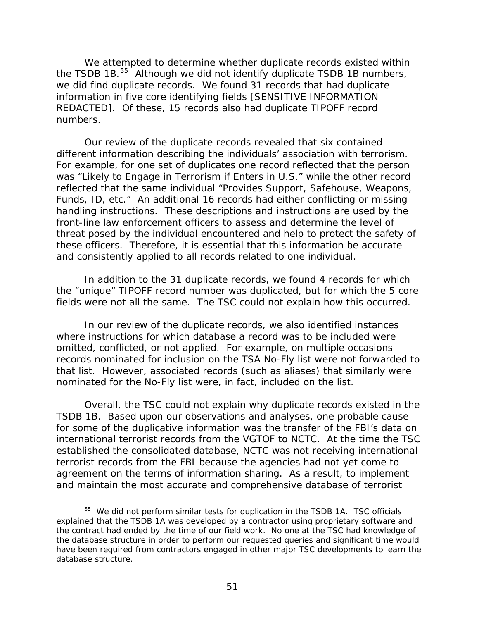<span id="page-74-0"></span>We attempted to determine whether duplicate records existed within the TSDB 1B.<sup>[55](#page-74-0)</sup> Although we did not identify duplicate TSDB 1B numbers, we did find duplicate records. We found 31 records that had duplicate information in five core identifying fields [SENSITIVE INFORMATION REDACTED]. Of these, 15 records also had duplicate TIPOFF record numbers.

Our review of the duplicate records revealed that six contained different information describing the individuals' association with terrorism. For example, for one set of duplicates one record reflected that the person was "Likely to Engage in Terrorism if Enters in U.S." while the other record reflected that the same individual "Provides Support, Safehouse, Weapons, Funds, ID, etc." An additional 16 records had either conflicting or missing handling instructions. These descriptions and instructions are used by the front-line law enforcement officers to assess and determine the level of threat posed by the individual encountered and help to protect the safety of these officers. Therefore, it is essential that this information be accurate and consistently applied to all records related to one individual.

In addition to the 31 duplicate records, we found 4 records for which the "unique" TIPOFF record number was duplicated, but for which the 5 core fields were not all the same. The TSC could not explain how this occurred.

In our review of the duplicate records, we also identified instances where instructions for which database a record was to be included were omitted, conflicted, or not applied. For example, on multiple occasions records nominated for inclusion on the TSA No-Fly list were not forwarded to that list. However, associated records (such as aliases) that similarly were nominated for the No-Fly list were, in fact, included on the list.

Overall, the TSC could not explain why duplicate records existed in the TSDB 1B. Based upon our observations and analyses, one probable cause for some of the duplicative information was the transfer of the FBI's data on international terrorist records from the VGTOF to NCTC. At the time the TSC established the consolidated database, NCTC was not receiving international terrorist records from the FBI because the agencies had not yet come to agreement on the terms of information sharing. As a result, to implement and maintain the most accurate and comprehensive database of terrorist

 $\overline{a}$ 

<sup>&</sup>lt;sup>55</sup> We did not perform similar tests for duplication in the TSDB 1A. TSC officials explained that the TSDB 1A was developed by a contractor using proprietary software and the contract had ended by the time of our field work. No one at the TSC had knowledge of the database structure in order to perform our requested queries and significant time would have been required from contractors engaged in other major TSC developments to learn the database structure.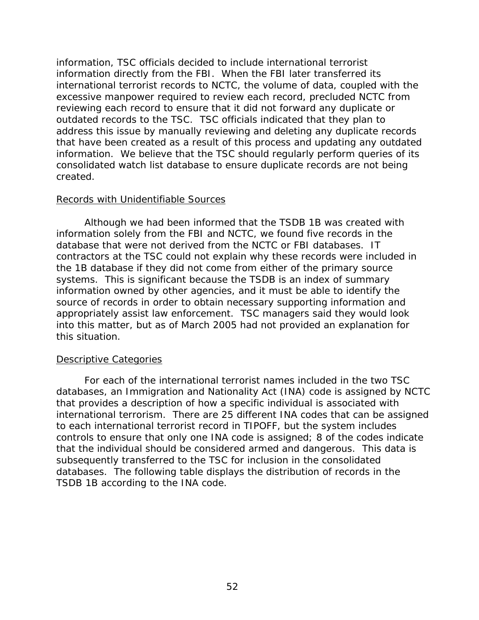information, TSC officials decided to include international terrorist information directly from the FBI. When the FBI later transferred its international terrorist records to NCTC, the volume of data, coupled with the excessive manpower required to review each record, precluded NCTC from reviewing each record to ensure that it did not forward any duplicate or outdated records to the TSC. TSC officials indicated that they plan to address this issue by manually reviewing and deleting any duplicate records that have been created as a result of this process and updating any outdated information. We believe that the TSC should regularly perform queries of its consolidated watch list database to ensure duplicate records are not being created.

### Records with Unidentifiable Sources

Although we had been informed that the TSDB 1B was created with information solely from the FBI and NCTC, we found five records in the database that were not derived from the NCTC or FBI databases. IT contractors at the TSC could not explain why these records were included in the 1B database if they did not come from either of the primary source systems. This is significant because the TSDB is an index of summary information owned by other agencies, and it must be able to identify the source of records in order to obtain necessary supporting information and appropriately assist law enforcement. TSC managers said they would look into this matter, but as of March 2005 had not provided an explanation for this situation.

### Descriptive Categories

For each of the international terrorist names included in the two TSC databases, an Immigration and Nationality Act (INA) code is assigned by NCTC that provides a description of how a specific individual is associated with international terrorism. There are 25 different INA codes that can be assigned to each international terrorist record in TIPOFF, but the system includes controls to ensure that only one INA code is assigned; 8 of the codes indicate that the individual should be considered armed and dangerous. This data is subsequently transferred to the TSC for inclusion in the consolidated databases. The following table displays the distribution of records in the TSDB 1B according to the INA code.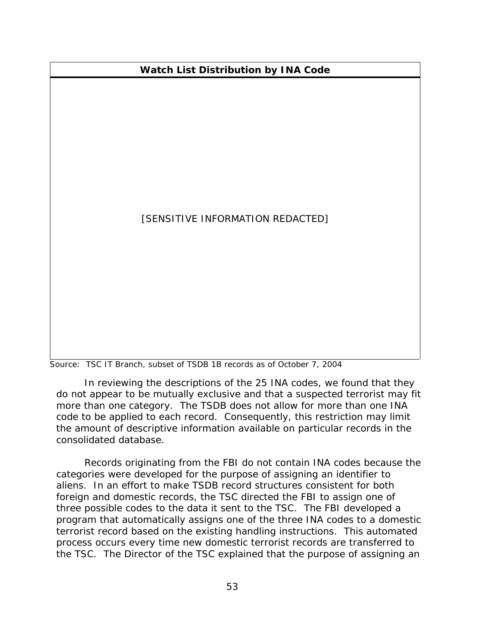# **Watch List Distribution by INA Code**

# [SENSITIVE INFORMATION REDACTED]

Source: TSC IT Branch, subset of TSDB 1B records as of October 7, 2004

In reviewing the descriptions of the 25 INA codes, we found that they do not appear to be mutually exclusive and that a suspected terrorist may fit more than one category. The TSDB does not allow for more than one INA code to be applied to each record. Consequently, this restriction may limit the amount of descriptive information available on particular records in the consolidated database.

Records originating from the FBI do not contain INA codes because the categories were developed for the purpose of assigning an identifier to aliens. In an effort to make TSDB record structures consistent for both foreign and domestic records, the TSC directed the FBI to assign one of three possible codes to the data it sent to the TSC. The FBI developed a program that automatically assigns one of the three INA codes to a domestic terrorist record based on the existing handling instructions. This automated process occurs every time new domestic terrorist records are transferred to the TSC. The Director of the TSC explained that the purpose of assigning an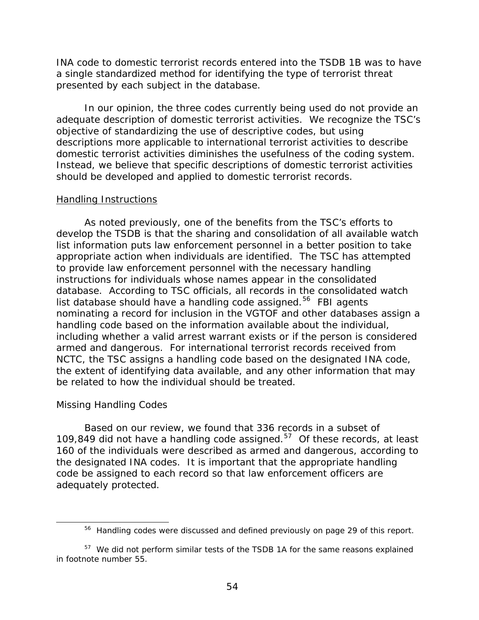<span id="page-77-0"></span>INA code to domestic terrorist records entered into the TSDB 1B was to have a single standardized method for identifying the type of terrorist threat presented by each subject in the database.

In our opinion, the three codes currently being used do not provide an adequate description of domestic terrorist activities. We recognize the TSC's objective of standardizing the use of descriptive codes, but using descriptions more applicable to international terrorist activities to describe domestic terrorist activities diminishes the usefulness of the coding system. Instead, we believe that specific descriptions of domestic terrorist activities should be developed and applied to domestic terrorist records.

#### Handling Instructions

As noted previously, one of the benefits from the TSC's efforts to develop the TSDB is that the sharing and consolidation of all available watch list information puts law enforcement personnel in a better position to take appropriate action when individuals are identified. The TSC has attempted to provide law enforcement personnel with the necessary handling instructions for individuals whose names appear in the consolidated database. According to TSC officials, all records in the consolidated watch list database should have a handling code assigned.<sup>[56](#page-77-0)</sup> FBI agents nominating a record for inclusion in the VGTOF and other databases assign a handling code based on the information available about the individual, including whether a valid arrest warrant exists or if the person is considered armed and dangerous. For international terrorist records received from NCTC, the TSC assigns a handling code based on the designated INA code, the extent of identifying data available, and any other information that may be related to how the individual should be treated.

### *Missing Handling Codes*

 $\overline{a}$ 

Based on our review, we found that 336 records in a subset of 109,849 did not have a handling code assigned. $57$  Of these records, at least 160 of the individuals were described as armed and dangerous, according to the designated INA codes. It is important that the appropriate handling code be assigned to each record so that law enforcement officers are adequately protected.

<sup>&</sup>lt;sup>56</sup> Handling codes were discussed and defined previously on page 29 of this report.

 $57$  We did not perform similar tests of the TSDB 1A for the same reasons explained in footnote number 55.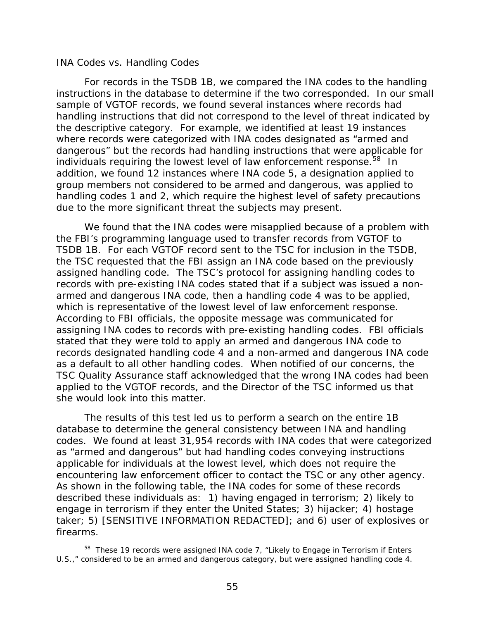#### <span id="page-78-0"></span>*INA Codes vs. Handling Codes*

 $\overline{a}$ 

For records in the TSDB 1B, we compared the INA codes to the handling instructions in the database to determine if the two corresponded. In our small sample of VGTOF records, we found several instances where records had handling instructions that did not correspond to the level of threat indicated by the descriptive category. For example, we identified at least 19 instances where records were categorized with INA codes designated as "armed and dangerous" but the records had handling instructions that were applicable for individuals requiring the lowest level of law enforcement response.<sup>[58](#page-78-0)</sup> In addition, we found 12 instances where INA code 5, a designation applied to group members not considered to be armed and dangerous, was applied to handling codes 1 and 2, which require the highest level of safety precautions due to the more significant threat the subjects may present.

We found that the INA codes were misapplied because of a problem with the FBI's programming language used to transfer records from VGTOF to TSDB 1B. For each VGTOF record sent to the TSC for inclusion in the TSDB, the TSC requested that the FBI assign an INA code based on the previously assigned handling code. The TSC's protocol for assigning handling codes to records with pre-existing INA codes stated that if a subject was issued a nonarmed and dangerous INA code, then a handling code 4 was to be applied, which is representative of the lowest level of law enforcement response. According to FBI officials, the opposite message was communicated for assigning INA codes to records with pre-existing handling codes. FBI officials stated that they were told to apply an armed and dangerous INA code to records designated handling code 4 and a non-armed and dangerous INA code as a default to all other handling codes. When notified of our concerns, the TSC Quality Assurance staff acknowledged that the wrong INA codes had been applied to the VGTOF records, and the Director of the TSC informed us that she would look into this matter.

The results of this test led us to perform a search on the entire 1B database to determine the general consistency between INA and handling codes. We found at least 31,954 records with INA codes that were categorized as "armed and dangerous" but had handling codes conveying instructions applicable for individuals at the lowest level, which does not require the encountering law enforcement officer to contact the TSC or any other agency. As shown in the following table, the INA codes for some of these records described these individuals as: 1) having engaged in terrorism; 2) likely to engage in terrorism if they enter the United States; 3) hijacker; 4) hostage taker; 5) [SENSITIVE INFORMATION REDACTED]; and 6) user of explosives or firearms.

<sup>&</sup>lt;sup>58</sup> These 19 records were assigned INA code 7, "Likely to Engage in Terrorism if Enters U.S.," considered to be an armed and dangerous category, but were assigned handling code 4.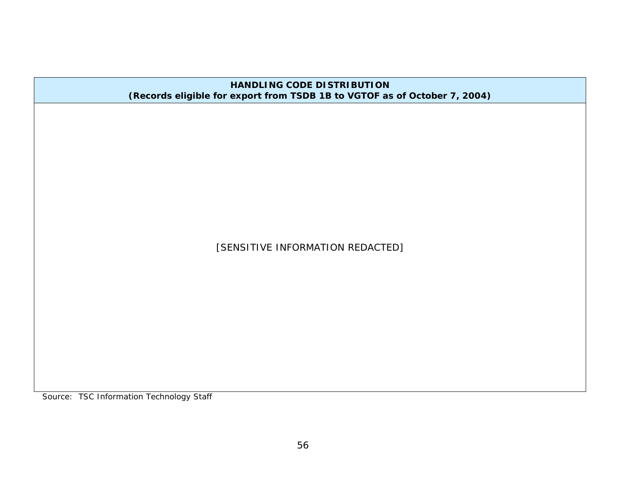| <b>HANDLING CODE DISTRIBUTION</b><br>(Records eligible for export from TSDB 1B to VGTOF as of October 7, 2004) |
|----------------------------------------------------------------------------------------------------------------|
|                                                                                                                |
|                                                                                                                |
|                                                                                                                |
|                                                                                                                |
|                                                                                                                |
| [SENSITIVE INFORMATION REDACTED]                                                                               |
|                                                                                                                |
|                                                                                                                |
|                                                                                                                |
|                                                                                                                |
|                                                                                                                |

Source: TSC Information Technology Staff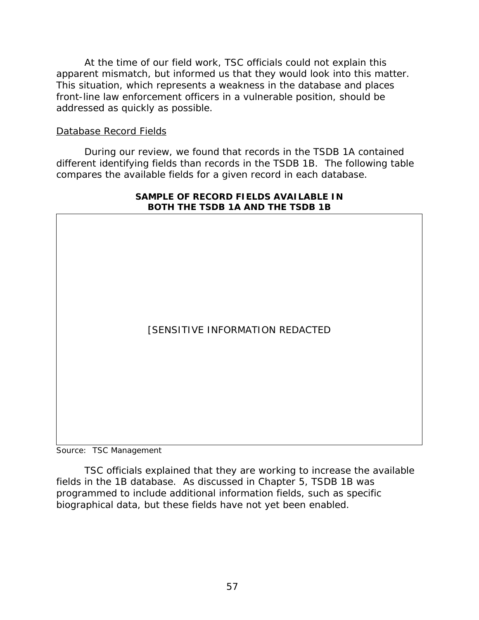At the time of our field work, TSC officials could not explain this apparent mismatch, but informed us that they would look into this matter. This situation, which represents a weakness in the database and places front-line law enforcement officers in a vulnerable position, should be addressed as quickly as possible.

### Database Record Fields

During our review, we found that records in the TSDB 1A contained different identifying fields than records in the TSDB 1B. The following table compares the available fields for a given record in each database.



#### **SAMPLE OF RECORD FIELDS AVAILABLE IN BOTH THE TSDB 1A AND THE TSDB 1B**

Source: TSC Management

TSC officials explained that they are working to increase the available fields in the 1B database. As discussed in Chapter 5, TSDB 1B was programmed to include additional information fields, such as specific biographical data, but these fields have not yet been enabled.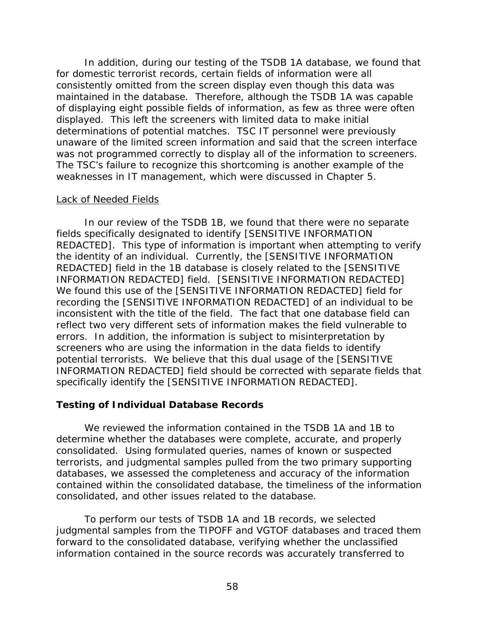In addition, during our testing of the TSDB 1A database, we found that for domestic terrorist records, certain fields of information were all consistently omitted from the screen display even though this data was maintained in the database. Therefore, although the TSDB 1A was capable of displaying eight possible fields of information, as few as three were often displayed. This left the screeners with limited data to make initial determinations of potential matches. TSC IT personnel were previously unaware of the limited screen information and said that the screen interface was not programmed correctly to display all of the information to screeners. The TSC's failure to recognize this shortcoming is another example of the weaknesses in IT management, which were discussed in Chapter 5.

#### Lack of Needed Fields

In our review of the TSDB 1B, we found that there were no separate fields specifically designated to identify [SENSITIVE INFORMATION REDACTED]. This type of information is important when attempting to verify the identity of an individual. Currently, the [SENSITIVE INFORMATION REDACTED] field in the 1B database is closely related to the [SENSITIVE INFORMATION REDACTED] field. [SENSITIVE INFORMATION REDACTED] We found this use of the [SENSITIVE INFORMATION REDACTED] field for recording the [SENSITIVE INFORMATION REDACTED] of an individual to be inconsistent with the title of the field. The fact that one database field can reflect two very different sets of information makes the field vulnerable to errors. In addition, the information is subject to misinterpretation by screeners who are using the information in the data fields to identify potential terrorists. We believe that this dual usage of the [SENSITIVE INFORMATION REDACTED] field should be corrected with separate fields that specifically identify the [SENSITIVE INFORMATION REDACTED].

## **Testing of Individual Database Records**

We reviewed the information contained in the TSDB 1A and 1B to determine whether the databases were complete, accurate, and properly consolidated. Using formulated queries, names of known or suspected terrorists, and judgmental samples pulled from the two primary supporting databases, we assessed the completeness and accuracy of the information contained within the consolidated database, the timeliness of the information consolidated, and other issues related to the database.

 To perform our tests of TSDB 1A and 1B records, we selected judgmental samples from the TIPOFF and VGTOF databases and traced them forward to the consolidated database, verifying whether the unclassified information contained in the source records was accurately transferred to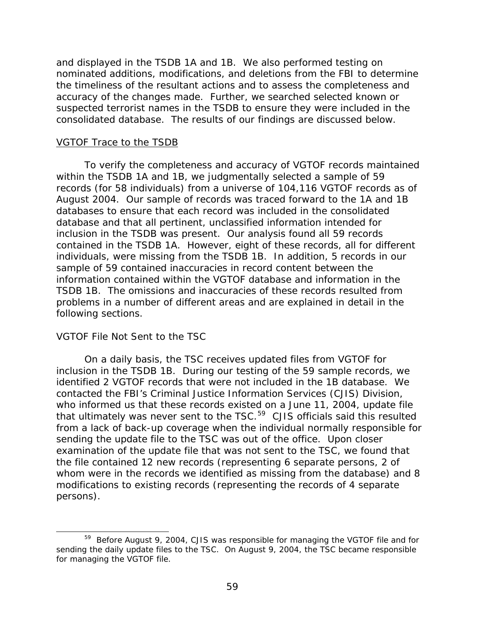<span id="page-82-0"></span>and displayed in the TSDB 1A and 1B. We also performed testing on nominated additions, modifications, and deletions from the FBI to determine the timeliness of the resultant actions and to assess the completeness and accuracy of the changes made. Further, we searched selected known or suspected terrorist names in the TSDB to ensure they were included in the consolidated database. The results of our findings are discussed below.

### VGTOF Trace to the TSDB

 To verify the completeness and accuracy of VGTOF records maintained within the TSDB 1A and 1B, we judgmentally selected a sample of 59 records (for 58 individuals) from a universe of 104,116 VGTOF records as of August 2004. Our sample of records was traced forward to the 1A and 1B databases to ensure that each record was included in the consolidated database and that all pertinent, unclassified information intended for inclusion in the TSDB was present. Our analysis found all 59 records contained in the TSDB 1A. However, eight of these records, all for different individuals, were missing from the TSDB 1B. In addition, 5 records in our sample of 59 contained inaccuracies in record content between the information contained within the VGTOF database and information in the TSDB 1B. The omissions and inaccuracies of these records resulted from problems in a number of different areas and are explained in detail in the following sections.

## *VGTOF File Not Sent to the TSC*

 $\overline{a}$ 

 On a daily basis, the TSC receives updated files from VGTOF for inclusion in the TSDB 1B. During our testing of the 59 sample records, we identified 2 VGTOF records that were not included in the 1B database. We contacted the FBI's Criminal Justice Information Services (CJIS) Division, who informed us that these records existed on a June 11, 2004, update file that ultimately was never sent to the TSC.<sup>[59](#page-82-0)</sup> CJIS officials said this resulted from a lack of back-up coverage when the individual normally responsible for sending the update file to the TSC was out of the office. Upon closer examination of the update file that was not sent to the TSC, we found that the file contained 12 new records (representing 6 separate persons, 2 of whom were in the records we identified as missing from the database) and 8 modifications to existing records (representing the records of 4 separate persons).

<sup>59</sup> Before August 9, 2004, CJIS was responsible for managing the VGTOF file and for sending the daily update files to the TSC. On August 9, 2004, the TSC became responsible for managing the VGTOF file.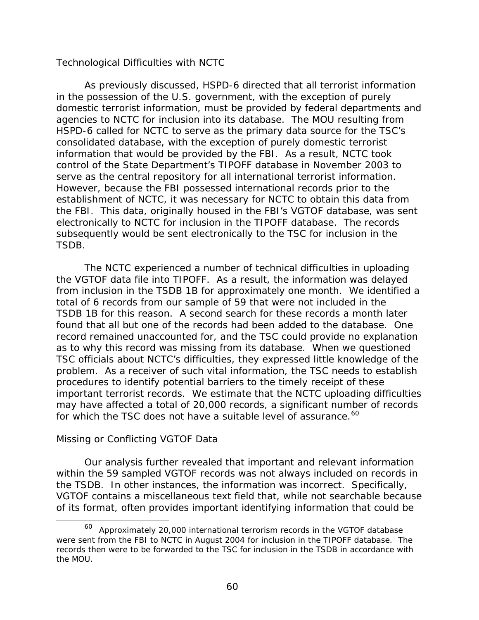### <span id="page-83-0"></span>*Technological Difficulties with NCTC*

 As previously discussed, HSPD-6 directed that all terrorist information in the possession of the U.S. government, with the exception of purely domestic terrorist information, must be provided by federal departments and agencies to NCTC for inclusion into its database. The MOU resulting from HSPD-6 called for NCTC to serve as the primary data source for the TSC's consolidated database, with the exception of purely domestic terrorist information that would be provided by the FBI. As a result, NCTC took control of the State Department's TIPOFF database in November 2003 to serve as the central repository for all international terrorist information. However, because the FBI possessed international records prior to the establishment of NCTC, it was necessary for NCTC to obtain this data from the FBI. This data, originally housed in the FBI's VGTOF database, was sent electronically to NCTC for inclusion in the TIPOFF database. The records subsequently would be sent electronically to the TSC for inclusion in the TSDB.

 The NCTC experienced a number of technical difficulties in uploading the VGTOF data file into TIPOFF. As a result, the information was delayed from inclusion in the TSDB 1B for approximately one month. We identified a total of 6 records from our sample of 59 that were not included in the TSDB 1B for this reason. A second search for these records a month later found that all but one of the records had been added to the database. One record remained unaccounted for, and the TSC could provide no explanation as to why this record was missing from its database. When we questioned TSC officials about NCTC's difficulties, they expressed little knowledge of the problem. As a receiver of such vital information, the TSC needs to establish procedures to identify potential barriers to the timely receipt of these important terrorist records. We estimate that the NCTC uploading difficulties may have affected a total of 20,000 records, a significant number of records for which the TSC does not have a suitable level of assurance.<sup>[60](#page-83-0)</sup>

## *Missing or Conflicting VGTOF Data*

 $\overline{a}$ 

 Our analysis further revealed that important and relevant information within the 59 sampled VGTOF records was not always included on records in the TSDB. In other instances, the information was incorrect. Specifically, VGTOF contains a miscellaneous text field that, while not searchable because of its format, often provides important identifying information that could be

 $60$  Approximately 20,000 international terrorism records in the VGTOF database were sent from the FBI to NCTC in August 2004 for inclusion in the TIPOFF database. The records then were to be forwarded to the TSC for inclusion in the TSDB in accordance with the MOU.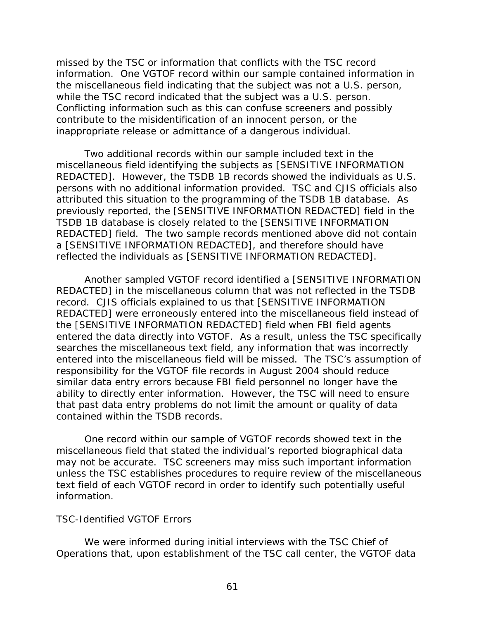missed by the TSC or information that conflicts with the TSC record information. One VGTOF record within our sample contained information in the miscellaneous field indicating that the subject was not a U.S. person, while the TSC record indicated that the subject was a U.S. person. Conflicting information such as this can confuse screeners and possibly contribute to the misidentification of an innocent person, or the inappropriate release or admittance of a dangerous individual.

Two additional records within our sample included text in the miscellaneous field identifying the subjects as [SENSITIVE INFORMATION REDACTED]. However, the TSDB 1B records showed the individuals as U.S. persons with no additional information provided. TSC and CJIS officials also attributed this situation to the programming of the TSDB 1B database. As previously reported, the [SENSITIVE INFORMATION REDACTED] field in the TSDB 1B database is closely related to the [SENSITIVE INFORMATION REDACTED] field. The two sample records mentioned above did not contain a [SENSITIVE INFORMATION REDACTED], and therefore should have reflected the individuals as [SENSITIVE INFORMATION REDACTED].

Another sampled VGTOF record identified a [SENSITIVE INFORMATION REDACTED] in the miscellaneous column that was not reflected in the TSDB record. CJIS officials explained to us that [SENSITIVE INFORMATION REDACTED] were erroneously entered into the miscellaneous field instead of the [SENSITIVE INFORMATION REDACTED] field when FBI field agents entered the data directly into VGTOF. As a result, unless the TSC specifically searches the miscellaneous text field, any information that was incorrectly entered into the miscellaneous field will be missed. The TSC's assumption of responsibility for the VGTOF file records in August 2004 should reduce similar data entry errors because FBI field personnel no longer have the ability to directly enter information. However, the TSC will need to ensure that past data entry problems do not limit the amount or quality of data contained within the TSDB records.

 One record within our sample of VGTOF records showed text in the miscellaneous field that stated the individual's reported biographical data may not be accurate. TSC screeners may miss such important information unless the TSC establishes procedures to require review of the miscellaneous text field of each VGTOF record in order to identify such potentially useful information.

#### *TSC-Identified VGTOF Errors*

We were informed during initial interviews with the TSC Chief of Operations that, upon establishment of the TSC call center, the VGTOF data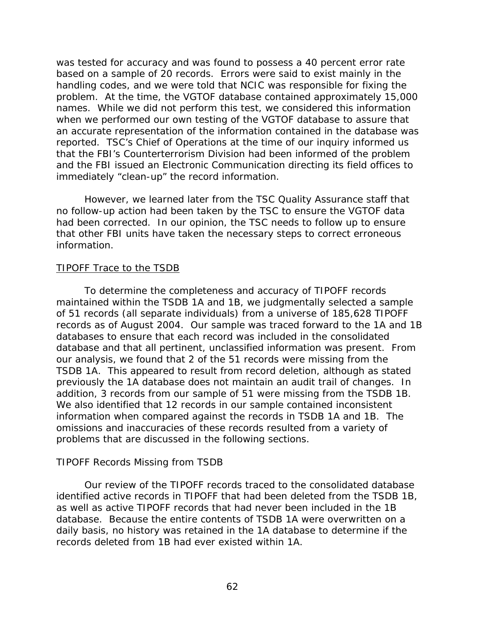was tested for accuracy and was found to possess a 40 percent error rate based on a sample of 20 records. Errors were said to exist mainly in the handling codes, and we were told that NCIC was responsible for fixing the problem. At the time, the VGTOF database contained approximately 15,000 names. While we did not perform this test, we considered this information when we performed our own testing of the VGTOF database to assure that an accurate representation of the information contained in the database was reported. TSC's Chief of Operations at the time of our inquiry informed us that the FBI's Counterterrorism Division had been informed of the problem and the FBI issued an Electronic Communication directing its field offices to immediately "clean-up" the record information.

 However, we learned later from the TSC Quality Assurance staff that no follow-up action had been taken by the TSC to ensure the VGTOF data had been corrected. In our opinion, the TSC needs to follow up to ensure that other FBI units have taken the necessary steps to correct erroneous information.

### TIPOFF Trace to the TSDB

 To determine the completeness and accuracy of TIPOFF records maintained within the TSDB 1A and 1B, we judgmentally selected a sample of 51 records (all separate individuals) from a universe of 185,628 TIPOFF records as of August 2004. Our sample was traced forward to the 1A and 1B databases to ensure that each record was included in the consolidated database and that all pertinent, unclassified information was present. From our analysis, we found that 2 of the 51 records were missing from the TSDB 1A. This appeared to result from record deletion, although as stated previously the 1A database does not maintain an audit trail of changes. In addition, 3 records from our sample of 51 were missing from the TSDB 1B. We also identified that 12 records in our sample contained inconsistent information when compared against the records in TSDB 1A and 1B. The omissions and inaccuracies of these records resulted from a variety of problems that are discussed in the following sections.

### *TIPOFF Records Missing from TSDB*

 Our review of the TIPOFF records traced to the consolidated database identified active records in TIPOFF that had been deleted from the TSDB 1B, as well as active TIPOFF records that had never been included in the 1B database. Because the entire contents of TSDB 1A were overwritten on a daily basis, no history was retained in the 1A database to determine if the records deleted from 1B had ever existed within 1A.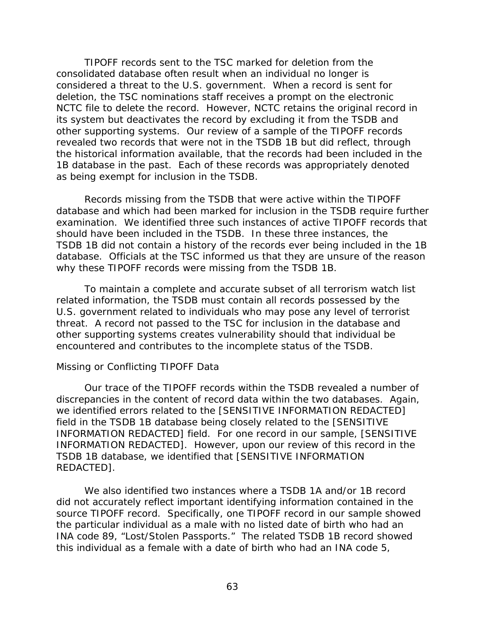TIPOFF records sent to the TSC marked for deletion from the consolidated database often result when an individual no longer is considered a threat to the U.S. government. When a record is sent for deletion, the TSC nominations staff receives a prompt on the electronic NCTC file to delete the record. However, NCTC retains the original record in its system but deactivates the record by excluding it from the TSDB and other supporting systems. Our review of a sample of the TIPOFF records revealed two records that were not in the TSDB 1B but did reflect, through the historical information available, that the records had been included in the 1B database in the past. Each of these records was appropriately denoted as being exempt for inclusion in the TSDB.

 Records missing from the TSDB that were active within the TIPOFF database and which had been marked for inclusion in the TSDB require further examination. We identified three such instances of active TIPOFF records that should have been included in the TSDB. In these three instances, the TSDB 1B did not contain a history of the records ever being included in the 1B database. Officials at the TSC informed us that they are unsure of the reason why these TIPOFF records were missing from the TSDB 1B.

To maintain a complete and accurate subset of all terrorism watch list related information, the TSDB must contain all records possessed by the U.S. government related to individuals who may pose any level of terrorist threat. A record not passed to the TSC for inclusion in the database and other supporting systems creates vulnerability should that individual be encountered and contributes to the incomplete status of the TSDB.

### *Missing or Conflicting TIPOFF Data*

 Our trace of the TIPOFF records within the TSDB revealed a number of discrepancies in the content of record data within the two databases. Again, we identified errors related to the [SENSITIVE INFORMATION REDACTED] field in the TSDB 1B database being closely related to the [SENSITIVE INFORMATION REDACTED] field. For one record in our sample, [SENSITIVE INFORMATION REDACTED]. However, upon our review of this record in the TSDB 1B database, we identified that [SENSITIVE INFORMATION REDACTED].

We also identified two instances where a TSDB 1A and/or 1B record did not accurately reflect important identifying information contained in the source TIPOFF record. Specifically, one TIPOFF record in our sample showed the particular individual as a male with no listed date of birth who had an INA code 89, "Lost/Stolen Passports." The related TSDB 1B record showed this individual as a female with a date of birth who had an INA code 5,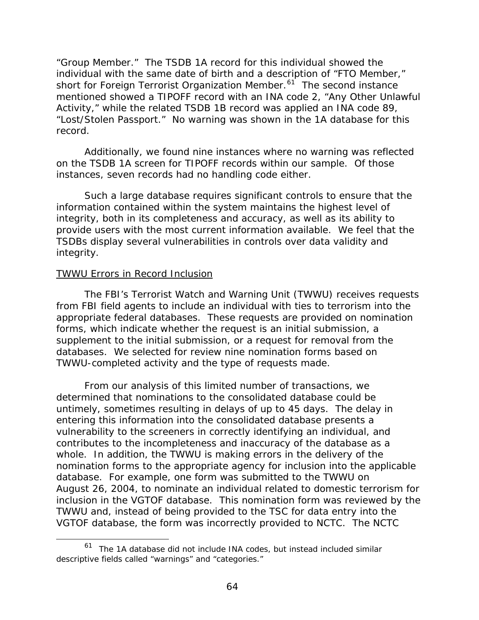<span id="page-87-0"></span>"Group Member." The TSDB 1A record for this individual showed the individual with the same date of birth and a description of "FTO Member," short for Foreign Terrorist Organization Member.<sup>[61](#page-87-0)</sup> The second instance mentioned showed a TIPOFF record with an INA code 2, "Any Other Unlawful Activity," while the related TSDB 1B record was applied an INA code 89, "Lost/Stolen Passport." No warning was shown in the 1A database for this record.

Additionally, we found nine instances where no warning was reflected on the TSDB 1A screen for TIPOFF records within our sample. Of those instances, seven records had no handling code either.

Such a large database requires significant controls to ensure that the information contained within the system maintains the highest level of integrity, both in its completeness and accuracy, as well as its ability to provide users with the most current information available. We feel that the TSDBs display several vulnerabilities in controls over data validity and integrity.

#### TWWU Errors in Record Inclusion

 $\overline{a}$ 

The FBI's Terrorist Watch and Warning Unit (TWWU) receives requests from FBI field agents to include an individual with ties to terrorism into the appropriate federal databases. These requests are provided on nomination forms, which indicate whether the request is an initial submission, a supplement to the initial submission, or a request for removal from the databases. We selected for review nine nomination forms based on TWWU-completed activity and the type of requests made.

From our analysis of this limited number of transactions, we determined that nominations to the consolidated database could be untimely, sometimes resulting in delays of up to 45 days. The delay in entering this information into the consolidated database presents a vulnerability to the screeners in correctly identifying an individual, and contributes to the incompleteness and inaccuracy of the database as a whole. In addition, the TWWU is making errors in the delivery of the nomination forms to the appropriate agency for inclusion into the applicable database. For example, one form was submitted to the TWWU on August 26, 2004, to nominate an individual related to domestic terrorism for inclusion in the VGTOF database. This nomination form was reviewed by the TWWU and, instead of being provided to the TSC for data entry into the VGTOF database, the form was incorrectly provided to NCTC. The NCTC

 $61$  The 1A database did not include INA codes, but instead included similar descriptive fields called "warnings" and "categories."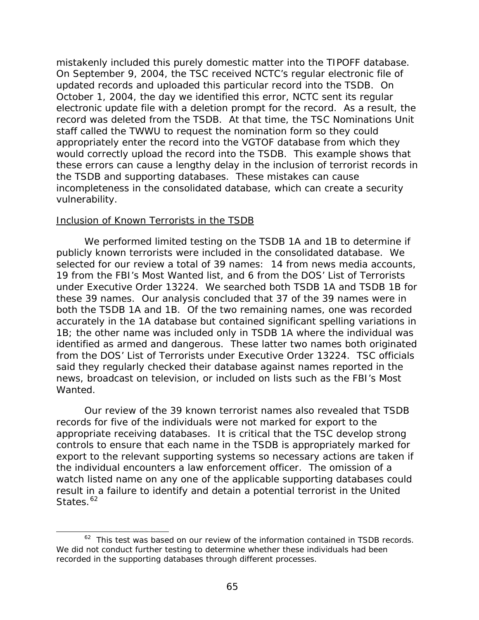<span id="page-88-0"></span>mistakenly included this purely domestic matter into the TIPOFF database. On September 9, 2004, the TSC received NCTC's regular electronic file of updated records and uploaded this particular record into the TSDB. On October 1, 2004, the day we identified this error, NCTC sent its regular electronic update file with a deletion prompt for the record. As a result, the record was deleted from the TSDB. At that time, the TSC Nominations Unit staff called the TWWU to request the nomination form so they could appropriately enter the record into the VGTOF database from which they would correctly upload the record into the TSDB. This example shows that these errors can cause a lengthy delay in the inclusion of terrorist records in the TSDB and supporting databases. These mistakes can cause incompleteness in the consolidated database, which can create a security vulnerability.

#### Inclusion of Known Terrorists in the TSDB

 $\overline{a}$ 

 We performed limited testing on the TSDB 1A and 1B to determine if publicly known terrorists were included in the consolidated database. We selected for our review a total of 39 names: 14 from news media accounts, 19 from the FBI's Most Wanted list, and 6 from the DOS' List of Terrorists under Executive Order 13224. We searched both TSDB 1A and TSDB 1B for these 39 names. Our analysis concluded that 37 of the 39 names were in both the TSDB 1A and 1B. Of the two remaining names, one was recorded accurately in the 1A database but contained significant spelling variations in 1B; the other name was included only in TSDB 1A where the individual was identified as armed and dangerous. These latter two names both originated from the DOS' List of Terrorists under Executive Order 13224. TSC officials said they regularly checked their database against names reported in the news, broadcast on television, or included on lists such as the FBI's Most Wanted.

Our review of the 39 known terrorist names also revealed that TSDB records for five of the individuals were not marked for export to the appropriate receiving databases. It is critical that the TSC develop strong controls to ensure that each name in the TSDB is appropriately marked for export to the relevant supporting systems so necessary actions are taken if the individual encounters a law enforcement officer. The omission of a watch listed name on any one of the applicable supporting databases could result in a failure to identify and detain a potential terrorist in the United States.<sup>[62](#page-88-0)</sup>

 $62$  This test was based on our review of the information contained in TSDB records. We did not conduct further testing to determine whether these individuals had been recorded in the supporting databases through different processes.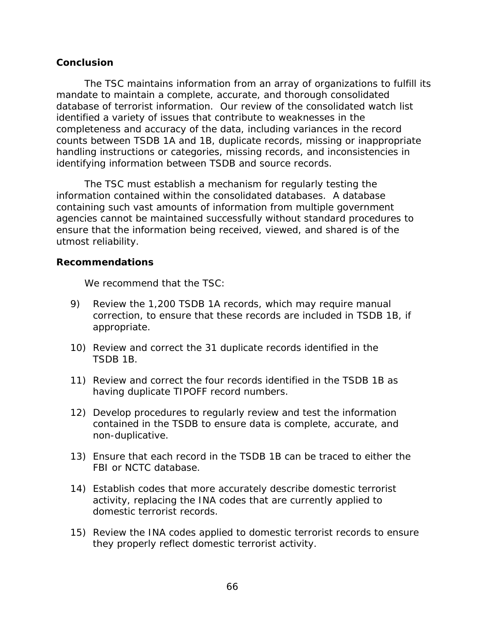### **Conclusion**

The TSC maintains information from an array of organizations to fulfill its mandate to maintain a complete, accurate, and thorough consolidated database of terrorist information. Our review of the consolidated watch list identified a variety of issues that contribute to weaknesses in the completeness and accuracy of the data, including variances in the record counts between TSDB 1A and 1B, duplicate records, missing or inappropriate handling instructions or categories, missing records, and inconsistencies in identifying information between TSDB and source records.

The TSC must establish a mechanism for regularly testing the information contained within the consolidated databases. A database containing such vast amounts of information from multiple government agencies cannot be maintained successfully without standard procedures to ensure that the information being received, viewed, and shared is of the utmost reliability.

### **Recommendations**

We recommend that the TSC:

- 9) Review the 1,200 TSDB 1A records, which may require manual correction, to ensure that these records are included in TSDB 1B, if appropriate.
- 10) Review and correct the 31 duplicate records identified in the TSDB 1B.
- 11) Review and correct the four records identified in the TSDB 1B as having duplicate TIPOFF record numbers.
- 12) Develop procedures to regularly review and test the information contained in the TSDB to ensure data is complete, accurate, and non-duplicative.
- 13) Ensure that each record in the TSDB 1B can be traced to either the FBI or NCTC database.
- 14) Establish codes that more accurately describe domestic terrorist activity, replacing the INA codes that are currently applied to domestic terrorist records.
- 15) Review the INA codes applied to domestic terrorist records to ensure they properly reflect domestic terrorist activity.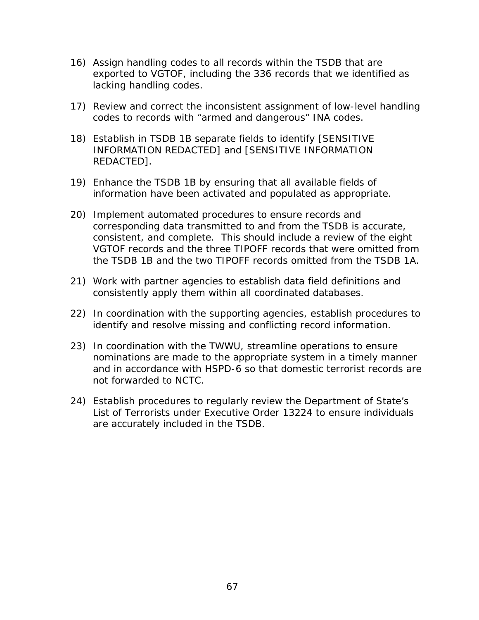- 16) Assign handling codes to all records within the TSDB that are exported to VGTOF, including the 336 records that we identified as lacking handling codes.
- 17) Review and correct the inconsistent assignment of low-level handling codes to records with "armed and dangerous" INA codes.
- 18) Establish in TSDB 1B separate fields to identify [SENSITIVE INFORMATION REDACTED] and [SENSITIVE INFORMATION REDACTED].
- 19) Enhance the TSDB 1B by ensuring that all available fields of information have been activated and populated as appropriate.
- 20) Implement automated procedures to ensure records and corresponding data transmitted to and from the TSDB is accurate, consistent, and complete. This should include a review of the eight VGTOF records and the three TIPOFF records that were omitted from the TSDB 1B and the two TIPOFF records omitted from the TSDB 1A.
- 21) Work with partner agencies to establish data field definitions and consistently apply them within all coordinated databases.
- 22) In coordination with the supporting agencies, establish procedures to identify and resolve missing and conflicting record information.
- 23) In coordination with the TWWU, streamline operations to ensure nominations are made to the appropriate system in a timely manner and in accordance with HSPD-6 so that domestic terrorist records are not forwarded to NCTC.
- 24) Establish procedures to regularly review the Department of State's List of Terrorists under Executive Order 13224 to ensure individuals are accurately included in the TSDB.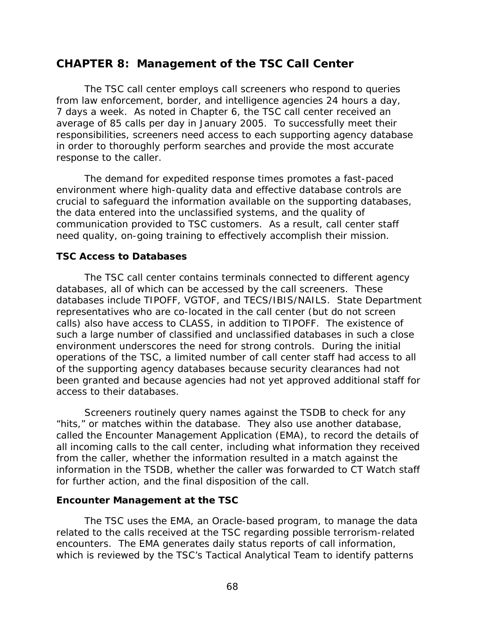# **CHAPTER 8: Management of the TSC Call Center**

The TSC call center employs call screeners who respond to queries from law enforcement, border, and intelligence agencies 24 hours a day, 7 days a week. As noted in Chapter 6, the TSC call center received an average of 85 calls per day in January 2005. To successfully meet their responsibilities, screeners need access to each supporting agency database in order to thoroughly perform searches and provide the most accurate response to the caller.

The demand for expedited response times promotes a fast-paced environment where high-quality data and effective database controls are crucial to safeguard the information available on the supporting databases, the data entered into the unclassified systems, and the quality of communication provided to TSC customers. As a result, call center staff need quality, on-going training to effectively accomplish their mission.

## **TSC Access to Databases**

The TSC call center contains terminals connected to different agency databases, all of which can be accessed by the call screeners. These databases include TIPOFF, VGTOF, and TECS/IBIS/NAILS. State Department representatives who are co-located in the call center (but do not screen calls) also have access to CLASS, in addition to TIPOFF. The existence of such a large number of classified and unclassified databases in such a close environment underscores the need for strong controls. During the initial operations of the TSC, a limited number of call center staff had access to all of the supporting agency databases because security clearances had not been granted and because agencies had not yet approved additional staff for access to their databases.

 Screeners routinely query names against the TSDB to check for any "hits," or matches within the database. They also use another database, called the Encounter Management Application (EMA), to record the details of all incoming calls to the call center, including what information they received from the caller, whether the information resulted in a match against the information in the TSDB, whether the caller was forwarded to CT Watch staff for further action, and the final disposition of the call.

### **Encounter Management at the TSC**

The TSC uses the EMA, an Oracle-based program, to manage the data related to the calls received at the TSC regarding possible terrorism-related encounters. The EMA generates daily status reports of call information, which is reviewed by the TSC's Tactical Analytical Team to identify patterns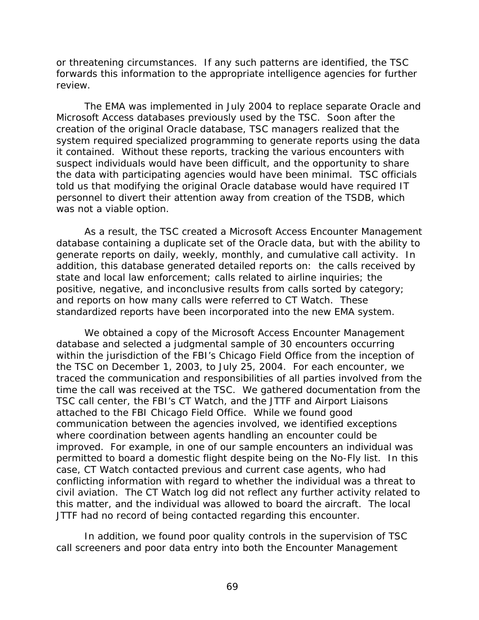or threatening circumstances. If any such patterns are identified, the TSC forwards this information to the appropriate intelligence agencies for further review.

The EMA was implemented in July 2004 to replace separate Oracle and Microsoft Access databases previously used by the TSC. Soon after the creation of the original Oracle database, TSC managers realized that the system required specialized programming to generate reports using the data it contained. Without these reports, tracking the various encounters with suspect individuals would have been difficult, and the opportunity to share the data with participating agencies would have been minimal. TSC officials told us that modifying the original Oracle database would have required IT personnel to divert their attention away from creation of the TSDB, which was not a viable option.

As a result, the TSC created a Microsoft Access Encounter Management database containing a duplicate set of the Oracle data, but with the ability to generate reports on daily, weekly, monthly, and cumulative call activity. In addition, this database generated detailed reports on: the calls received by state and local law enforcement; calls related to airline inquiries; the positive, negative, and inconclusive results from calls sorted by category; and reports on how many calls were referred to CT Watch. These standardized reports have been incorporated into the new EMA system.

 We obtained a copy of the Microsoft Access Encounter Management database and selected a judgmental sample of 30 encounters occurring within the jurisdiction of the FBI's Chicago Field Office from the inception of the TSC on December 1, 2003, to July 25, 2004. For each encounter, we traced the communication and responsibilities of all parties involved from the time the call was received at the TSC. We gathered documentation from the TSC call center, the FBI's CT Watch, and the JTTF and Airport Liaisons attached to the FBI Chicago Field Office. While we found good communication between the agencies involved, we identified exceptions where coordination between agents handling an encounter could be improved. For example, in one of our sample encounters an individual was permitted to board a domestic flight despite being on the No-Fly list. In this case, CT Watch contacted previous and current case agents, who had conflicting information with regard to whether the individual was a threat to civil aviation. The CT Watch log did not reflect any further activity related to this matter, and the individual was allowed to board the aircraft. The local JTTF had no record of being contacted regarding this encounter.

 In addition, we found poor quality controls in the supervision of TSC call screeners and poor data entry into both the Encounter Management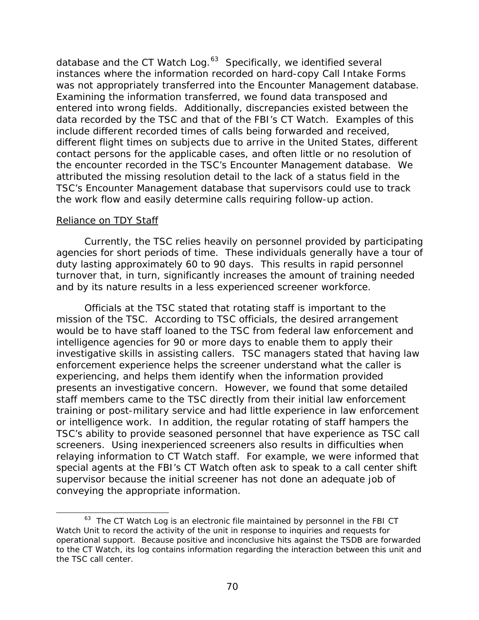<span id="page-93-0"></span>database and the CT Watch Log. $63$  Specifically, we identified several instances where the information recorded on hard-copy Call Intake Forms was not appropriately transferred into the Encounter Management database. Examining the information transferred, we found data transposed and entered into wrong fields. Additionally, discrepancies existed between the data recorded by the TSC and that of the FBI's CT Watch. Examples of this include different recorded times of calls being forwarded and received, different flight times on subjects due to arrive in the United States, different contact persons for the applicable cases, and often little or no resolution of the encounter recorded in the TSC's Encounter Management database. We attributed the missing resolution detail to the lack of a status field in the TSC's Encounter Management database that supervisors could use to track the work flow and easily determine calls requiring follow-up action.

#### Reliance on TDY Staff

 $\overline{a}$ 

Currently, the TSC relies heavily on personnel provided by participating agencies for short periods of time. These individuals generally have a tour of duty lasting approximately 60 to 90 days. This results in rapid personnel turnover that, in turn, significantly increases the amount of training needed and by its nature results in a less experienced screener workforce.

 Officials at the TSC stated that rotating staff is important to the mission of the TSC. According to TSC officials, the desired arrangement would be to have staff loaned to the TSC from federal law enforcement and intelligence agencies for 90 or more days to enable them to apply their investigative skills in assisting callers. TSC managers stated that having law enforcement experience helps the screener understand what the caller is experiencing, and helps them identify when the information provided presents an investigative concern. However, we found that some detailed staff members came to the TSC directly from their initial law enforcement training or post-military service and had little experience in law enforcement or intelligence work. In addition, the regular rotating of staff hampers the TSC's ability to provide seasoned personnel that have experience as TSC call screeners. Using inexperienced screeners also results in difficulties when relaying information to CT Watch staff. For example, we were informed that special agents at the FBI's CT Watch often ask to speak to a call center shift supervisor because the initial screener has not done an adequate job of conveying the appropriate information.

<sup>&</sup>lt;sup>63</sup> The CT Watch Log is an electronic file maintained by personnel in the FBI CT Watch Unit to record the activity of the unit in response to inquiries and requests for operational support. Because positive and inconclusive hits against the TSDB are forwarded to the CT Watch, its log contains information regarding the interaction between this unit and the TSC call center.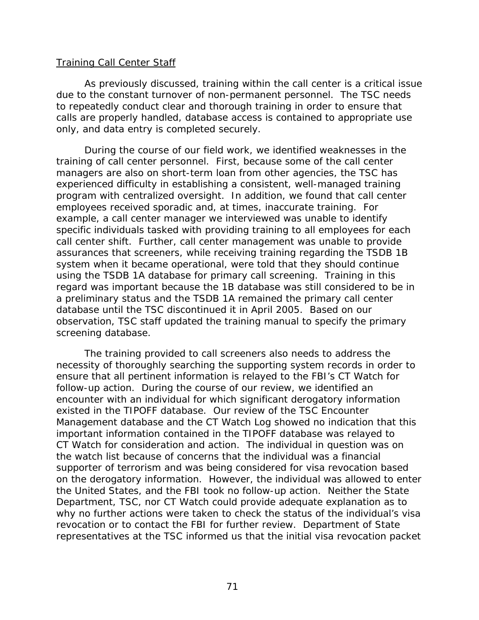### Training Call Center Staff

As previously discussed, training within the call center is a critical issue due to the constant turnover of non-permanent personnel. The TSC needs to repeatedly conduct clear and thorough training in order to ensure that calls are properly handled, database access is contained to appropriate use only, and data entry is completed securely.

 During the course of our field work, we identified weaknesses in the training of call center personnel. First, because some of the call center managers are also on short-term loan from other agencies, the TSC has experienced difficulty in establishing a consistent, well-managed training program with centralized oversight. In addition, we found that call center employees received sporadic and, at times, inaccurate training. For example, a call center manager we interviewed was unable to identify specific individuals tasked with providing training to all employees for each call center shift. Further, call center management was unable to provide assurances that screeners, while receiving training regarding the TSDB 1B system when it became operational, were told that they should continue using the TSDB 1A database for primary call screening. Training in this regard was important because the 1B database was still considered to be in a preliminary status and the TSDB 1A remained the primary call center database until the TSC discontinued it in April 2005. Based on our observation, TSC staff updated the training manual to specify the primary screening database.

 The training provided to call screeners also needs to address the necessity of thoroughly searching the supporting system records in order to ensure that all pertinent information is relayed to the FBI's CT Watch for follow-up action. During the course of our review, we identified an encounter with an individual for which significant derogatory information existed in the TIPOFF database. Our review of the TSC Encounter Management database and the CT Watch Log showed no indication that this important information contained in the TIPOFF database was relayed to CT Watch for consideration and action. The individual in question was on the watch list because of concerns that the individual was a financial supporter of terrorism and was being considered for visa revocation based on the derogatory information. However, the individual was allowed to enter the United States, and the FBI took no follow-up action. Neither the State Department, TSC, nor CT Watch could provide adequate explanation as to why no further actions were taken to check the status of the individual's visa revocation or to contact the FBI for further review. Department of State representatives at the TSC informed us that the initial visa revocation packet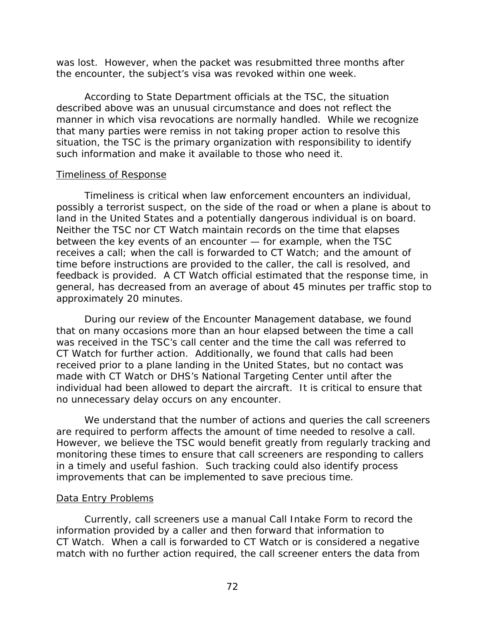was lost. However, when the packet was resubmitted three months after the encounter, the subject's visa was revoked within one week.

 According to State Department officials at the TSC, the situation described above was an unusual circumstance and does not reflect the manner in which visa revocations are normally handled. While we recognize that many parties were remiss in not taking proper action to resolve this situation, the TSC is the primary organization with responsibility to identify such information and make it available to those who need it.

#### Timeliness of Response

Timeliness is critical when law enforcement encounters an individual, possibly a terrorist suspect, on the side of the road or when a plane is about to land in the United States and a potentially dangerous individual is on board. Neither the TSC nor CT Watch maintain records on the time that elapses between the key events of an encounter — for example, when the TSC receives a call; when the call is forwarded to CT Watch; and the amount of time before instructions are provided to the caller, the call is resolved, and feedback is provided. A CT Watch official estimated that the response time, in general, has decreased from an average of about 45 minutes per traffic stop to approximately 20 minutes.

During our review of the Encounter Management database, we found that on many occasions more than an hour elapsed between the time a call was received in the TSC's call center and the time the call was referred to CT Watch for further action. Additionally, we found that calls had been received prior to a plane landing in the United States, but no contact was made with CT Watch or DHS's National Targeting Center until after the individual had been allowed to depart the aircraft. It is critical to ensure that no unnecessary delay occurs on any encounter.

We understand that the number of actions and queries the call screeners are required to perform affects the amount of time needed to resolve a call. However, we believe the TSC would benefit greatly from regularly tracking and monitoring these times to ensure that call screeners are responding to callers in a timely and useful fashion. Such tracking could also identify process improvements that can be implemented to save precious time.

### Data Entry Problems

 Currently, call screeners use a manual Call Intake Form to record the information provided by a caller and then forward that information to CT Watch. When a call is forwarded to CT Watch or is considered a negative match with no further action required, the call screener enters the data from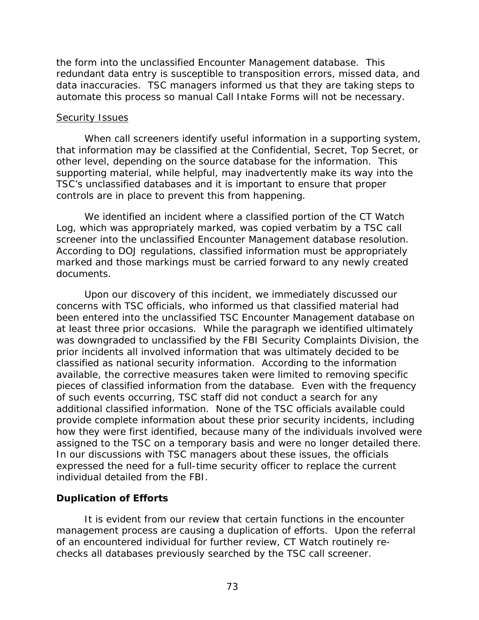the form into the unclassified Encounter Management database. This redundant data entry is susceptible to transposition errors, missed data, and data inaccuracies. TSC managers informed us that they are taking steps to automate this process so manual Call Intake Forms will not be necessary.

#### Security Issues

When call screeners identify useful information in a supporting system, that information may be classified at the Confidential, Secret, Top Secret, or other level, depending on the source database for the information. This supporting material, while helpful, may inadvertently make its way into the TSC's unclassified databases and it is important to ensure that proper controls are in place to prevent this from happening.

We identified an incident where a classified portion of the CT Watch Log, which was appropriately marked, was copied verbatim by a TSC call screener into the unclassified Encounter Management database resolution. According to DOJ regulations, classified information must be appropriately marked and those markings must be carried forward to any newly created documents.

Upon our discovery of this incident, we immediately discussed our concerns with TSC officials, who informed us that classified material had been entered into the unclassified TSC Encounter Management database on at least three prior occasions. While the paragraph we identified ultimately was downgraded to unclassified by the FBI Security Complaints Division, the prior incidents all involved information that was ultimately decided to be classified as national security information. According to the information available, the corrective measures taken were limited to removing specific pieces of classified information from the database. Even with the frequency of such events occurring, TSC staff did not conduct a search for any additional classified information. None of the TSC officials available could provide complete information about these prior security incidents, including how they were first identified, because many of the individuals involved were assigned to the TSC on a temporary basis and were no longer detailed there. In our discussions with TSC managers about these issues, the officials expressed the need for a full-time security officer to replace the current individual detailed from the FBI.

## **Duplication of Efforts**

It is evident from our review that certain functions in the encounter management process are causing a duplication of efforts. Upon the referral of an encountered individual for further review, CT Watch routinely rechecks all databases previously searched by the TSC call screener.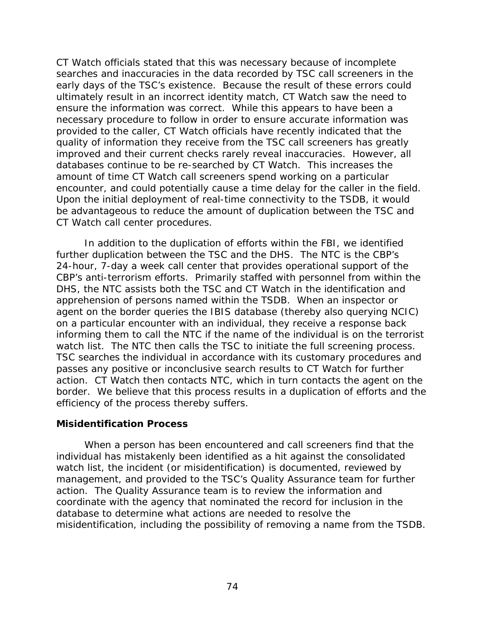CT Watch officials stated that this was necessary because of incomplete searches and inaccuracies in the data recorded by TSC call screeners in the early days of the TSC's existence. Because the result of these errors could ultimately result in an incorrect identity match, CT Watch saw the need to ensure the information was correct. While this appears to have been a necessary procedure to follow in order to ensure accurate information was provided to the caller, CT Watch officials have recently indicated that the quality of information they receive from the TSC call screeners has greatly improved and their current checks rarely reveal inaccuracies. However, all databases continue to be re-searched by CT Watch. This increases the amount of time CT Watch call screeners spend working on a particular encounter, and could potentially cause a time delay for the caller in the field. Upon the initial deployment of real-time connectivity to the TSDB, it would be advantageous to reduce the amount of duplication between the TSC and CT Watch call center procedures.

 In addition to the duplication of efforts within the FBI, we identified further duplication between the TSC and the DHS. The NTC is the CBP's 24-hour, 7-day a week call center that provides operational support of the CBP's anti-terrorism efforts. Primarily staffed with personnel from within the DHS, the NTC assists both the TSC and CT Watch in the identification and apprehension of persons named within the TSDB. When an inspector or agent on the border queries the IBIS database (thereby also querying NCIC) on a particular encounter with an individual, they receive a response back informing them to call the NTC if the name of the individual is on the terrorist watch list. The NTC then calls the TSC to initiate the full screening process. TSC searches the individual in accordance with its customary procedures and passes any positive or inconclusive search results to CT Watch for further action. CT Watch then contacts NTC, which in turn contacts the agent on the border. We believe that this process results in a duplication of efforts and the efficiency of the process thereby suffers.

### **Misidentification Process**

When a person has been encountered and call screeners find that the individual has mistakenly been identified as a hit against the consolidated watch list, the incident (or misidentification) is documented, reviewed by management, and provided to the TSC's Quality Assurance team for further action. The Quality Assurance team is to review the information and coordinate with the agency that nominated the record for inclusion in the database to determine what actions are needed to resolve the misidentification, including the possibility of removing a name from the TSDB.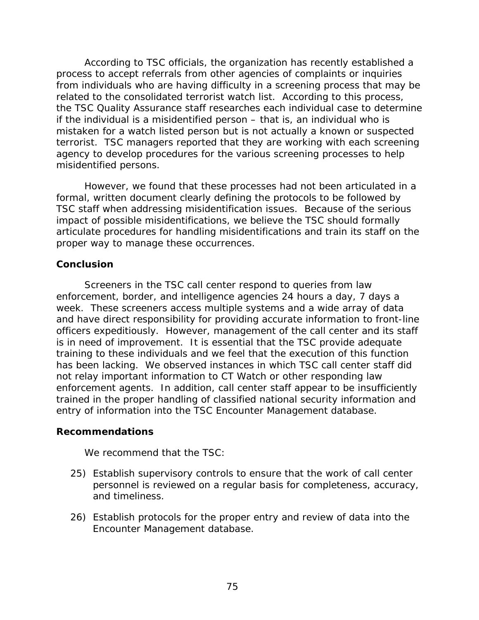According to TSC officials, the organization has recently established a process to accept referrals from other agencies of complaints or inquiries from individuals who are having difficulty in a screening process that may be related to the consolidated terrorist watch list. According to this process, the TSC Quality Assurance staff researches each individual case to determine if the individual is a misidentified person – that is, an individual who is mistaken for a watch listed person but is not actually a known or suspected terrorist. TSC managers reported that they are working with each screening agency to develop procedures for the various screening processes to help misidentified persons.

However, we found that these processes had not been articulated in a formal, written document clearly defining the protocols to be followed by TSC staff when addressing misidentification issues. Because of the serious impact of possible misidentifications, we believe the TSC should formally articulate procedures for handling misidentifications and train its staff on the proper way to manage these occurrences.

### **Conclusion**

Screeners in the TSC call center respond to queries from law enforcement, border, and intelligence agencies 24 hours a day, 7 days a week. These screeners access multiple systems and a wide array of data and have direct responsibility for providing accurate information to front-line officers expeditiously. However, management of the call center and its staff is in need of improvement. It is essential that the TSC provide adequate training to these individuals and we feel that the execution of this function has been lacking. We observed instances in which TSC call center staff did not relay important information to CT Watch or other responding law enforcement agents. In addition, call center staff appear to be insufficiently trained in the proper handling of classified national security information and entry of information into the TSC Encounter Management database.

### **Recommendations**

We recommend that the TSC:

- 25) Establish supervisory controls to ensure that the work of call center personnel is reviewed on a regular basis for completeness, accuracy, and timeliness.
- 26) Establish protocols for the proper entry and review of data into the Encounter Management database.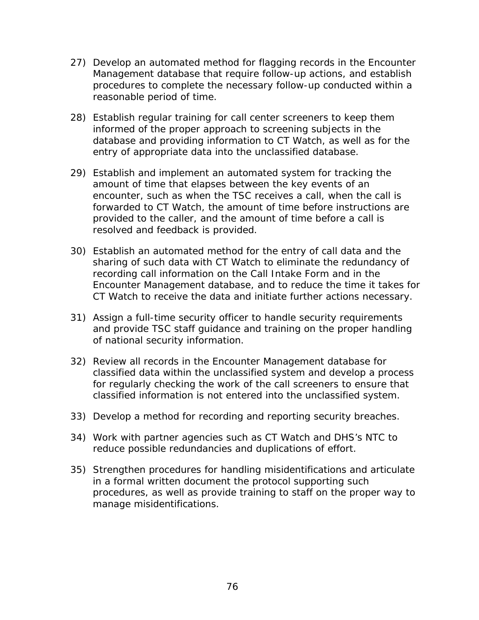- 27) Develop an automated method for flagging records in the Encounter Management database that require follow-up actions, and establish procedures to complete the necessary follow-up conducted within a reasonable period of time.
- 28) Establish regular training for call center screeners to keep them informed of the proper approach to screening subjects in the database and providing information to CT Watch, as well as for the entry of appropriate data into the unclassified database.
- 29) Establish and implement an automated system for tracking the amount of time that elapses between the key events of an encounter, such as when the TSC receives a call, when the call is forwarded to CT Watch, the amount of time before instructions are provided to the caller, and the amount of time before a call is resolved and feedback is provided.
- 30) Establish an automated method for the entry of call data and the sharing of such data with CT Watch to eliminate the redundancy of recording call information on the Call Intake Form and in the Encounter Management database, and to reduce the time it takes for CT Watch to receive the data and initiate further actions necessary.
- 31) Assign a full-time security officer to handle security requirements and provide TSC staff guidance and training on the proper handling of national security information.
- 32) Review all records in the Encounter Management database for classified data within the unclassified system and develop a process for regularly checking the work of the call screeners to ensure that classified information is not entered into the unclassified system.
- 33) Develop a method for recording and reporting security breaches.
- 34) Work with partner agencies such as CT Watch and DHS's NTC to reduce possible redundancies and duplications of effort.
- 35) Strengthen procedures for handling misidentifications and articulate in a formal written document the protocol supporting such procedures, as well as provide training to staff on the proper way to manage misidentifications.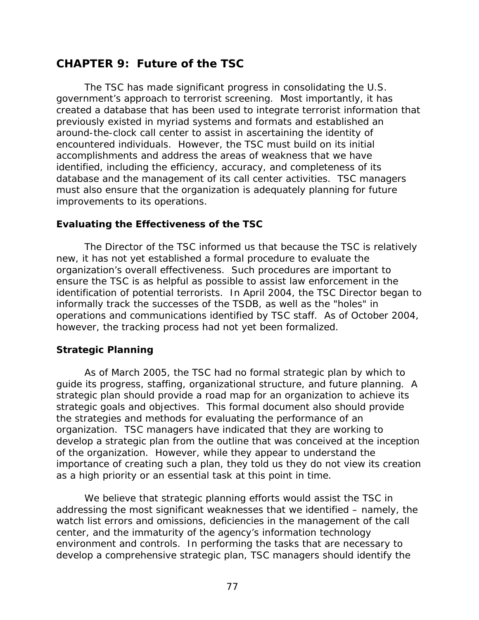# **CHAPTER 9: Future of the TSC**

The TSC has made significant progress in consolidating the U.S. government's approach to terrorist screening. Most importantly, it has created a database that has been used to integrate terrorist information that previously existed in myriad systems and formats and established an around-the-clock call center to assist in ascertaining the identity of encountered individuals. However, the TSC must build on its initial accomplishments and address the areas of weakness that we have identified, including the efficiency, accuracy, and completeness of its database and the management of its call center activities. TSC managers must also ensure that the organization is adequately planning for future improvements to its operations.

## **Evaluating the Effectiveness of the TSC**

 The Director of the TSC informed us that because the TSC is relatively new, it has not yet established a formal procedure to evaluate the organization's overall effectiveness. Such procedures are important to ensure the TSC is as helpful as possible to assist law enforcement in the identification of potential terrorists. In April 2004, the TSC Director began to informally track the successes of the TSDB, as well as the "holes" in operations and communications identified by TSC staff. As of October 2004, however, the tracking process had not yet been formalized.

## **Strategic Planning**

As of March 2005, the TSC had no formal strategic plan by which to guide its progress, staffing, organizational structure, and future planning. A strategic plan should provide a road map for an organization to achieve its strategic goals and objectives. This formal document also should provide the strategies and methods for evaluating the performance of an organization. TSC managers have indicated that they are working to develop a strategic plan from the outline that was conceived at the inception of the organization. However, while they appear to understand the importance of creating such a plan, they told us they do not view its creation as a high priority or an essential task at this point in time.

 We believe that strategic planning efforts would assist the TSC in addressing the most significant weaknesses that we identified – namely, the watch list errors and omissions, deficiencies in the management of the call center, and the immaturity of the agency's information technology environment and controls. In performing the tasks that are necessary to develop a comprehensive strategic plan, TSC managers should identify the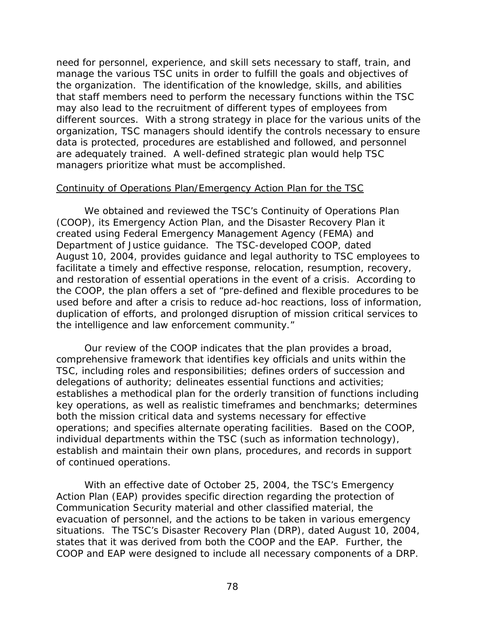need for personnel, experience, and skill sets necessary to staff, train, and manage the various TSC units in order to fulfill the goals and objectives of the organization. The identification of the knowledge, skills, and abilities that staff members need to perform the necessary functions within the TSC may also lead to the recruitment of different types of employees from different sources. With a strong strategy in place for the various units of the organization, TSC managers should identify the controls necessary to ensure data is protected, procedures are established and followed, and personnel are adequately trained. A well-defined strategic plan would help TSC managers prioritize what must be accomplished.

### Continuity of Operations Plan/Emergency Action Plan for the TSC

We obtained and reviewed the TSC's Continuity of Operations Plan (COOP), its Emergency Action Plan, and the Disaster Recovery Plan it created using Federal Emergency Management Agency (FEMA) and Department of Justice guidance. The TSC-developed COOP, dated August 10, 2004, provides guidance and legal authority to TSC employees to facilitate a timely and effective response, relocation, resumption, recovery, and restoration of essential operations in the event of a crisis. According to the COOP, the plan offers a set of "pre-defined and flexible procedures to be used before and after a crisis to reduce ad-hoc reactions, loss of information, duplication of efforts, and prolonged disruption of mission critical services to the intelligence and law enforcement community."

Our review of the COOP indicates that the plan provides a broad, comprehensive framework that identifies key officials and units within the TSC, including roles and responsibilities; defines orders of succession and delegations of authority; delineates essential functions and activities; establishes a methodical plan for the orderly transition of functions including key operations, as well as realistic timeframes and benchmarks; determines both the mission critical data and systems necessary for effective operations; and specifies alternate operating facilities. Based on the COOP, individual departments within the TSC (such as information technology), establish and maintain their own plans, procedures, and records in support of continued operations.

With an effective date of October 25, 2004, the TSC's Emergency Action Plan (EAP) provides specific direction regarding the protection of Communication Security material and other classified material, the evacuation of personnel, and the actions to be taken in various emergency situations. The TSC's Disaster Recovery Plan (DRP), dated August 10, 2004, states that it was derived from both the COOP and the EAP. Further, the COOP and EAP were designed to include all necessary components of a DRP.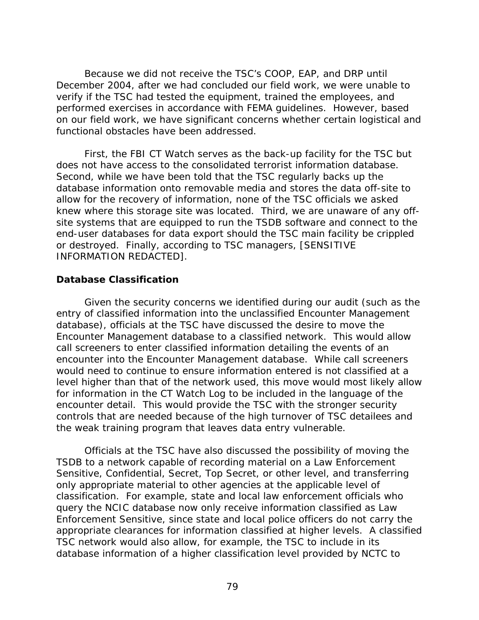Because we did not receive the TSC's COOP, EAP, and DRP until December 2004, after we had concluded our field work, we were unable to verify if the TSC had tested the equipment, trained the employees, and performed exercises in accordance with FEMA guidelines. However, based on our field work, we have significant concerns whether certain logistical and functional obstacles have been addressed.

First, the FBI CT Watch serves as the back-up facility for the TSC but does not have access to the consolidated terrorist information database. Second, while we have been told that the TSC regularly backs up the database information onto removable media and stores the data off-site to allow for the recovery of information, none of the TSC officials we asked knew where this storage site was located. Third, we are unaware of any offsite systems that are equipped to run the TSDB software and connect to the end-user databases for data export should the TSC main facility be crippled or destroyed. Finally, according to TSC managers, [SENSITIVE INFORMATION REDACTED].

### **Database Classification**

 Given the security concerns we identified during our audit (such as the entry of classified information into the unclassified Encounter Management database), officials at the TSC have discussed the desire to move the Encounter Management database to a classified network. This would allow call screeners to enter classified information detailing the events of an encounter into the Encounter Management database. While call screeners would need to continue to ensure information entered is not classified at a level higher than that of the network used, this move would most likely allow for information in the CT Watch Log to be included in the language of the encounter detail. This would provide the TSC with the stronger security controls that are needed because of the high turnover of TSC detailees and the weak training program that leaves data entry vulnerable.

 Officials at the TSC have also discussed the possibility of moving the TSDB to a network capable of recording material on a Law Enforcement Sensitive, Confidential, Secret, Top Secret, or other level, and transferring only appropriate material to other agencies at the applicable level of classification. For example, state and local law enforcement officials who query the NCIC database now only receive information classified as Law Enforcement Sensitive, since state and local police officers do not carry the appropriate clearances for information classified at higher levels. A classified TSC network would also allow, for example, the TSC to include in its database information of a higher classification level provided by NCTC to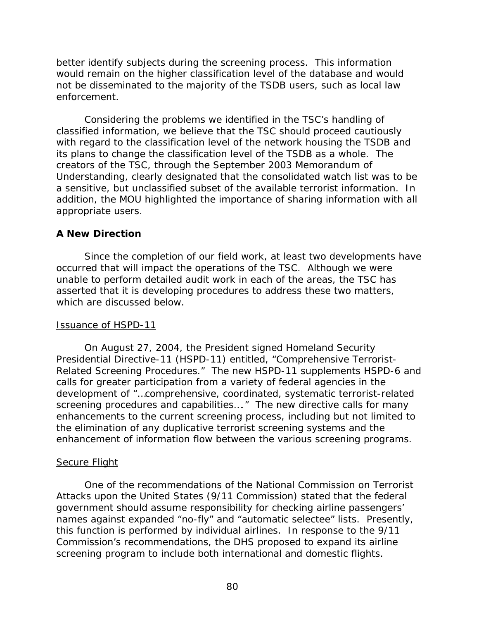better identify subjects during the screening process. This information would remain on the higher classification level of the database and would not be disseminated to the majority of the TSDB users, such as local law enforcement.

 Considering the problems we identified in the TSC's handling of classified information, we believe that the TSC should proceed cautiously with regard to the classification level of the network housing the TSDB and its plans to change the classification level of the TSDB as a whole. The creators of the TSC, through the September 2003 Memorandum of Understanding, clearly designated that the consolidated watch list was to be a sensitive, but unclassified subset of the available terrorist information. In addition, the MOU highlighted the importance of sharing information with all appropriate users.

## **A New Direction**

Since the completion of our field work, at least two developments have occurred that will impact the operations of the TSC. Although we were unable to perform detailed audit work in each of the areas, the TSC has asserted that it is developing procedures to address these two matters, which are discussed below.

## Issuance of HSPD-11

 On August 27, 2004, the President signed Homeland Security Presidential Directive-11 (HSPD-11) entitled, "Comprehensive Terrorist-Related Screening Procedures." The new HSPD-11 supplements HSPD-6 and calls for greater participation from a variety of federal agencies in the development of "…comprehensive, coordinated, systematic terrorist-related screening procedures and capabilities…." The new directive calls for many enhancements to the current screening process, including but not limited to the elimination of any duplicative terrorist screening systems and the enhancement of information flow between the various screening programs.

## Secure Flight

 One of the recommendations of the National Commission on Terrorist Attacks upon the United States (9/11 Commission) stated that the federal government should assume responsibility for checking airline passengers' names against expanded "no-fly" and "automatic selectee" lists. Presently, this function is performed by individual airlines. In response to the 9/11 Commission's recommendations, the DHS proposed to expand its airline screening program to include both international and domestic flights.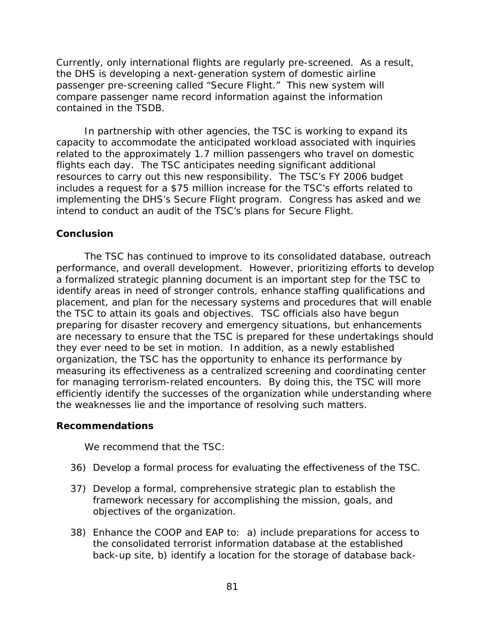Currently, only international flights are regularly pre-screened. As a result, the DHS is developing a next-generation system of domestic airline passenger pre-screening called "Secure Flight." This new system will compare passenger name record information against the information contained in the TSDB.

 In partnership with other agencies, the TSC is working to expand its capacity to accommodate the anticipated workload associated with inquiries related to the approximately 1.7 million passengers who travel on domestic flights each day. The TSC anticipates needing significant additional resources to carry out this new responsibility. The TSC's FY 2006 budget includes a request for a \$75 million increase for the TSC's efforts related to implementing the DHS's Secure Flight program. Congress has asked and we intend to conduct an audit of the TSC's plans for Secure Flight.

### **Conclusion**

The TSC has continued to improve to its consolidated database, outreach performance, and overall development. However, prioritizing efforts to develop a formalized strategic planning document is an important step for the TSC to identify areas in need of stronger controls, enhance staffing qualifications and placement, and plan for the necessary systems and procedures that will enable the TSC to attain its goals and objectives. TSC officials also have begun preparing for disaster recovery and emergency situations, but enhancements are necessary to ensure that the TSC is prepared for these undertakings should they ever need to be set in motion. In addition, as a newly established organization, the TSC has the opportunity to enhance its performance by measuring its effectiveness as a centralized screening and coordinating center for managing terrorism-related encounters. By doing this, the TSC will more efficiently identify the successes of the organization while understanding where the weaknesses lie and the importance of resolving such matters.

### **Recommendations**

We recommend that the TSC:

- 36) Develop a formal process for evaluating the effectiveness of the TSC.
- 37) Develop a formal, comprehensive strategic plan to establish the framework necessary for accomplishing the mission, goals, and objectives of the organization.
- 38) Enhance the COOP and EAP to: a) include preparations for access to the consolidated terrorist information database at the established back-up site, b) identify a location for the storage of database back-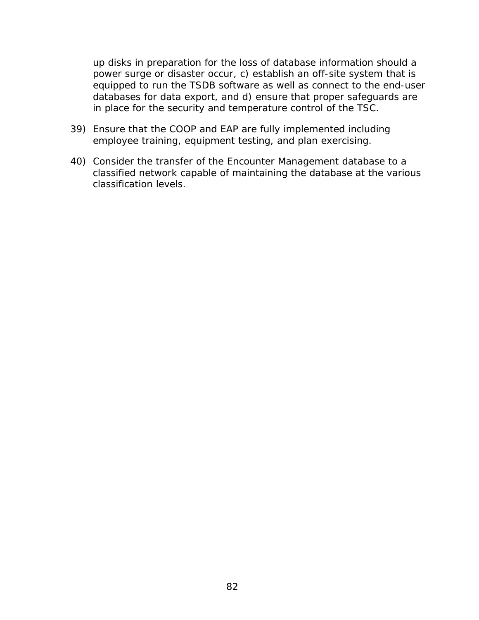up disks in preparation for the loss of database information should a power surge or disaster occur, c) establish an off-site system that is equipped to run the TSDB software as well as connect to the end-user databases for data export, and d) ensure that proper safeguards are in place for the security and temperature control of the TSC.

- 39) Ensure that the COOP and EAP are fully implemented including employee training, equipment testing, and plan exercising.
- 40) Consider the transfer of the Encounter Management database to a classified network capable of maintaining the database at the various classification levels.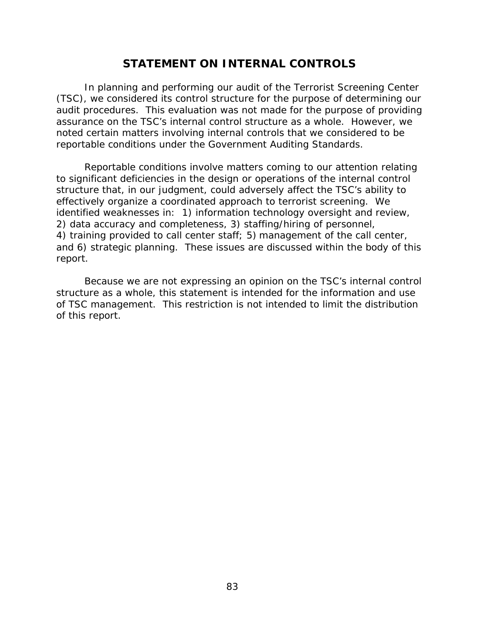# **STATEMENT ON INTERNAL CONTROLS**

 In planning and performing our audit of the Terrorist Screening Center (TSC), we considered its control structure for the purpose of determining our audit procedures. This evaluation was not made for the purpose of providing assurance on the TSC's internal control structure as a whole. However, we noted certain matters involving internal controls that we considered to be reportable conditions under the *Government Auditing Standards*.

 Reportable conditions involve matters coming to our attention relating to significant deficiencies in the design or operations of the internal control structure that, in our judgment, could adversely affect the TSC's ability to effectively organize a coordinated approach to terrorist screening. We identified weaknesses in: 1) information technology oversight and review, 2) data accuracy and completeness, 3) staffing/hiring of personnel, 4) training provided to call center staff; 5) management of the call center, and 6) strategic planning. These issues are discussed within the body of this report.

 Because we are not expressing an opinion on the TSC's internal control structure as a whole, this statement is intended for the information and use of TSC management. This restriction is not intended to limit the distribution of this report.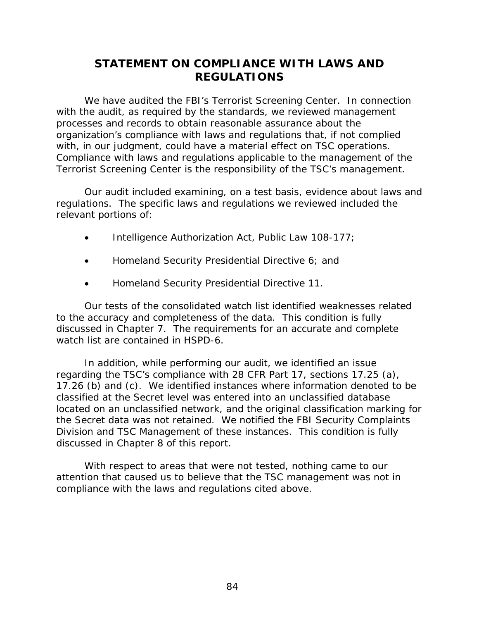# **STATEMENT ON COMPLIANCE WITH LAWS AND REGULATIONS**

We have audited the FBI's Terrorist Screening Center. In connection with the audit, as required by the standards, we reviewed management processes and records to obtain reasonable assurance about the organization's compliance with laws and regulations that, if not complied with, in our judgment, could have a material effect on TSC operations. Compliance with laws and regulations applicable to the management of the Terrorist Screening Center is the responsibility of the TSC's management.

 Our audit included examining, on a test basis, evidence about laws and regulations. The specific laws and regulations we reviewed included the relevant portions of:

- Intelligence Authorization Act, Public Law 108-177;
- Homeland Security Presidential Directive 6; and
- Homeland Security Presidential Directive 11.

Our tests of the consolidated watch list identified weaknesses related to the accuracy and completeness of the data. This condition is fully discussed in Chapter 7. The requirements for an accurate and complete watch list are contained in HSPD-6.

In addition, while performing our audit, we identified an issue regarding the TSC's compliance with 28 CFR Part 17, sections 17.25 (a), 17.26 (b) and (c). We identified instances where information denoted to be classified at the Secret level was entered into an unclassified database located on an unclassified network, and the original classification marking for the Secret data was not retained. We notified the FBI Security Complaints Division and TSC Management of these instances. This condition is fully discussed in Chapter 8 of this report.

With respect to areas that were not tested, nothing came to our attention that caused us to believe that the TSC management was not in compliance with the laws and regulations cited above.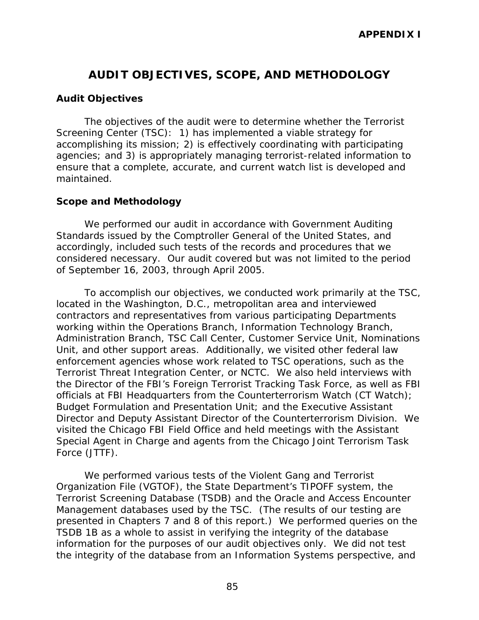# **AUDIT OBJECTIVES, SCOPE, AND METHODOLOGY**

### **Audit Objectives**

The objectives of the audit were to determine whether the Terrorist Screening Center (TSC): 1) has implemented a viable strategy for accomplishing its mission; 2) is effectively coordinating with participating agencies; and 3) is appropriately managing terrorist-related information to ensure that a complete, accurate, and current watch list is developed and maintained.

### **Scope and Methodology**

We performed our audit in accordance with *Government Auditing Standards* issued by the Comptroller General of the United States, and accordingly, included such tests of the records and procedures that we considered necessary. Our audit covered but was not limited to the period of September 16, 2003, through April 2005.

To accomplish our objectives, we conducted work primarily at the TSC, located in the Washington, D.C., metropolitan area and interviewed contractors and representatives from various participating Departments working within the Operations Branch*,* Information Technology Branch, Administration Branch, TSC Call Center, Customer Service Unit, Nominations Unit, and other support areas. Additionally, we visited other federal law enforcement agencies whose work related to TSC operations, such as the Terrorist Threat Integration Center, or NCTC. We also held interviews with the Director of the FBI's Foreign Terrorist Tracking Task Force, as well as FBI officials at FBI Headquarters from the Counterterrorism Watch (CT Watch); Budget Formulation and Presentation Unit; and the Executive Assistant Director and Deputy Assistant Director of the Counterterrorism Division. We visited the Chicago FBI Field Office and held meetings with the Assistant Special Agent in Charge and agents from the Chicago Joint Terrorism Task Force (JTTF).

We performed various tests of the Violent Gang and Terrorist Organization File (VGTOF), the State Department's TIPOFF system, the Terrorist Screening Database (TSDB) and the Oracle and Access Encounter Management databases used by the TSC. (The results of our testing are presented in Chapters 7 and 8 of this report.) We performed queries on the TSDB 1B as a whole to assist in verifying the integrity of the database information for the purposes of our audit objectives only. We did not test the integrity of the database from an Information Systems perspective, and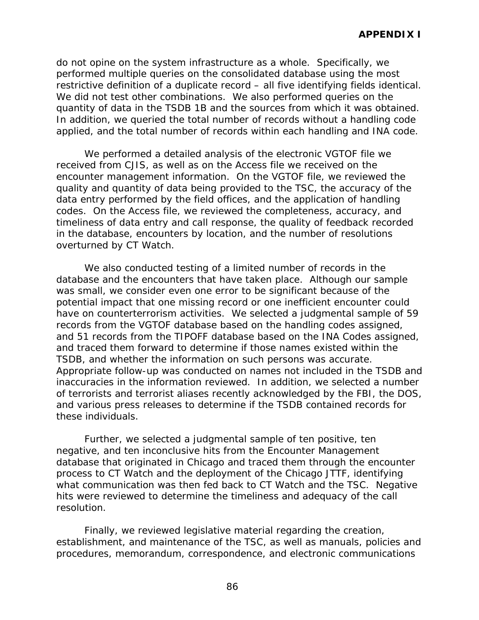do not opine on the system infrastructure as a whole. Specifically, we performed multiple queries on the consolidated database using the most restrictive definition of a duplicate record – all five identifying fields identical. We did not test other combinations. We also performed queries on the quantity of data in the TSDB 1B and the sources from which it was obtained. In addition, we queried the total number of records without a handling code applied, and the total number of records within each handling and INA code.

We performed a detailed analysis of the electronic VGTOF file we received from CJIS, as well as on the Access file we received on the encounter management information. On the VGTOF file, we reviewed the quality and quantity of data being provided to the TSC, the accuracy of the data entry performed by the field offices, and the application of handling codes. On the Access file, we reviewed the completeness, accuracy, and timeliness of data entry and call response, the quality of feedback recorded in the database, encounters by location, and the number of resolutions overturned by CT Watch.

We also conducted testing of a limited number of records in the database and the encounters that have taken place. Although our sample was small, we consider even one error to be significant because of the potential impact that one missing record or one inefficient encounter could have on counterterrorism activities. We selected a judgmental sample of 59 records from the VGTOF database based on the handling codes assigned, and 51 records from the TIPOFF database based on the INA Codes assigned, and traced them forward to determine if those names existed within the TSDB, and whether the information on such persons was accurate. Appropriate follow-up was conducted on names not included in the TSDB and inaccuracies in the information reviewed. In addition, we selected a number of terrorists and terrorist aliases recently acknowledged by the FBI, the DOS, and various press releases to determine if the TSDB contained records for these individuals.

Further, we selected a judgmental sample of ten positive, ten negative, and ten inconclusive hits from the Encounter Management database that originated in Chicago and traced them through the encounter process to CT Watch and the deployment of the Chicago JTTF, identifying what communication was then fed back to CT Watch and the TSC. Negative hits were reviewed to determine the timeliness and adequacy of the call resolution.

Finally, we reviewed legislative material regarding the creation, establishment, and maintenance of the TSC, as well as manuals, policies and procedures, memorandum, correspondence, and electronic communications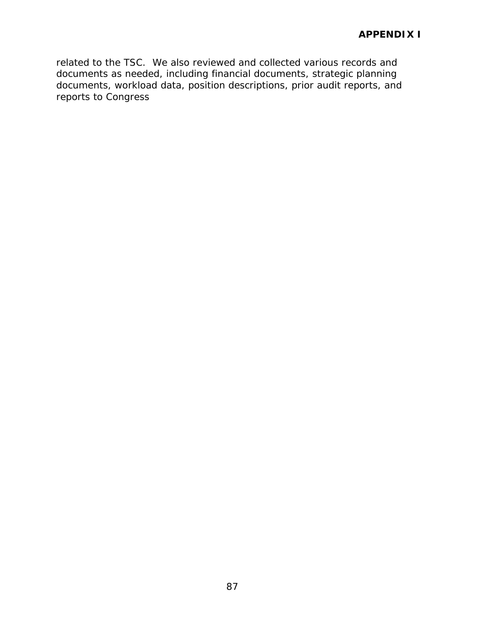related to the TSC. We also reviewed and collected various records and documents as needed, including financial documents, strategic planning documents, workload data, position descriptions, prior audit reports, and reports to Congress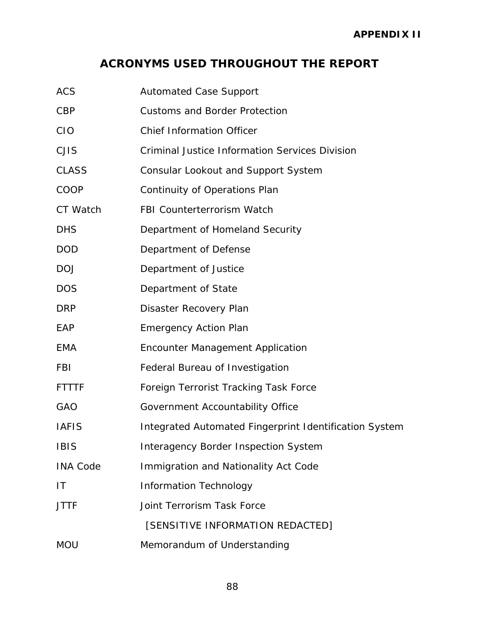# **ACRONYMS USED THROUGHOUT THE REPORT**

| <b>ACS</b>      | <b>Automated Case Support</b>                          |
|-----------------|--------------------------------------------------------|
| <b>CBP</b>      | <b>Customs and Border Protection</b>                   |
| <b>CIO</b>      | <b>Chief Information Officer</b>                       |
| <b>CJIS</b>     | <b>Criminal Justice Information Services Division</b>  |
| <b>CLASS</b>    | <b>Consular Lookout and Support System</b>             |
| COOP            | Continuity of Operations Plan                          |
| CT Watch        | <b>FBI Counterterrorism Watch</b>                      |
| <b>DHS</b>      | Department of Homeland Security                        |
| <b>DOD</b>      | Department of Defense                                  |
| <b>DOJ</b>      | Department of Justice                                  |
| <b>DOS</b>      | Department of State                                    |
| <b>DRP</b>      | Disaster Recovery Plan                                 |
| EAP             | <b>Emergency Action Plan</b>                           |
| <b>EMA</b>      | <b>Encounter Management Application</b>                |
| FBI             | Federal Bureau of Investigation                        |
| <b>FTTTF</b>    | Foreign Terrorist Tracking Task Force                  |
| GAO             | Government Accountability Office                       |
| <b>IAFIS</b>    | Integrated Automated Fingerprint Identification System |
| <b>IBIS</b>     | <b>Interagency Border Inspection System</b>            |
| <b>INA Code</b> | Immigration and Nationality Act Code                   |
| IT              | <b>Information Technology</b>                          |
| <b>JTTF</b>     | Joint Terrorism Task Force                             |
|                 | [SENSITIVE INFORMATION REDACTED]                       |
| <b>MOU</b>      | Memorandum of Understanding                            |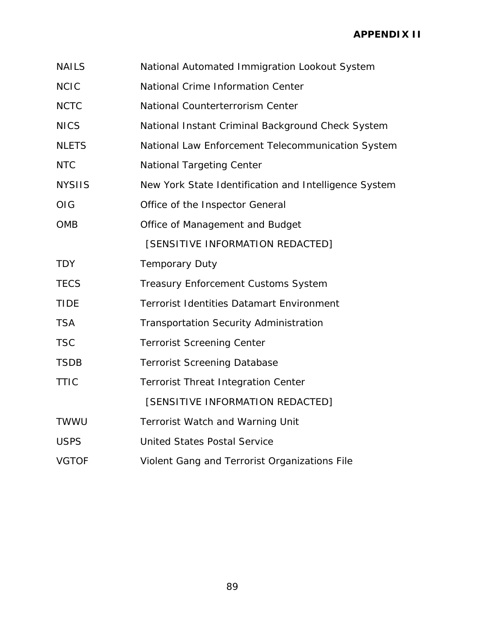- NAILS National Automated Immigration Lookout System
- NCIC National Crime Information Center
- NCTC National Counterterrorism Center
- NICS National Instant Criminal Background Check System
- NLETS National Law Enforcement Telecommunication System
- NTC National Targeting Center
- NYSIIS New York State Identification and Intelligence System
- OIG Office of the Inspector General

OMB Office of Management and Budget

[SENSITIVE INFORMATION REDACTED]

- TDY **Temporary Duty**
- TECS Treasury Enforcement Customs System
- TIDE Terrorist Identities Datamart Environment
- TSA Transportation Security Administration
- TSC Terrorist Screening Center
- TSDB Terrorist Screening Database
- TTIC Terrorist Threat Integration Center

[SENSITIVE INFORMATION REDACTED]

- TWWU Terrorist Watch and Warning Unit
- USPS United States Postal Service
- VGTOF Violent Gang and Terrorist Organizations File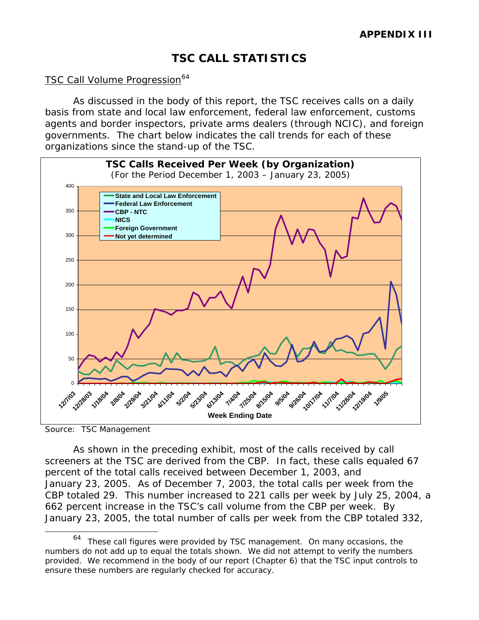# **TSC CALL STATISTICS**

### <span id="page-113-0"></span>TSC Call Volume Progression<sup>[64](#page-113-0)</sup>

As discussed in the body of this report, the TSC receives calls on a daily basis from state and local law enforcement, federal law enforcement, customs agents and border inspectors, private arms dealers (through NCIC), and foreign governments. The chart below indicates the call trends for each of these organizations since the stand-up of the TSC.



Source: TSC Management

 $\overline{a}$ 

 As shown in the preceding exhibit, most of the calls received by call screeners at the TSC are derived from the CBP. In fact, these calls equaled 67 percent of the total calls received between December 1, 2003, and January 23, 2005. As of December 7, 2003, the total calls per week from the CBP totaled 29. This number increased to 221 calls per week by July 25, 2004, a 662 percent increase in the TSC's call volume from the CBP per week. By January 23, 2005, the total number of calls per week from the CBP totaled 332,

<sup>64</sup> These call figures were provided by TSC management. On many occasions, the numbers do not add up to equal the totals shown. We did not attempt to verify the numbers provided. We recommend in the body of our report (Chapter 6) that the TSC input controls to ensure these numbers are regularly checked for accuracy.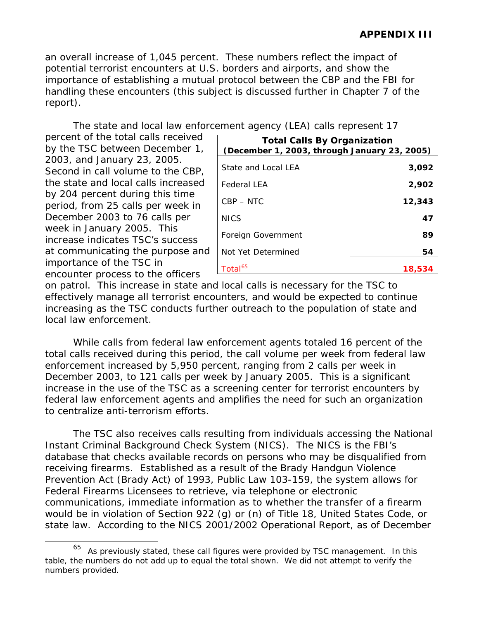<span id="page-114-0"></span>an overall increase of 1,045 percent. These numbers reflect the impact of potential terrorist encounters at U.S. borders and airports, and show the importance of establishing a mutual protocol between the CBP and the FBI for handling these encounters (this subject is discussed further in Chapter 7 of the report).

The state and local law enforcement agency (LEA) calls represent 17

percent of the total calls received by the TSC between December 1, 2003, and January 23, 2005. Second in call volume to the CBP, the state and local calls increased by 204 percent during this time period, from 25 calls per week in December 2003 to 76 calls per week in January 2005. This increase indicates TSC's success at communicating the purpose and importance of the TSC in encounter process to the officers

 $\overline{a}$ 

| ernerit agency (LEA) cails represent T7                                            |        |  |  |
|------------------------------------------------------------------------------------|--------|--|--|
| <b>Total Calls By Organization</b><br>(December 1, 2003, through January 23, 2005) |        |  |  |
| State and Local LEA                                                                | 3,092  |  |  |
| <b>Federal LEA</b>                                                                 | 2,902  |  |  |
| $CBP - NTC$                                                                        | 12,343 |  |  |
| <b>NICS</b>                                                                        | 47     |  |  |
| Foreign Government                                                                 | 89     |  |  |
| Not Yet Determined                                                                 | 54     |  |  |
| Total <sup>65</sup>                                                                | 18,534 |  |  |

on patrol. This increase in state and local calls is necessary for the TSC to effectively manage all terrorist encounters, and would be expected to continue increasing as the TSC conducts further outreach to the population of state and local law enforcement.

 While calls from federal law enforcement agents totaled 16 percent of the total calls received during this period, the call volume per week from federal law enforcement increased by 5,950 percent, ranging from 2 calls per week in December 2003, to 121 calls per week by January 2005. This is a significant increase in the use of the TSC as a screening center for terrorist encounters by federal law enforcement agents and amplifies the need for such an organization to centralize anti-terrorism efforts.

The TSC also receives calls resulting from individuals accessing the National Instant Criminal Background Check System (NICS). The NICS is the FBI's database that checks available records on persons who may be disqualified from receiving firearms. Established as a result of the Brady Handgun Violence Prevention Act (Brady Act) of 1993, Public Law 103-159, the system allows for Federal Firearms Licensees to retrieve, via telephone or electronic communications, immediate information as to whether the transfer of a firearm would be in violation of Section 922 (g) or (n) of Title 18, United States Code, or state law. According to the NICS 2001/2002 Operational Report, as of December

 $65$  As previously stated, these call figures were provided by TSC management. In this table, the numbers do not add up to equal the total shown. We did not attempt to verify the numbers provided.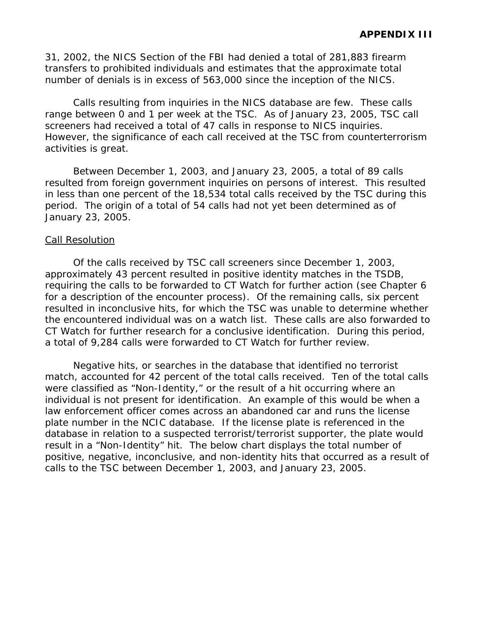31, 2002, the NICS Section of the FBI had denied a total of 281,883 firearm transfers to prohibited individuals and estimates that the approximate total number of denials is in excess of 563,000 since the inception of the NICS.

Calls resulting from inquiries in the NICS database are few. These calls range between 0 and 1 per week at the TSC. As of January 23, 2005, TSC call screeners had received a total of 47 calls in response to NICS inquiries. However, the significance of each call received at the TSC from counterterrorism activities is great.

 Between December 1, 2003, and January 23, 2005, a total of 89 calls resulted from foreign government inquiries on persons of interest. This resulted in less than one percent of the 18,534 total calls received by the TSC during this period. The origin of a total of 54 calls had not yet been determined as of January 23, 2005.

### Call Resolution

 Of the calls received by TSC call screeners since December 1, 2003, approximately 43 percent resulted in positive identity matches in the TSDB, requiring the calls to be forwarded to CT Watch for further action (see Chapter 6 for a description of the encounter process). Of the remaining calls, six percent resulted in inconclusive hits, for which the TSC was unable to determine whether the encountered individual was on a watch list. These calls are also forwarded to CT Watch for further research for a conclusive identification. During this period, a total of 9,284 calls were forwarded to CT Watch for further review.

 Negative hits, or searches in the database that identified no terrorist match, accounted for 42 percent of the total calls received. Ten of the total calls were classified as "Non-Identity," or the result of a hit occurring where an individual is not present for identification. An example of this would be when a law enforcement officer comes across an abandoned car and runs the license plate number in the NCIC database. If the license plate is referenced in the database in relation to a suspected terrorist/terrorist supporter, the plate would result in a "Non-Identity" hit. The below chart displays the total number of positive, negative, inconclusive, and non-identity hits that occurred as a result of calls to the TSC between December 1, 2003, and January 23, 2005.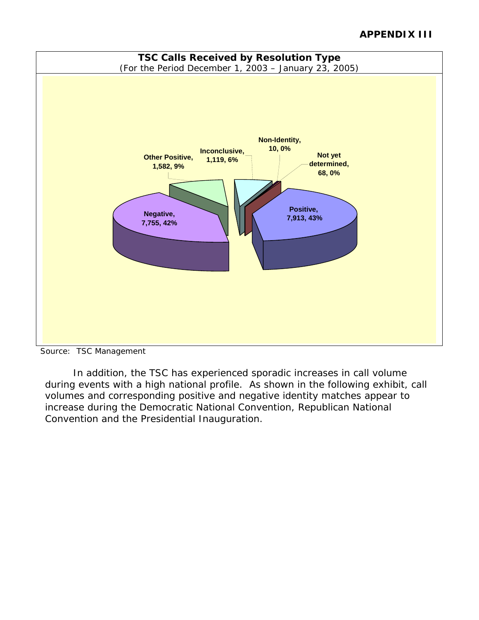# **APPENDIX III**



Source: TSC Management

 In addition, the TSC has experienced sporadic increases in call volume during events with a high national profile. As shown in the following exhibit, call volumes and corresponding positive and negative identity matches appear to increase during the Democratic National Convention, Republican National Convention and the Presidential Inauguration.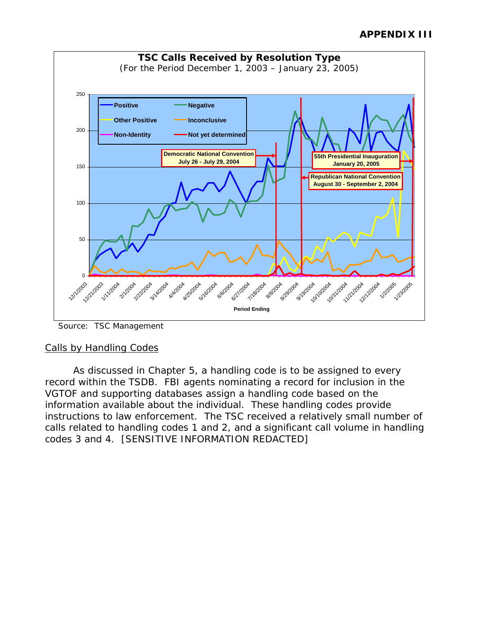

Source: TSC Management

# Calls by Handling Codes

 As discussed in Chapter 5, a handling code is to be assigned to every record within the TSDB. FBI agents nominating a record for inclusion in the VGTOF and supporting databases assign a handling code based on the information available about the individual. These handling codes provide instructions to law enforcement. The TSC received a relatively small number of calls related to handling codes 1 and 2, and a significant call volume in handling codes 3 and 4. [SENSITIVE INFORMATION REDACTED]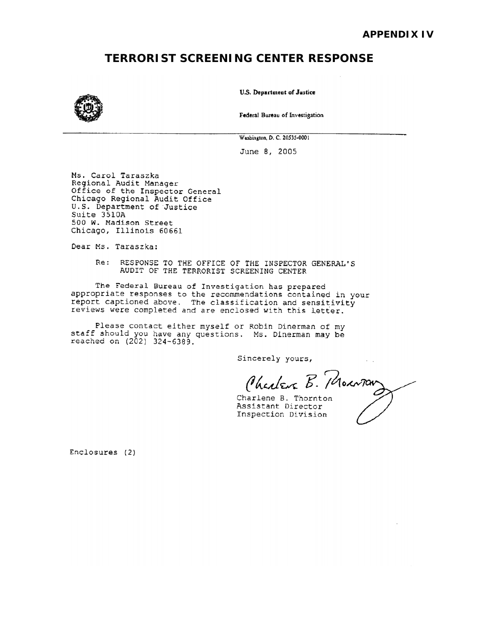# **TERRORIST SCREENING CENTER RESPONSE**



U.S. Department of Justice

Federal Bureau of Investigation

Washington, D. C. 20535-0001

June 8, 2005

Ms. Carol Taraszka Regional Audit Manager Office of the Inspector General Chicago Regional Audit Office U.S. Department of Justice Suite 3510A 500 W. Madison Street Chicago, Illinois 60661

Dear Ms. Taraszka:

Re: RESPONSE TO THE OFFICE OF THE INSPECTOR GENERAL'S AUDIT OF THE TERRORIST SCREENING CENTER

The Federal Bureau of Investigation has prepared appropriate responses to the recommendations contained in your report captioned above. The classification and sensitivity reviews were completed and are enclosed with this letter.

Please contact either myself or Robin Dinerman of my staff should you have any questions. Ms. Dinerman may be reached on (202) 324-6389.

Sincerely yours,

Charlene B. Mourning

Charlene B. Thornton Assistant Director Inspection Division

Enclosures (2)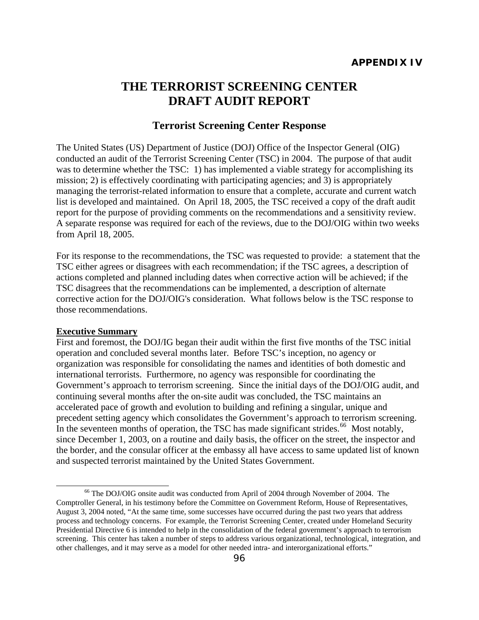# <span id="page-119-0"></span>**THE TERRORIST SCREENING CENTER DRAFT AUDIT REPORT**

### **Terrorist Screening Center Response**

The United States (US) Department of Justice (DOJ) Office of the Inspector General (OIG) conducted an audit of the Terrorist Screening Center (TSC) in 2004. The purpose of that audit was to determine whether the TSC: 1) has implemented a viable strategy for accomplishing its mission; 2) is effectively coordinating with participating agencies; and 3) is appropriately managing the terrorist-related information to ensure that a complete, accurate and current watch list is developed and maintained. On April 18, 2005, the TSC received a copy of the draft audit report for the purpose of providing comments on the recommendations and a sensitivity review. A separate response was required for each of the reviews, due to the DOJ/OIG within two weeks from April 18, 2005.

For its response to the recommendations, the TSC was requested to provide: a statement that the TSC either agrees or disagrees with each recommendation; if the TSC agrees, a description of actions completed and planned including dates when corrective action will be achieved; if the TSC disagrees that the recommendations can be implemented, a description of alternate corrective action for the DOJ/OIG's consideration. What follows below is the TSC response to those recommendations.

#### **Executive Summary**

First and foremost, the DOJ/IG began their audit within the first five months of the TSC initial operation and concluded several months later. Before TSC's inception, no agency or organization was responsible for consolidating the names and identities of both domestic and international terrorists. Furthermore, no agency was responsible for coordinating the Government's approach to terrorism screening. Since the initial days of the DOJ/OIG audit, and continuing several months after the on-site audit was concluded, the TSC maintains an accelerated pace of growth and evolution to building and refining a singular, unique and precedent setting agency which consolidates the Government's approach to terrorism screening. In the seventeen months of operation, the TSC has made significant strides.<sup>[66](#page-119-0)</sup> Most notably, since December 1, 2003, on a routine and daily basis, the officer on the street, the inspector and the border, and the consular officer at the embassy all have access to same updated list of known and suspected terrorist maintained by the United States Government.

 <sup>66</sup> The DOJ/OIG onsite audit was conducted from April of 2004 through November of 2004. The Comptroller General, in his testimony before the Committee on Government Reform, House of Representatives, August 3, 2004 noted, "At the same time, some successes have occurred during the past two years that address process and technology concerns. For example, the Terrorist Screening Center, created under Homeland Security Presidential Directive 6 is intended to help in the consolidation of the federal government's approach to terrorism screening. This center has taken a number of steps to address various organizational, technological, integration, and other challenges, and it may serve as a model for other needed intra- and interorganizational efforts."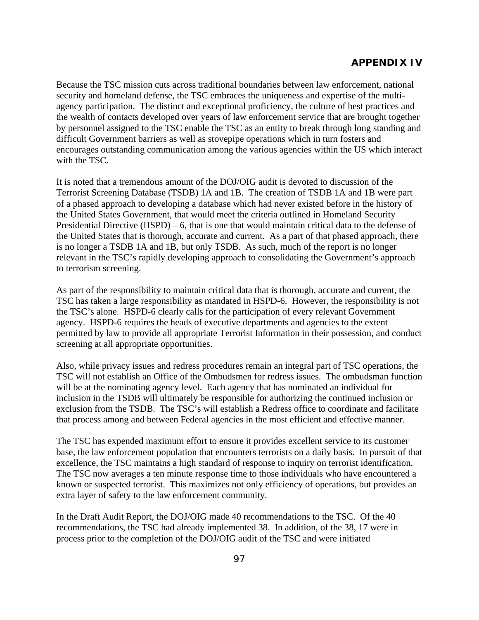Because the TSC mission cuts across traditional boundaries between law enforcement, national security and homeland defense, the TSC embraces the uniqueness and expertise of the multiagency participation. The distinct and exceptional proficiency, the culture of best practices and the wealth of contacts developed over years of law enforcement service that are brought together by personnel assigned to the TSC enable the TSC as an entity to break through long standing and difficult Government barriers as well as stovepipe operations which in turn fosters and encourages outstanding communication among the various agencies within the US which interact with the TSC.

It is noted that a tremendous amount of the DOJ/OIG audit is devoted to discussion of the Terrorist Screening Database (TSDB) 1A and 1B. The creation of TSDB 1A and 1B were part of a phased approach to developing a database which had never existed before in the history of the United States Government, that would meet the criteria outlined in Homeland Security Presidential Directive (HSPD) – 6, that is one that would maintain critical data to the defense of the United States that is thorough, accurate and current. As a part of that phased approach, there is no longer a TSDB 1A and 1B, but only TSDB. As such, much of the report is no longer relevant in the TSC's rapidly developing approach to consolidating the Government's approach to terrorism screening.

As part of the responsibility to maintain critical data that is thorough, accurate and current, the TSC has taken a large responsibility as mandated in HSPD-6. However, the responsibility is not the TSC's alone. HSPD-6 clearly calls for the participation of every relevant Government agency. HSPD-6 requires the heads of executive departments and agencies to the extent permitted by law to provide all appropriate Terrorist Information in their possession, and conduct screening at all appropriate opportunities.

Also, while privacy issues and redress procedures remain an integral part of TSC operations, the TSC will not establish an Office of the Ombudsmen for redress issues. The ombudsman function will be at the nominating agency level. Each agency that has nominated an individual for inclusion in the TSDB will ultimately be responsible for authorizing the continued inclusion or exclusion from the TSDB. The TSC's will establish a Redress office to coordinate and facilitate that process among and between Federal agencies in the most efficient and effective manner.

The TSC has expended maximum effort to ensure it provides excellent service to its customer base, the law enforcement population that encounters terrorists on a daily basis. In pursuit of that excellence, the TSC maintains a high standard of response to inquiry on terrorist identification. The TSC now averages a ten minute response time to those individuals who have encountered a known or suspected terrorist. This maximizes not only efficiency of operations, but provides an extra layer of safety to the law enforcement community.

In the Draft Audit Report, the DOJ/OIG made 40 recommendations to the TSC. Of the 40 recommendations, the TSC had already implemented 38. In addition, of the 38, 17 were in process prior to the completion of the DOJ/OIG audit of the TSC and were initiated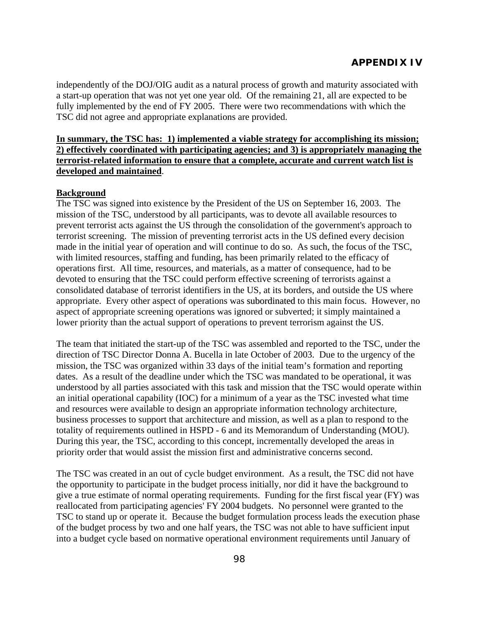independently of the DOJ/OIG audit as a natural process of growth and maturity associated with a start-up operation that was not yet one year old. Of the remaining 21, all are expected to be fully implemented by the end of FY 2005. There were two recommendations with which the TSC did not agree and appropriate explanations are provided.

### **In summary, the TSC has: 1) implemented a viable strategy for accomplishing its mission; 2) effectively coordinated with participating agencies; and 3) is appropriately managing the terrorist-related information to ensure that a complete, accurate and current watch list is developed and maintained**.

### **Background**

The TSC was signed into existence by the President of the US on September 16, 2003. The mission of the TSC, understood by all participants, was to devote all available resources to prevent terrorist acts against the US through the consolidation of the government's approach to terrorist screening. The mission of preventing terrorist acts in the US defined every decision made in the initial year of operation and will continue to do so. As such, the focus of the TSC, with limited resources, staffing and funding, has been primarily related to the efficacy of operations first. All time, resources, and materials, as a matter of consequence, had to be devoted to ensuring that the TSC could perform effective screening of terrorists against a consolidated database of terrorist identifiers in the US, at its borders, and outside the US where appropriate. Every other aspect of operations was subordinated to this main focus. However, no aspect of appropriate screening operations was ignored or subverted; it simply maintained a lower priority than the actual support of operations to prevent terrorism against the US.

The team that initiated the start-up of the TSC was assembled and reported to the TSC, under the direction of TSC Director Donna A. Bucella in late October of 2003. Due to the urgency of the mission, the TSC was organized within 33 days of the initial team's formation and reporting dates. As a result of the deadline under which the TSC was mandated to be operational, it was understood by all parties associated with this task and mission that the TSC would operate within an initial operational capability (IOC) for a minimum of a year as the TSC invested what time and resources were available to design an appropriate information technology architecture, business processes to support that architecture and mission, as well as a plan to respond to the totality of requirements outlined in HSPD - 6 and its Memorandum of Understanding (MOU). During this year, the TSC, according to this concept, incrementally developed the areas in priority order that would assist the mission first and administrative concerns second.

The TSC was created in an out of cycle budget environment. As a result, the TSC did not have the opportunity to participate in the budget process initially, nor did it have the background to give a true estimate of normal operating requirements. Funding for the first fiscal year (FY) was reallocated from participating agencies' FY 2004 budgets. No personnel were granted to the TSC to stand up or operate it. Because the budget formulation process leads the execution phase of the budget process by two and one half years, the TSC was not able to have sufficient input into a budget cycle based on normative operational environment requirements until January of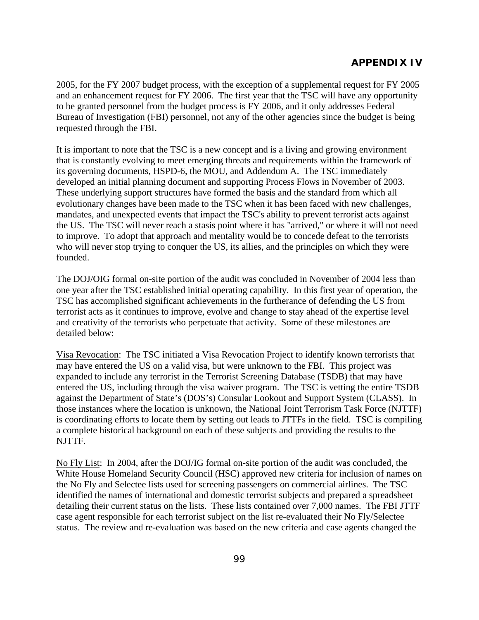2005, for the FY 2007 budget process, with the exception of a supplemental request for FY 2005 and an enhancement request for FY 2006. The first year that the TSC will have any opportunity to be granted personnel from the budget process is FY 2006, and it only addresses Federal Bureau of Investigation (FBI) personnel, not any of the other agencies since the budget is being requested through the FBI.

It is important to note that the TSC is a new concept and is a living and growing environment that is constantly evolving to meet emerging threats and requirements within the framework of its governing documents, HSPD-6, the MOU, and Addendum A. The TSC immediately developed an initial planning document and supporting Process Flows in November of 2003. These underlying support structures have formed the basis and the standard from which all evolutionary changes have been made to the TSC when it has been faced with new challenges, mandates, and unexpected events that impact the TSC's ability to prevent terrorist acts against the US. The TSC will never reach a stasis point where it has "arrived," or where it will not need to improve. To adopt that approach and mentality would be to concede defeat to the terrorists who will never stop trying to conquer the US, its allies, and the principles on which they were founded.

The DOJ/OIG formal on-site portion of the audit was concluded in November of 2004 less than one year after the TSC established initial operating capability. In this first year of operation, the TSC has accomplished significant achievements in the furtherance of defending the US from terrorist acts as it continues to improve, evolve and change to stay ahead of the expertise level and creativity of the terrorists who perpetuate that activity. Some of these milestones are detailed below:

Visa Revocation: The TSC initiated a Visa Revocation Project to identify known terrorists that may have entered the US on a valid visa, but were unknown to the FBI. This project was expanded to include any terrorist in the Terrorist Screening Database (TSDB) that may have entered the US, including through the visa waiver program. The TSC is vetting the entire TSDB against the Department of State's (DOS's) Consular Lookout and Support System (CLASS). In those instances where the location is unknown, the National Joint Terrorism Task Force (NJTTF) is coordinating efforts to locate them by setting out leads to JTTFs in the field. TSC is compiling a complete historical background on each of these subjects and providing the results to the NJTTF.

No Fly List: In 2004, after the DOJ/IG formal on-site portion of the audit was concluded, the White House Homeland Security Council (HSC) approved new criteria for inclusion of names on the No Fly and Selectee lists used for screening passengers on commercial airlines. The TSC identified the names of international and domestic terrorist subjects and prepared a spreadsheet detailing their current status on the lists. These lists contained over 7,000 names. The FBI JTTF case agent responsible for each terrorist subject on the list re-evaluated their No Fly/Selectee status. The review and re-evaluation was based on the new criteria and case agents changed the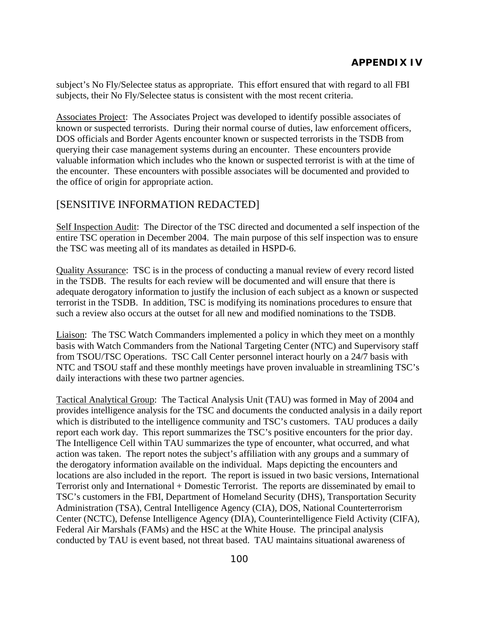subject's No Fly/Selectee status as appropriate. This effort ensured that with regard to all FBI subjects, their No Fly/Selectee status is consistent with the most recent criteria.

Associates Project: The Associates Project was developed to identify possible associates of known or suspected terrorists. During their normal course of duties, law enforcement officers, DOS officials and Border Agents encounter known or suspected terrorists in the TSDB from querying their case management systems during an encounter. These encounters provide valuable information which includes who the known or suspected terrorist is with at the time of the encounter. These encounters with possible associates will be documented and provided to the office of origin for appropriate action.

# [SENSITIVE INFORMATION REDACTED]

Self Inspection Audit: The Director of the TSC directed and documented a self inspection of the entire TSC operation in December 2004. The main purpose of this self inspection was to ensure the TSC was meeting all of its mandates as detailed in HSPD-6.

Quality Assurance: TSC is in the process of conducting a manual review of every record listed in the TSDB. The results for each review will be documented and will ensure that there is adequate derogatory information to justify the inclusion of each subject as a known or suspected terrorist in the TSDB. In addition, TSC is modifying its nominations procedures to ensure that such a review also occurs at the outset for all new and modified nominations to the TSDB.

Liaison: The TSC Watch Commanders implemented a policy in which they meet on a monthly basis with Watch Commanders from the National Targeting Center (NTC) and Supervisory staff from TSOU/TSC Operations. TSC Call Center personnel interact hourly on a 24/7 basis with NTC and TSOU staff and these monthly meetings have proven invaluable in streamlining TSC's daily interactions with these two partner agencies.

Tactical Analytical Group: The Tactical Analysis Unit (TAU) was formed in May of 2004 and provides intelligence analysis for the TSC and documents the conducted analysis in a daily report which is distributed to the intelligence community and TSC's customers. TAU produces a daily report each work day. This report summarizes the TSC's positive encounters for the prior day. The Intelligence Cell within TAU summarizes the type of encounter, what occurred, and what action was taken. The report notes the subject's affiliation with any groups and a summary of the derogatory information available on the individual. Maps depicting the encounters and locations are also included in the report. The report is issued in two basic versions, International Terrorist only and International + Domestic Terrorist. The reports are disseminated by email to TSC's customers in the FBI, Department of Homeland Security (DHS), Transportation Security Administration (TSA), Central Intelligence Agency (CIA), DOS, National Counterterrorism Center (NCTC), Defense Intelligence Agency (DIA), Counterintelligence Field Activity (CIFA), Federal Air Marshals (FAMs) and the HSC at the White House. The principal analysis conducted by TAU is event based, not threat based. TAU maintains situational awareness of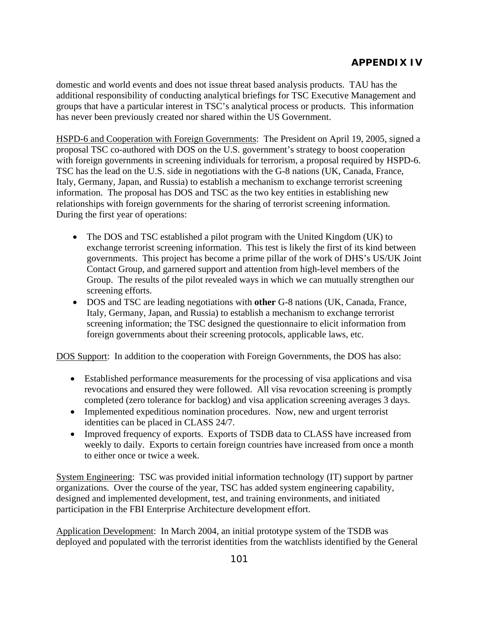domestic and world events and does not issue threat based analysis products. TAU has the additional responsibility of conducting analytical briefings for TSC Executive Management and groups that have a particular interest in TSC's analytical process or products. This information has never been previously created nor shared within the US Government.

HSPD-6 and Cooperation with Foreign Governments: The President on April 19, 2005, signed a proposal TSC co-authored with DOS on the U.S. government's strategy to boost cooperation with foreign governments in screening individuals for terrorism, a proposal required by HSPD-6. TSC has the lead on the U.S. side in negotiations with the G-8 nations (UK, Canada, France, Italy, Germany, Japan, and Russia) to establish a mechanism to exchange terrorist screening information. The proposal has DOS and TSC as the two key entities in establishing new relationships with foreign governments for the sharing of terrorist screening information. During the first year of operations:

- The DOS and TSC established a pilot program with the United Kingdom (UK) to exchange terrorist screening information. This test is likely the first of its kind between governments. This project has become a prime pillar of the work of DHS's US/UK Joint Contact Group, and garnered support and attention from high-level members of the Group. The results of the pilot revealed ways in which we can mutually strengthen our screening efforts.
- DOS and TSC are leading negotiations with **other** G-8 nations (UK, Canada, France, Italy, Germany, Japan, and Russia) to establish a mechanism to exchange terrorist screening information; the TSC designed the questionnaire to elicit information from foreign governments about their screening protocols, applicable laws, etc.

DOS Support: In addition to the cooperation with Foreign Governments, the DOS has also:

- Established performance measurements for the processing of visa applications and visa revocations and ensured they were followed. All visa revocation screening is promptly completed (zero tolerance for backlog) and visa application screening averages 3 days.
- Implemented expeditious nomination procedures. Now, new and urgent terrorist identities can be placed in CLASS 24/7.
- Improved frequency of exports. Exports of TSDB data to CLASS have increased from weekly to daily. Exports to certain foreign countries have increased from once a month to either once or twice a week.

System Engineering: TSC was provided initial information technology (IT) support by partner organizations. Over the course of the year, TSC has added system engineering capability, designed and implemented development, test, and training environments, and initiated participation in the FBI Enterprise Architecture development effort.

Application Development: In March 2004, an initial prototype system of the TSDB was deployed and populated with the terrorist identities from the watchlists identified by the General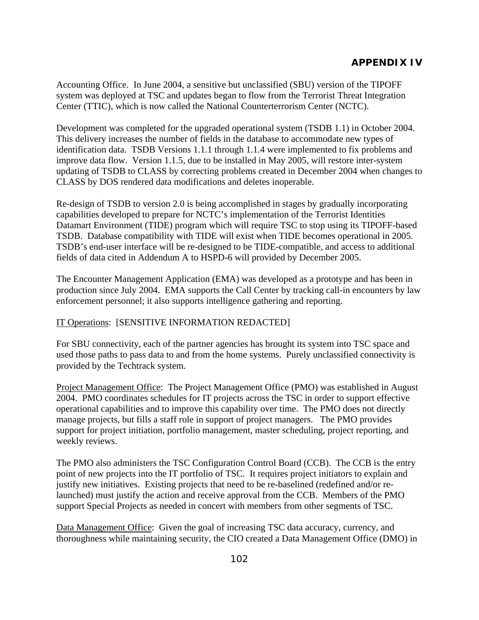Accounting Office. In June 2004, a sensitive but unclassified (SBU) version of the TIPOFF system was deployed at TSC and updates began to flow from the Terrorist Threat Integration Center (TTIC), which is now called the National Counterterrorism Center (NCTC).

Development was completed for the upgraded operational system (TSDB 1.1) in October 2004. This delivery increases the number of fields in the database to accommodate new types of identification data. TSDB Versions 1.1.1 through 1.1.4 were implemented to fix problems and improve data flow. Version 1.1.5, due to be installed in May 2005, will restore inter-system updating of TSDB to CLASS by correcting problems created in December 2004 when changes to CLASS by DOS rendered data modifications and deletes inoperable.

Re-design of TSDB to version 2.0 is being accomplished in stages by gradually incorporating capabilities developed to prepare for NCTC's implementation of the Terrorist Identities Datamart Environment (TIDE) program which will require TSC to stop using its TIPOFF-based TSDB. Database compatibility with TIDE will exist when TIDE becomes operational in 2005. TSDB's end-user interface will be re-designed to be TIDE-compatible, and access to additional fields of data cited in Addendum A to HSPD-6 will provided by December 2005.

The Encounter Management Application (EMA) was developed as a prototype and has been in production since July 2004. EMA supports the Call Center by tracking call-in encounters by law enforcement personnel; it also supports intelligence gathering and reporting.

### IT Operations: [SENSITIVE INFORMATION REDACTED]

For SBU connectivity, each of the partner agencies has brought its system into TSC space and used those paths to pass data to and from the home systems. Purely unclassified connectivity is provided by the Techtrack system.

Project Management Office: The Project Management Office (PMO) was established in August 2004. PMO coordinates schedules for IT projects across the TSC in order to support effective operational capabilities and to improve this capability over time. The PMO does not directly manage projects, but fills a staff role in support of project managers. The PMO provides support for project initiation, portfolio management, master scheduling, project reporting, and weekly reviews.

The PMO also administers the TSC Configuration Control Board (CCB).The CCB is the entry point of new projects into the IT portfolio of TSC. It requires project initiators to explain and justify new initiatives. Existing projects that need to be re-baselined (redefined and/or relaunched) must justify the action and receive approval from the CCB. Members of the PMO support Special Projects as needed in concert with members from other segments of TSC.

Data Management Office: Given the goal of increasing TSC data accuracy, currency, and thoroughness while maintaining security, the CIO created a Data Management Office (DMO) in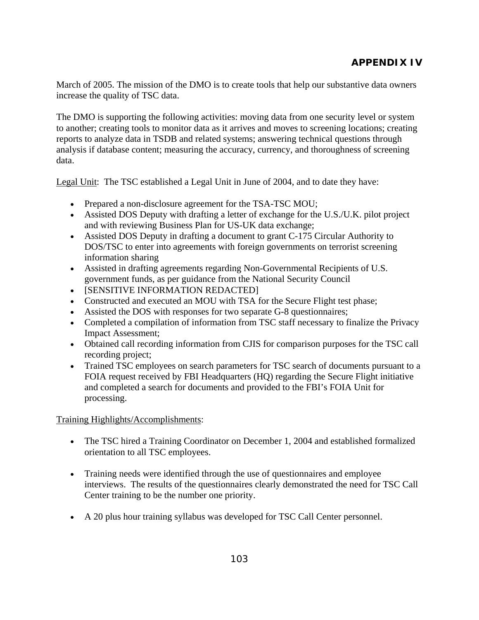March of 2005. The mission of the DMO is to create tools that help our substantive data owners increase the quality of TSC data.

The DMO is supporting the following activities: moving data from one security level or system to another; creating tools to monitor data as it arrives and moves to screening locations; creating reports to analyze data in TSDB and related systems; answering technical questions through analysis if database content; measuring the accuracy, currency, and thoroughness of screening data.

Legal Unit: The TSC established a Legal Unit in June of 2004, and to date they have:

- Prepared a non-disclosure agreement for the TSA-TSC MOU;
- Assisted DOS Deputy with drafting a letter of exchange for the U.S./U.K. pilot project and with reviewing Business Plan for US-UK data exchange;
- Assisted DOS Deputy in drafting a document to grant C-175 Circular Authority to DOS/TSC to enter into agreements with foreign governments on terrorist screening information sharing
- Assisted in drafting agreements regarding Non-Governmental Recipients of U.S. government funds, as per guidance from the National Security Council
- [SENSITIVE INFORMATION REDACTED]
- Constructed and executed an MOU with TSA for the Secure Flight test phase;
- Assisted the DOS with responses for two separate G-8 questionnaires;
- Completed a compilation of information from TSC staff necessary to finalize the Privacy Impact Assessment;
- Obtained call recording information from CJIS for comparison purposes for the TSC call recording project;
- Trained TSC employees on search parameters for TSC search of documents pursuant to a FOIA request received by FBI Headquarters (HQ) regarding the Secure Flight initiative and completed a search for documents and provided to the FBI's FOIA Unit for processing.

Training Highlights/Accomplishments:

- The TSC hired a Training Coordinator on December 1, 2004 and established formalized orientation to all TSC employees.
- Training needs were identified through the use of questionnaires and employee interviews. The results of the questionnaires clearly demonstrated the need for TSC Call Center training to be the number one priority.
- A 20 plus hour training syllabus was developed for TSC Call Center personnel.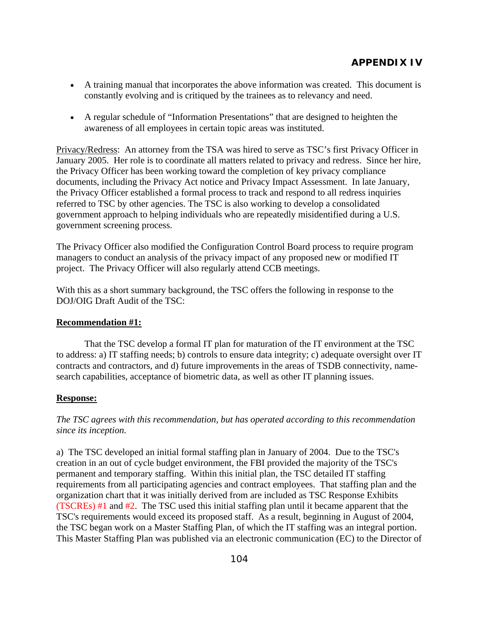- A training manual that incorporates the above information was created. This document is constantly evolving and is critiqued by the trainees as to relevancy and need.
- A regular schedule of "Information Presentations" that are designed to heighten the awareness of all employees in certain topic areas was instituted.

Privacy/Redress: An attorney from the TSA was hired to serve as TSC's first Privacy Officer in January 2005. Her role is to coordinate all matters related to privacy and redress. Since her hire, the Privacy Officer has been working toward the completion of key privacy compliance documents, including the Privacy Act notice and Privacy Impact Assessment. In late January, the Privacy Officer established a formal process to track and respond to all redress inquiries referred to TSC by other agencies. The TSC is also working to develop a consolidated government approach to helping individuals who are repeatedly misidentified during a U.S. government screening process.

The Privacy Officer also modified the Configuration Control Board process to require program managers to conduct an analysis of the privacy impact of any proposed new or modified IT project. The Privacy Officer will also regularly attend CCB meetings.

With this as a short summary background, the TSC offers the following in response to the DOJ/OIG Draft Audit of the TSC:

### **Recommendation #1:**

 That the TSC develop a formal IT plan for maturation of the IT environment at the TSC to address: a) IT staffing needs; b) controls to ensure data integrity; c) adequate oversight over IT contracts and contractors, and d) future improvements in the areas of TSDB connectivity, namesearch capabilities, acceptance of biometric data, as well as other IT planning issues.

### **Response:**

*The TSC agrees with this recommendation, but has operated according to this recommendation since its inception.* 

a) The TSC developed an initial formal staffing plan in January of 2004. Due to the TSC's creation in an out of cycle budget environment, the FBI provided the majority of the TSC's permanent and temporary staffing. Within this initial plan, the TSC detailed IT staffing requirements from all participating agencies and contract employees. That staffing plan and the organization chart that it was initially derived from are included as TSC Response Exhibits (TSCREs) #1 and #2. The TSC used this initial staffing plan until it became apparent that the TSC's requirements would exceed its proposed staff. As a result, beginning in August of 2004, the TSC began work on a Master Staffing Plan, of which the IT staffing was an integral portion. This Master Staffing Plan was published via an electronic communication (EC) to the Director of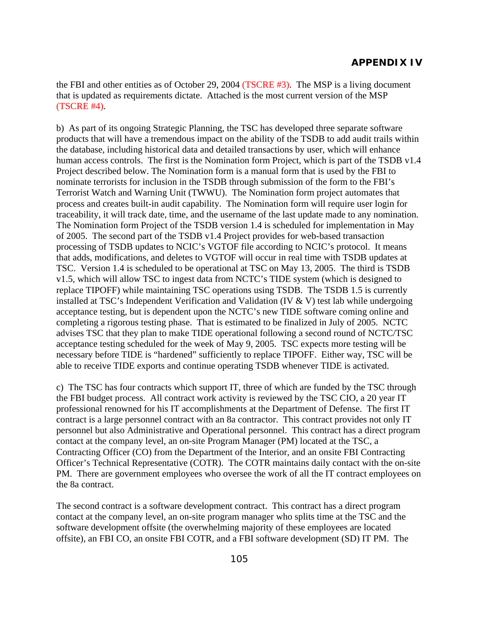the FBI and other entities as of October 29, 2004 (TSCRE #3). The MSP is a living document that is updated as requirements dictate. Attached is the most current version of the MSP (TSCRE #4).

b) As part of its ongoing Strategic Planning, the TSC has developed three separate software products that will have a tremendous impact on the ability of the TSDB to add audit trails within the database, including historical data and detailed transactions by user, which will enhance human access controls. The first is the Nomination form Project, which is part of the TSDB v1.4 Project described below. The Nomination form is a manual form that is used by the FBI to nominate terrorists for inclusion in the TSDB through submission of the form to the FBI's Terrorist Watch and Warning Unit (TWWU). The Nomination form project automates that process and creates built-in audit capability. The Nomination form will require user login for traceability, it will track date, time, and the username of the last update made to any nomination. The Nomination form Project of the TSDB version 1.4 is scheduled for implementation in May of 2005. The second part of the TSDB v1.4 Project provides for web-based transaction processing of TSDB updates to NCIC's VGTOF file according to NCIC's protocol. It means that adds, modifications, and deletes to VGTOF will occur in real time with TSDB updates at TSC. Version 1.4 is scheduled to be operational at TSC on May 13, 2005. The third is TSDB v1.5, which will allow TSC to ingest data from NCTC's TIDE system (which is designed to replace TIPOFF) while maintaining TSC operations using TSDB. The TSDB 1.5 is currently installed at TSC's Independent Verification and Validation (IV & V) test lab while undergoing acceptance testing, but is dependent upon the NCTC's new TIDE software coming online and completing a rigorous testing phase. That is estimated to be finalized in July of 2005. NCTC advises TSC that they plan to make TIDE operational following a second round of NCTC/TSC acceptance testing scheduled for the week of May 9, 2005. TSC expects more testing will be necessary before TIDE is "hardened" sufficiently to replace TIPOFF. Either way, TSC will be able to receive TIDE exports and continue operating TSDB whenever TIDE is activated.

c) The TSC has four contracts which support IT, three of which are funded by the TSC through the FBI budget process. All contract work activity is reviewed by the TSC CIO, a 20 year IT professional renowned for his IT accomplishments at the Department of Defense. The first IT contract is a large personnel contract with an 8a contractor. This contract provides not only IT personnel but also Administrative and Operational personnel. This contract has a direct program contact at the company level, an on-site Program Manager (PM) located at the TSC, a Contracting Officer (CO) from the Department of the Interior, and an onsite FBI Contracting Officer's Technical Representative (COTR). The COTR maintains daily contact with the on-site PM. There are government employees who oversee the work of all the IT contract employees on the 8a contract.

The second contract is a software development contract. This contract has a direct program contact at the company level, an on-site program manager who splits time at the TSC and the software development offsite (the overwhelming majority of these employees are located offsite), an FBI CO, an onsite FBI COTR, and a FBI software development (SD) IT PM. The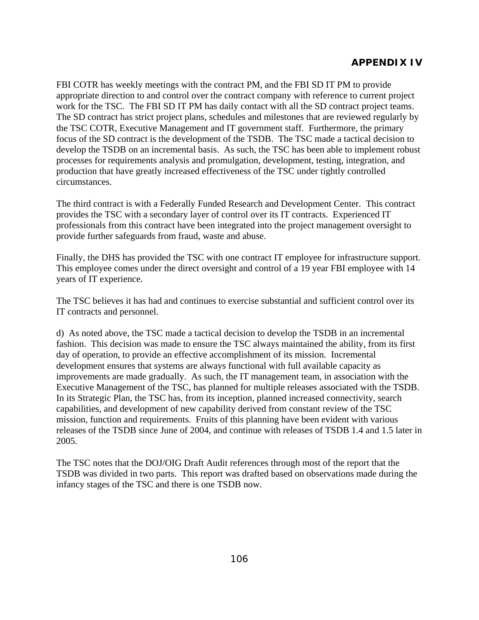FBI COTR has weekly meetings with the contract PM, and the FBI SD IT PM to provide appropriate direction to and control over the contract company with reference to current project work for the TSC. The FBI SD IT PM has daily contact with all the SD contract project teams. The SD contract has strict project plans, schedules and milestones that are reviewed regularly by the TSC COTR, Executive Management and IT government staff. Furthermore, the primary focus of the SD contract is the development of the TSDB. The TSC made a tactical decision to develop the TSDB on an incremental basis. As such, the TSC has been able to implement robust processes for requirements analysis and promulgation, development, testing, integration, and production that have greatly increased effectiveness of the TSC under tightly controlled circumstances.

The third contract is with a Federally Funded Research and Development Center. This contract provides the TSC with a secondary layer of control over its IT contracts. Experienced IT professionals from this contract have been integrated into the project management oversight to provide further safeguards from fraud, waste and abuse.

Finally, the DHS has provided the TSC with one contract IT employee for infrastructure support. This employee comes under the direct oversight and control of a 19 year FBI employee with 14 years of IT experience.

The TSC believes it has had and continues to exercise substantial and sufficient control over its IT contracts and personnel.

d) As noted above, the TSC made a tactical decision to develop the TSDB in an incremental fashion. This decision was made to ensure the TSC always maintained the ability, from its first day of operation, to provide an effective accomplishment of its mission. Incremental development ensures that systems are always functional with full available capacity as improvements are made gradually. As such, the IT management team, in association with the Executive Management of the TSC, has planned for multiple releases associated with the TSDB. In its Strategic Plan, the TSC has, from its inception, planned increased connectivity, search capabilities, and development of new capability derived from constant review of the TSC mission, function and requirements. Fruits of this planning have been evident with various releases of the TSDB since June of 2004, and continue with releases of TSDB 1.4 and 1.5 later in 2005.

The TSC notes that the DOJ/OIG Draft Audit references through most of the report that the TSDB was divided in two parts. This report was drafted based on observations made during the infancy stages of the TSC and there is one TSDB now.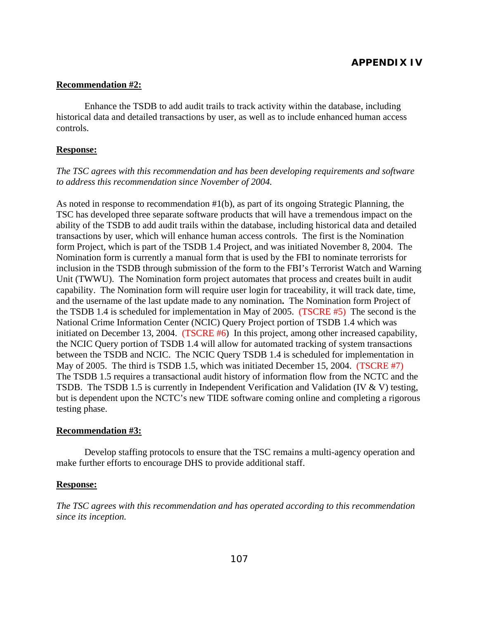#### **Recommendation #2:**

 Enhance the TSDB to add audit trails to track activity within the database, including historical data and detailed transactions by user, as well as to include enhanced human access controls.

#### **Response:**

#### *The TSC agrees with this recommendation and has been developing requirements and software to address this recommendation since November of 2004.*

As noted in response to recommendation #1(b), as part of its ongoing Strategic Planning, the TSC has developed three separate software products that will have a tremendous impact on the ability of the TSDB to add audit trails within the database, including historical data and detailed transactions by user, which will enhance human access controls. The first is the Nomination form Project, which is part of the TSDB 1.4 Project, and was initiated November 8, 2004. The Nomination form is currently a manual form that is used by the FBI to nominate terrorists for inclusion in the TSDB through submission of the form to the FBI's Terrorist Watch and Warning Unit (TWWU). The Nomination form project automates that process and creates built in audit capability. The Nomination form will require user login for traceability, it will track date, time, and the username of the last update made to any nomination**.** The Nomination form Project of the TSDB 1.4 is scheduled for implementation in May of 2005.(TSCRE #5) The second is the National Crime Information Center (NCIC) Query Project portion of TSDB 1.4 which was initiated on December 13, 2004. (TSCRE #6) In this project, among other increased capability, the NCIC Query portion of TSDB 1.4 will allow for automated tracking of system transactions between the TSDB and NCIC. The NCIC Query TSDB 1.4 is scheduled for implementation in May of 2005. The third is TSDB 1.5, which was initiated December 15, 2004. (TSCRE #7) The TSDB 1.5 requires a transactional audit history of information flow from the NCTC and the TSDB. The TSDB 1.5 is currently in Independent Verification and Validation (IV & V) testing, but is dependent upon the NCTC's new TIDE software coming online and completing a rigorous testing phase.

#### **Recommendation #3:**

 Develop staffing protocols to ensure that the TSC remains a multi-agency operation and make further efforts to encourage DHS to provide additional staff.

#### **Response:**

*The TSC agrees with this recommendation and has operated according to this recommendation since its inception.*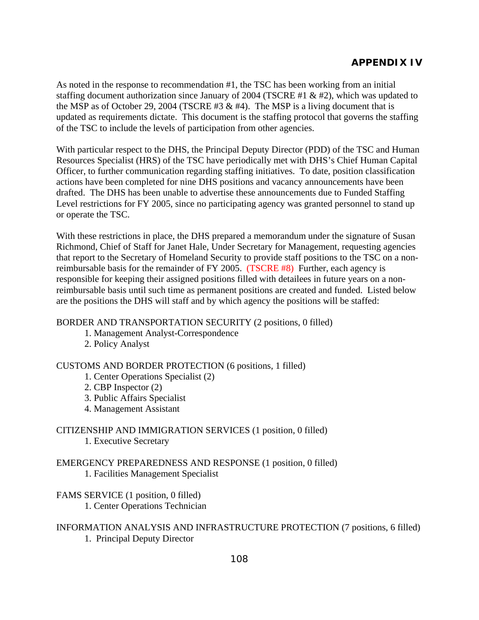As noted in the response to recommendation #1, the TSC has been working from an initial staffing document authorization since January of 2004 (TSCRE #1 & #2), which was updated to the MSP as of October 29, 2004 (TSCRE #3  $\&$  #4). The MSP is a living document that is updated as requirements dictate. This document is the staffing protocol that governs the staffing of the TSC to include the levels of participation from other agencies.

With particular respect to the DHS, the Principal Deputy Director (PDD) of the TSC and Human Resources Specialist (HRS) of the TSC have periodically met with DHS's Chief Human Capital Officer, to further communication regarding staffing initiatives. To date, position classification actions have been completed for nine DHS positions and vacancy announcements have been drafted. The DHS has been unable to advertise these announcements due to Funded Staffing Level restrictions for FY 2005, since no participating agency was granted personnel to stand up or operate the TSC.

With these restrictions in place, the DHS prepared a memorandum under the signature of Susan Richmond, Chief of Staff for Janet Hale, Under Secretary for Management, requesting agencies that report to the Secretary of Homeland Security to provide staff positions to the TSC on a nonreimbursable basis for the remainder of FY 2005. (TSCRE #8) Further, each agency is responsible for keeping their assigned positions filled with detailees in future years on a nonreimbursable basis until such time as permanent positions are created and funded. Listed below are the positions the DHS will staff and by which agency the positions will be staffed:

### BORDER AND TRANSPORTATION SECURITY (2 positions, 0 filled)

- 1. Management Analyst-Correspondence
- 2. Policy Analyst

### CUSTOMS AND BORDER PROTECTION (6 positions, 1 filled)

- 1. Center Operations Specialist (2)
- 2. CBP Inspector (2)
- 3. Public Affairs Specialist
- 4. Management Assistant

### CITIZENSHIP AND IMMIGRATION SERVICES (1 position, 0 filled) 1. Executive Secretary

### EMERGENCY PREPAREDNESS AND RESPONSE (1 position, 0 filled) 1. Facilities Management Specialist

### FAMS SERVICE (1 position, 0 filled) 1. Center Operations Technician

### INFORMATION ANALYSIS AND INFRASTRUCTURE PROTECTION (7 positions, 6 filled) 1. Principal Deputy Director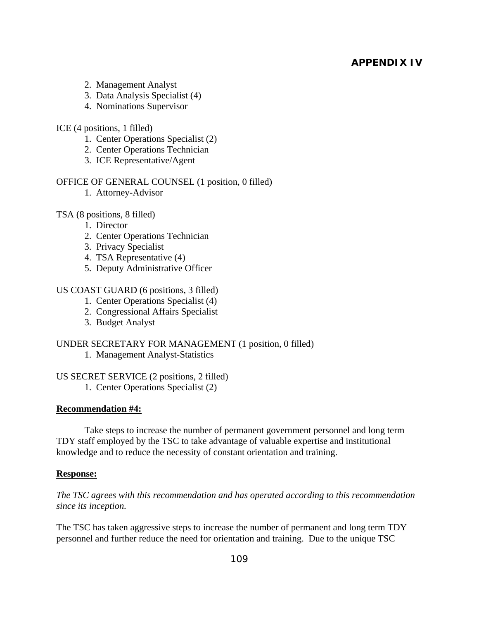- 2. Management Analyst
- 3. Data Analysis Specialist (4)
- 4. Nominations Supervisor

### ICE (4 positions, 1 filled)

- 1. Center Operations Specialist (2)
- 2. Center Operations Technician
- 3. ICE Representative/Agent

### OFFICE OF GENERAL COUNSEL (1 position, 0 filled)

1. Attorney-Advisor

### TSA (8 positions, 8 filled)

- 1. Director
- 2. Center Operations Technician
- 3. Privacy Specialist
- 4. TSA Representative (4)
- 5. Deputy Administrative Officer

### US COAST GUARD (6 positions, 3 filled)

- 1. Center Operations Specialist (4)
- 2. Congressional Affairs Specialist
- 3. Budget Analyst

### UNDER SECRETARY FOR MANAGEMENT (1 position, 0 filled)

1. Management Analyst-Statistics

### US SECRET SERVICE (2 positions, 2 filled)

1. Center Operations Specialist (2)

### **Recommendation #4:**

 Take steps to increase the number of permanent government personnel and long term TDY staff employed by the TSC to take advantage of valuable expertise and institutional knowledge and to reduce the necessity of constant orientation and training.

### **Response:**

*The TSC agrees with this recommendation and has operated according to this recommendation since its inception.* 

The TSC has taken aggressive steps to increase the number of permanent and long term TDY personnel and further reduce the need for orientation and training. Due to the unique TSC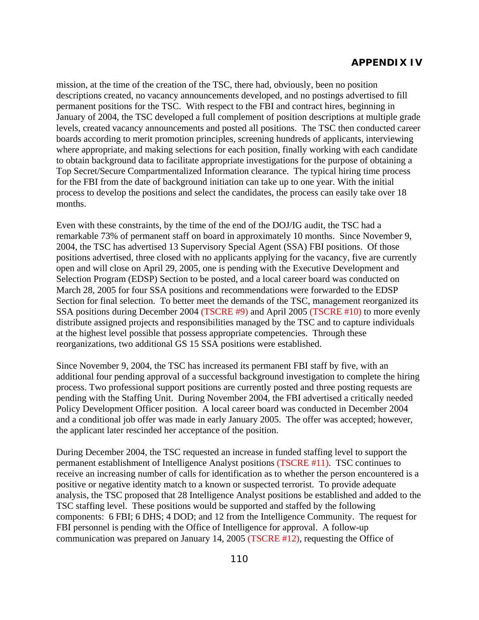mission, at the time of the creation of the TSC, there had, obviously, been no position descriptions created, no vacancy announcements developed, and no postings advertised to fill permanent positions for the TSC. With respect to the FBI and contract hires, beginning in January of 2004, the TSC developed a full complement of position descriptions at multiple grade levels, created vacancy announcements and posted all positions. The TSC then conducted career boards according to merit promotion principles, screening hundreds of applicants, interviewing where appropriate, and making selections for each position, finally working with each candidate to obtain background data to facilitate appropriate investigations for the purpose of obtaining a Top Secret/Secure Compartmentalized Information clearance. The typical hiring time process for the FBI from the date of background initiation can take up to one year. With the initial process to develop the positions and select the candidates, the process can easily take over 18 months.

Even with these constraints, by the time of the end of the DOJ/IG audit, the TSC had a remarkable 73% of permanent staff on board in approximately 10 months. Since November 9, 2004, the TSC has advertised 13 Supervisory Special Agent (SSA) FBI positions. Of those positions advertised, three closed with no applicants applying for the vacancy, five are currently open and will close on April 29, 2005, one is pending with the Executive Development and Selection Program (EDSP) Section to be posted, and a local career board was conducted on March 28, 2005 for four SSA positions and recommendations were forwarded to the EDSP Section for final selection. To better meet the demands of the TSC, management reorganized its SSA positions during December 2004 (TSCRE #9) and April 2005 (TSCRE #10) to more evenly distribute assigned projects and responsibilities managed by the TSC and to capture individuals at the highest level possible that possess appropriate competencies. Through these reorganizations, two additional GS 15 SSA positions were established.

Since November 9, 2004, the TSC has increased its permanent FBI staff by five, with an additional four pending approval of a successful background investigation to complete the hiring process. Two professional support positions are currently posted and three posting requests are pending with the Staffing Unit. During November 2004, the FBI advertised a critically needed Policy Development Officer position. A local career board was conducted in December 2004 and a conditional job offer was made in early January 2005. The offer was accepted; however, the applicant later rescinded her acceptance of the position.

During December 2004, the TSC requested an increase in funded staffing level to support the permanent establishment of Intelligence Analyst positions (TSCRE #11). TSC continues to receive an increasing number of calls for identification as to whether the person encountered is a positive or negative identity match to a known or suspected terrorist. To provide adequate analysis, the TSC proposed that 28 Intelligence Analyst positions be established and added to the TSC staffing level. These positions would be supported and staffed by the following components: 6 FBI; 6 DHS; 4 DOD; and 12 from the Intelligence Community. The request for FBI personnel is pending with the Office of Intelligence for approval. A follow-up communication was prepared on January 14, 2005 (TSCRE #12), requesting the Office of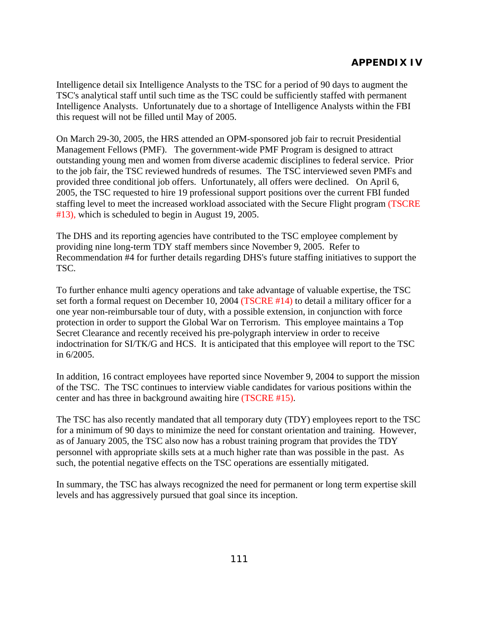Intelligence detail six Intelligence Analysts to the TSC for a period of 90 days to augment the TSC's analytical staff until such time as the TSC could be sufficiently staffed with permanent Intelligence Analysts. Unfortunately due to a shortage of Intelligence Analysts within the FBI this request will not be filled until May of 2005.

On March 29-30, 2005, the HRS attended an OPM-sponsored job fair to recruit Presidential Management Fellows (PMF). The government-wide PMF Program is designed to attract outstanding young men and women from diverse academic disciplines to federal service. Prior to the job fair, the TSC reviewed hundreds of resumes. The TSC interviewed seven PMFs and provided three conditional job offers. Unfortunately, all offers were declined. On April 6, 2005, the TSC requested to hire 19 professional support positions over the current FBI funded staffing level to meet the increased workload associated with the Secure Flight program (TSCRE #13), which is scheduled to begin in August 19, 2005.

The DHS and its reporting agencies have contributed to the TSC employee complement by providing nine long-term TDY staff members since November 9, 2005. Refer to Recommendation #4 for further details regarding DHS's future staffing initiatives to support the TSC.

To further enhance multi agency operations and take advantage of valuable expertise, the TSC set forth a formal request on December 10, 2004 (TSCRE #14) to detail a military officer for a one year non-reimbursable tour of duty, with a possible extension, in conjunction with force protection in order to support the Global War on Terrorism. This employee maintains a Top Secret Clearance and recently received his pre-polygraph interview in order to receive indoctrination for SI/TK/G and HCS. It is anticipated that this employee will report to the TSC in 6/2005.

In addition, 16 contract employees have reported since November 9, 2004 to support the mission of the TSC. The TSC continues to interview viable candidates for various positions within the center and has three in background awaiting hire (TSCRE #15).

The TSC has also recently mandated that all temporary duty (TDY) employees report to the TSC for a minimum of 90 days to minimize the need for constant orientation and training. However, as of January 2005, the TSC also now has a robust training program that provides the TDY personnel with appropriate skills sets at a much higher rate than was possible in the past. As such, the potential negative effects on the TSC operations are essentially mitigated.

In summary, the TSC has always recognized the need for permanent or long term expertise skill levels and has aggressively pursued that goal since its inception.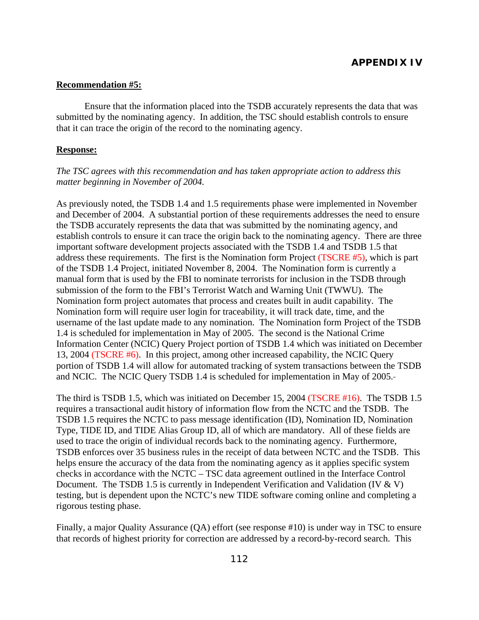#### **Recommendation #5:**

 Ensure that the information placed into the TSDB accurately represents the data that was submitted by the nominating agency. In addition, the TSC should establish controls to ensure that it can trace the origin of the record to the nominating agency.

#### **Response:**

#### *The TSC agrees with this recommendation and has taken appropriate action to address this matter beginning in November of 2004.*

As previously noted, the TSDB 1.4 and 1.5 requirements phase were implemented in November and December of 2004. A substantial portion of these requirements addresses the need to ensure the TSDB accurately represents the data that was submitted by the nominating agency, and establish controls to ensure it can trace the origin back to the nominating agency. There are three important software development projects associated with the TSDB 1.4 and TSDB 1.5 that address these requirements. The first is the Nomination form Project (TSCRE #5), which is part of the TSDB 1.4 Project, initiated November 8, 2004. The Nomination form is currently a manual form that is used by the FBI to nominate terrorists for inclusion in the TSDB through submission of the form to the FBI's Terrorist Watch and Warning Unit (TWWU). The Nomination form project automates that process and creates built in audit capability. The Nomination form will require user login for traceability, it will track date, time, and the username of the last update made to any nomination. The Nomination form Project of the TSDB 1.4 is scheduled for implementation in May of 2005. The second is the National Crime Information Center (NCIC) Query Project portion of TSDB 1.4 which was initiated on December 13, 2004 (TSCRE #6). In this project, among other increased capability, the NCIC Query portion of TSDB 1.4 will allow for automated tracking of system transactions between the TSDB and NCIC. The NCIC Query TSDB 1.4 is scheduled for implementation in May of 2005.

The third is TSDB 1.5, which was initiated on December 15, 2004 (TSCRE #16). The TSDB 1.5 requires a transactional audit history of information flow from the NCTC and the TSDB. The TSDB 1.5 requires the NCTC to pass message identification (ID), Nomination ID, Nomination Type, TIDE ID, and TIDE Alias Group ID, all of which are mandatory. All of these fields are used to trace the origin of individual records back to the nominating agency. Furthermore, TSDB enforces over 35 business rules in the receipt of data between NCTC and the TSDB. This helps ensure the accuracy of the data from the nominating agency as it applies specific system checks in accordance with the NCTC – TSC data agreement outlined in the Interface Control Document. The TSDB 1.5 is currently in Independent Verification and Validation (IV & V) testing, but is dependent upon the NCTC's new TIDE software coming online and completing a rigorous testing phase.

Finally, a major Quality Assurance (QA) effort (see response #10) is under way in TSC to ensure that records of highest priority for correction are addressed by a record-by-record search. This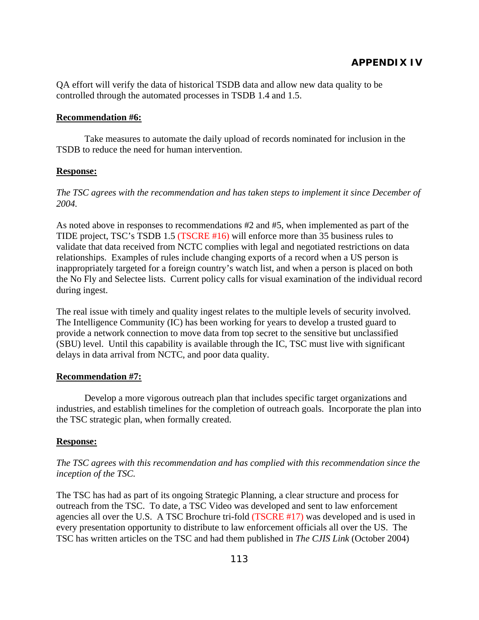QA effort will verify the data of historical TSDB data and allow new data quality to be controlled through the automated processes in TSDB 1.4 and 1.5.

#### **Recommendation #6:**

 Take measures to automate the daily upload of records nominated for inclusion in the TSDB to reduce the need for human intervention.

#### **Response:**

*The TSC agrees with the recommendation and has taken steps to implement it since December of 2004.* 

As noted above in responses to recommendations #2 and #5, when implemented as part of the TIDE project, TSC's TSDB 1.5 (TSCRE #16) will enforce more than 35 business rules to validate that data received from NCTC complies with legal and negotiated restrictions on data relationships. Examples of rules include changing exports of a record when a US person is inappropriately targeted for a foreign country's watch list, and when a person is placed on both the No Fly and Selectee lists. Current policy calls for visual examination of the individual record during ingest.

The real issue with timely and quality ingest relates to the multiple levels of security involved. The Intelligence Community (IC) has been working for years to develop a trusted guard to provide a network connection to move data from top secret to the sensitive but unclassified (SBU) level. Until this capability is available through the IC, TSC must live with significant delays in data arrival from NCTC, and poor data quality.

#### **Recommendation #7:**

 Develop a more vigorous outreach plan that includes specific target organizations and industries, and establish timelines for the completion of outreach goals. Incorporate the plan into the TSC strategic plan, when formally created.

#### **Response:**

*The TSC agrees with this recommendation and has complied with this recommendation since the inception of the TSC.* 

The TSC has had as part of its ongoing Strategic Planning, a clear structure and process for outreach from the TSC. To date, a TSC Video was developed and sent to law enforcement agencies all over the U.S. A TSC Brochure tri-fold (TSCRE #17) was developed and is used in every presentation opportunity to distribute to law enforcement officials all over the US. The TSC has written articles on the TSC and had them published in *The CJIS Link* (October 2004)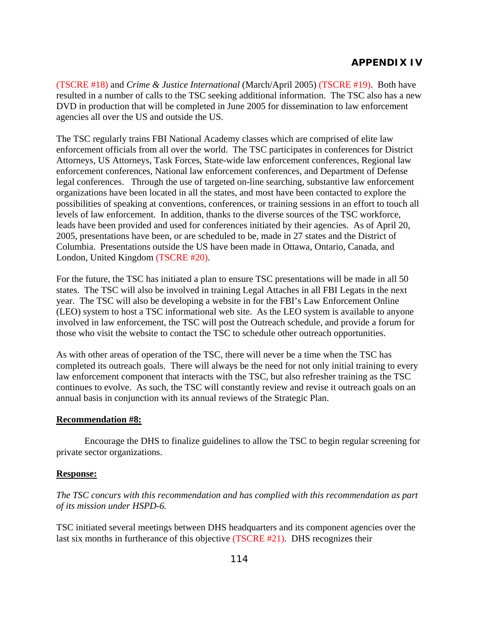(TSCRE #18) and *Crime & Justice International* (March/April 2005) (TSCRE #19). Both have resulted in a number of calls to the TSC seeking additional information. The TSC also has a new DVD in production that will be completed in June 2005 for dissemination to law enforcement agencies all over the US and outside the US.

The TSC regularly trains FBI National Academy classes which are comprised of elite law enforcement officials from all over the world. The TSC participates in conferences for District Attorneys, US Attorneys, Task Forces, State-wide law enforcement conferences, Regional law enforcement conferences, National law enforcement conferences, and Department of Defense legal conferences. Through the use of targeted on-line searching, substantive law enforcement organizations have been located in all the states, and most have been contacted to explore the possibilities of speaking at conventions, conferences, or training sessions in an effort to touch all levels of law enforcement. In addition, thanks to the diverse sources of the TSC workforce, leads have been provided and used for conferences initiated by their agencies. As of April 20, 2005, presentations have been, or are scheduled to be, made in 27 states and the District of Columbia. Presentations outside the US have been made in Ottawa, Ontario, Canada, and London, United Kingdom (TSCRE #20).

For the future, the TSC has initiated a plan to ensure TSC presentations will be made in all 50 states. The TSC will also be involved in training Legal Attaches in all FBI Legats in the next year. The TSC will also be developing a website in for the FBI's Law Enforcement Online (LEO) system to host a TSC informational web site. As the LEO system is available to anyone involved in law enforcement, the TSC will post the Outreach schedule, and provide a forum for those who visit the website to contact the TSC to schedule other outreach opportunities.

As with other areas of operation of the TSC, there will never be a time when the TSC has completed its outreach goals. There will always be the need for not only initial training to every law enforcement component that interacts with the TSC, but also refresher training as the TSC continues to evolve. As such, the TSC will constantly review and revise it outreach goals on an annual basis in conjunction with its annual reviews of the Strategic Plan.

### **Recommendation #8:**

 Encourage the DHS to finalize guidelines to allow the TSC to begin regular screening for private sector organizations.

### **Response:**

*The TSC concurs with this recommendation and has complied with this recommendation as part of its mission under HSPD-6.* 

TSC initiated several meetings between DHS headquarters and its component agencies over the last six months in furtherance of this objective (TSCRE #21). DHS recognizes their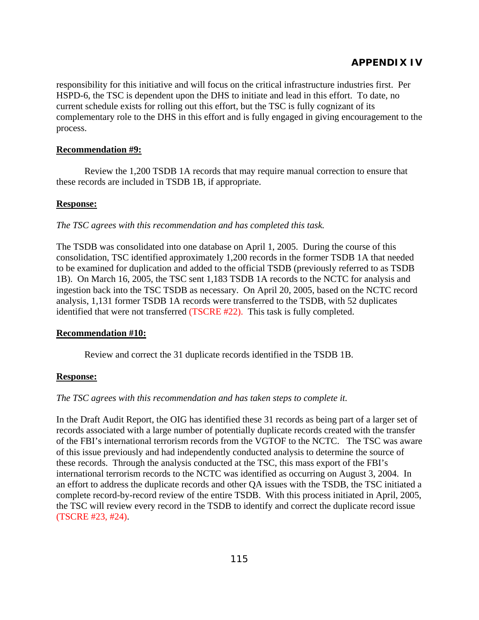responsibility for this initiative and will focus on the critical infrastructure industries first. Per HSPD-6, the TSC is dependent upon the DHS to initiate and lead in this effort. To date, no current schedule exists for rolling out this effort, but the TSC is fully cognizant of its complementary role to the DHS in this effort and is fully engaged in giving encouragement to the process.

#### **Recommendation #9:**

 Review the 1,200 TSDB 1A records that may require manual correction to ensure that these records are included in TSDB 1B, if appropriate.

#### **Response:**

*The TSC agrees with this recommendation and has completed this task.*

The TSDB was consolidated into one database on April 1, 2005. During the course of this consolidation, TSC identified approximately 1,200 records in the former TSDB 1A that needed to be examined for duplication and added to the official TSDB (previously referred to as TSDB 1B). On March 16, 2005, the TSC sent 1,183 TSDB 1A records to the NCTC for analysis and ingestion back into the TSC TSDB as necessary. On April 20, 2005, based on the NCTC record analysis, 1,131 former TSDB 1A records were transferred to the TSDB, with 52 duplicates identified that were not transferred (TSCRE #22). This task is fully completed.

### **Recommendation #10:**

Review and correct the 31 duplicate records identified in the TSDB 1B.

### **Response:**

### *The TSC agrees with this recommendation and has taken steps to complete it.*

In the Draft Audit Report, the OIG has identified these 31 records as being part of a larger set of records associated with a large number of potentially duplicate records created with the transfer of the FBI's international terrorism records from the VGTOF to the NCTC. The TSC was aware of this issue previously and had independently conducted analysis to determine the source of these records. Through the analysis conducted at the TSC, this mass export of the FBI's international terrorism records to the NCTC was identified as occurring on August 3, 2004. In an effort to address the duplicate records and other QA issues with the TSDB, the TSC initiated a complete record-by-record review of the entire TSDB. With this process initiated in April, 2005, the TSC will review every record in the TSDB to identify and correct the duplicate record issue (TSCRE #23, #24).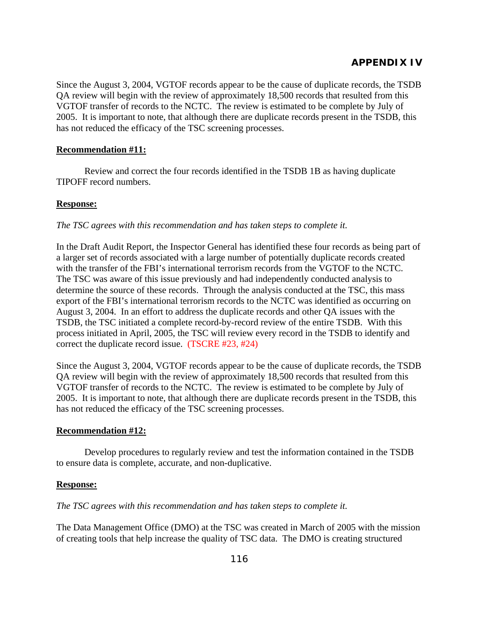Since the August 3, 2004, VGTOF records appear to be the cause of duplicate records, the TSDB QA review will begin with the review of approximately 18,500 records that resulted from this VGTOF transfer of records to the NCTC. The review is estimated to be complete by July of 2005. It is important to note, that although there are duplicate records present in the TSDB, this has not reduced the efficacy of the TSC screening processes.

### **Recommendation #11:**

 Review and correct the four records identified in the TSDB 1B as having duplicate TIPOFF record numbers.

#### **Response:**

*The TSC agrees with this recommendation and has taken steps to complete it.* 

In the Draft Audit Report, the Inspector General has identified these four records as being part of a larger set of records associated with a large number of potentially duplicate records created with the transfer of the FBI's international terrorism records from the VGTOF to the NCTC. The TSC was aware of this issue previously and had independently conducted analysis to determine the source of these records. Through the analysis conducted at the TSC, this mass export of the FBI's international terrorism records to the NCTC was identified as occurring on August 3, 2004. In an effort to address the duplicate records and other QA issues with the TSDB, the TSC initiated a complete record-by-record review of the entire TSDB. With this process initiated in April, 2005, the TSC will review every record in the TSDB to identify and correct the duplicate record issue. (TSCRE #23, #24)

Since the August 3, 2004, VGTOF records appear to be the cause of duplicate records, the TSDB QA review will begin with the review of approximately 18,500 records that resulted from this VGTOF transfer of records to the NCTC. The review is estimated to be complete by July of 2005. It is important to note, that although there are duplicate records present in the TSDB, this has not reduced the efficacy of the TSC screening processes.

#### **Recommendation #12:**

 Develop procedures to regularly review and test the information contained in the TSDB to ensure data is complete, accurate, and non-duplicative.

### **Response:**

*The TSC agrees with this recommendation and has taken steps to complete it.* 

The Data Management Office (DMO) at the TSC was created in March of 2005 with the mission of creating tools that help increase the quality of TSC data. The DMO is creating structured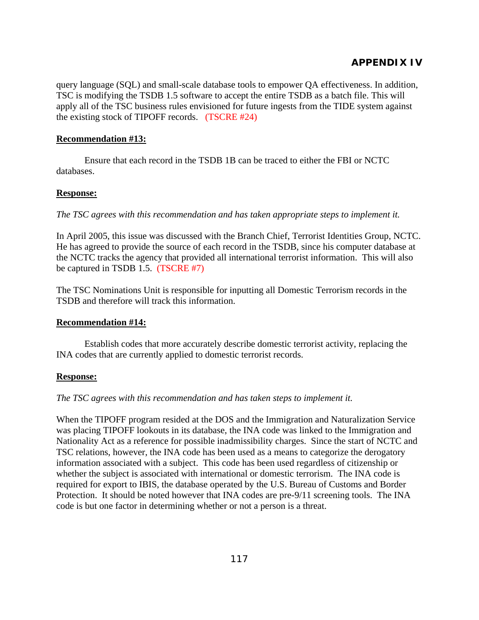query language (SQL) and small-scale database tools to empower QA effectiveness. In addition, TSC is modifying the TSDB 1.5 software to accept the entire TSDB as a batch file. This will apply all of the TSC business rules envisioned for future ingests from the TIDE system against the existing stock of TIPOFF records. (TSCRE #24)

### **Recommendation #13:**

 Ensure that each record in the TSDB 1B can be traced to either the FBI or NCTC databases.

### **Response:**

*The TSC agrees with this recommendation and has taken appropriate steps to implement it.* 

In April 2005, this issue was discussed with the Branch Chief, Terrorist Identities Group, NCTC. He has agreed to provide the source of each record in the TSDB, since his computer database at the NCTC tracks the agency that provided all international terrorist information. This will also be captured in TSDB 1.5. (TSCRE #7)

The TSC Nominations Unit is responsible for inputting all Domestic Terrorism records in the TSDB and therefore will track this information.

### **Recommendation #14:**

 Establish codes that more accurately describe domestic terrorist activity, replacing the INA codes that are currently applied to domestic terrorist records.

### **Response:**

*The TSC agrees with this recommendation and has taken steps to implement it.* 

When the TIPOFF program resided at the DOS and the Immigration and Naturalization Service was placing TIPOFF lookouts in its database, the INA code was linked to the Immigration and Nationality Act as a reference for possible inadmissibility charges. Since the start of NCTC and TSC relations, however, the INA code has been used as a means to categorize the derogatory information associated with a subject. This code has been used regardless of citizenship or whether the subject is associated with international or domestic terrorism. The INA code is required for export to IBIS, the database operated by the U.S. Bureau of Customs and Border Protection. It should be noted however that INA codes are pre-9/11 screening tools. The INA code is but one factor in determining whether or not a person is a threat.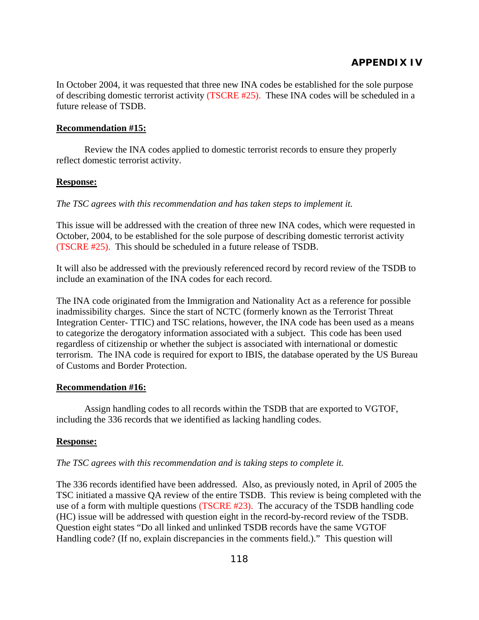In October 2004, it was requested that three new INA codes be established for the sole purpose of describing domestic terrorist activity (TSCRE #25). These INA codes will be scheduled in a future release of TSDB.

#### **Recommendation #15:**

 Review the INA codes applied to domestic terrorist records to ensure they properly reflect domestic terrorist activity.

#### **Response:**

*The TSC agrees with this recommendation and has taken steps to implement it.* 

This issue will be addressed with the creation of three new INA codes, which were requested in October, 2004, to be established for the sole purpose of describing domestic terrorist activity (TSCRE #25). This should be scheduled in a future release of TSDB.

It will also be addressed with the previously referenced record by record review of the TSDB to include an examination of the INA codes for each record.

The INA code originated from the Immigration and Nationality Act as a reference for possible inadmissibility charges. Since the start of NCTC (formerly known as the Terrorist Threat Integration Center- TTIC) and TSC relations, however, the INA code has been used as a means to categorize the derogatory information associated with a subject. This code has been used regardless of citizenship or whether the subject is associated with international or domestic terrorism. The INA code is required for export to IBIS, the database operated by the US Bureau of Customs and Border Protection.

### **Recommendation #16:**

 Assign handling codes to all records within the TSDB that are exported to VGTOF, including the 336 records that we identified as lacking handling codes.

### **Response:**

#### *The TSC agrees with this recommendation and is taking steps to complete it.*

The 336 records identified have been addressed. Also, as previously noted, in April of 2005 the TSC initiated a massive QA review of the entire TSDB. This review is being completed with the use of a form with multiple questions (TSCRE #23). The accuracy of the TSDB handling code (HC) issue will be addressed with question eight in the record-by-record review of the TSDB. Question eight states "Do all linked and unlinked TSDB records have the same VGTOF Handling code? (If no, explain discrepancies in the comments field.)." This question will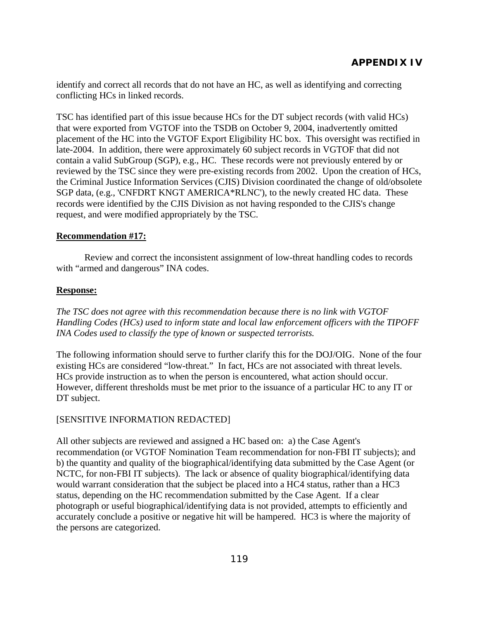identify and correct all records that do not have an HC, as well as identifying and correcting conflicting HCs in linked records.

TSC has identified part of this issue because HCs for the DT subject records (with valid HCs) that were exported from VGTOF into the TSDB on October 9, 2004, inadvertently omitted placement of the HC into the VGTOF Export Eligibility HC box. This oversight was rectified in late-2004. In addition, there were approximately 60 subject records in VGTOF that did not contain a valid SubGroup (SGP), e.g., HC. These records were not previously entered by or reviewed by the TSC since they were pre-existing records from 2002. Upon the creation of HCs, the Criminal Justice Information Services (CJIS) Division coordinated the change of old/obsolete SGP data, (e.g., 'CNFDRT KNGT AMERICA\*RLNC'), to the newly created HC data. These records were identified by the CJIS Division as not having responded to the CJIS's change request, and were modified appropriately by the TSC.

### **Recommendation #17:**

 Review and correct the inconsistent assignment of low-threat handling codes to records with "armed and dangerous" INA codes.

### **Response:**

*The TSC does not agree with this recommendation because there is no link with VGTOF Handling Codes (HCs) used to inform state and local law enforcement officers with the TIPOFF INA Codes used to classify the type of known or suspected terrorists.* 

The following information should serve to further clarify this for the DOJ/OIG. None of the four existing HCs are considered "low-threat." In fact, HCs are not associated with threat levels. HCs provide instruction as to when the person is encountered, what action should occur. However, different thresholds must be met prior to the issuance of a particular HC to any IT or DT subject.

# [SENSITIVE INFORMATION REDACTED]

All other subjects are reviewed and assigned a HC based on: a) the Case Agent's recommendation (or VGTOF Nomination Team recommendation for non-FBI IT subjects); and b) the quantity and quality of the biographical/identifying data submitted by the Case Agent (or NCTC, for non-FBI IT subjects). The lack or absence of quality biographical/identifying data would warrant consideration that the subject be placed into a HC4 status, rather than a HC3 status, depending on the HC recommendation submitted by the Case Agent. If a clear photograph or useful biographical/identifying data is not provided, attempts to efficiently and accurately conclude a positive or negative hit will be hampered. HC3 is where the majority of the persons are categorized.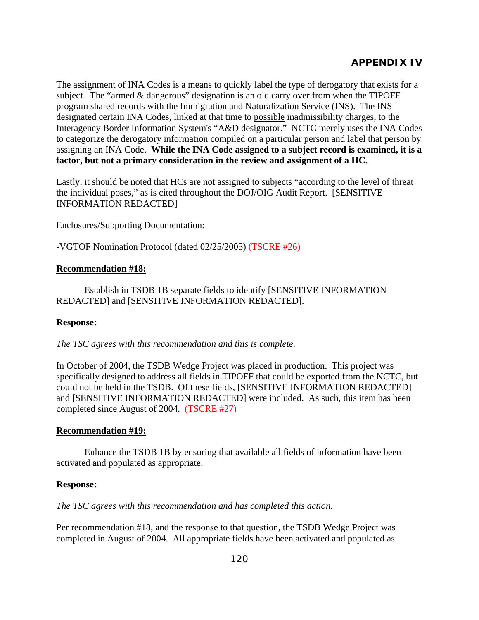The assignment of INA Codes is a means to quickly label the type of derogatory that exists for a subject. The "armed & dangerous" designation is an old carry over from when the TIPOFF program shared records with the Immigration and Naturalization Service (INS). The INS designated certain INA Codes, linked at that time to possible inadmissibility charges, to the Interagency Border Information System's "A&D designator." NCTC merely uses the INA Codes to categorize the derogatory information compiled on a particular person and label that person by assigning an INA Code. **While the INA Code assigned to a subject record is examined, it is a factor, but not a primary consideration in the review and assignment of a HC**.

Lastly, it should be noted that HCs are not assigned to subjects "according to the level of threat the individual poses," as is cited throughout the DOJ/OIG Audit Report. [SENSITIVE INFORMATION REDACTED]

Enclosures/Supporting Documentation:

-VGTOF Nomination Protocol (dated 02/25/2005) (TSCRE #26)

### **Recommendation #18:**

 Establish in TSDB 1B separate fields to identify [SENSITIVE INFORMATION REDACTED] and [SENSITIVE INFORMATION REDACTED].

### **Response:**

*The TSC agrees with this recommendation and this is complete.* 

In October of 2004, the TSDB Wedge Project was placed in production. This project was specifically designed to address all fields in TIPOFF that could be exported from the NCTC, but could not be held in the TSDB. Of these fields, [SENSITIVE INFORMATION REDACTED] and [SENSITIVE INFORMATION REDACTED] were included. As such, this item has been completed since August of 2004. (TSCRE #27)

### **Recommendation #19:**

 Enhance the TSDB 1B by ensuring that available all fields of information have been activated and populated as appropriate.

### **Response:**

*The TSC agrees with this recommendation and has completed this action.* 

Per recommendation #18, and the response to that question, the TSDB Wedge Project was completed in August of 2004. All appropriate fields have been activated and populated as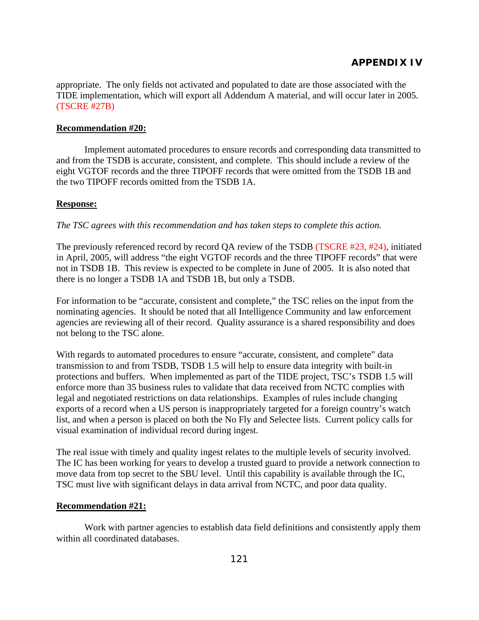appropriate. The only fields not activated and populated to date are those associated with the TIDE implementation, which will export all Addendum A material, and will occur later in 2005. (TSCRE #27B)

#### **Recommendation #20:**

Implement automated procedures to ensure records and corresponding data transmitted to and from the TSDB is accurate, consistent, and complete. This should include a review of the eight VGTOF records and the three TIPOFF records that were omitted from the TSDB 1B and the two TIPOFF records omitted from the TSDB 1A.

#### **Response:**

*The TSC agrees with this recommendation and has taken steps to complete this action.* 

The previously referenced record by record QA review of the TSDB (TSCRE #23, #24), initiated in April, 2005, will address "the eight VGTOF records and the three TIPOFF records" that were not in TSDB 1B. This review is expected to be complete in June of 2005. It is also noted that there is no longer a TSDB 1A and TSDB 1B, but only a TSDB.

For information to be "accurate, consistent and complete," the TSC relies on the input from the nominating agencies. It should be noted that all Intelligence Community and law enforcement agencies are reviewing all of their record. Quality assurance is a shared responsibility and does not belong to the TSC alone.

With regards to automated procedures to ensure "accurate, consistent, and complete" data transmission to and from TSDB, TSDB 1.5 will help to ensure data integrity with built-in protections and buffers. When implemented as part of the TIDE project, TSC's TSDB 1.5 will enforce more than 35 business rules to validate that data received from NCTC complies with legal and negotiated restrictions on data relationships. Examples of rules include changing exports of a record when a US person is inappropriately targeted for a foreign country's watch list, and when a person is placed on both the No Fly and Selectee lists. Current policy calls for visual examination of individual record during ingest.

The real issue with timely and quality ingest relates to the multiple levels of security involved. The IC has been working for years to develop a trusted guard to provide a network connection to move data from top secret to the SBU level. Until this capability is available through the IC, TSC must live with significant delays in data arrival from NCTC, and poor data quality.

## **Recommendation #21:**

Work with partner agencies to establish data field definitions and consistently apply them within all coordinated databases.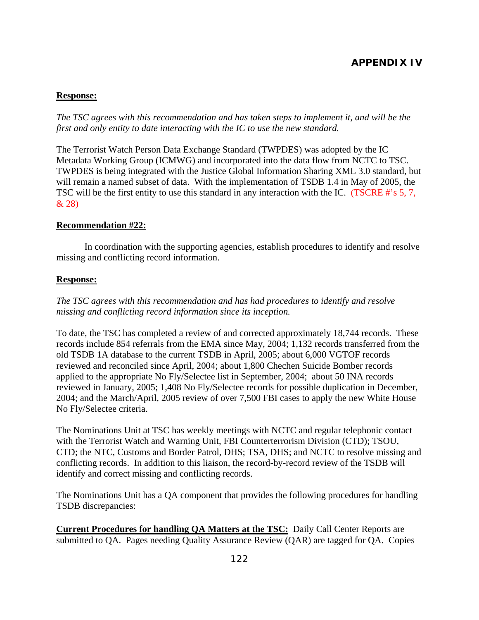## **Response:**

*The TSC agrees with this recommendation and has taken steps to implement it, and will be the first and only entity to date interacting with the IC to use the new standard.* 

The Terrorist Watch Person Data Exchange Standard (TWPDES) was adopted by the IC Metadata Working Group (ICMWG) and incorporated into the data flow from NCTC to TSC. TWPDES is being integrated with the Justice Global Information Sharing XML 3.0 standard, but will remain a named subset of data. With the implementation of TSDB 1.4 in May of 2005, the TSC will be the first entity to use this standard in any interaction with the IC. (TSCRE #'s 5, 7, & 28)

#### **Recommendation #22:**

In coordination with the supporting agencies, establish procedures to identify and resolve missing and conflicting record information.

#### **Response:**

*The TSC agrees with this recommendation and has had procedures to identify and resolve missing and conflicting record information since its inception.*

To date, the TSC has completed a review of and corrected approximately 18,744 records. These records include 854 referrals from the EMA since May, 2004; 1,132 records transferred from the old TSDB 1A database to the current TSDB in April, 2005; about 6,000 VGTOF records reviewed and reconciled since April, 2004; about 1,800 Chechen Suicide Bomber records applied to the appropriate No Fly/Selectee list in September, 2004; about 50 INA records reviewed in January, 2005; 1,408 No Fly/Selectee records for possible duplication in December, 2004; and the March/April, 2005 review of over 7,500 FBI cases to apply the new White House No Fly/Selectee criteria.

The Nominations Unit at TSC has weekly meetings with NCTC and regular telephonic contact with the Terrorist Watch and Warning Unit, FBI Counterterrorism Division (CTD); TSOU, CTD; the NTC, Customs and Border Patrol, DHS; TSA, DHS; and NCTC to resolve missing and conflicting records. In addition to this liaison, the record-by-record review of the TSDB will identify and correct missing and conflicting records.

The Nominations Unit has a QA component that provides the following procedures for handling TSDB discrepancies:

**Current Procedures for handling QA Matters at the TSC:** Daily Call Center Reports are submitted to QA. Pages needing Quality Assurance Review (QAR) are tagged for QA. Copies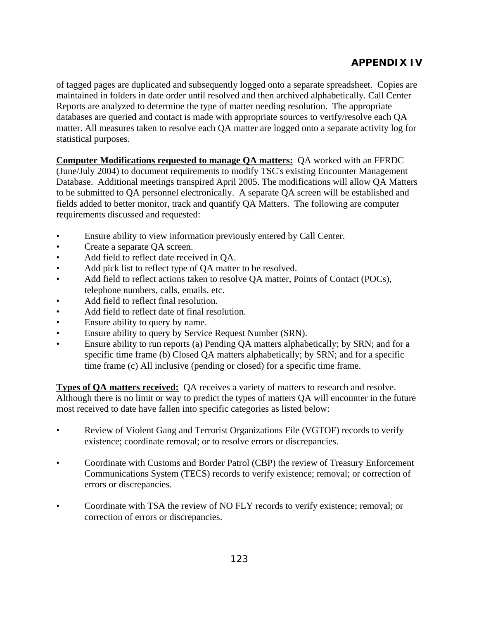of tagged pages are duplicated and subsequently logged onto a separate spreadsheet. Copies are maintained in folders in date order until resolved and then archived alphabetically. Call Center Reports are analyzed to determine the type of matter needing resolution. The appropriate databases are queried and contact is made with appropriate sources to verify/resolve each QA matter. All measures taken to resolve each QA matter are logged onto a separate activity log for statistical purposes.

**Computer Modifications requested to manage QA matters:** QA worked with an FFRDC (June/July 2004) to document requirements to modify TSC's existing Encounter Management Database. Additional meetings transpired April 2005. The modifications will allow QA Matters to be submitted to QA personnel electronically. A separate QA screen will be established and fields added to better monitor, track and quantify QA Matters. The following are computer requirements discussed and requested:

- Ensure ability to view information previously entered by Call Center.
- Create a separate QA screen.
- Add field to reflect date received in QA.
- Add pick list to reflect type of QA matter to be resolved.
- Add field to reflect actions taken to resolve QA matter, Points of Contact (POCs), telephone numbers, calls, emails, etc.
- Add field to reflect final resolution.
- Add field to reflect date of final resolution.
- Ensure ability to query by name.
- Ensure ability to query by Service Request Number (SRN).
- Ensure ability to run reports (a) Pending QA matters alphabetically; by SRN; and for a specific time frame (b) Closed QA matters alphabetically; by SRN; and for a specific time frame (c) All inclusive (pending or closed) for a specific time frame.

**Types of QA matters received:** QA receives a variety of matters to research and resolve. Although there is no limit or way to predict the types of matters QA will encounter in the future most received to date have fallen into specific categories as listed below:

- Review of Violent Gang and Terrorist Organizations File (VGTOF) records to verify existence; coordinate removal; or to resolve errors or discrepancies.
- Coordinate with Customs and Border Patrol (CBP) the review of Treasury Enforcement Communications System (TECS) records to verify existence; removal; or correction of errors or discrepancies.
- Coordinate with TSA the review of NO FLY records to verify existence; removal; or correction of errors or discrepancies.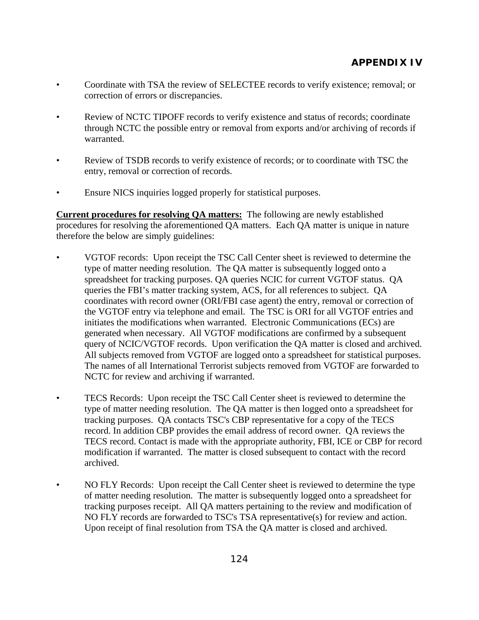- Coordinate with TSA the review of SELECTEE records to verify existence; removal; or correction of errors or discrepancies.
- Review of NCTC TIPOFF records to verify existence and status of records; coordinate through NCTC the possible entry or removal from exports and/or archiving of records if warranted.
- Review of TSDB records to verify existence of records; or to coordinate with TSC the entry, removal or correction of records.
- Ensure NICS inquiries logged properly for statistical purposes.

**Current procedures for resolving QA matters:** The following are newly established procedures for resolving the aforementioned QA matters. Each QA matter is unique in nature therefore the below are simply guidelines:

- VGTOF records: Upon receipt the TSC Call Center sheet is reviewed to determine the type of matter needing resolution. The QA matter is subsequently logged onto a spreadsheet for tracking purposes. QA queries NCIC for current VGTOF status. QA queries the FBI's matter tracking system, ACS, for all references to subject. QA coordinates with record owner (ORI/FBI case agent) the entry, removal or correction of the VGTOF entry via telephone and email. The TSC is ORI for all VGTOF entries and initiates the modifications when warranted. Electronic Communications (ECs) are generated when necessary. All VGTOF modifications are confirmed by a subsequent query of NCIC/VGTOF records. Upon verification the QA matter is closed and archived. All subjects removed from VGTOF are logged onto a spreadsheet for statistical purposes. The names of all International Terrorist subjects removed from VGTOF are forwarded to NCTC for review and archiving if warranted.
- TECS Records: Upon receipt the TSC Call Center sheet is reviewed to determine the type of matter needing resolution. The QA matter is then logged onto a spreadsheet for tracking purposes. QA contacts TSC's CBP representative for a copy of the TECS record. In addition CBP provides the email address of record owner. QA reviews the TECS record. Contact is made with the appropriate authority, FBI, ICE or CBP for record modification if warranted. The matter is closed subsequent to contact with the record archived.
- NO FLY Records: Upon receipt the Call Center sheet is reviewed to determine the type of matter needing resolution. The matter is subsequently logged onto a spreadsheet for tracking purposes receipt. All QA matters pertaining to the review and modification of NO FLY records are forwarded to TSC's TSA representative(s) for review and action. Upon receipt of final resolution from TSA the QA matter is closed and archived.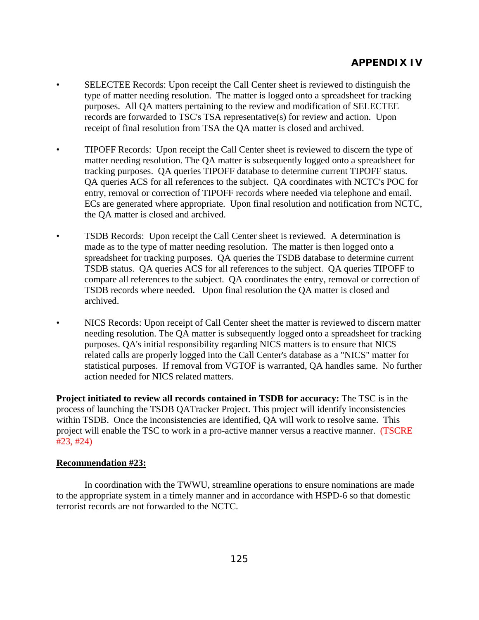- SELECTEE Records: Upon receipt the Call Center sheet is reviewed to distinguish the type of matter needing resolution. The matter is logged onto a spreadsheet for tracking purposes. All QA matters pertaining to the review and modification of SELECTEE records are forwarded to TSC's TSA representative(s) for review and action. Upon receipt of final resolution from TSA the QA matter is closed and archived.
- TIPOFF Records: Upon receipt the Call Center sheet is reviewed to discern the type of matter needing resolution. The QA matter is subsequently logged onto a spreadsheet for tracking purposes. QA queries TIPOFF database to determine current TIPOFF status. QA queries ACS for all references to the subject. QA coordinates with NCTC's POC for entry, removal or correction of TIPOFF records where needed via telephone and email. ECs are generated where appropriate. Upon final resolution and notification from NCTC, the QA matter is closed and archived.
- TSDB Records: Upon receipt the Call Center sheet is reviewed. A determination is made as to the type of matter needing resolution. The matter is then logged onto a spreadsheet for tracking purposes. QA queries the TSDB database to determine current TSDB status. QA queries ACS for all references to the subject. QA queries TIPOFF to compare all references to the subject. QA coordinates the entry, removal or correction of TSDB records where needed. Upon final resolution the QA matter is closed and archived.
- NICS Records: Upon receipt of Call Center sheet the matter is reviewed to discern matter needing resolution. The QA matter is subsequently logged onto a spreadsheet for tracking purposes. QA's initial responsibility regarding NICS matters is to ensure that NICS related calls are properly logged into the Call Center's database as a "NICS" matter for statistical purposes. If removal from VGTOF is warranted, QA handles same. No further action needed for NICS related matters.

**Project initiated to review all records contained in TSDB for accuracy:** The TSC is in the process of launching the TSDB QATracker Project. This project will identify inconsistencies within TSDB. Once the inconsistencies are identified, QA will work to resolve same. This project will enable the TSC to work in a pro-active manner versus a reactive manner. (TSCRE #23, #24)

## **Recommendation #23:**

In coordination with the TWWU, streamline operations to ensure nominations are made to the appropriate system in a timely manner and in accordance with HSPD-6 so that domestic terrorist records are not forwarded to the NCTC.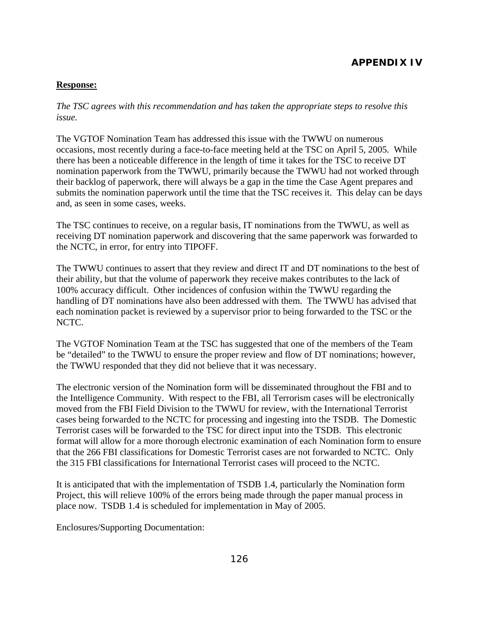## **Response:**

*The TSC agrees with this recommendation and has taken the appropriate steps to resolve this issue.* 

The VGTOF Nomination Team has addressed this issue with the TWWU on numerous occasions, most recently during a face-to-face meeting held at the TSC on April 5, 2005. While there has been a noticeable difference in the length of time it takes for the TSC to receive DT nomination paperwork from the TWWU, primarily because the TWWU had not worked through their backlog of paperwork, there will always be a gap in the time the Case Agent prepares and submits the nomination paperwork until the time that the TSC receives it. This delay can be days and, as seen in some cases, weeks.

The TSC continues to receive, on a regular basis, IT nominations from the TWWU, as well as receiving DT nomination paperwork and discovering that the same paperwork was forwarded to the NCTC, in error, for entry into TIPOFF.

The TWWU continues to assert that they review and direct IT and DT nominations to the best of their ability, but that the volume of paperwork they receive makes contributes to the lack of 100% accuracy difficult. Other incidences of confusion within the TWWU regarding the handling of DT nominations have also been addressed with them. The TWWU has advised that each nomination packet is reviewed by a supervisor prior to being forwarded to the TSC or the NCTC.

The VGTOF Nomination Team at the TSC has suggested that one of the members of the Team be "detailed" to the TWWU to ensure the proper review and flow of DT nominations; however, the TWWU responded that they did not believe that it was necessary.

The electronic version of the Nomination form will be disseminated throughout the FBI and to the Intelligence Community. With respect to the FBI, all Terrorism cases will be electronically moved from the FBI Field Division to the TWWU for review, with the International Terrorist cases being forwarded to the NCTC for processing and ingesting into the TSDB. The Domestic Terrorist cases will be forwarded to the TSC for direct input into the TSDB. This electronic format will allow for a more thorough electronic examination of each Nomination form to ensure that the 266 FBI classifications for Domestic Terrorist cases are not forwarded to NCTC. Only the 315 FBI classifications for International Terrorist cases will proceed to the NCTC.

It is anticipated that with the implementation of TSDB 1.4, particularly the Nomination form Project, this will relieve 100% of the errors being made through the paper manual process in place now. TSDB 1.4 is scheduled for implementation in May of 2005.

Enclosures/Supporting Documentation: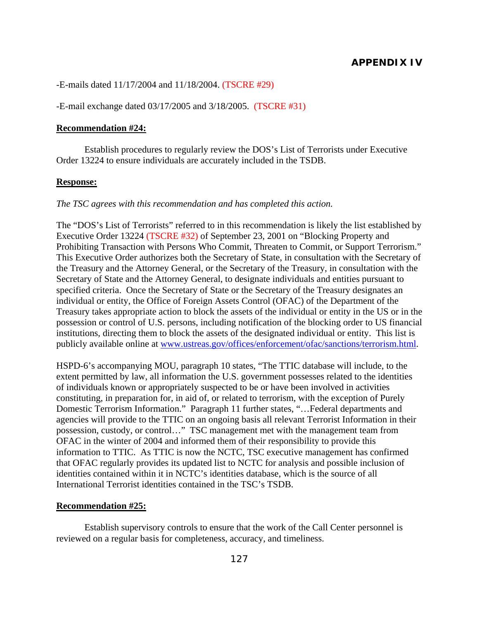-E-mails dated 11/17/2004 and 11/18/2004. (TSCRE #29)

-E-mail exchange dated 03/17/2005 and 3/18/2005. (TSCRE #31)

#### **Recommendation #24:**

Establish procedures to regularly review the DOS's List of Terrorists under Executive Order 13224 to ensure individuals are accurately included in the TSDB.

#### **Response:**

#### *The TSC agrees with this recommendation and has completed this action.*

The "DOS's List of Terrorists" referred to in this recommendation is likely the list established by Executive Order 13224 (TSCRE #32) of September 23, 2001 on "Blocking Property and Prohibiting Transaction with Persons Who Commit, Threaten to Commit, or Support Terrorism." This Executive Order authorizes both the Secretary of State, in consultation with the Secretary of the Treasury and the Attorney General, or the Secretary of the Treasury, in consultation with the Secretary of State and the Attorney General, to designate individuals and entities pursuant to specified criteria. Once the Secretary of State or the Secretary of the Treasury designates an individual or entity, the Office of Foreign Assets Control (OFAC) of the Department of the Treasury takes appropriate action to block the assets of the individual or entity in the US or in the possession or control of U.S. persons, including notification of the blocking order to US financial institutions, directing them to block the assets of the designated individual or entity. This list is publicly available online at [www.ustreas.gov/offices/enforcement/ofac/sanctions/terrorism.html](http://www.ustreas.gov/offices/enforcement/ofac/sanctions/terrorism.html).

HSPD-6's accompanying MOU, paragraph 10 states, "The TTIC database will include, to the extent permitted by law, all information the U.S. government possesses related to the identities of individuals known or appropriately suspected to be or have been involved in activities constituting, in preparation for, in aid of, or related to terrorism, with the exception of Purely Domestic Terrorism Information." Paragraph 11 further states, "…Federal departments and agencies will provide to the TTIC on an ongoing basis all relevant Terrorist Information in their possession, custody, or control…" TSC management met with the management team from OFAC in the winter of 2004 and informed them of their responsibility to provide this information to TTIC. As TTIC is now the NCTC, TSC executive management has confirmed that OFAC regularly provides its updated list to NCTC for analysis and possible inclusion of identities contained within it in NCTC's identities database, which is the source of all International Terrorist identities contained in the TSC's TSDB.

#### **Recommendation #25:**

Establish supervisory controls to ensure that the work of the Call Center personnel is reviewed on a regular basis for completeness, accuracy, and timeliness.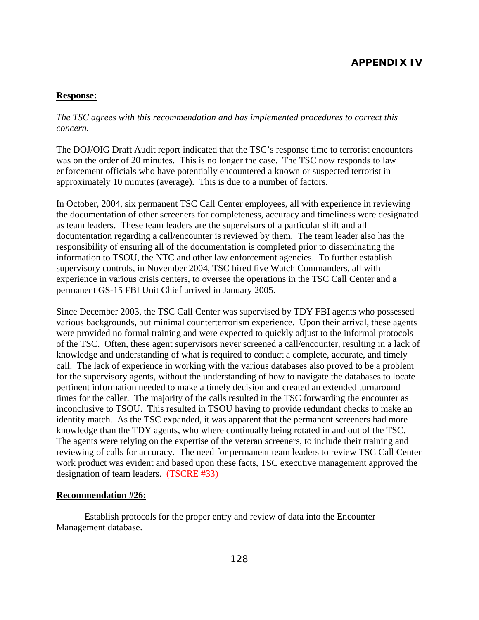#### **Response:**

### *The TSC agrees with this recommendation and has implemented procedures to correct this concern.*

The DOJ/OIG Draft Audit report indicated that the TSC's response time to terrorist encounters was on the order of 20 minutes. This is no longer the case. The TSC now responds to law enforcement officials who have potentially encountered a known or suspected terrorist in approximately 10 minutes (average). This is due to a number of factors.

In October, 2004, six permanent TSC Call Center employees, all with experience in reviewing the documentation of other screeners for completeness, accuracy and timeliness were designated as team leaders. These team leaders are the supervisors of a particular shift and all documentation regarding a call/encounter is reviewed by them. The team leader also has the responsibility of ensuring all of the documentation is completed prior to disseminating the information to TSOU, the NTC and other law enforcement agencies. To further establish supervisory controls, in November 2004, TSC hired five Watch Commanders, all with experience in various crisis centers, to oversee the operations in the TSC Call Center and a permanent GS-15 FBI Unit Chief arrived in January 2005.

Since December 2003, the TSC Call Center was supervised by TDY FBI agents who possessed various backgrounds, but minimal counterterrorism experience. Upon their arrival, these agents were provided no formal training and were expected to quickly adjust to the informal protocols of the TSC. Often, these agent supervisors never screened a call/encounter, resulting in a lack of knowledge and understanding of what is required to conduct a complete, accurate, and timely call. The lack of experience in working with the various databases also proved to be a problem for the supervisory agents, without the understanding of how to navigate the databases to locate pertinent information needed to make a timely decision and created an extended turnaround times for the caller. The majority of the calls resulted in the TSC forwarding the encounter as inconclusive to TSOU. This resulted in TSOU having to provide redundant checks to make an identity match. As the TSC expanded, it was apparent that the permanent screeners had more knowledge than the TDY agents, who where continually being rotated in and out of the TSC. The agents were relying on the expertise of the veteran screeners, to include their training and reviewing of calls for accuracy. The need for permanent team leaders to review TSC Call Center work product was evident and based upon these facts, TSC executive management approved the designation of team leaders. (TSCRE #33)

#### **Recommendation #26:**

Establish protocols for the proper entry and review of data into the Encounter Management database.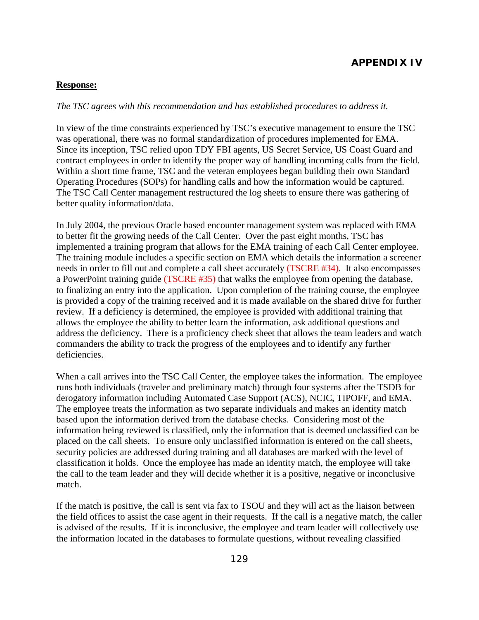#### **Response:**

#### *The TSC agrees with this recommendation and has established procedures to address it.*

In view of the time constraints experienced by TSC's executive management to ensure the TSC was operational, there was no formal standardization of procedures implemented for EMA. Since its inception, TSC relied upon TDY FBI agents, US Secret Service, US Coast Guard and contract employees in order to identify the proper way of handling incoming calls from the field. Within a short time frame, TSC and the veteran employees began building their own Standard Operating Procedures (SOPs) for handling calls and how the information would be captured. The TSC Call Center management restructured the log sheets to ensure there was gathering of better quality information/data.

In July 2004, the previous Oracle based encounter management system was replaced with EMA to better fit the growing needs of the Call Center. Over the past eight months, TSC has implemented a training program that allows for the EMA training of each Call Center employee. The training module includes a specific section on EMA which details the information a screener needs in order to fill out and complete a call sheet accurately (TSCRE #34). It also encompasses a PowerPoint training guide (TSCRE #35) that walks the employee from opening the database, to finalizing an entry into the application. Upon completion of the training course, the employee is provided a copy of the training received and it is made available on the shared drive for further review. If a deficiency is determined, the employee is provided with additional training that allows the employee the ability to better learn the information, ask additional questions and address the deficiency. There is a proficiency check sheet that allows the team leaders and watch commanders the ability to track the progress of the employees and to identify any further deficiencies.

When a call arrives into the TSC Call Center, the employee takes the information. The employee runs both individuals (traveler and preliminary match) through four systems after the TSDB for derogatory information including Automated Case Support (ACS), NCIC, TIPOFF, and EMA. The employee treats the information as two separate individuals and makes an identity match based upon the information derived from the database checks. Considering most of the information being reviewed is classified, only the information that is deemed unclassified can be placed on the call sheets. To ensure only unclassified information is entered on the call sheets, security policies are addressed during training and all databases are marked with the level of classification it holds. Once the employee has made an identity match, the employee will take the call to the team leader and they will decide whether it is a positive, negative or inconclusive match.

If the match is positive, the call is sent via fax to TSOU and they will act as the liaison between the field offices to assist the case agent in their requests. If the call is a negative match, the caller is advised of the results. If it is inconclusive, the employee and team leader will collectively use the information located in the databases to formulate questions, without revealing classified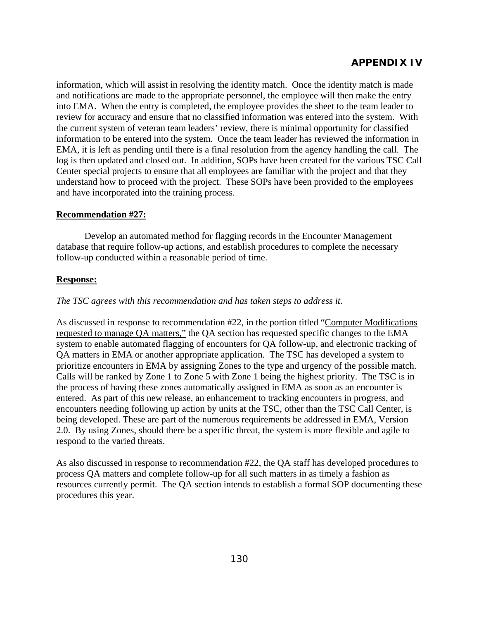information, which will assist in resolving the identity match. Once the identity match is made and notifications are made to the appropriate personnel, the employee will then make the entry into EMA. When the entry is completed, the employee provides the sheet to the team leader to review for accuracy and ensure that no classified information was entered into the system. With the current system of veteran team leaders' review, there is minimal opportunity for classified information to be entered into the system. Once the team leader has reviewed the information in EMA, it is left as pending until there is a final resolution from the agency handling the call. The log is then updated and closed out. In addition, SOPs have been created for the various TSC Call Center special projects to ensure that all employees are familiar with the project and that they understand how to proceed with the project. These SOPs have been provided to the employees and have incorporated into the training process.

## **Recommendation #27:**

Develop an automated method for flagging records in the Encounter Management database that require follow-up actions, and establish procedures to complete the necessary follow-up conducted within a reasonable period of time.

#### **Response:**

#### *The TSC agrees with this recommendation and has taken steps to address it.*

As discussed in response to recommendation #22, in the portion titled "Computer Modifications requested to manage QA matters," the QA section has requested specific changes to the EMA system to enable automated flagging of encounters for QA follow-up, and electronic tracking of QA matters in EMA or another appropriate application. The TSC has developed a system to prioritize encounters in EMA by assigning Zones to the type and urgency of the possible match. Calls will be ranked by Zone 1 to Zone 5 with Zone 1 being the highest priority. The TSC is in the process of having these zones automatically assigned in EMA as soon as an encounter is entered. As part of this new release, an enhancement to tracking encounters in progress, and encounters needing following up action by units at the TSC, other than the TSC Call Center, is being developed. These are part of the numerous requirements be addressed in EMA, Version 2.0. By using Zones, should there be a specific threat, the system is more flexible and agile to respond to the varied threats.

As also discussed in response to recommendation #22, the QA staff has developed procedures to process QA matters and complete follow-up for all such matters in as timely a fashion as resources currently permit. The QA section intends to establish a formal SOP documenting these procedures this year.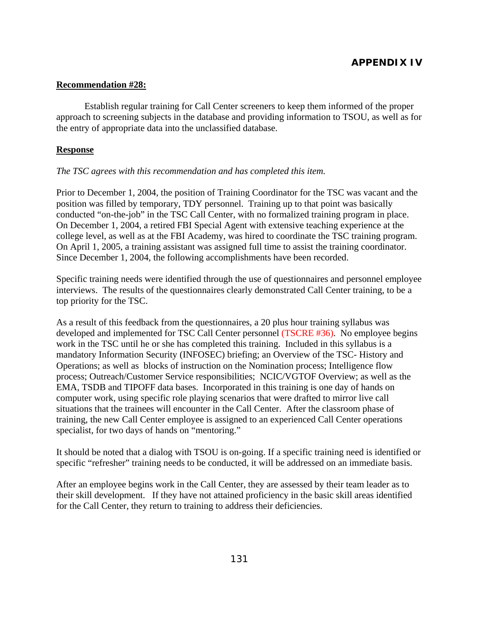#### **Recommendation #28:**

 Establish regular training for Call Center screeners to keep them informed of the proper approach to screening subjects in the database and providing information to TSOU, as well as for the entry of appropriate data into the unclassified database.

#### **Response**

#### *The TSC agrees with this recommendation and has completed this item.*

Prior to December 1, 2004, the position of Training Coordinator for the TSC was vacant and the position was filled by temporary, TDY personnel. Training up to that point was basically conducted "on-the-job" in the TSC Call Center, with no formalized training program in place. On December 1, 2004, a retired FBI Special Agent with extensive teaching experience at the college level, as well as at the FBI Academy, was hired to coordinate the TSC training program. On April 1, 2005, a training assistant was assigned full time to assist the training coordinator. Since December 1, 2004, the following accomplishments have been recorded.

Specific training needs were identified through the use of questionnaires and personnel employee interviews. The results of the questionnaires clearly demonstrated Call Center training, to be a top priority for the TSC.

As a result of this feedback from the questionnaires, a 20 plus hour training syllabus was developed and implemented for TSC Call Center personnel (TSCRE #36). No employee begins work in the TSC until he or she has completed this training. Included in this syllabus is a mandatory Information Security (INFOSEC) briefing; an Overview of the TSC- History and Operations; as well as blocks of instruction on the Nomination process; Intelligence flow process; Outreach/Customer Service responsibilities; NCIC/VGTOF Overview; as well as the EMA, TSDB and TIPOFF data bases. Incorporated in this training is one day of hands on computer work, using specific role playing scenarios that were drafted to mirror live call situations that the trainees will encounter in the Call Center. After the classroom phase of training, the new Call Center employee is assigned to an experienced Call Center operations specialist, for two days of hands on "mentoring."

It should be noted that a dialog with TSOU is on-going. If a specific training need is identified or specific "refresher" training needs to be conducted, it will be addressed on an immediate basis.

After an employee begins work in the Call Center, they are assessed by their team leader as to their skill development. If they have not attained proficiency in the basic skill areas identified for the Call Center, they return to training to address their deficiencies.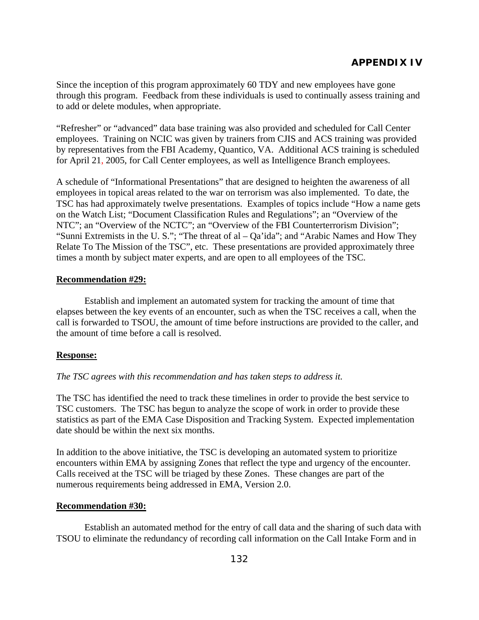Since the inception of this program approximately 60 TDY and new employees have gone through this program. Feedback from these individuals is used to continually assess training and to add or delete modules, when appropriate.

"Refresher" or "advanced" data base training was also provided and scheduled for Call Center employees. Training on NCIC was given by trainers from CJIS and ACS training was provided by representatives from the FBI Academy, Quantico, VA. Additional ACS training is scheduled for April 21, 2005, for Call Center employees, as well as Intelligence Branch employees.

A schedule of "Informational Presentations" that are designed to heighten the awareness of all employees in topical areas related to the war on terrorism was also implemented. To date, the TSC has had approximately twelve presentations. Examples of topics include "How a name gets on the Watch List; "Document Classification Rules and Regulations"; an "Overview of the NTC"; an "Overview of the NCTC"; an "Overview of the FBI Counterterrorism Division"; "Sunni Extremists in the U. S."; "The threat of al – Qa'ida"; and "Arabic Names and How They Relate To The Mission of the TSC", etc. These presentations are provided approximately three times a month by subject mater experts, and are open to all employees of the TSC.

#### **Recommendation #29:**

 Establish and implement an automated system for tracking the amount of time that elapses between the key events of an encounter, such as when the TSC receives a call, when the call is forwarded to TSOU, the amount of time before instructions are provided to the caller, and the amount of time before a call is resolved.

## **Response:**

## *The TSC agrees with this recommendation and has taken steps to address it.*

The TSC has identified the need to track these timelines in order to provide the best service to TSC customers. The TSC has begun to analyze the scope of work in order to provide these statistics as part of the EMA Case Disposition and Tracking System. Expected implementation date should be within the next six months.

In addition to the above initiative, the TSC is developing an automated system to prioritize encounters within EMA by assigning Zones that reflect the type and urgency of the encounter. Calls received at the TSC will be triaged by these Zones. These changes are part of the numerous requirements being addressed in EMA, Version 2.0.

#### **Recommendation #30:**

 Establish an automated method for the entry of call data and the sharing of such data with TSOU to eliminate the redundancy of recording call information on the Call Intake Form and in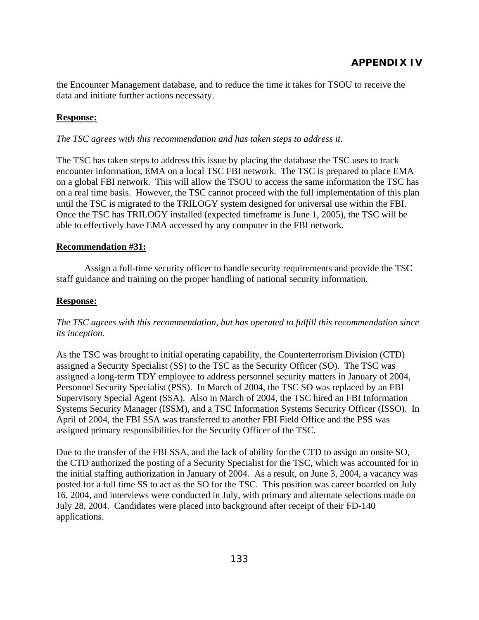the Encounter Management database, and to reduce the time it takes for TSOU to receive the data and initiate further actions necessary.

## **Response:**

#### *The TSC agrees with this recommendation and has taken steps to address it.*

The TSC has taken steps to address this issue by placing the database the TSC uses to track encounter information, EMA on a local TSC FBI network. The TSC is prepared to place EMA on a global FBI network. This will allow the TSOU to access the same information the TSC has on a real time basis. However, the TSC cannot proceed with the full implementation of this plan until the TSC is migrated to the TRILOGY system designed for universal use within the FBI. Once the TSC has TRILOGY installed (expected timeframe is June 1, 2005), the TSC will be able to effectively have EMA accessed by any computer in the FBI network.

#### **Recommendation #31:**

 Assign a full-time security officer to handle security requirements and provide the TSC staff guidance and training on the proper handling of national security information.

#### **Response:**

## *The TSC agrees with this recommendation, but has operated to fulfill this recommendation since its inception.*

As the TSC was brought to initial operating capability, the Counterterrorism Division (CTD) assigned a Security Specialist (SS) to the TSC as the Security Officer (SO). The TSC was assigned a long-term TDY employee to address personnel security matters in January of 2004, Personnel Security Specialist (PSS). In March of 2004, the TSC SO was replaced by an FBI Supervisory Special Agent (SSA). Also in March of 2004, the TSC hired an FBI Information Systems Security Manager (ISSM), and a TSC Information Systems Security Officer (ISSO). In April of 2004, the FBI SSA was transferred to another FBI Field Office and the PSS was assigned primary responsibilities for the Security Officer of the TSC.

Due to the transfer of the FBI SSA, and the lack of ability for the CTD to assign an onsite SO, the CTD authorized the posting of a Security Specialist for the TSC, which was accounted for in the initial staffing authorization in January of 2004. As a result, on June 3, 2004, a vacancy was posted for a full time SS to act as the SO for the TSC. This position was career boarded on July 16, 2004, and interviews were conducted in July, with primary and alternate selections made on July 28, 2004. Candidates were placed into background after receipt of their FD-140 applications.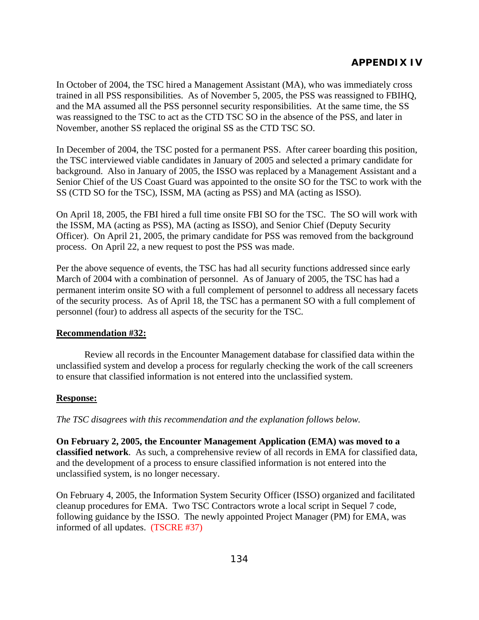In October of 2004, the TSC hired a Management Assistant (MA), who was immediately cross trained in all PSS responsibilities. As of November 5, 2005, the PSS was reassigned to FBIHQ, and the MA assumed all the PSS personnel security responsibilities. At the same time, the SS was reassigned to the TSC to act as the CTD TSC SO in the absence of the PSS, and later in November, another SS replaced the original SS as the CTD TSC SO.

In December of 2004, the TSC posted for a permanent PSS. After career boarding this position, the TSC interviewed viable candidates in January of 2005 and selected a primary candidate for background. Also in January of 2005, the ISSO was replaced by a Management Assistant and a Senior Chief of the US Coast Guard was appointed to the onsite SO for the TSC to work with the SS (CTD SO for the TSC), ISSM, MA (acting as PSS) and MA (acting as ISSO).

On April 18, 2005, the FBI hired a full time onsite FBI SO for the TSC. The SO will work with the ISSM, MA (acting as PSS), MA (acting as ISSO), and Senior Chief (Deputy Security Officer). On April 21, 2005, the primary candidate for PSS was removed from the background process. On April 22, a new request to post the PSS was made.

Per the above sequence of events, the TSC has had all security functions addressed since early March of 2004 with a combination of personnel. As of January of 2005, the TSC has had a permanent interim onsite SO with a full complement of personnel to address all necessary facets of the security process. As of April 18, the TSC has a permanent SO with a full complement of personnel (four) to address all aspects of the security for the TSC.

#### **Recommendation #32:**

 Review all records in the Encounter Management database for classified data within the unclassified system and develop a process for regularly checking the work of the call screeners to ensure that classified information is not entered into the unclassified system.

#### **Response:**

*The TSC disagrees with this recommendation and the explanation follows below.* 

**On February 2, 2005, the Encounter Management Application (EMA) was moved to a classified network**. As such, a comprehensive review of all records in EMA for classified data, and the development of a process to ensure classified information is not entered into the unclassified system, is no longer necessary.

On February 4, 2005, the Information System Security Officer (ISSO) organized and facilitated cleanup procedures for EMA. Two TSC Contractors wrote a local script in Sequel 7 code, following guidance by the ISSO. The newly appointed Project Manager (PM) for EMA, was informed of all updates. (TSCRE #37)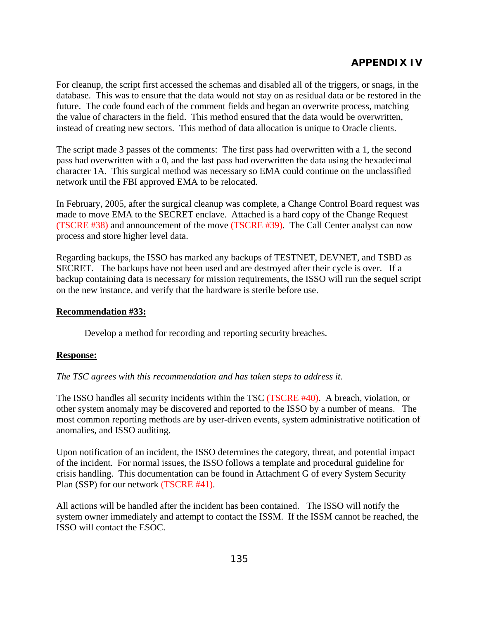For cleanup, the script first accessed the schemas and disabled all of the triggers, or snags, in the database. This was to ensure that the data would not stay on as residual data or be restored in the future. The code found each of the comment fields and began an overwrite process, matching the value of characters in the field. This method ensured that the data would be overwritten, instead of creating new sectors. This method of data allocation is unique to Oracle clients.

The script made 3 passes of the comments: The first pass had overwritten with a 1, the second pass had overwritten with a 0, and the last pass had overwritten the data using the hexadecimal character 1A. This surgical method was necessary so EMA could continue on the unclassified network until the FBI approved EMA to be relocated.

In February, 2005, after the surgical cleanup was complete, a Change Control Board request was made to move EMA to the SECRET enclave. Attached is a hard copy of the Change Request (TSCRE #38) and announcement of the move (TSCRE #39). The Call Center analyst can now process and store higher level data.

Regarding backups, the ISSO has marked any backups of TESTNET, DEVNET, and TSBD as SECRET. The backups have not been used and are destroyed after their cycle is over. If a backup containing data is necessary for mission requirements, the ISSO will run the sequel script on the new instance, and verify that the hardware is sterile before use.

## **Recommendation #33:**

Develop a method for recording and reporting security breaches.

## **Response:**

*The TSC agrees with this recommendation and has taken steps to address it.* 

The ISSO handles all security incidents within the TSC (TSCRE #40). A breach, violation, or other system anomaly may be discovered and reported to the ISSO by a number of means. The most common reporting methods are by user-driven events, system administrative notification of anomalies, and ISSO auditing.

Upon notification of an incident, the ISSO determines the category, threat, and potential impact of the incident. For normal issues, the ISSO follows a template and procedural guideline for crisis handling. This documentation can be found in Attachment G of every System Security Plan (SSP) for our network (TSCRE #41).

All actions will be handled after the incident has been contained. The ISSO will notify the system owner immediately and attempt to contact the ISSM. If the ISSM cannot be reached, the ISSO will contact the ESOC.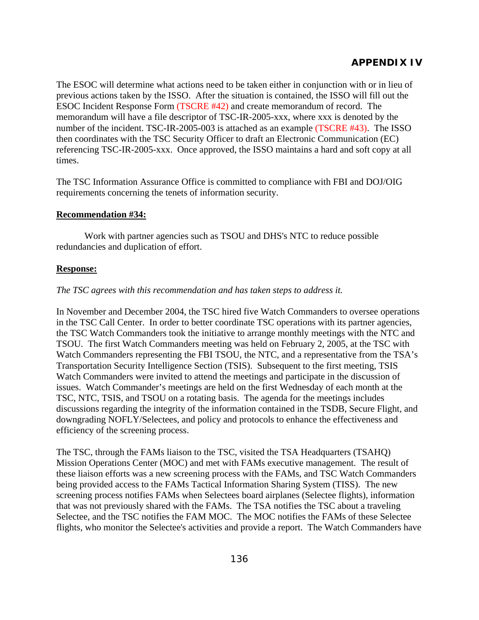The ESOC will determine what actions need to be taken either in conjunction with or in lieu of previous actions taken by the ISSO. After the situation is contained, the ISSO will fill out the ESOC Incident Response Form (TSCRE #42) and create memorandum of record. The memorandum will have a file descriptor of TSC-IR-2005-xxx, where xxx is denoted by the number of the incident. TSC-IR-2005-003 is attached as an example (TSCRE #43). The ISSO then coordinates with the TSC Security Officer to draft an Electronic Communication (EC) referencing TSC-IR-2005-xxx. Once approved, the ISSO maintains a hard and soft copy at all times.

The TSC Information Assurance Office is committed to compliance with FBI and DOJ/OIG requirements concerning the tenets of information security.

#### **Recommendation #34:**

 Work with partner agencies such as TSOU and DHS's NTC to reduce possible redundancies and duplication of effort.

#### **Response:**

#### *The TSC agrees with this recommendation and has taken steps to address it.*

In November and December 2004, the TSC hired five Watch Commanders to oversee operations in the TSC Call Center. In order to better coordinate TSC operations with its partner agencies, the TSC Watch Commanders took the initiative to arrange monthly meetings with the NTC and TSOU. The first Watch Commanders meeting was held on February 2, 2005, at the TSC with Watch Commanders representing the FBI TSOU, the NTC, and a representative from the TSA's Transportation Security Intelligence Section (TSIS). Subsequent to the first meeting, TSIS Watch Commanders were invited to attend the meetings and participate in the discussion of issues. Watch Commander's meetings are held on the first Wednesday of each month at the TSC, NTC, TSIS, and TSOU on a rotating basis. The agenda for the meetings includes discussions regarding the integrity of the information contained in the TSDB, Secure Flight, and downgrading NOFLY/Selectees, and policy and protocols to enhance the effectiveness and efficiency of the screening process.

The TSC, through the FAMs liaison to the TSC, visited the TSA Headquarters (TSAHQ) Mission Operations Center (MOC) and met with FAMs executive management. The result of these liaison efforts was a new screening process with the FAMs, and TSC Watch Commanders being provided access to the FAMs Tactical Information Sharing System (TISS). The new screening process notifies FAMs when Selectees board airplanes (Selectee flights), information that was not previously shared with the FAMs. The TSA notifies the TSC about a traveling Selectee, and the TSC notifies the FAM MOC. The MOC notifies the FAMs of these Selectee flights, who monitor the Selectee's activities and provide a report. The Watch Commanders have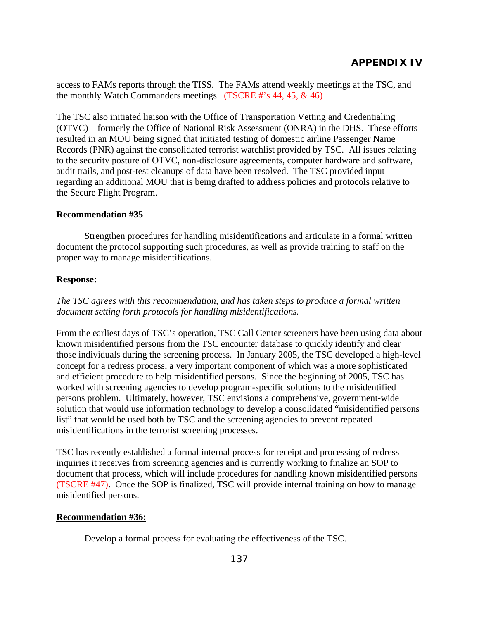access to FAMs reports through the TISS. The FAMs attend weekly meetings at the TSC, and the monthly Watch Commanders meetings. (TSCRE #'s 44, 45, & 46)

The TSC also initiated liaison with the Office of Transportation Vetting and Credentialing (OTVC) – formerly the Office of National Risk Assessment (ONRA) in the DHS. These efforts resulted in an MOU being signed that initiated testing of domestic airline Passenger Name Records (PNR) against the consolidated terrorist watchlist provided by TSC. All issues relating to the security posture of OTVC, non-disclosure agreements, computer hardware and software, audit trails, and post-test cleanups of data have been resolved. The TSC provided input regarding an additional MOU that is being drafted to address policies and protocols relative to the Secure Flight Program.

## **Recommendation #35**

 Strengthen procedures for handling misidentifications and articulate in a formal written document the protocol supporting such procedures, as well as provide training to staff on the proper way to manage misidentifications.

## **Response:**

*The TSC agrees with this recommendation, and has taken steps to produce a formal written document setting forth protocols for handling misidentifications.* 

From the earliest days of TSC's operation, TSC Call Center screeners have been using data about known misidentified persons from the TSC encounter database to quickly identify and clear those individuals during the screening process. In January 2005, the TSC developed a high-level concept for a redress process, a very important component of which was a more sophisticated and efficient procedure to help misidentified persons. Since the beginning of 2005, TSC has worked with screening agencies to develop program-specific solutions to the misidentified persons problem. Ultimately, however, TSC envisions a comprehensive, government-wide solution that would use information technology to develop a consolidated "misidentified persons list" that would be used both by TSC and the screening agencies to prevent repeated misidentifications in the terrorist screening processes.

TSC has recently established a formal internal process for receipt and processing of redress inquiries it receives from screening agencies and is currently working to finalize an SOP to document that process, which will include procedures for handling known misidentified persons (TSCRE #47). Once the SOP is finalized, TSC will provide internal training on how to manage misidentified persons.

## **Recommendation #36:**

Develop a formal process for evaluating the effectiveness of the TSC.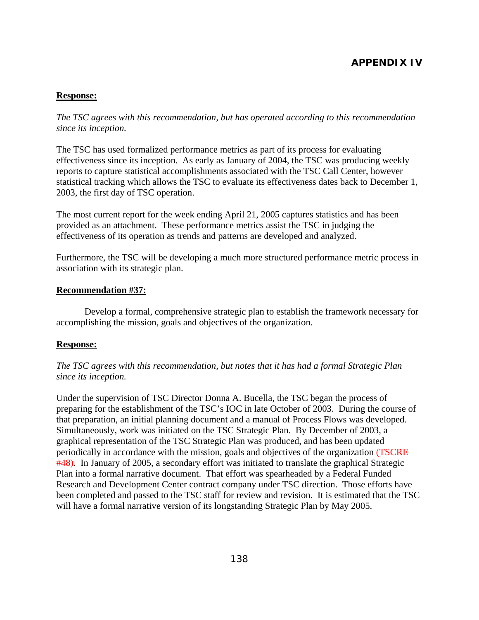## **Response:**

*The TSC agrees with this recommendation, but has operated according to this recommendation since its inception.* 

The TSC has used formalized performance metrics as part of its process for evaluating effectiveness since its inception. As early as January of 2004, the TSC was producing weekly reports to capture statistical accomplishments associated with the TSC Call Center, however statistical tracking which allows the TSC to evaluate its effectiveness dates back to December 1, 2003, the first day of TSC operation.

The most current report for the week ending April 21, 2005 captures statistics and has been provided as an attachment. These performance metrics assist the TSC in judging the effectiveness of its operation as trends and patterns are developed and analyzed.

Furthermore, the TSC will be developing a much more structured performance metric process in association with its strategic plan.

#### **Recommendation #37:**

 Develop a formal, comprehensive strategic plan to establish the framework necessary for accomplishing the mission, goals and objectives of the organization.

#### **Response:**

## *The TSC agrees with this recommendation, but notes that it has had a formal Strategic Plan since its inception.*

Under the supervision of TSC Director Donna A. Bucella, the TSC began the process of preparing for the establishment of the TSC's IOC in late October of 2003. During the course of that preparation, an initial planning document and a manual of Process Flows was developed. Simultaneously, work was initiated on the TSC Strategic Plan. By December of 2003, a graphical representation of the TSC Strategic Plan was produced, and has been updated periodically in accordance with the mission, goals and objectives of the organization (TSCRE #48). In January of 2005, a secondary effort was initiated to translate the graphical Strategic Plan into a formal narrative document. That effort was spearheaded by a Federal Funded Research and Development Center contract company under TSC direction. Those efforts have been completed and passed to the TSC staff for review and revision. It is estimated that the TSC will have a formal narrative version of its longstanding Strategic Plan by May 2005.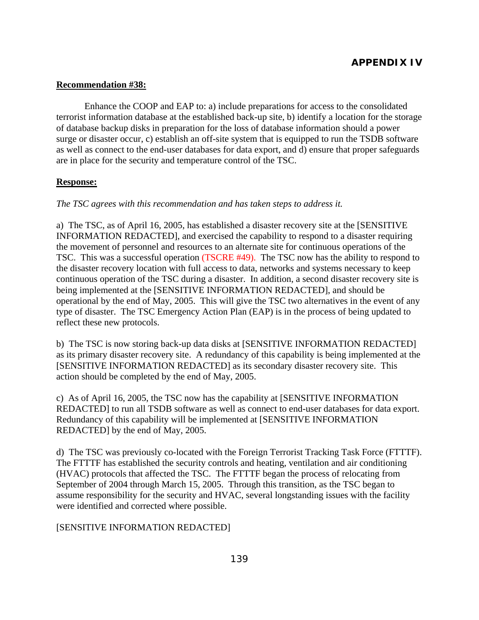### **Recommendation #38:**

 Enhance the COOP and EAP to: a) include preparations for access to the consolidated terrorist information database at the established back-up site, b) identify a location for the storage of database backup disks in preparation for the loss of database information should a power surge or disaster occur, c) establish an off-site system that is equipped to run the TSDB software as well as connect to the end-user databases for data export, and d) ensure that proper safeguards are in place for the security and temperature control of the TSC.

#### **Response:**

#### *The TSC agrees with this recommendation and has taken steps to address it.*

a) The TSC, as of April 16, 2005, has established a disaster recovery site at the [SENSITIVE INFORMATION REDACTED], and exercised the capability to respond to a disaster requiring the movement of personnel and resources to an alternate site for continuous operations of the TSC. This was a successful operation (TSCRE #49). The TSC now has the ability to respond to the disaster recovery location with full access to data, networks and systems necessary to keep continuous operation of the TSC during a disaster. In addition, a second disaster recovery site is being implemented at the [SENSITIVE INFORMATION REDACTED], and should be operational by the end of May, 2005. This will give the TSC two alternatives in the event of any type of disaster. The TSC Emergency Action Plan (EAP) is in the process of being updated to reflect these new protocols.

b) The TSC is now storing back-up data disks at [SENSITIVE INFORMATION REDACTED] as its primary disaster recovery site. A redundancy of this capability is being implemented at the [SENSITIVE INFORMATION REDACTED] as its secondary disaster recovery site. This action should be completed by the end of May, 2005.

c) As of April 16, 2005, the TSC now has the capability at [SENSITIVE INFORMATION REDACTED] to run all TSDB software as well as connect to end-user databases for data export. Redundancy of this capability will be implemented at [SENSITIVE INFORMATION REDACTED] by the end of May, 2005.

d) The TSC was previously co-located with the Foreign Terrorist Tracking Task Force (FTTTF). The FTTTF has established the security controls and heating, ventilation and air conditioning (HVAC) protocols that affected the TSC. The FTTTF began the process of relocating from September of 2004 through March 15, 2005. Through this transition, as the TSC began to assume responsibility for the security and HVAC, several longstanding issues with the facility were identified and corrected where possible.

## [SENSITIVE INFORMATION REDACTED]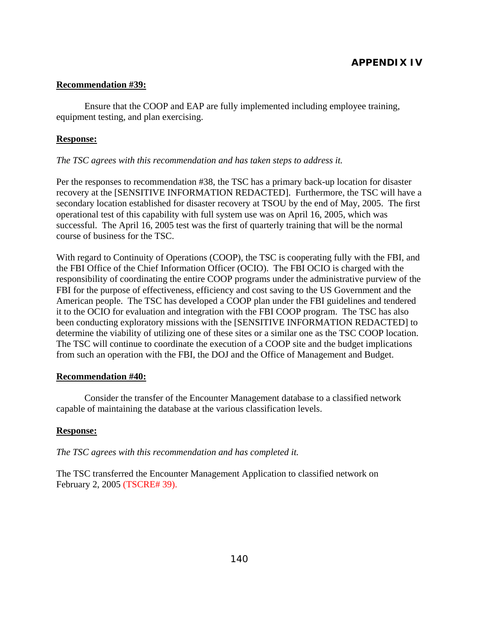### **Recommendation #39:**

 Ensure that the COOP and EAP are fully implemented including employee training, equipment testing, and plan exercising.

#### **Response:**

#### *The TSC agrees with this recommendation and has taken steps to address it.*

Per the responses to recommendation #38, the TSC has a primary back-up location for disaster recovery at the [SENSITIVE INFORMATION REDACTED]. Furthermore, the TSC will have a secondary location established for disaster recovery at TSOU by the end of May, 2005. The first operational test of this capability with full system use was on April 16, 2005, which was successful. The April 16, 2005 test was the first of quarterly training that will be the normal course of business for the TSC.

With regard to Continuity of Operations (COOP), the TSC is cooperating fully with the FBI, and the FBI Office of the Chief Information Officer (OCIO). The FBI OCIO is charged with the responsibility of coordinating the entire COOP programs under the administrative purview of the FBI for the purpose of effectiveness, efficiency and cost saving to the US Government and the American people. The TSC has developed a COOP plan under the FBI guidelines and tendered it to the OCIO for evaluation and integration with the FBI COOP program. The TSC has also been conducting exploratory missions with the [SENSITIVE INFORMATION REDACTED] to determine the viability of utilizing one of these sites or a similar one as the TSC COOP location. The TSC will continue to coordinate the execution of a COOP site and the budget implications from such an operation with the FBI, the DOJ and the Office of Management and Budget.

#### **Recommendation #40:**

 Consider the transfer of the Encounter Management database to a classified network capable of maintaining the database at the various classification levels.

## **Response:**

*The TSC agrees with this recommendation and has completed it.* 

The TSC transferred the Encounter Management Application to classified network on February 2, 2005 (TSCRE# 39).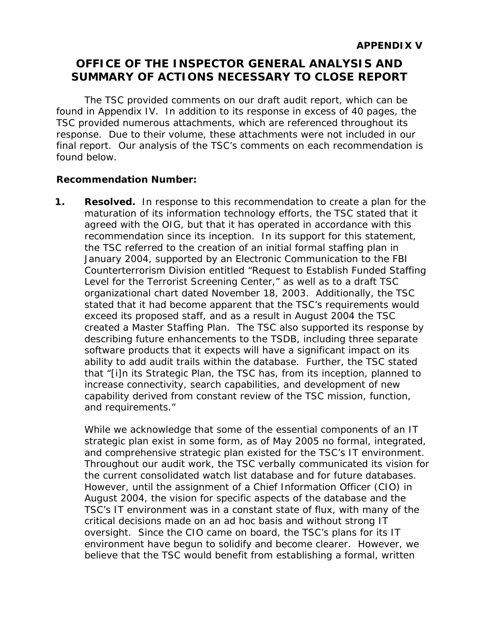# **OFFICE OF THE INSPECTOR GENERAL ANALYSIS AND SUMMARY OF ACTIONS NECESSARY TO CLOSE REPORT**

The TSC provided comments on our draft audit report, which can be found in Appendix IV. In addition to its response in excess of 40 pages, the TSC provided numerous attachments, which are referenced throughout its response. Due to their volume, these attachments were not included in our final report. Our analysis of the TSC's comments on each recommendation is found below.

## **Recommendation Number:**

**1. Resolved.** In response to this recommendation to create a plan for the maturation of its information technology efforts, the TSC stated that it agreed with the OIG, but that it has operated in accordance with this recommendation since its inception. In its support for this statement, the TSC referred to the creation of an initial formal staffing plan in January 2004, supported by an Electronic Communication to the FBI Counterterrorism Division entitled "Request to Establish Funded Staffing Level for the Terrorist Screening Center," as well as to a draft TSC organizational chart dated November 18, 2003. Additionally, the TSC stated that it had become apparent that the TSC's requirements would exceed its proposed staff, and as a result in August 2004 the TSC created a Master Staffing Plan. The TSC also supported its response by describing future enhancements to the TSDB, including three separate software products that it expects will have a significant impact on its ability to add audit trails within the database. Further, the TSC stated that "[i]n its Strategic Plan, the TSC has, from its inception, planned to increase connectivity, search capabilities, and development of new capability derived from constant review of the TSC mission, function, and requirements."

While we acknowledge that some of the essential components of an IT strategic plan exist in some form, as of May 2005 no formal, integrated, and comprehensive strategic plan existed for the TSC's IT environment. Throughout our audit work, the TSC verbally communicated its vision for the current consolidated watch list database and for future databases. However, until the assignment of a Chief Information Officer (CIO) in August 2004, the vision for specific aspects of the database and the TSC's IT environment was in a constant state of flux, with many of the critical decisions made on an ad hoc basis and without strong IT oversight. Since the CIO came on board, the TSC's plans for its IT environment have begun to solidify and become clearer. However, we believe that the TSC would benefit from establishing a formal, written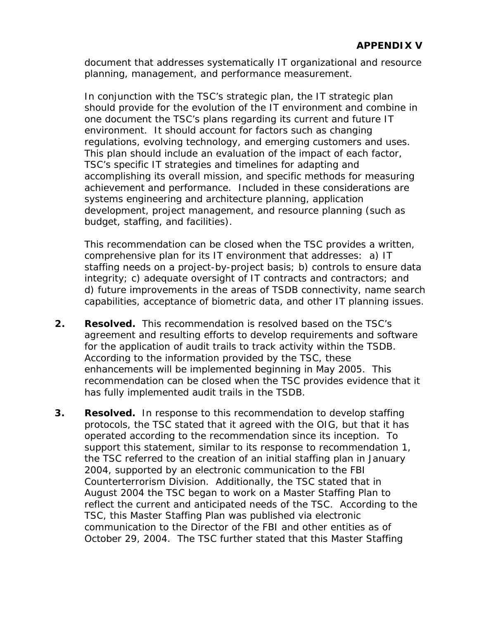document that addresses systematically IT organizational and resource planning, management, and performance measurement.

In conjunction with the TSC's strategic plan, the IT strategic plan should provide for the evolution of the IT environment and combine in one document the TSC's plans regarding its current and future IT environment. It should account for factors such as changing regulations, evolving technology, and emerging customers and uses. This plan should include an evaluation of the impact of each factor, TSC's specific IT strategies and timelines for adapting and accomplishing its overall mission, and specific methods for measuring achievement and performance. Included in these considerations are systems engineering and architecture planning, application development, project management, and resource planning (such as budget, staffing, and facilities).

This recommendation can be closed when the TSC provides a written, comprehensive plan for its IT environment that addresses: a) IT staffing needs on a project-by-project basis; b) controls to ensure data integrity; c) adequate oversight of IT contracts and contractors; and d) future improvements in the areas of TSDB connectivity, name search capabilities, acceptance of biometric data, and other IT planning issues.

- **2. Resolved.** This recommendation is resolved based on the TSC's agreement and resulting efforts to develop requirements and software for the application of audit trails to track activity within the TSDB. According to the information provided by the TSC, these enhancements will be implemented beginning in May 2005. This recommendation can be closed when the TSC provides evidence that it has fully implemented audit trails in the TSDB.
- **3. Resolved.** In response to this recommendation to develop staffing protocols, the TSC stated that it agreed with the OIG, but that it has operated according to the recommendation since its inception. To support this statement, similar to its response to recommendation 1, the TSC referred to the creation of an initial staffing plan in January 2004, supported by an electronic communication to the FBI Counterterrorism Division. Additionally, the TSC stated that in August 2004 the TSC began to work on a Master Staffing Plan to reflect the current and anticipated needs of the TSC. According to the TSC, this Master Staffing Plan was published via electronic communication to the Director of the FBI and other entities as of October 29, 2004. The TSC further stated that this Master Staffing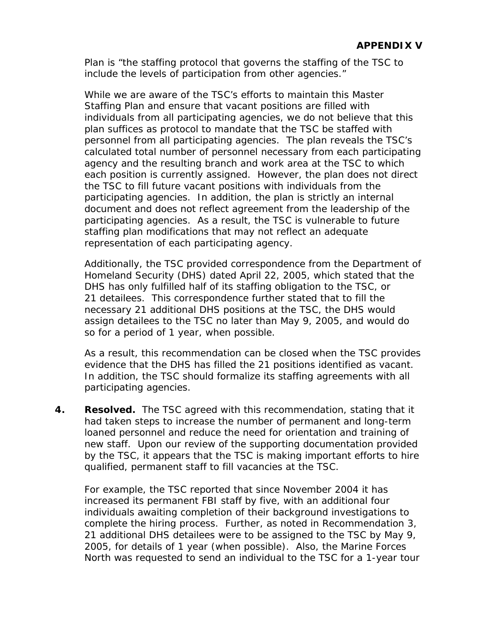Plan is "the staffing protocol that governs the staffing of the TSC to include the levels of participation from other agencies."

While we are aware of the TSC's efforts to maintain this Master Staffing Plan and ensure that vacant positions are filled with individuals from all participating agencies, we do not believe that this plan suffices as protocol to mandate that the TSC be staffed with personnel from all participating agencies. The plan reveals the TSC's calculated total number of personnel necessary from each participating agency and the resulting branch and work area at the TSC to which each position is currently assigned. However, the plan does not direct the TSC to fill future vacant positions with individuals from the participating agencies. In addition, the plan is strictly an internal document and does not reflect agreement from the leadership of the participating agencies. As a result, the TSC is vulnerable to future staffing plan modifications that may not reflect an adequate representation of each participating agency.

Additionally, the TSC provided correspondence from the Department of Homeland Security (DHS) dated April 22, 2005, which stated that the DHS has only fulfilled half of its staffing obligation to the TSC, or 21 detailees. This correspondence further stated that to fill the necessary 21 additional DHS positions at the TSC, the DHS would assign detailees to the TSC no later than May 9, 2005, and would do so for a period of 1 year, when possible.

As a result, this recommendation can be closed when the TSC provides evidence that the DHS has filled the 21 positions identified as vacant. In addition, the TSC should formalize its staffing agreements with all participating agencies.

**4. Resolved.** The TSC agreed with this recommendation, stating that it had taken steps to increase the number of permanent and long-term loaned personnel and reduce the need for orientation and training of new staff. Upon our review of the supporting documentation provided by the TSC, it appears that the TSC is making important efforts to hire qualified, permanent staff to fill vacancies at the TSC.

For example, the TSC reported that since November 2004 it has increased its permanent FBI staff by five, with an additional four individuals awaiting completion of their background investigations to complete the hiring process. Further, as noted in Recommendation 3, 21 additional DHS detailees were to be assigned to the TSC by May 9, 2005, for details of 1 year (when possible). Also, the Marine Forces North was requested to send an individual to the TSC for a 1-year tour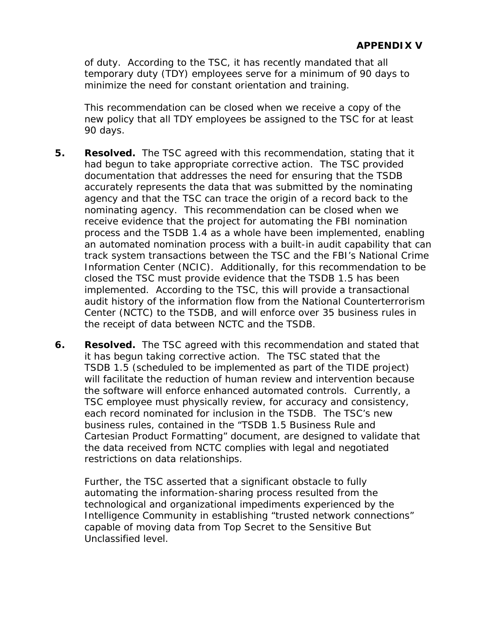of duty. According to the TSC, it has recently mandated that all temporary duty (TDY) employees serve for a minimum of 90 days to minimize the need for constant orientation and training.

This recommendation can be closed when we receive a copy of the new policy that all TDY employees be assigned to the TSC for at least 90 days.

- **5. Resolved.** The TSC agreed with this recommendation, stating that it had begun to take appropriate corrective action. The TSC provided documentation that addresses the need for ensuring that the TSDB accurately represents the data that was submitted by the nominating agency and that the TSC can trace the origin of a record back to the nominating agency. This recommendation can be closed when we receive evidence that the project for automating the FBI nomination process and the TSDB 1.4 as a whole have been implemented, enabling an automated nomination process with a built-in audit capability that can track system transactions between the TSC and the FBI's National Crime Information Center (NCIC). Additionally, for this recommendation to be closed the TSC must provide evidence that the TSDB 1.5 has been implemented. According to the TSC, this will provide a transactional audit history of the information flow from the National Counterterrorism Center (NCTC) to the TSDB, and will enforce over 35 business rules in the receipt of data between NCTC and the TSDB.
- **6. Resolved.** The TSC agreed with this recommendation and stated that it has begun taking corrective action. The TSC stated that the TSDB 1.5 (scheduled to be implemented as part of the TIDE project) will facilitate the reduction of human review and intervention because the software will enforce enhanced automated controls. Currently, a TSC employee must physically review, for accuracy and consistency, each record nominated for inclusion in the TSDB. The TSC's new business rules, contained in the "TSDB 1.5 Business Rule and Cartesian Product Formatting" document, are designed to validate that the data received from NCTC complies with legal and negotiated restrictions on data relationships.

Further, the TSC asserted that a significant obstacle to fully automating the information-sharing process resulted from the technological and organizational impediments experienced by the Intelligence Community in establishing "trusted network connections" capable of moving data from Top Secret to the Sensitive But Unclassified level.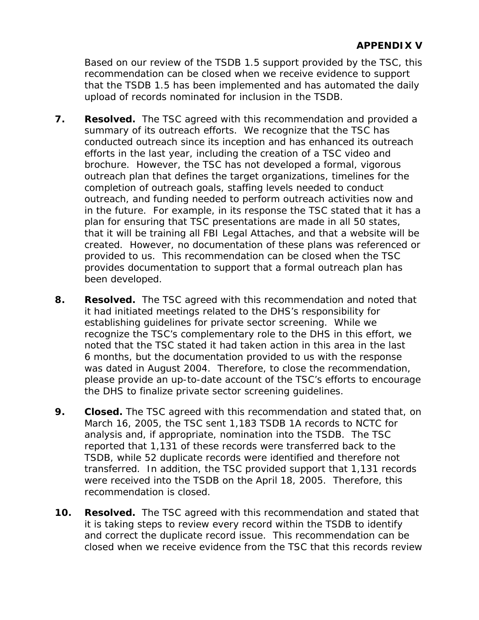Based on our review of the TSDB 1.5 support provided by the TSC, this recommendation can be closed when we receive evidence to support that the TSDB 1.5 has been implemented and has automated the daily upload of records nominated for inclusion in the TSDB.

- **7. Resolved.** The TSC agreed with this recommendation and provided a summary of its outreach efforts. We recognize that the TSC has conducted outreach since its inception and has enhanced its outreach efforts in the last year, including the creation of a TSC video and brochure. However, the TSC has not developed a formal, vigorous outreach plan that defines the target organizations, timelines for the completion of outreach goals, staffing levels needed to conduct outreach, and funding needed to perform outreach activities now and in the future. For example, in its response the TSC stated that it has a plan for ensuring that TSC presentations are made in all 50 states, that it will be training all FBI Legal Attaches, and that a website will be created. However, no documentation of these plans was referenced or provided to us. This recommendation can be closed when the TSC provides documentation to support that a formal outreach plan has been developed.
- **8. Resolved.** The TSC agreed with this recommendation and noted that it had initiated meetings related to the DHS's responsibility for establishing guidelines for private sector screening. While we recognize the TSC's complementary role to the DHS in this effort, we noted that the TSC stated it had taken action in this area in the last 6 months, but the documentation provided to us with the response was dated in August 2004. Therefore, to close the recommendation, please provide an up-to-date account of the TSC's efforts to encourage the DHS to finalize private sector screening guidelines.
- **9. Closed.** The TSC agreed with this recommendation and stated that, on March 16, 2005, the TSC sent 1,183 TSDB 1A records to NCTC for analysis and, if appropriate, nomination into the TSDB. The TSC reported that 1,131 of these records were transferred back to the TSDB, while 52 duplicate records were identified and therefore not transferred. In addition, the TSC provided support that 1,131 records were received into the TSDB on the April 18, 2005. Therefore, this recommendation is closed.
- **10. Resolved.** The TSC agreed with this recommendation and stated that it is taking steps to review every record within the TSDB to identify and correct the duplicate record issue. This recommendation can be closed when we receive evidence from the TSC that this records review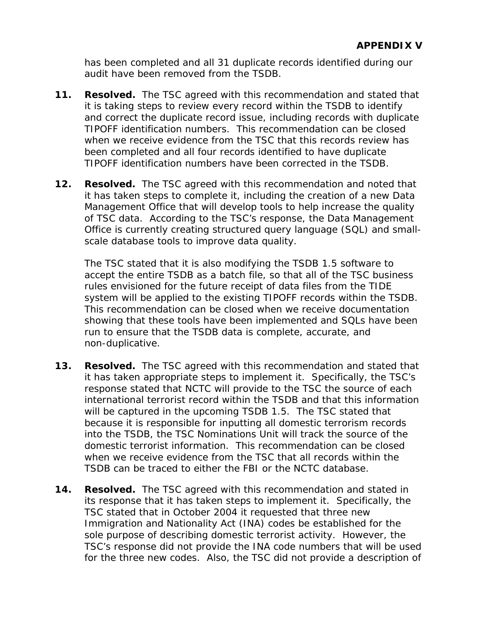has been completed and all 31 duplicate records identified during our audit have been removed from the TSDB.

- **11. Resolved.** The TSC agreed with this recommendation and stated that it is taking steps to review every record within the TSDB to identify and correct the duplicate record issue, including records with duplicate TIPOFF identification numbers. This recommendation can be closed when we receive evidence from the TSC that this records review has been completed and all four records identified to have duplicate TIPOFF identification numbers have been corrected in the TSDB.
- **12. Resolved.** The TSC agreed with this recommendation and noted that it has taken steps to complete it, including the creation of a new Data Management Office that will develop tools to help increase the quality of TSC data. According to the TSC's response, the Data Management Office is currently creating structured query language (SQL) and smallscale database tools to improve data quality.

The TSC stated that it is also modifying the TSDB 1.5 software to accept the entire TSDB as a batch file, so that all of the TSC business rules envisioned for the future receipt of data files from the TIDE system will be applied to the existing TIPOFF records within the TSDB. This recommendation can be closed when we receive documentation showing that these tools have been implemented and SQLs have been run to ensure that the TSDB data is complete, accurate, and non-duplicative.

- **13. Resolved.** The TSC agreed with this recommendation and stated that it has taken appropriate steps to implement it. Specifically, the TSC's response stated that NCTC will provide to the TSC the source of each international terrorist record within the TSDB and that this information will be captured in the upcoming TSDB 1.5. The TSC stated that because it is responsible for inputting all domestic terrorism records into the TSDB, the TSC Nominations Unit will track the source of the domestic terrorist information. This recommendation can be closed when we receive evidence from the TSC that all records within the TSDB can be traced to either the FBI or the NCTC database.
- **14. Resolved.** The TSC agreed with this recommendation and stated in its response that it has taken steps to implement it. Specifically, the TSC stated that in October 2004 it requested that three new Immigration and Nationality Act (INA) codes be established for the sole purpose of describing domestic terrorist activity. However, the TSC's response did not provide the INA code numbers that will be used for the three new codes. Also, the TSC did not provide a description of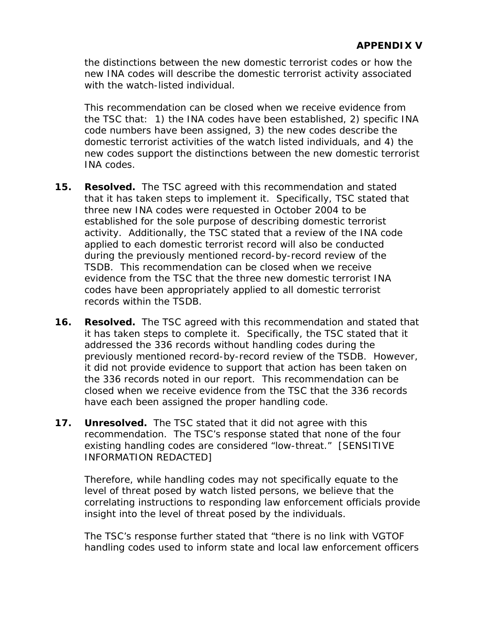the distinctions between the new domestic terrorist codes or how the new INA codes will describe the domestic terrorist activity associated with the watch-listed individual.

This recommendation can be closed when we receive evidence from the TSC that: 1) the INA codes have been established, 2) specific INA code numbers have been assigned, 3) the new codes describe the domestic terrorist activities of the watch listed individuals, and 4) the new codes support the distinctions between the new domestic terrorist INA codes.

- **15. Resolved.** The TSC agreed with this recommendation and stated that it has taken steps to implement it. Specifically, TSC stated that three new INA codes were requested in October 2004 to be established for the sole purpose of describing domestic terrorist activity. Additionally, the TSC stated that a review of the INA code applied to each domestic terrorist record will also be conducted during the previously mentioned record-by-record review of the TSDB. This recommendation can be closed when we receive evidence from the TSC that the three new domestic terrorist INA codes have been appropriately applied to all domestic terrorist records within the TSDB.
- **16. Resolved.** The TSC agreed with this recommendation and stated that it has taken steps to complete it. Specifically, the TSC stated that it addressed the 336 records without handling codes during the previously mentioned record-by-record review of the TSDB. However, it did not provide evidence to support that action has been taken on the 336 records noted in our report. This recommendation can be closed when we receive evidence from the TSC that the 336 records have each been assigned the proper handling code.
- **17. Unresolved.** The TSC stated that it did not agree with this recommendation. The TSC's response stated that none of the four existing handling codes are considered "low-threat." [SENSITIVE INFORMATION REDACTED]

Therefore, while handling codes may not specifically equate to the level of threat posed by watch listed persons, we believe that the correlating instructions to responding law enforcement officials provide insight into the level of threat posed by the individuals.

The TSC's response further stated that "there is no link with VGTOF handling codes used to inform state and local law enforcement officers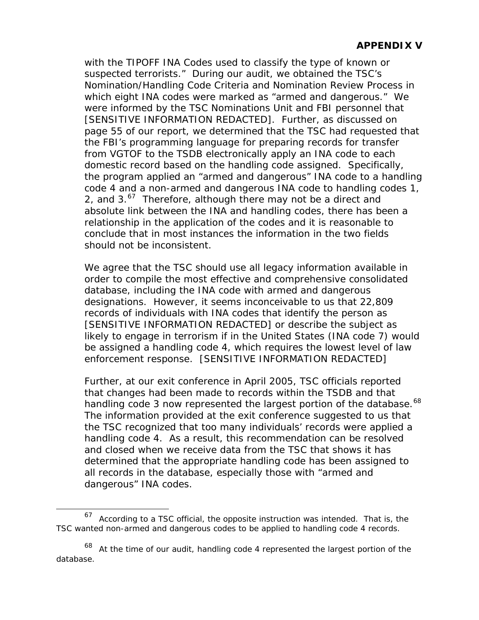<span id="page-171-0"></span>with the TIPOFF INA Codes used to classify the type of known or suspected terrorists." During our audit, we obtained the TSC's Nomination/Handling Code Criteria and Nomination Review Process in which eight INA codes were marked as "armed and dangerous." We were informed by the TSC Nominations Unit and FBI personnel that [SENSITIVE INFORMATION REDACTED]. Further, as discussed on page [55](#page-78-0) of our report, we determined that the TSC had requested that the FBI's programming language for preparing records for transfer from VGTOF to the TSDB electronically apply an INA code to each domestic record based on the handling code assigned. Specifically, the program applied an "armed and dangerous" INA code to a handling code 4 and a non-armed and dangerous INA code to handling codes 1, 2, and  $3.67$  $3.67$  Therefore, although there may not be a direct and absolute link between the INA and handling codes, there has been a relationship in the application of the codes and it is reasonable to conclude that in most instances the information in the two fields should not be inconsistent.

We agree that the TSC should use all legacy information available in order to compile the most effective and comprehensive consolidated database, including the INA code with armed and dangerous designations. However, it seems inconceivable to us that 22,809 records of individuals with INA codes that identify the person as [SENSITIVE INFORMATION REDACTED] or describe the subject as likely to engage in terrorism if in the United States (INA code 7) would be assigned a handling code 4, which requires the lowest level of law enforcement response. [SENSITIVE INFORMATION REDACTED]

Further, at our exit conference in April 2005, TSC officials reported that changes had been made to records within the TSDB and that handling code 3 now represented the largest portion of the database.<sup>[68](#page-171-0)</sup> The information provided at the exit conference suggested to us that the TSC recognized that too many individuals' records were applied a handling code 4. As a result, this recommendation can be resolved and closed when we receive data from the TSC that shows it has determined that the appropriate handling code has been assigned to all records in the database, especially those with "armed and dangerous" INA codes.

l

 $67$  According to a TSC official, the opposite instruction was intended. That is, the TSC wanted non-armed and dangerous codes to be applied to handling code 4 records.

At the time of our audit, handling code 4 represented the largest portion of the database.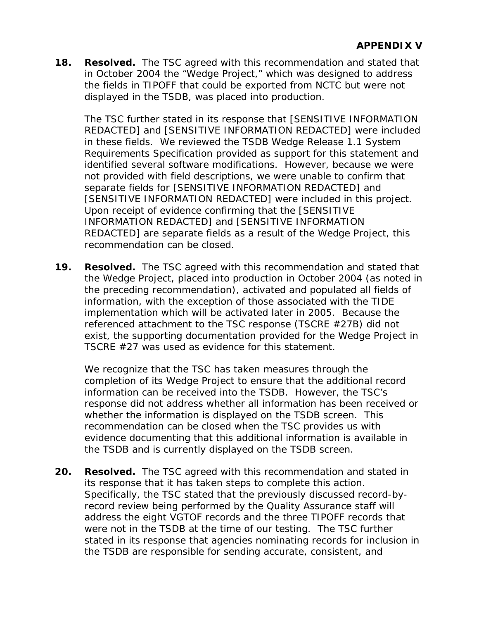**18. Resolved.** The TSC agreed with this recommendation and stated that in October 2004 the "Wedge Project," which was designed to address the fields in TIPOFF that could be exported from NCTC but were not displayed in the TSDB, was placed into production.

The TSC further stated in its response that [SENSITIVE INFORMATION REDACTED] and [SENSITIVE INFORMATION REDACTED] were included in these fields. We reviewed the TSDB Wedge Release 1.1 System Requirements Specification provided as support for this statement and identified several software modifications. However, because we were not provided with field descriptions, we were unable to confirm that separate fields for [SENSITIVE INFORMATION REDACTED] and [SENSITIVE INFORMATION REDACTED] were included in this project. Upon receipt of evidence confirming that the [SENSITIVE INFORMATION REDACTED] and [SENSITIVE INFORMATION REDACTED] are separate fields as a result of the Wedge Project, this recommendation can be closed.

**19. Resolved.** The TSC agreed with this recommendation and stated that the Wedge Project, placed into production in October 2004 (as noted in the preceding recommendation), activated and populated all fields of information, with the exception of those associated with the TIDE implementation which will be activated later in 2005. Because the referenced attachment to the TSC response (TSCRE #27B) did not exist, the supporting documentation provided for the Wedge Project in TSCRE #27 was used as evidence for this statement.

We recognize that the TSC has taken measures through the completion of its Wedge Project to ensure that the additional record information can be received into the TSDB. However, the TSC's response did not address whether all information has been received or whether the information is displayed on the TSDB screen. This recommendation can be closed when the TSC provides us with evidence documenting that this additional information is available in the TSDB and is currently displayed on the TSDB screen.

**20. Resolved.** The TSC agreed with this recommendation and stated in its response that it has taken steps to complete this action. Specifically, the TSC stated that the previously discussed record-byrecord review being performed by the Quality Assurance staff will address the eight VGTOF records and the three TIPOFF records that were not in the TSDB at the time of our testing. The TSC further stated in its response that agencies nominating records for inclusion in the TSDB are responsible for sending accurate, consistent, and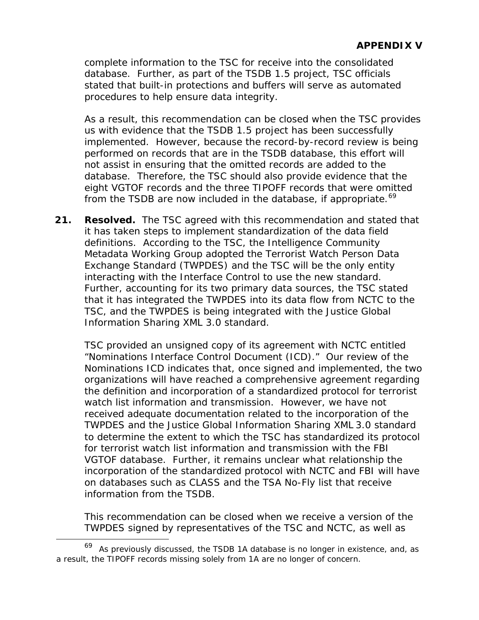<span id="page-173-0"></span>complete information to the TSC for receive into the consolidated database. Further, as part of the TSDB 1.5 project, TSC officials stated that built-in protections and buffers will serve as automated procedures to help ensure data integrity.

As a result, this recommendation can be closed when the TSC provides us with evidence that the TSDB 1.5 project has been successfully implemented. However, because the record-by-record review is being performed on records that are in the TSDB database, this effort will not assist in ensuring that the omitted records are added to the database. Therefore, the TSC should also provide evidence that the eight VGTOF records and the three TIPOFF records that were omitted from the TSDB are now included in the database, if appropriate.<sup>[69](#page-173-0)</sup>

**21. Resolved.** The TSC agreed with this recommendation and stated that it has taken steps to implement standardization of the data field definitions. According to the TSC, the Intelligence Community Metadata Working Group adopted the Terrorist Watch Person Data Exchange Standard (TWPDES) and the TSC will be the only entity interacting with the Interface Control to use the new standard. Further, accounting for its two primary data sources, the TSC stated that it has integrated the TWPDES into its data flow from NCTC to the TSC, and the TWPDES is being integrated with the Justice Global Information Sharing XML 3.0 standard.

TSC provided an unsigned copy of its agreement with NCTC entitled "Nominations Interface Control Document (ICD)." Our review of the Nominations ICD indicates that, once signed and implemented, the two organizations will have reached a comprehensive agreement regarding the definition and incorporation of a standardized protocol for terrorist watch list information and transmission. However, we have not received adequate documentation related to the incorporation of the TWPDES and the Justice Global Information Sharing XML 3.0 standard to determine the extent to which the TSC has standardized its protocol for terrorist watch list information and transmission with the FBI VGTOF database. Further, it remains unclear what relationship the incorporation of the standardized protocol with NCTC and FBI will have on databases such as CLASS and the TSA No-Fly list that receive information from the TSDB.

This recommendation can be closed when we receive a version of the TWPDES signed by representatives of the TSC and NCTC, as well as

 $\overline{a}$ 

 $69$  As previously discussed, the TSDB 1A database is no longer in existence, and, as a result, the TIPOFF records missing solely from 1A are no longer of concern.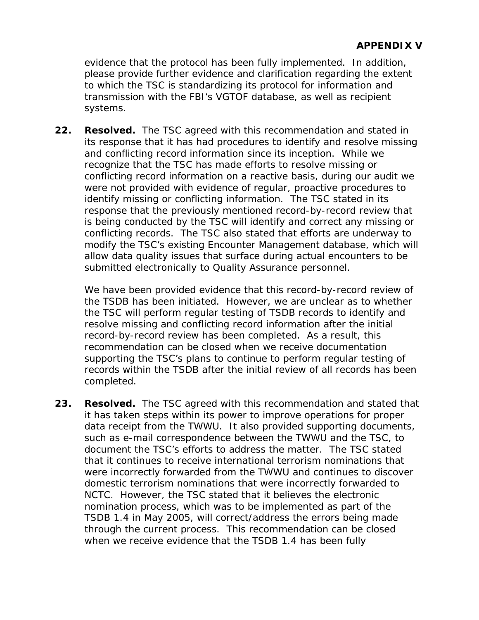evidence that the protocol has been fully implemented. In addition, please provide further evidence and clarification regarding the extent to which the TSC is standardizing its protocol for information and transmission with the FBI's VGTOF database, as well as recipient systems.

**22. Resolved.** The TSC agreed with this recommendation and stated in its response that it has had procedures to identify and resolve missing and conflicting record information since its inception. While we recognize that the TSC has made efforts to resolve missing or conflicting record information on a reactive basis, during our audit we were not provided with evidence of regular, proactive procedures to identify missing or conflicting information. The TSC stated in its response that the previously mentioned record-by-record review that is being conducted by the TSC will identify and correct any missing or conflicting records. The TSC also stated that efforts are underway to modify the TSC's existing Encounter Management database, which will allow data quality issues that surface during actual encounters to be submitted electronically to Quality Assurance personnel.

We have been provided evidence that this record-by-record review of the TSDB has been initiated. However, we are unclear as to whether the TSC will perform regular testing of TSDB records to identify and resolve missing and conflicting record information after the initial record-by-record review has been completed. As a result, this recommendation can be closed when we receive documentation supporting the TSC's plans to continue to perform regular testing of records within the TSDB after the initial review of all records has been completed.

**23. Resolved.** The TSC agreed with this recommendation and stated that it has taken steps within its power to improve operations for proper data receipt from the TWWU. It also provided supporting documents, such as e-mail correspondence between the TWWU and the TSC, to document the TSC's efforts to address the matter. The TSC stated that it continues to receive international terrorism nominations that were incorrectly forwarded from the TWWU and continues to discover domestic terrorism nominations that were incorrectly forwarded to NCTC. However, the TSC stated that it believes the electronic nomination process, which was to be implemented as part of the TSDB 1.4 in May 2005, will correct/address the errors being made through the current process. This recommendation can be closed when we receive evidence that the TSDB 1.4 has been fully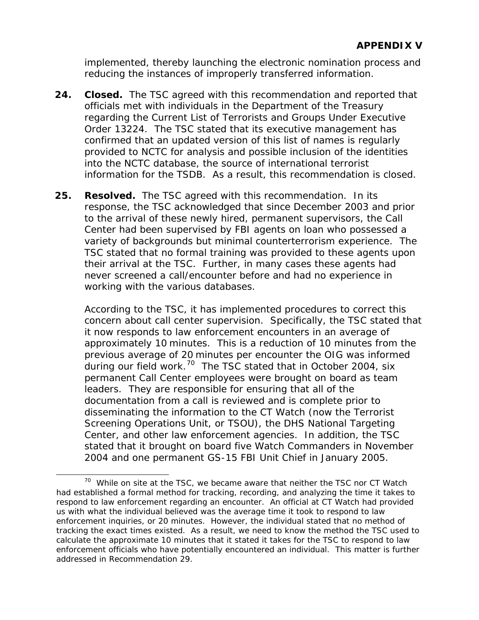<span id="page-175-0"></span>implemented, thereby launching the electronic nomination process and reducing the instances of improperly transferred information.

- **24. Closed.** The TSC agreed with this recommendation and reported that officials met with individuals in the Department of the Treasury regarding the Current List of Terrorists and Groups Under Executive Order 13224. The TSC stated that its executive management has confirmed that an updated version of this list of names is regularly provided to NCTC for analysis and possible inclusion of the identities into the NCTC database, the source of international terrorist information for the TSDB. As a result, this recommendation is closed.
- **25. Resolved.** The TSC agreed with this recommendation. In its response, the TSC acknowledged that since December 2003 and prior to the arrival of these newly hired, permanent supervisors, the Call Center had been supervised by FBI agents on loan who possessed a variety of backgrounds but minimal counterterrorism experience. The TSC stated that no formal training was provided to these agents upon their arrival at the TSC. Further, in many cases these agents had never screened a call/encounter before and had no experience in working with the various databases.

According to the TSC, it has implemented procedures to correct this concern about call center supervision. Specifically, the TSC stated that it now responds to law enforcement encounters in an average of approximately 10 minutes. This is a reduction of 10 minutes from the previous average of 20 minutes per encounter the OIG was informed during our field work.<sup>[70](#page-175-0)</sup> The TSC stated that in October 2004, six permanent Call Center employees were brought on board as team leaders. They are responsible for ensuring that all of the documentation from a call is reviewed and is complete prior to disseminating the information to the CT Watch (now the Terrorist Screening Operations Unit, or TSOU), the DHS National Targeting Center, and other law enforcement agencies. In addition, the TSC stated that it brought on board five Watch Commanders in November 2004 and one permanent GS-15 FBI Unit Chief in January 2005.

 $\overline{a}$ 

 $70$  While on site at the TSC, we became aware that neither the TSC nor CT Watch had established a formal method for tracking, recording, and analyzing the time it takes to respond to law enforcement regarding an encounter. An official at CT Watch had provided us with what the individual believed was the average time it took to respond to law enforcement inquiries, or 20 minutes. However, the individual stated that no method of tracking the exact times existed. As a result, we need to know the method the TSC used to calculate the approximate 10 minutes that it stated it takes for the TSC to respond to law enforcement officials who have potentially encountered an individual. This matter is further addressed in Recommendation 29.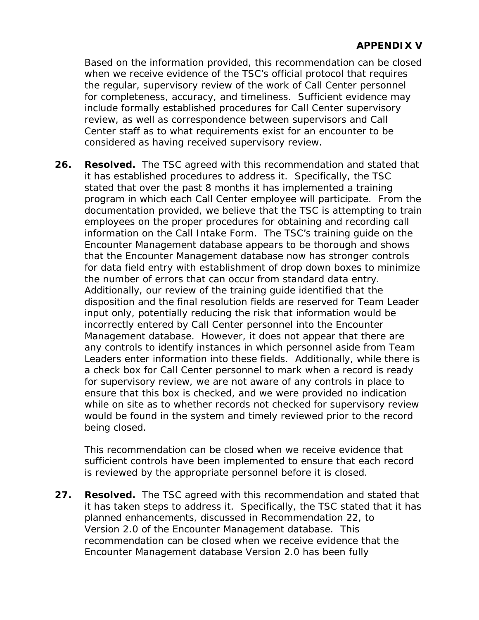Based on the information provided, this recommendation can be closed when we receive evidence of the TSC's official protocol that requires the regular, supervisory review of the work of Call Center personnel for completeness, accuracy, and timeliness. Sufficient evidence may include formally established procedures for Call Center supervisory review, as well as correspondence between supervisors and Call Center staff as to what requirements exist for an encounter to be considered as having received supervisory review.

**26. Resolved.** The TSC agreed with this recommendation and stated that it has established procedures to address it. Specifically, the TSC stated that over the past 8 months it has implemented a training program in which each Call Center employee will participate. From the documentation provided, we believe that the TSC is attempting to train employees on the proper procedures for obtaining and recording call information on the Call Intake Form. The TSC's training guide on the Encounter Management database appears to be thorough and shows that the Encounter Management database now has stronger controls for data field entry with establishment of drop down boxes to minimize the number of errors that can occur from standard data entry. Additionally, our review of the training guide identified that the disposition and the final resolution fields are reserved for Team Leader input only, potentially reducing the risk that information would be incorrectly entered by Call Center personnel into the Encounter Management database. However, it does not appear that there are any controls to identify instances in which personnel aside from Team Leaders enter information into these fields. Additionally, while there is a check box for Call Center personnel to mark when a record is ready for supervisory review, we are not aware of any controls in place to ensure that this box is checked, and we were provided no indication while on site as to whether records not checked for supervisory review would be found in the system and timely reviewed prior to the record being closed.

This recommendation can be closed when we receive evidence that sufficient controls have been implemented to ensure that each record is reviewed by the appropriate personnel before it is closed.

**27. Resolved.** The TSC agreed with this recommendation and stated that it has taken steps to address it. Specifically, the TSC stated that it has planned enhancements, discussed in Recommendation 22, to Version 2.0 of the Encounter Management database. This recommendation can be closed when we receive evidence that the Encounter Management database Version 2.0 has been fully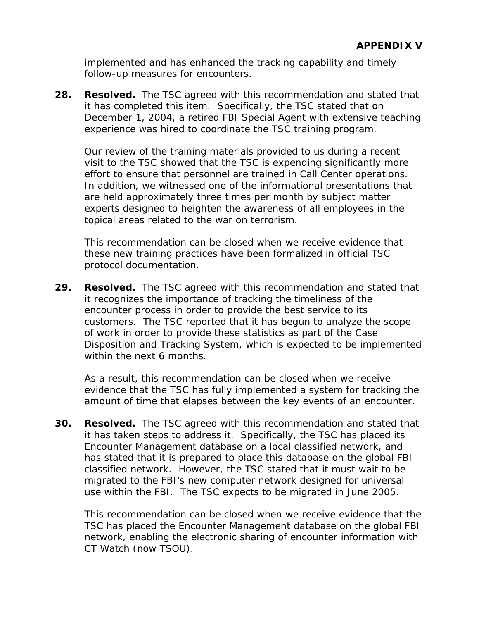implemented and has enhanced the tracking capability and timely follow-up measures for encounters.

**28. Resolved.** The TSC agreed with this recommendation and stated that it has completed this item. Specifically, the TSC stated that on December 1, 2004, a retired FBI Special Agent with extensive teaching experience was hired to coordinate the TSC training program.

Our review of the training materials provided to us during a recent visit to the TSC showed that the TSC is expending significantly more effort to ensure that personnel are trained in Call Center operations. In addition, we witnessed one of the informational presentations that are held approximately three times per month by subject matter experts designed to heighten the awareness of all employees in the topical areas related to the war on terrorism.

This recommendation can be closed when we receive evidence that these new training practices have been formalized in official TSC protocol documentation.

**29. Resolved.** The TSC agreed with this recommendation and stated that it recognizes the importance of tracking the timeliness of the encounter process in order to provide the best service to its customers. The TSC reported that it has begun to analyze the scope of work in order to provide these statistics as part of the Case Disposition and Tracking System, which is expected to be implemented within the next 6 months.

As a result, this recommendation can be closed when we receive evidence that the TSC has fully implemented a system for tracking the amount of time that elapses between the key events of an encounter.

**30. Resolved.** The TSC agreed with this recommendation and stated that it has taken steps to address it. Specifically, the TSC has placed its Encounter Management database on a local classified network, and has stated that it is prepared to place this database on the global FBI classified network. However, the TSC stated that it must wait to be migrated to the FBI's new computer network designed for universal use within the FBI. The TSC expects to be migrated in June 2005.

This recommendation can be closed when we receive evidence that the TSC has placed the Encounter Management database on the global FBI network, enabling the electronic sharing of encounter information with CT Watch (now TSOU).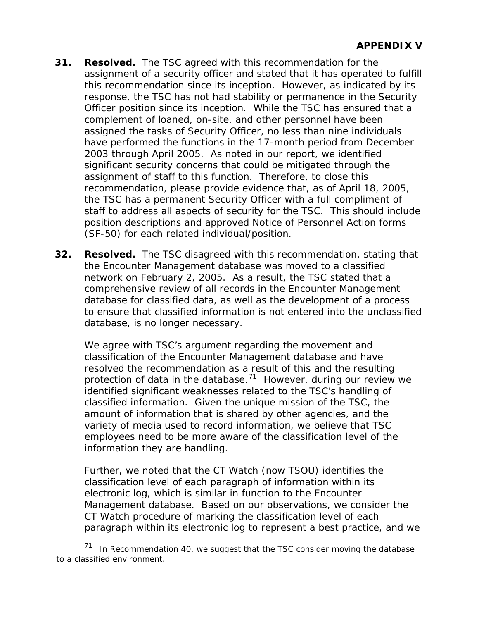- <span id="page-178-0"></span>**31. Resolved.** The TSC agreed with this recommendation for the assignment of a security officer and stated that it has operated to fulfill this recommendation since its inception. However, as indicated by its response, the TSC has not had stability or permanence in the Security Officer position since its inception. While the TSC has ensured that a complement of loaned, on-site, and other personnel have been assigned the tasks of Security Officer, no less than nine individuals have performed the functions in the 17-month period from December 2003 through April 2005. As noted in our report, we identified significant security concerns that could be mitigated through the assignment of staff to this function. Therefore, to close this recommendation, please provide evidence that, as of April 18, 2005, the TSC has a permanent Security Officer with a full compliment of staff to address all aspects of security for the TSC. This should include position descriptions and approved Notice of Personnel Action forms (SF-50) for each related individual/position.
- **32. Resolved.** The TSC disagreed with this recommendation, stating that the Encounter Management database was moved to a classified network on February 2, 2005. As a result, the TSC stated that a comprehensive review of all records in the Encounter Management database for classified data, as well as the development of a process to ensure that classified information is not entered into the unclassified database, is no longer necessary.

We agree with TSC's argument regarding the movement and classification of the Encounter Management database and have resolved the recommendation as a result of this and the resulting protection of data in the database.<sup>[71](#page-178-0)</sup> However, during our review we identified significant weaknesses related to the TSC's handling of classified information. Given the unique mission of the TSC, the amount of information that is shared by other agencies, and the variety of media used to record information, we believe that TSC employees need to be more aware of the classification level of the information they are handling.

Further, we noted that the CT Watch (now TSOU) identifies the classification level of each paragraph of information within its electronic log, which is similar in function to the Encounter Management database. Based on our observations, we consider the CT Watch procedure of marking the classification level of each paragraph within its electronic log to represent a best practice, and we

 $\overline{a}$ 

In Recommendation 40, we suggest that the TSC consider moving the database to a classified environment.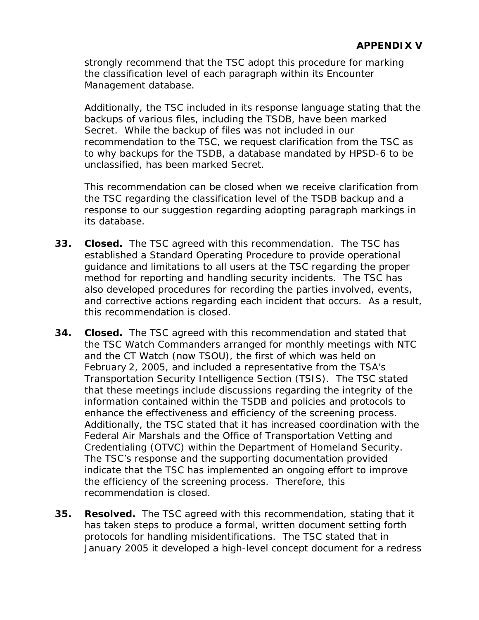strongly recommend that the TSC adopt this procedure for marking the classification level of each paragraph within its Encounter Management database.

Additionally, the TSC included in its response language stating that the backups of various files, including the TSDB, have been marked Secret. While the backup of files was not included in our recommendation to the TSC, we request clarification from the TSC as to why backups for the TSDB, a database mandated by HPSD-6 to be unclassified, has been marked Secret.

This recommendation can be closed when we receive clarification from the TSC regarding the classification level of the TSDB backup and a response to our suggestion regarding adopting paragraph markings in its database.

- **33. Closed.** The TSC agreed with this recommendation. The TSC has established a Standard Operating Procedure to provide operational guidance and limitations to all users at the TSC regarding the proper method for reporting and handling security incidents. The TSC has also developed procedures for recording the parties involved, events, and corrective actions regarding each incident that occurs. As a result, this recommendation is closed.
- **34. Closed.** The TSC agreed with this recommendation and stated that the TSC Watch Commanders arranged for monthly meetings with NTC and the CT Watch (now TSOU), the first of which was held on February 2, 2005, and included a representative from the TSA's Transportation Security Intelligence Section (TSIS). The TSC stated that these meetings include discussions regarding the integrity of the information contained within the TSDB and policies and protocols to enhance the effectiveness and efficiency of the screening process. Additionally, the TSC stated that it has increased coordination with the Federal Air Marshals and the Office of Transportation Vetting and Credentialing (OTVC) within the Department of Homeland Security. The TSC's response and the supporting documentation provided indicate that the TSC has implemented an ongoing effort to improve the efficiency of the screening process. Therefore, this recommendation is closed.
- **35. Resolved.** The TSC agreed with this recommendation, stating that it has taken steps to produce a formal, written document setting forth protocols for handling misidentifications. The TSC stated that in January 2005 it developed a high-level concept document for a redress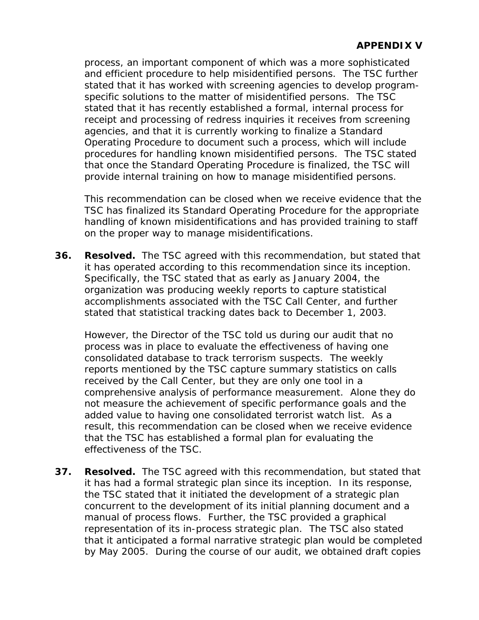process, an important component of which was a more sophisticated and efficient procedure to help misidentified persons. The TSC further stated that it has worked with screening agencies to develop programspecific solutions to the matter of misidentified persons. The TSC stated that it has recently established a formal, internal process for receipt and processing of redress inquiries it receives from screening agencies, and that it is currently working to finalize a Standard Operating Procedure to document such a process, which will include procedures for handling known misidentified persons. The TSC stated that once the Standard Operating Procedure is finalized, the TSC will provide internal training on how to manage misidentified persons.

This recommendation can be closed when we receive evidence that the TSC has finalized its Standard Operating Procedure for the appropriate handling of known misidentifications and has provided training to staff on the proper way to manage misidentifications.

**36. Resolved.** The TSC agreed with this recommendation, but stated that it has operated according to this recommendation since its inception. Specifically, the TSC stated that as early as January 2004, the organization was producing weekly reports to capture statistical accomplishments associated with the TSC Call Center, and further stated that statistical tracking dates back to December 1, 2003.

However, the Director of the TSC told us during our audit that no process was in place to evaluate the effectiveness of having one consolidated database to track terrorism suspects. The weekly reports mentioned by the TSC capture summary statistics on calls received by the Call Center, but they are only one tool in a comprehensive analysis of performance measurement. Alone they do not measure the achievement of specific performance goals and the added value to having one consolidated terrorist watch list. As a result, this recommendation can be closed when we receive evidence that the TSC has established a formal plan for evaluating the effectiveness of the TSC.

**37. Resolved.** The TSC agreed with this recommendation, but stated that it has had a formal strategic plan since its inception. In its response, the TSC stated that it initiated the development of a strategic plan concurrent to the development of its initial planning document and a manual of process flows. Further, the TSC provided a graphical representation of its in-process strategic plan. The TSC also stated that it anticipated a formal narrative strategic plan would be completed by May 2005. During the course of our audit, we obtained draft copies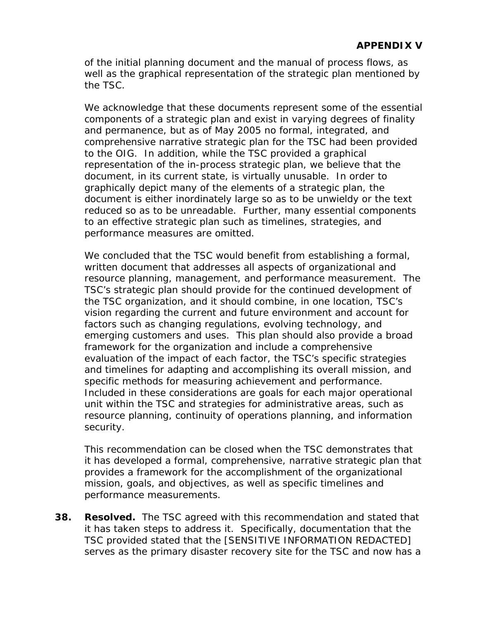of the initial planning document and the manual of process flows, as well as the graphical representation of the strategic plan mentioned by the TSC.

We acknowledge that these documents represent some of the essential components of a strategic plan and exist in varying degrees of finality and permanence, but as of May 2005 no formal, integrated, and comprehensive narrative strategic plan for the TSC had been provided to the OIG. In addition, while the TSC provided a graphical representation of the in-process strategic plan, we believe that the document, in its current state, is virtually unusable. In order to graphically depict many of the elements of a strategic plan, the document is either inordinately large so as to be unwieldy or the text reduced so as to be unreadable. Further, many essential components to an effective strategic plan such as timelines, strategies, and performance measures are omitted.

We concluded that the TSC would benefit from establishing a formal, written document that addresses all aspects of organizational and resource planning, management, and performance measurement. The TSC's strategic plan should provide for the continued development of the TSC organization, and it should combine, in one location, TSC's vision regarding the current and future environment and account for factors such as changing regulations, evolving technology, and emerging customers and uses. This plan should also provide a broad framework for the organization and include a comprehensive evaluation of the impact of each factor, the TSC's specific strategies and timelines for adapting and accomplishing its overall mission, and specific methods for measuring achievement and performance. Included in these considerations are goals for each major operational unit within the TSC and strategies for administrative areas, such as resource planning, continuity of operations planning, and information security.

This recommendation can be closed when the TSC demonstrates that it has developed a formal, comprehensive, narrative strategic plan that provides a framework for the accomplishment of the organizational mission, goals, and objectives, as well as specific timelines and performance measurements.

**38. Resolved.** The TSC agreed with this recommendation and stated that it has taken steps to address it. Specifically, documentation that the TSC provided stated that the [SENSITIVE INFORMATION REDACTED] serves as the primary disaster recovery site for the TSC and now has a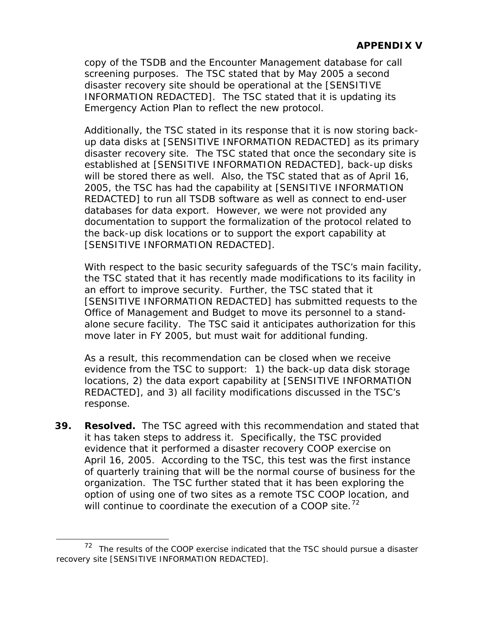<span id="page-182-0"></span>copy of the TSDB and the Encounter Management database for call screening purposes. The TSC stated that by May 2005 a second disaster recovery site should be operational at the [SENSITIVE INFORMATION REDACTED]. The TSC stated that it is updating its Emergency Action Plan to reflect the new protocol.

Additionally, the TSC stated in its response that it is now storing backup data disks at [SENSITIVE INFORMATION REDACTED] as its primary disaster recovery site. The TSC stated that once the secondary site is established at [SENSITIVE INFORMATION REDACTED], back-up disks will be stored there as well. Also, the TSC stated that as of April 16, 2005, the TSC has had the capability at [SENSITIVE INFORMATION REDACTED] to run all TSDB software as well as connect to end-user databases for data export. However, we were not provided any documentation to support the formalization of the protocol related to the back-up disk locations or to support the export capability at [SENSITIVE INFORMATION REDACTED].

With respect to the basic security safeguards of the TSC's main facility, the TSC stated that it has recently made modifications to its facility in an effort to improve security. Further, the TSC stated that it [SENSITIVE INFORMATION REDACTED] has submitted requests to the Office of Management and Budget to move its personnel to a standalone secure facility. The TSC said it anticipates authorization for this move later in FY 2005, but must wait for additional funding.

As a result, this recommendation can be closed when we receive evidence from the TSC to support: 1) the back-up data disk storage locations, 2) the data export capability at [SENSITIVE INFORMATION REDACTED], and 3) all facility modifications discussed in the TSC's response.

**39. Resolved.** The TSC agreed with this recommendation and stated that it has taken steps to address it. Specifically, the TSC provided evidence that it performed a disaster recovery COOP exercise on April 16, 2005. According to the TSC, this test was the first instance of quarterly training that will be the normal course of business for the organization. The TSC further stated that it has been exploring the option of using one of two sites as a remote TSC COOP location, and will continue to coordinate the execution of a COOP site.<sup>[72](#page-182-0)</sup>

 $\overline{a}$ 

 $72$  The results of the COOP exercise indicated that the TSC should pursue a disaster recovery site [SENSITIVE INFORMATION REDACTED].